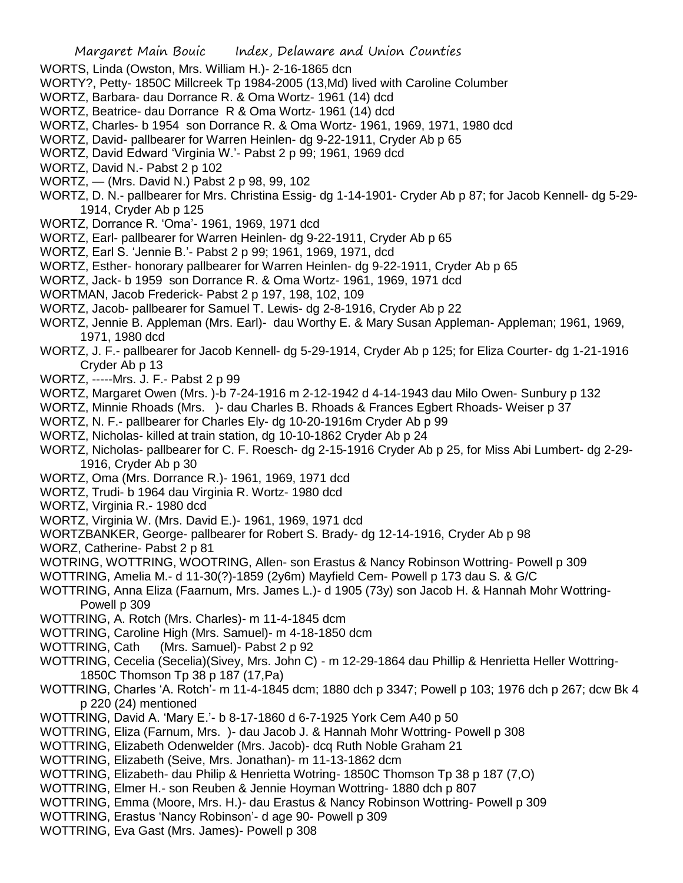- WORTS, Linda (Owston, Mrs. William H.)- 2-16-1865 dcn
- WORTY?, Petty- 1850C Millcreek Tp 1984-2005 (13,Md) lived with Caroline Columber
- WORTZ, Barbara- dau Dorrance R. & Oma Wortz- 1961 (14) dcd
- WORTZ, Beatrice- dau Dorrance R & Oma Wortz- 1961 (14) dcd
- WORTZ, Charles- b 1954 son Dorrance R. & Oma Wortz- 1961, 1969, 1971, 1980 dcd
- WORTZ, David- pallbearer for Warren Heinlen- dg 9-22-1911, Cryder Ab p 65
- WORTZ, David Edward 'Virginia W.'- Pabst 2 p 99; 1961, 1969 dcd
- WORTZ, David N.- Pabst 2 p 102
- WORTZ, (Mrs. David N.) Pabst 2 p 98, 99, 102
- WORTZ, D. N.- pallbearer for Mrs. Christina Essig- dg 1-14-1901- Cryder Ab p 87; for Jacob Kennell- dg 5-29- 1914, Cryder Ab p 125
- WORTZ, Dorrance R. 'Oma'- 1961, 1969, 1971 dcd
- WORTZ, Earl- pallbearer for Warren Heinlen- dg 9-22-1911, Cryder Ab p 65
- WORTZ, Earl S. 'Jennie B.'- Pabst 2 p 99; 1961, 1969, 1971, dcd
- WORTZ, Esther- honorary pallbearer for Warren Heinlen- dg 9-22-1911, Cryder Ab p 65
- WORTZ, Jack- b 1959 son Dorrance R. & Oma Wortz- 1961, 1969, 1971 dcd
- WORTMAN, Jacob Frederick- Pabst 2 p 197, 198, 102, 109
- WORTZ, Jacob- pallbearer for Samuel T. Lewis- dg 2-8-1916, Cryder Ab p 22
- WORTZ, Jennie B. Appleman (Mrs. Earl)- dau Worthy E. & Mary Susan Appleman- Appleman; 1961, 1969, 1971, 1980 dcd
- WORTZ, J. F.- pallbearer for Jacob Kennell- dg 5-29-1914, Cryder Ab p 125; for Eliza Courter- dg 1-21-1916 Cryder Ab p 13
- WORTZ, -----Mrs. J. F.- Pabst 2 p 99
- WORTZ, Margaret Owen (Mrs. )-b 7-24-1916 m 2-12-1942 d 4-14-1943 dau Milo Owen- Sunbury p 132
- WORTZ, Minnie Rhoads (Mrs. )- dau Charles B. Rhoads & Frances Egbert Rhoads- Weiser p 37
- WORTZ, N. F.- pallbearer for Charles Ely- dg 10-20-1916m Cryder Ab p 99
- WORTZ, Nicholas- killed at train station, dg 10-10-1862 Cryder Ab p 24
- WORTZ, Nicholas- pallbearer for C. F. Roesch- dg 2-15-1916 Cryder Ab p 25, for Miss Abi Lumbert- dg 2-29- 1916, Cryder Ab p 30
- WORTZ, Oma (Mrs. Dorrance R.)- 1961, 1969, 1971 dcd
- WORTZ, Trudi- b 1964 dau Virginia R. Wortz- 1980 dcd
- WORTZ, Virginia R.- 1980 dcd
- WORTZ, Virginia W. (Mrs. David E.)- 1961, 1969, 1971 dcd
- WORTZBANKER, George- pallbearer for Robert S. Brady- dg 12-14-1916, Cryder Ab p 98
- WORZ, Catherine- Pabst 2 p 81
- WOTRING, WOTTRING, WOOTRING, Allen- son Erastus & Nancy Robinson Wottring- Powell p 309
- WOTTRING, Amelia M.- d 11-30(?)-1859 (2y6m) Mayfield Cem- Powell p 173 dau S. & G/C
- WOTTRING, Anna Eliza (Faarnum, Mrs. James L.)- d 1905 (73y) son Jacob H. & Hannah Mohr Wottring-Powell p 309
- WOTTRING, A. Rotch (Mrs. Charles)- m 11-4-1845 dcm
- WOTTRING, Caroline High (Mrs. Samuel)- m 4-18-1850 dcm
- WOTTRING, Cath (Mrs. Samuel)- Pabst 2 p 92
- WOTTRING, Cecelia (Secelia)(Sivey, Mrs. John C) m 12-29-1864 dau Phillip & Henrietta Heller Wottring-1850C Thomson Tp 38 p 187 (17,Pa)
- WOTTRING, Charles 'A. Rotch'- m 11-4-1845 dcm; 1880 dch p 3347; Powell p 103; 1976 dch p 267; dcw Bk 4 p 220 (24) mentioned
- WOTTRING, David A. 'Mary E.'- b 8-17-1860 d 6-7-1925 York Cem A40 p 50
- WOTTRING, Eliza (Farnum, Mrs. )- dau Jacob J. & Hannah Mohr Wottring- Powell p 308
- WOTTRING, Elizabeth Odenwelder (Mrs. Jacob)- dcq Ruth Noble Graham 21
- WOTTRING, Elizabeth (Seive, Mrs. Jonathan)- m 11-13-1862 dcm
- WOTTRING, Elizabeth- dau Philip & Henrietta Wotring- 1850C Thomson Tp 38 p 187 (7,O)
- WOTTRING, Elmer H.- son Reuben & Jennie Hoyman Wottring- 1880 dch p 807
- WOTTRING, Emma (Moore, Mrs. H.)- dau Erastus & Nancy Robinson Wottring- Powell p 309
- WOTTRING, Erastus 'Nancy Robinson'- d age 90- Powell p 309
- WOTTRING, Eva Gast (Mrs. James)- Powell p 308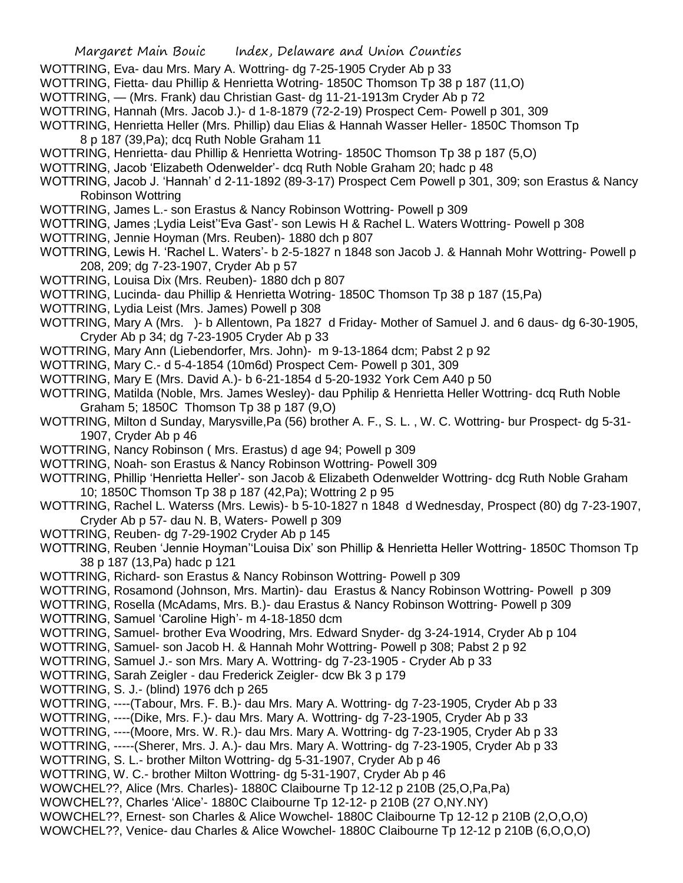- WOTTRING, Eva- dau Mrs. Mary A. Wottring- dg 7-25-1905 Cryder Ab p 33
- WOTTRING, Fietta- dau Phillip & Henrietta Wotring- 1850C Thomson Tp 38 p 187 (11,O)
- WOTTRING, (Mrs. Frank) dau Christian Gast- dg 11-21-1913m Cryder Ab p 72
- WOTTRING, Hannah (Mrs. Jacob J.)- d 1-8-1879 (72-2-19) Prospect Cem- Powell p 301, 309
- WOTTRING, Henrietta Heller (Mrs. Phillip) dau Elias & Hannah Wasser Heller- 1850C Thomson Tp
	- 8 p 187 (39,Pa); dcq Ruth Noble Graham 11
- WOTTRING, Henrietta- dau Phillip & Henrietta Wotring- 1850C Thomson Tp 38 p 187 (5,O)
- WOTTRING, Jacob 'Elizabeth Odenwelder'- dcq Ruth Noble Graham 20; hadc p 48
- WOTTRING, Jacob J. 'Hannah' d 2-11-1892 (89-3-17) Prospect Cem Powell p 301, 309; son Erastus & Nancy Robinson Wottring
- WOTTRING, James L.- son Erastus & Nancy Robinson Wottring- Powell p 309
- WOTTRING, James ;Lydia Leist''Eva Gast'- son Lewis H & Rachel L. Waters Wottring- Powell p 308
- WOTTRING, Jennie Hoyman (Mrs. Reuben)- 1880 dch p 807
- WOTTRING, Lewis H. 'Rachel L. Waters'- b 2-5-1827 n 1848 son Jacob J. & Hannah Mohr Wottring- Powell p 208, 209; dg 7-23-1907, Cryder Ab p 57
- WOTTRING, Louisa Dix (Mrs. Reuben)- 1880 dch p 807
- WOTTRING, Lucinda- dau Phillip & Henrietta Wotring- 1850C Thomson Tp 38 p 187 (15,Pa)
- WOTTRING, Lydia Leist (Mrs. James) Powell p 308
- WOTTRING, Mary A (Mrs. )- b Allentown, Pa 1827 d Friday- Mother of Samuel J. and 6 daus- dg 6-30-1905, Cryder Ab p 34; dg 7-23-1905 Cryder Ab p 33
- WOTTRING, Mary Ann (Liebendorfer, Mrs. John)- m 9-13-1864 dcm; Pabst 2 p 92
- WOTTRING, Mary C.- d 5-4-1854 (10m6d) Prospect Cem- Powell p 301, 309
- WOTTRING, Mary E (Mrs. David A.)- b 6-21-1854 d 5-20-1932 York Cem A40 p 50
- WOTTRING, Matilda (Noble, Mrs. James Wesley)- dau Pphilip & Henrietta Heller Wottring- dcq Ruth Noble Graham 5; 1850C Thomson Tp 38 p 187 (9,O)
- WOTTRING, Milton d Sunday, Marysville,Pa (56) brother A. F., S. L. , W. C. Wottring- bur Prospect- dg 5-31- 1907, Cryder Ab p 46
- WOTTRING, Nancy Robinson ( Mrs. Erastus) d age 94; Powell p 309
- WOTTRING, Noah- son Erastus & Nancy Robinson Wottring- Powell 309
- WOTTRING, Phillip 'Henrietta Heller'- son Jacob & Elizabeth Odenwelder Wottring- dcg Ruth Noble Graham 10; 1850C Thomson Tp 38 p 187 (42,Pa); Wottring 2 p 95
- WOTTRING, Rachel L. Waterss (Mrs. Lewis)- b 5-10-1827 n 1848 d Wednesday, Prospect (80) dg 7-23-1907, Cryder Ab p 57- dau N. B, Waters- Powell p 309
- WOTTRING, Reuben- dg 7-29-1902 Cryder Ab p 145
- WOTTRING, Reuben 'Jennie Hoyman''Louisa Dix' son Phillip & Henrietta Heller Wottring- 1850C Thomson Tp 38 p 187 (13,Pa) hadc p 121
- WOTTRING, Richard- son Erastus & Nancy Robinson Wottring- Powell p 309
- WOTTRING, Rosamond (Johnson, Mrs. Martin)- dau Erastus & Nancy Robinson Wottring- Powell p 309
- WOTTRING, Rosella (McAdams, Mrs. B.)- dau Erastus & Nancy Robinson Wottring- Powell p 309
- WOTTRING, Samuel 'Caroline High'- m 4-18-1850 dcm
- WOTTRING, Samuel- brother Eva Woodring, Mrs. Edward Snyder- dg 3-24-1914, Cryder Ab p 104
- WOTTRING, Samuel- son Jacob H. & Hannah Mohr Wottring- Powell p 308; Pabst 2 p 92
- WOTTRING, Samuel J.- son Mrs. Mary A. Wottring- dg 7-23-1905 Cryder Ab p 33
- WOTTRING, Sarah Zeigler dau Frederick Zeigler- dcw Bk 3 p 179
- WOTTRING, S. J.- (blind) 1976 dch p 265
- WOTTRING, ----(Tabour, Mrs. F. B.)- dau Mrs. Mary A. Wottring- dg 7-23-1905, Cryder Ab p 33
- WOTTRING, ----(Dike, Mrs. F.)- dau Mrs. Mary A. Wottring- dg 7-23-1905, Cryder Ab p 33
- WOTTRING, ----(Moore, Mrs. W. R.)- dau Mrs. Mary A. Wottring- dg 7-23-1905, Cryder Ab p 33
- WOTTRING, -----(Sherer, Mrs. J. A.)- dau Mrs. Mary A. Wottring- dg 7-23-1905, Cryder Ab p 33
- WOTTRING, S. L.- brother Milton Wottring- dg 5-31-1907, Cryder Ab p 46
- WOTTRING, W. C.- brother Milton Wottring- dg 5-31-1907, Cryder Ab p 46
- WOWCHEL??, Alice (Mrs. Charles)- 1880C Claibourne Tp 12-12 p 210B (25,O,Pa,Pa)
- WOWCHEL??, Charles 'Alice'- 1880C Claibourne Tp 12-12- p 210B (27 O,NY.NY)
- WOWCHEL??, Ernest- son Charles & Alice Wowchel- 1880C Claibourne Tp 12-12 p 210B (2,O,O,O)
- WOWCHEL??, Venice- dau Charles & Alice Wowchel- 1880C Claibourne Tp 12-12 p 210B (6,O,O,O)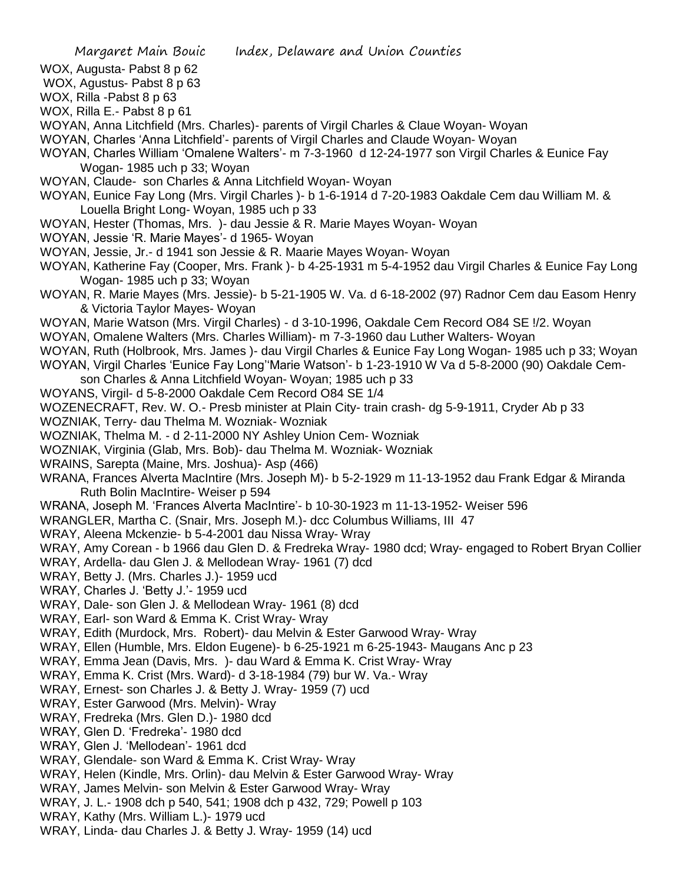- WOX, Augusta- Pabst 8 p 62
- WOX, Agustus- Pabst 8 p 63 WOX, Rilla -Pabst 8 p 63
- WOX, Rilla E.- Pabst 8 p 61
- 
- WOYAN, Anna Litchfield (Mrs. Charles)- parents of Virgil Charles & Claue Woyan- Woyan
- WOYAN, Charles 'Anna Litchfield'- parents of Virgil Charles and Claude Woyan- Woyan
- WOYAN, Charles William 'Omalene Walters'- m 7-3-1960 d 12-24-1977 son Virgil Charles & Eunice Fay Wogan- 1985 uch p 33; Woyan
- WOYAN, Claude- son Charles & Anna Litchfield Woyan- Woyan
- WOYAN, Eunice Fay Long (Mrs. Virgil Charles )- b 1-6-1914 d 7-20-1983 Oakdale Cem dau William M. & Louella Bright Long- Woyan, 1985 uch p 33
- WOYAN, Hester (Thomas, Mrs. )- dau Jessie & R. Marie Mayes Woyan- Woyan
- WOYAN, Jessie 'R. Marie Mayes'- d 1965- Woyan
- WOYAN, Jessie, Jr.- d 1941 son Jessie & R. Maarie Mayes Woyan- Woyan
- WOYAN, Katherine Fay (Cooper, Mrs. Frank )- b 4-25-1931 m 5-4-1952 dau Virgil Charles & Eunice Fay Long Wogan- 1985 uch p 33; Woyan
- WOYAN, R. Marie Mayes (Mrs. Jessie)- b 5-21-1905 W. Va. d 6-18-2002 (97) Radnor Cem dau Easom Henry & Victoria Taylor Mayes- Woyan
- WOYAN, Marie Watson (Mrs. Virgil Charles) d 3-10-1996, Oakdale Cem Record O84 SE !/2. Woyan
- WOYAN, Omalene Walters (Mrs. Charles William)- m 7-3-1960 dau Luther Walters- Woyan
- WOYAN, Ruth (Holbrook, Mrs. James )- dau Virgil Charles & Eunice Fay Long Wogan- 1985 uch p 33; Woyan WOYAN, Virgil Charles 'Eunice Fay Long''Marie Watson'- b 1-23-1910 W Va d 5-8-2000 (90) Oakdale Cem-
- son Charles & Anna Litchfield Woyan- Woyan; 1985 uch p 33
- WOYANS, Virgil- d 5-8-2000 Oakdale Cem Record O84 SE 1/4
- WOZENECRAFT, Rev. W. O.- Presb minister at Plain City- train crash- dg 5-9-1911, Cryder Ab p 33
- WOZNIAK, Terry- dau Thelma M. Wozniak- Wozniak
- WOZNIAK, Thelma M. d 2-11-2000 NY Ashley Union Cem- Wozniak
- WOZNIAK, Virginia (Glab, Mrs. Bob)- dau Thelma M. Wozniak- Wozniak
- WRAINS, Sarepta (Maine, Mrs. Joshua)- Asp (466)
- WRANA, Frances Alverta MacIntire (Mrs. Joseph M)- b 5-2-1929 m 11-13-1952 dau Frank Edgar & Miranda Ruth Bolin MacIntire- Weiser p 594
- WRANA, Joseph M. 'Frances Alverta MacIntire'- b 10-30-1923 m 11-13-1952- Weiser 596
- WRANGLER, Martha C. (Snair, Mrs. Joseph M.)- dcc Columbus Williams, III 47
- WRAY, Aleena Mckenzie- b 5-4-2001 dau Nissa Wray- Wray
- WRAY, Amy Corean b 1966 dau Glen D. & Fredreka Wray- 1980 dcd; Wray- engaged to Robert Bryan Collier
- WRAY, Ardella- dau Glen J. & Mellodean Wray- 1961 (7) dcd
- WRAY, Betty J. (Mrs. Charles J.)- 1959 ucd
- WRAY, Charles J. 'Betty J.'- 1959 ucd
- WRAY, Dale- son Glen J. & Mellodean Wray- 1961 (8) dcd
- WRAY, Earl- son Ward & Emma K. Crist Wray- Wray
- WRAY, Edith (Murdock, Mrs. Robert)- dau Melvin & Ester Garwood Wray- Wray
- WRAY, Ellen (Humble, Mrs. Eldon Eugene)- b 6-25-1921 m 6-25-1943- Maugans Anc p 23
- WRAY, Emma Jean (Davis, Mrs. )- dau Ward & Emma K. Crist Wray- Wray
- WRAY, Emma K. Crist (Mrs. Ward)- d 3-18-1984 (79) bur W. Va.- Wray
- WRAY, Ernest- son Charles J. & Betty J. Wray- 1959 (7) ucd
- WRAY, Ester Garwood (Mrs. Melvin)- Wray
- WRAY, Fredreka (Mrs. Glen D.)- 1980 dcd
- WRAY, Glen D. 'Fredreka'- 1980 dcd
- WRAY, Glen J. 'Mellodean'- 1961 dcd
- WRAY, Glendale- son Ward & Emma K. Crist Wray- Wray
- WRAY, Helen (Kindle, Mrs. Orlin)- dau Melvin & Ester Garwood Wray- Wray
- WRAY, James Melvin- son Melvin & Ester Garwood Wray- Wray
- WRAY, J. L.- 1908 dch p 540, 541; 1908 dch p 432, 729; Powell p 103
- WRAY, Kathy (Mrs. William L.)- 1979 ucd
- WRAY, Linda- dau Charles J. & Betty J. Wray- 1959 (14) ucd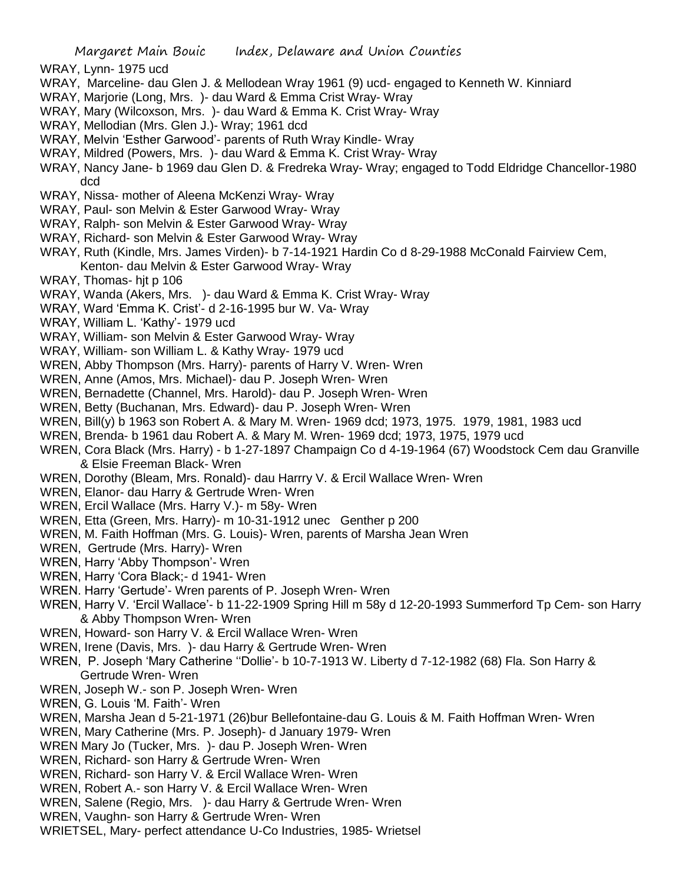- WRAY, Lynn- 1975 ucd
- WRAY, Marceline- dau Glen J. & Mellodean Wray 1961 (9) ucd- engaged to Kenneth W. Kinniard
- WRAY, Marjorie (Long, Mrs. )- dau Ward & Emma Crist Wray- Wray
- WRAY, Mary (Wilcoxson, Mrs. )- dau Ward & Emma K. Crist Wray- Wray
- WRAY, Mellodian (Mrs. Glen J.)- Wray; 1961 dcd
- WRAY, Melvin 'Esther Garwood'- parents of Ruth Wray Kindle- Wray
- WRAY, Mildred (Powers, Mrs. )- dau Ward & Emma K. Crist Wray- Wray
- WRAY, Nancy Jane- b 1969 dau Glen D. & Fredreka Wray- Wray; engaged to Todd Eldridge Chancellor-1980 dcd
- WRAY, Nissa- mother of Aleena McKenzi Wray- Wray
- WRAY, Paul- son Melvin & Ester Garwood Wray- Wray
- WRAY, Ralph- son Melvin & Ester Garwood Wray- Wray
- WRAY, Richard- son Melvin & Ester Garwood Wray- Wray
- WRAY, Ruth (Kindle, Mrs. James Virden)- b 7-14-1921 Hardin Co d 8-29-1988 McConald Fairview Cem, Kenton- dau Melvin & Ester Garwood Wray- Wray
- WRAY, Thomas- hit p 106
- WRAY, Wanda (Akers, Mrs. )- dau Ward & Emma K. Crist Wray- Wray
- WRAY, Ward 'Emma K. Crist'- d 2-16-1995 bur W. Va- Wray
- WRAY, William L. 'Kathy'- 1979 ucd
- WRAY, William- son Melvin & Ester Garwood Wray- Wray
- WRAY, William- son William L. & Kathy Wray- 1979 ucd
- WREN, Abby Thompson (Mrs. Harry)- parents of Harry V. Wren- Wren
- WREN, Anne (Amos, Mrs. Michael)- dau P. Joseph Wren- Wren
- WREN, Bernadette (Channel, Mrs. Harold)- dau P. Joseph Wren- Wren
- WREN, Betty (Buchanan, Mrs. Edward)- dau P. Joseph Wren- Wren
- WREN, Bill(y) b 1963 son Robert A. & Mary M. Wren- 1969 dcd; 1973, 1975. 1979, 1981, 1983 ucd
- WREN, Brenda- b 1961 dau Robert A. & Mary M. Wren- 1969 dcd; 1973, 1975, 1979 ucd
- WREN, Cora Black (Mrs. Harry) b 1-27-1897 Champaign Co d 4-19-1964 (67) Woodstock Cem dau Granville & Elsie Freeman Black- Wren
- WREN, Dorothy (Bleam, Mrs. Ronald)- dau Harrry V. & Ercil Wallace Wren- Wren
- WREN, Elanor- dau Harry & Gertrude Wren- Wren
- WREN, Ercil Wallace (Mrs. Harry V.)- m 58y- Wren
- WREN, Etta (Green, Mrs. Harry)- m 10-31-1912 unec Genther p 200
- WREN, M. Faith Hoffman (Mrs. G. Louis)- Wren, parents of Marsha Jean Wren
- WREN, Gertrude (Mrs. Harry)- Wren
- WREN, Harry 'Abby Thompson'- Wren
- WREN, Harry 'Cora Black;- d 1941- Wren
- WREN. Harry 'Gertude'- Wren parents of P. Joseph Wren- Wren
- WREN, Harry V. 'Ercil Wallace'- b 11-22-1909 Spring Hill m 58y d 12-20-1993 Summerford Tp Cem- son Harry & Abby Thompson Wren- Wren
- WREN, Howard- son Harry V. & Ercil Wallace Wren- Wren
- WREN, Irene (Davis, Mrs. )- dau Harry & Gertrude Wren- Wren
- WREN, P. Joseph 'Mary Catherine ''Dollie'- b 10-7-1913 W. Liberty d 7-12-1982 (68) Fla. Son Harry & Gertrude Wren- Wren
- WREN, Joseph W.- son P. Joseph Wren- Wren
- WREN, G. Louis 'M. Faith'- Wren
- WREN, Marsha Jean d 5-21-1971 (26)bur Bellefontaine-dau G. Louis & M. Faith Hoffman Wren- Wren
- WREN, Mary Catherine (Mrs. P. Joseph)- d January 1979- Wren
- WREN Mary Jo (Tucker, Mrs. )- dau P. Joseph Wren- Wren
- WREN, Richard- son Harry & Gertrude Wren- Wren
- WREN, Richard- son Harry V. & Ercil Wallace Wren- Wren
- WREN, Robert A.- son Harry V. & Ercil Wallace Wren- Wren
- WREN, Salene (Regio, Mrs. )- dau Harry & Gertrude Wren- Wren
- WREN, Vaughn- son Harry & Gertrude Wren- Wren
- WRIETSEL, Mary- perfect attendance U-Co Industries, 1985- Wrietsel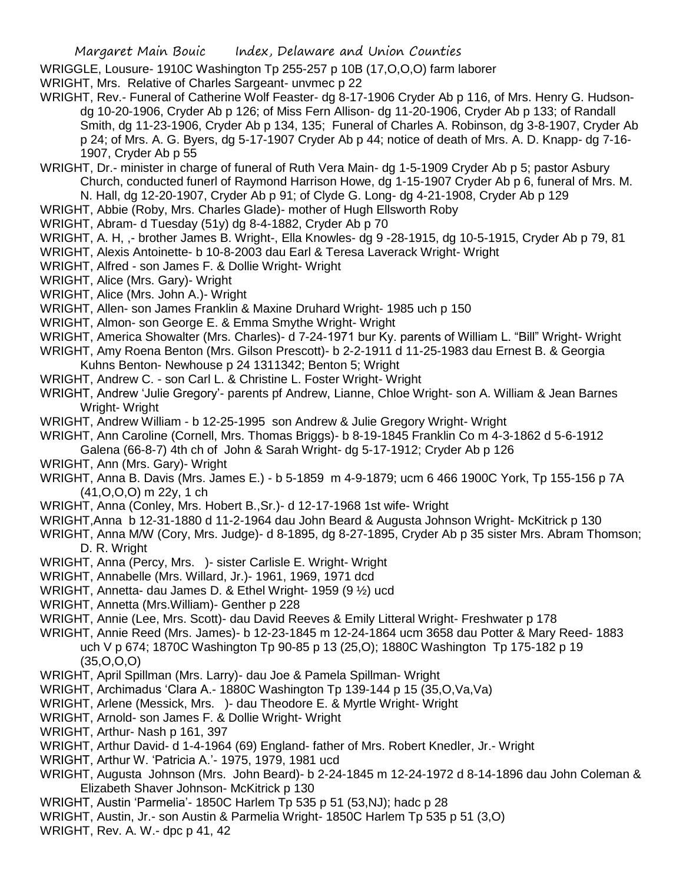WRIGGLE, Lousure- 1910C Washington Tp 255-257 p 10B (17,O,O,O) farm laborer

WRIGHT, Mrs. Relative of Charles Sargeant- unvmec p 22

- WRIGHT, Rev.- Funeral of Catherine Wolf Feaster- dg 8-17-1906 Cryder Ab p 116, of Mrs. Henry G. Hudsondg 10-20-1906, Cryder Ab p 126; of Miss Fern Allison- dg 11-20-1906, Cryder Ab p 133; of Randall Smith, dg 11-23-1906, Cryder Ab p 134, 135; Funeral of Charles A. Robinson, dg 3-8-1907, Cryder Ab p 24; of Mrs. A. G. Byers, dg 5-17-1907 Cryder Ab p 44; notice of death of Mrs. A. D. Knapp- dg 7-16- 1907, Cryder Ab p 55
- WRIGHT, Dr.- minister in charge of funeral of Ruth Vera Main- dg 1-5-1909 Cryder Ab p 5; pastor Asbury Church, conducted funerl of Raymond Harrison Howe, dg 1-15-1907 Cryder Ab p 6, funeral of Mrs. M. N. Hall, dg 12-20-1907, Cryder Ab p 91; of Clyde G. Long- dg 4-21-1908, Cryder Ab p 129
- WRIGHT, Abbie (Roby, Mrs. Charles Glade)- mother of Hugh Ellsworth Roby
- WRIGHT, Abram- d Tuesday (51y) dg 8-4-1882, Cryder Ab p 70
- WRIGHT, A. H, ,- brother James B. Wright-, Ella Knowles- dg 9 -28-1915, dg 10-5-1915, Cryder Ab p 79, 81
- WRIGHT, Alexis Antoinette- b 10-8-2003 dau Earl & Teresa Laverack Wright- Wright
- WRIGHT, Alfred son James F. & Dollie Wright- Wright
- WRIGHT, Alice (Mrs. Gary)- Wright
- WRIGHT, Alice (Mrs. John A.)- Wright
- WRIGHT, Allen- son James Franklin & Maxine Druhard Wright- 1985 uch p 150
- WRIGHT, Almon- son George E. & Emma Smythe Wright- Wright
- WRIGHT, America Showalter (Mrs. Charles)- d 7-24-1971 bur Ky. parents of William L. "Bill" Wright- Wright
- WRIGHT, Amy Roena Benton (Mrs. Gilson Prescott)- b 2-2-1911 d 11-25-1983 dau Ernest B. & Georgia Kuhns Benton- Newhouse p 24 1311342; Benton 5; Wright
- WRIGHT, Andrew C. son Carl L. & Christine L. Foster Wright- Wright
- WRIGHT, Andrew 'Julie Gregory'- parents pf Andrew, Lianne, Chloe Wright- son A. William & Jean Barnes Wright- Wright
- WRIGHT, Andrew William b 12-25-1995 son Andrew & Julie Gregory Wright- Wright
- WRIGHT, Ann Caroline (Cornell, Mrs. Thomas Briggs)- b 8-19-1845 Franklin Co m 4-3-1862 d 5-6-1912
	- Galena (66-8-7) 4th ch of John & Sarah Wright- dg 5-17-1912; Cryder Ab p 126
- WRIGHT, Ann (Mrs. Gary)- Wright
- WRIGHT, Anna B. Davis (Mrs. James E.) b 5-1859 m 4-9-1879; ucm 6 466 1900C York, Tp 155-156 p 7A (41,O,O,O) m 22y, 1 ch
- WRIGHT, Anna (Conley, Mrs. Hobert B.,Sr.)- d 12-17-1968 1st wife- Wright
- WRIGHT,Anna b 12-31-1880 d 11-2-1964 dau John Beard & Augusta Johnson Wright- McKitrick p 130
- WRIGHT, Anna M/W (Cory, Mrs. Judge)- d 8-1895, dg 8-27-1895, Cryder Ab p 35 sister Mrs. Abram Thomson; D. R. Wright
- WRIGHT, Anna (Percy, Mrs. )- sister Carlisle E. Wright- Wright
- WRIGHT, Annabelle (Mrs. Willard, Jr.)- 1961, 1969, 1971 dcd
- WRIGHT, Annetta- dau James D. & Ethel Wright- 1959 (9 ½) ucd
- WRIGHT, Annetta (Mrs.William)- Genther p 228
- WRIGHT, Annie (Lee, Mrs. Scott)- dau David Reeves & Emily Litteral Wright- Freshwater p 178
- WRIGHT, Annie Reed (Mrs. James)- b 12-23-1845 m 12-24-1864 ucm 3658 dau Potter & Mary Reed- 1883 uch V p 674; 1870C Washington Tp 90-85 p 13 (25,O); 1880C Washington Tp 175-182 p 19 (35,O,O,O)
- WRIGHT, April Spillman (Mrs. Larry)- dau Joe & Pamela Spillman- Wright
- WRIGHT, Archimadus 'Clara A.- 1880C Washington Tp 139-144 p 15 (35,O,Va,Va)
- WRIGHT, Arlene (Messick, Mrs. )- dau Theodore E. & Myrtle Wright- Wright
- WRIGHT, Arnold- son James F. & Dollie Wright- Wright
- WRIGHT, Arthur- Nash p 161, 397
- WRIGHT, Arthur David- d 1-4-1964 (69) England- father of Mrs. Robert Knedler, Jr.- Wright
- WRIGHT, Arthur W. 'Patricia A.'- 1975, 1979, 1981 ucd
- WRIGHT, Augusta Johnson (Mrs. John Beard)- b 2-24-1845 m 12-24-1972 d 8-14-1896 dau John Coleman & Elizabeth Shaver Johnson- McKitrick p 130
- WRIGHT, Austin 'Parmelia'- 1850C Harlem Tp 535 p 51 (53,NJ); hadc p 28
- WRIGHT, Austin, Jr.- son Austin & Parmelia Wright- 1850C Harlem Tp 535 p 51 (3,O)
- WRIGHT, Rev. A. W.- dpc p 41, 42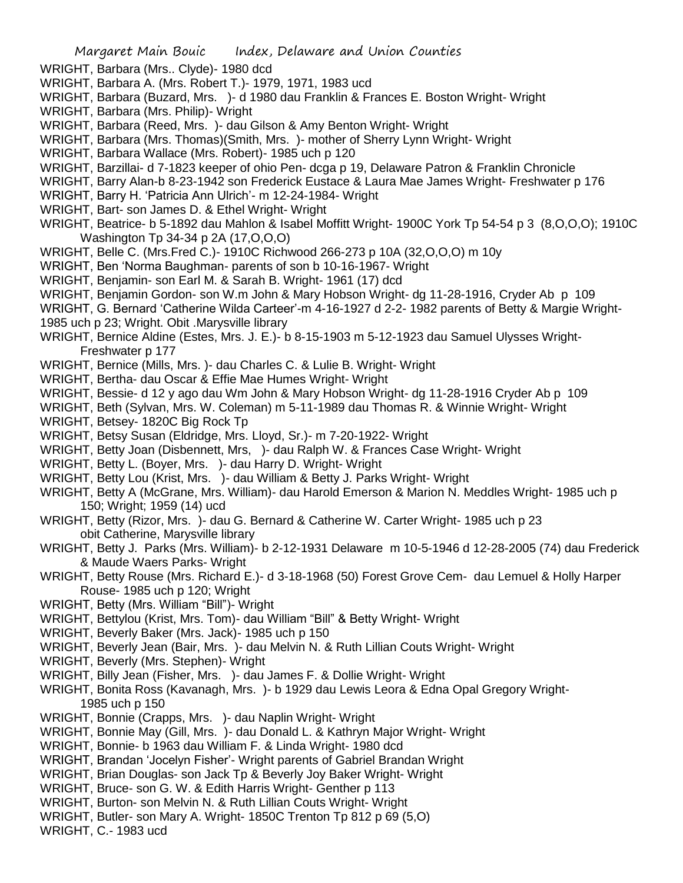- WRIGHT, Barbara (Mrs.. Clyde)- 1980 dcd
- WRIGHT, Barbara A. (Mrs. Robert T.)- 1979, 1971, 1983 ucd
- WRIGHT, Barbara (Buzard, Mrs. )- d 1980 dau Franklin & Frances E. Boston Wright- Wright
- WRIGHT, Barbara (Mrs. Philip)- Wright
- WRIGHT, Barbara (Reed, Mrs. )- dau Gilson & Amy Benton Wright- Wright
- WRIGHT, Barbara (Mrs. Thomas)(Smith, Mrs. )- mother of Sherry Lynn Wright- Wright
- WRIGHT, Barbara Wallace (Mrs. Robert)- 1985 uch p 120
- WRIGHT, Barzillai- d 7-1823 keeper of ohio Pen- dcga p 19, Delaware Patron & Franklin Chronicle
- WRIGHT, Barry Alan-b 8-23-1942 son Frederick Eustace & Laura Mae James Wright- Freshwater p 176
- WRIGHT, Barry H. 'Patricia Ann Ulrich'- m 12-24-1984- Wright
- WRIGHT, Bart- son James D. & Ethel Wright- Wright
- WRIGHT, Beatrice- b 5-1892 dau Mahlon & Isabel Moffitt Wright- 1900C York Tp 54-54 p 3 (8,O,O,O); 1910C Washington Tp 34-34 p 2A (17,O,O,O)
- WRIGHT, Belle C. (Mrs.Fred C.)- 1910C Richwood 266-273 p 10A (32,O,O,O) m 10y
- WRIGHT, Ben 'Norma Baughman- parents of son b 10-16-1967- Wright
- WRIGHT, Benjamin- son Earl M. & Sarah B. Wright- 1961 (17) dcd
- WRIGHT, Benjamin Gordon- son W.m John & Mary Hobson Wright- dg 11-28-1916, Cryder Ab p 109
- WRIGHT, G. Bernard 'Catherine Wilda Carteer'-m 4-16-1927 d 2-2- 1982 parents of Betty & Margie Wright-1985 uch p 23; Wright. Obit .Marysville library
- WRIGHT, Bernice Aldine (Estes, Mrs. J. E.)- b 8-15-1903 m 5-12-1923 dau Samuel Ulysses Wright-Freshwater p 177
- WRIGHT, Bernice (Mills, Mrs. )- dau Charles C. & Lulie B. Wright- Wright
- WRIGHT, Bertha- dau Oscar & Effie Mae Humes Wright- Wright
- WRIGHT, Bessie- d 12 y ago dau Wm John & Mary Hobson Wright- dg 11-28-1916 Cryder Ab p 109
- WRIGHT, Beth (Sylvan, Mrs. W. Coleman) m 5-11-1989 dau Thomas R. & Winnie Wright- Wright
- WRIGHT, Betsey- 1820C Big Rock Tp
- WRIGHT, Betsy Susan (Eldridge, Mrs. Lloyd, Sr.)- m 7-20-1922- Wright
- WRIGHT, Betty Joan (Disbennett, Mrs, )- dau Ralph W. & Frances Case Wright- Wright
- WRIGHT, Betty L. (Boyer, Mrs. )- dau Harry D. Wright- Wright
- WRIGHT, Betty Lou (Krist, Mrs. )- dau William & Betty J. Parks Wright- Wright
- WRIGHT, Betty A (McGrane, Mrs. William)- dau Harold Emerson & Marion N. Meddles Wright- 1985 uch p 150; Wright; 1959 (14) ucd
- WRIGHT, Betty (Rizor, Mrs. )- dau G. Bernard & Catherine W. Carter Wright- 1985 uch p 23 obit Catherine, Marysville library
- WRIGHT, Betty J. Parks (Mrs. William)- b 2-12-1931 Delaware m 10-5-1946 d 12-28-2005 (74) dau Frederick & Maude Waers Parks- Wright
- WRIGHT, Betty Rouse (Mrs. Richard E.)- d 3-18-1968 (50) Forest Grove Cem- dau Lemuel & Holly Harper Rouse- 1985 uch p 120; Wright
- WRIGHT, Betty (Mrs. William "Bill")- Wright
- WRIGHT, Bettylou (Krist, Mrs. Tom)- dau William "Bill" & Betty Wright- Wright
- WRIGHT, Beverly Baker (Mrs. Jack)- 1985 uch p 150
- WRIGHT, Beverly Jean (Bair, Mrs. )- dau Melvin N. & Ruth Lillian Couts Wright- Wright
- WRIGHT, Beverly (Mrs. Stephen)- Wright
- WRIGHT, Billy Jean (Fisher, Mrs. )- dau James F. & Dollie Wright- Wright
- WRIGHT, Bonita Ross (Kavanagh, Mrs. )- b 1929 dau Lewis Leora & Edna Opal Gregory Wright-1985 uch p 150
- WRIGHT, Bonnie (Crapps, Mrs. )- dau Naplin Wright- Wright
- WRIGHT, Bonnie May (Gill, Mrs. )- dau Donald L. & Kathryn Major Wright- Wright
- WRIGHT, Bonnie- b 1963 dau William F. & Linda Wright- 1980 dcd
- WRIGHT, Brandan 'Jocelyn Fisher'- Wright parents of Gabriel Brandan Wright
- WRIGHT, Brian Douglas- son Jack Tp & Beverly Joy Baker Wright- Wright
- WRIGHT, Bruce- son G. W. & Edith Harris Wright- Genther p 113
- WRIGHT, Burton- son Melvin N. & Ruth Lillian Couts Wright- Wright
- WRIGHT, Butler- son Mary A. Wright- 1850C Trenton Tp 812 p 69 (5,O)
- WRIGHT, C.- 1983 ucd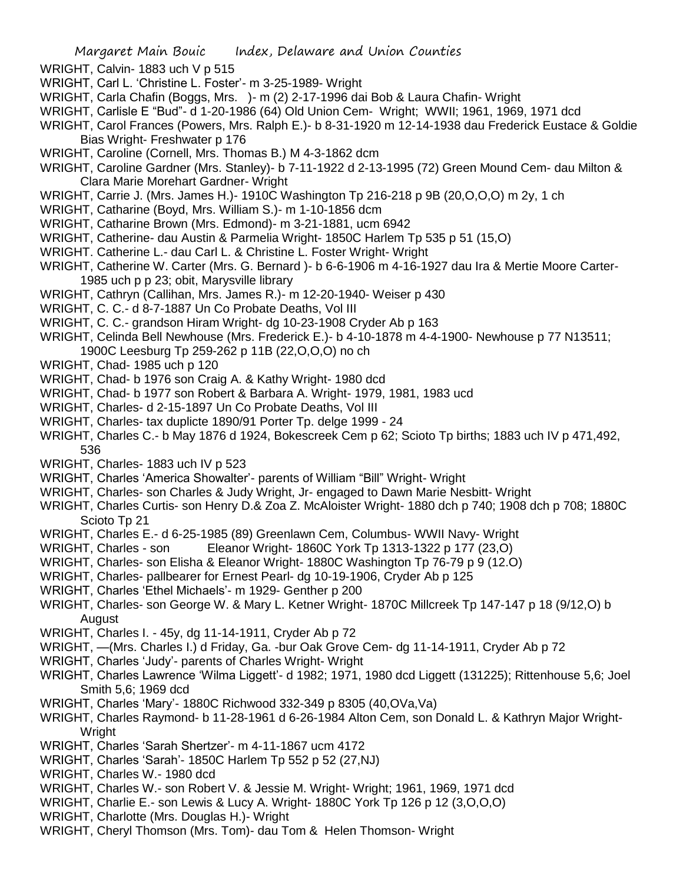- WRIGHT, Calvin- 1883 uch V p 515
- WRIGHT, Carl L. 'Christine L. Foster'- m 3-25-1989- Wright
- WRIGHT, Carla Chafin (Boggs, Mrs. )- m (2) 2-17-1996 dai Bob & Laura Chafin- Wright
- WRIGHT, Carlisle E "Bud"- d 1-20-1986 (64) Old Union Cem- Wright; WWII; 1961, 1969, 1971 dcd
- WRIGHT, Carol Frances (Powers, Mrs. Ralph E.)- b 8-31-1920 m 12-14-1938 dau Frederick Eustace & Goldie Bias Wright- Freshwater p 176
- WRIGHT, Caroline (Cornell, Mrs. Thomas B.) M 4-3-1862 dcm
- WRIGHT, Caroline Gardner (Mrs. Stanley)- b 7-11-1922 d 2-13-1995 (72) Green Mound Cem- dau Milton & Clara Marie Morehart Gardner- Wright
- WRIGHT, Carrie J. (Mrs. James H.)- 1910C Washington Tp 216-218 p 9B (20,O,O,O) m 2y, 1 ch
- WRIGHT, Catharine (Boyd, Mrs. William S.)- m 1-10-1856 dcm
- WRIGHT, Catharine Brown (Mrs. Edmond)- m 3-21-1881, ucm 6942
- WRIGHT, Catherine- dau Austin & Parmelia Wright- 1850C Harlem Tp 535 p 51 (15,O)
- WRIGHT. Catherine L.- dau Carl L. & Christine L. Foster Wright- Wright
- WRIGHT, Catherine W. Carter (Mrs. G. Bernard )- b 6-6-1906 m 4-16-1927 dau Ira & Mertie Moore Carter-1985 uch p p 23; obit, Marysville library
- WRIGHT, Cathryn (Callihan, Mrs. James R.)- m 12-20-1940- Weiser p 430
- WRIGHT, C. C.- d 8-7-1887 Un Co Probate Deaths, Vol III
- WRIGHT, C. C.- grandson Hiram Wright- dg 10-23-1908 Cryder Ab p 163
- WRIGHT, Celinda Bell Newhouse (Mrs. Frederick E.)- b 4-10-1878 m 4-4-1900- Newhouse p 77 N13511; 1900C Leesburg Tp 259-262 p 11B (22,O,O,O) no ch
- WRIGHT, Chad- 1985 uch p 120
- WRIGHT, Chad- b 1976 son Craig A. & Kathy Wright- 1980 dcd
- WRIGHT, Chad- b 1977 son Robert & Barbara A. Wright- 1979, 1981, 1983 ucd
- WRIGHT, Charles- d 2-15-1897 Un Co Probate Deaths, Vol III
- WRIGHT, Charles- tax duplicte 1890/91 Porter Tp. delge 1999 24
- WRIGHT, Charles C.- b May 1876 d 1924, Bokescreek Cem p 62; Scioto Tp births; 1883 uch IV p 471,492, 536
- WRIGHT, Charles- 1883 uch IV p 523
- WRIGHT, Charles 'America Showalter'- parents of William "Bill" Wright- Wright
- WRIGHT, Charles- son Charles & Judy Wright, Jr- engaged to Dawn Marie Nesbitt- Wright
- WRIGHT, Charles Curtis- son Henry D.& Zoa Z. McAloister Wright- 1880 dch p 740; 1908 dch p 708; 1880C Scioto Tp 21
- WRIGHT, Charles E.- d 6-25-1985 (89) Greenlawn Cem, Columbus- WWII Navy- Wright
- WRIGHT, Charles son Eleanor Wright- 1860C York Tp 1313-1322 p 177 (23,0)
- WRIGHT, Charles- son Elisha & Eleanor Wright- 1880C Washington Tp 76-79 p 9 (12.O)
- WRIGHT, Charles- pallbearer for Ernest Pearl- dg 10-19-1906, Cryder Ab p 125
- WRIGHT, Charles 'Ethel Michaels'- m 1929- Genther p 200
- WRIGHT, Charles- son George W. & Mary L. Ketner Wright- 1870C Millcreek Tp 147-147 p 18 (9/12,O) b August
- WRIGHT, Charles I. 45y, dg 11-14-1911, Cryder Ab p 72
- WRIGHT, —(Mrs. Charles I.) d Friday, Ga. -bur Oak Grove Cem- dg 11-14-1911, Cryder Ab p 72
- WRIGHT, Charles 'Judy'- parents of Charles Wright- Wright
- WRIGHT, Charles Lawrence 'Wilma Liggett'- d 1982; 1971, 1980 dcd Liggett (131225); Rittenhouse 5,6; Joel Smith 5,6; 1969 dcd
- WRIGHT, Charles 'Mary'- 1880C Richwood 332-349 p 8305 (40,OVa,Va)
- WRIGHT, Charles Raymond- b 11-28-1961 d 6-26-1984 Alton Cem, son Donald L. & Kathryn Major Wright-Wright
- WRIGHT, Charles 'Sarah Shertzer'- m 4-11-1867 ucm 4172
- WRIGHT, Charles 'Sarah'- 1850C Harlem Tp 552 p 52 (27,NJ)
- WRIGHT, Charles W.- 1980 dcd
- WRIGHT, Charles W.- son Robert V. & Jessie M. Wright- Wright; 1961, 1969, 1971 dcd
- WRIGHT, Charlie E.- son Lewis & Lucy A. Wright- 1880C York Tp 126 p 12 (3,O,O,O)
- WRIGHT, Charlotte (Mrs. Douglas H.)- Wright
- WRIGHT, Cheryl Thomson (Mrs. Tom)- dau Tom & Helen Thomson- Wright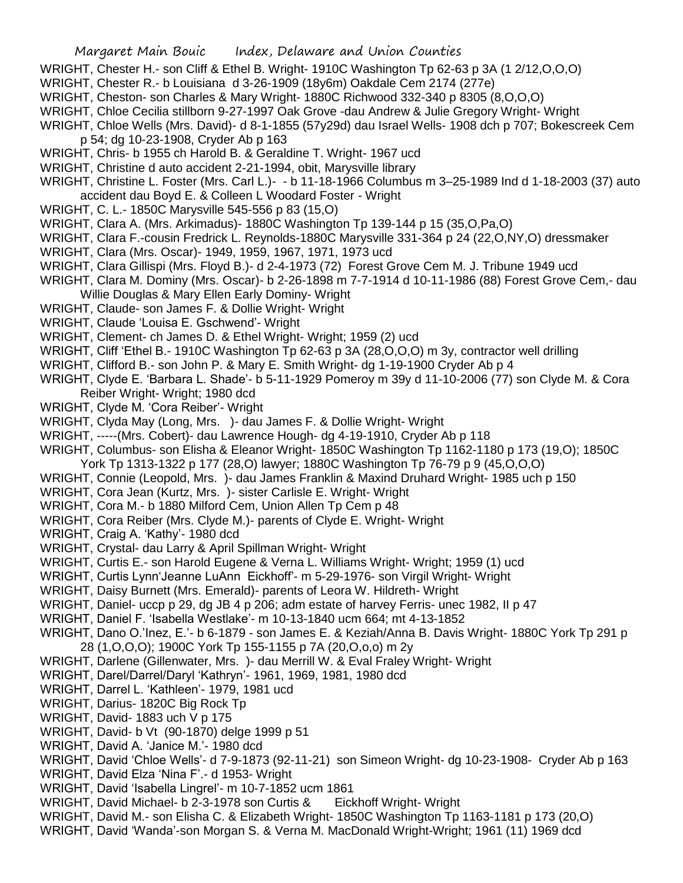- WRIGHT, Chester H.- son Cliff & Ethel B. Wright- 1910C Washington Tp 62-63 p 3A (1 2/12,O,O,O)
- WRIGHT, Chester R.- b Louisiana d 3-26-1909 (18y6m) Oakdale Cem 2174 (277e)
- WRIGHT, Cheston- son Charles & Mary Wright- 1880C Richwood 332-340 p 8305 (8,O,O,O)
- WRIGHT, Chloe Cecilia stillborn 9-27-1997 Oak Grove -dau Andrew & Julie Gregory Wright- Wright
- WRIGHT, Chloe Wells (Mrs. David)- d 8-1-1855 (57y29d) dau Israel Wells- 1908 dch p 707; Bokescreek Cem p 54; dg 10-23-1908, Cryder Ab p 163
- WRIGHT, Chris- b 1955 ch Harold B. & Geraldine T. Wright- 1967 ucd
- WRIGHT, Christine d auto accident 2-21-1994, obit, Marysville library
- WRIGHT, Christine L. Foster (Mrs. Carl L.)- b 11-18-1966 Columbus m 3–25-1989 Ind d 1-18-2003 (37) auto accident dau Boyd E. & Colleen L Woodard Foster - Wright
- WRIGHT, C. L.- 1850C Marysville 545-556 p 83 (15,O)
- WRIGHT, Clara A. (Mrs. Arkimadus)- 1880C Washington Tp 139-144 p 15 (35,O,Pa,O)
- WRIGHT, Clara F.-cousin Fredrick L. Reynolds-1880C Marysville 331-364 p 24 (22,O,NY,O) dressmaker
- WRIGHT, Clara (Mrs. Oscar)- 1949, 1959, 1967, 1971, 1973 ucd
- WRIGHT, Clara Gillispi (Mrs. Floyd B.)- d 2-4-1973 (72) Forest Grove Cem M. J. Tribune 1949 ucd
- WRIGHT, Clara M. Dominy (Mrs. Oscar)- b 2-26-1898 m 7-7-1914 d 10-11-1986 (88) Forest Grove Cem,- dau Willie Douglas & Mary Ellen Early Dominy- Wright
- WRIGHT, Claude- son James F. & Dollie Wright- Wright
- WRIGHT, Claude 'Louisa E. Gschwend'- Wright
- WRIGHT, Clement- ch James D. & Ethel Wright- Wright; 1959 (2) ucd
- WRIGHT, Cliff 'Ethel B.- 1910C Washington Tp 62-63 p 3A (28, O, O, O) m 3y, contractor well drilling
- WRIGHT, Clifford B.- son John P. & Mary E. Smith Wright- dg 1-19-1900 Cryder Ab p 4
- WRIGHT, Clyde E. 'Barbara L. Shade'- b 5-11-1929 Pomeroy m 39y d 11-10-2006 (77) son Clyde M. & Cora Reiber Wright- Wright; 1980 dcd
- WRIGHT, Clyde M. 'Cora Reiber'- Wright
- WRIGHT, Clyda May (Long, Mrs. )- dau James F. & Dollie Wright- Wright
- WRIGHT, -----(Mrs. Cobert)- dau Lawrence Hough- dg 4-19-1910, Cryder Ab p 118
- WRIGHT, Columbus- son Elisha & Eleanor Wright- 1850C Washington Tp 1162-1180 p 173 (19,O); 1850C York Tp 1313-1322 p 177 (28,O) lawyer; 1880C Washington Tp 76-79 p 9 (45,O,O,O)
- WRIGHT, Connie (Leopold, Mrs. )- dau James Franklin & Maxind Druhard Wright- 1985 uch p 150
- WRIGHT, Cora Jean (Kurtz, Mrs. )- sister Carlisle E. Wright- Wright
- WRIGHT, Cora M.- b 1880 Milford Cem, Union Allen Tp Cem p 48
- WRIGHT, Cora Reiber (Mrs. Clyde M.)- parents of Clyde E. Wright- Wright
- WRIGHT, Craig A. 'Kathy'- 1980 dcd
- WRIGHT, Crystal- dau Larry & April Spillman Wright- Wright
- WRIGHT, Curtis E.- son Harold Eugene & Verna L. Williams Wright- Wright; 1959 (1) ucd
- WRIGHT, Curtis Lynn'Jeanne LuAnn Eickhoff'- m 5-29-1976- son Virgil Wright- Wright
- WRIGHT, Daisy Burnett (Mrs. Emerald)- parents of Leora W. Hildreth- Wright
- WRIGHT, Daniel- uccp p 29, dg JB 4 p 206; adm estate of harvey Ferris- unec 1982, II p 47
- WRIGHT, Daniel F. 'Isabella Westlake'- m 10-13-1840 ucm 664; mt 4-13-1852
- WRIGHT, Dano O.'Inez, E.'- b 6-1879 son James E. & Keziah/Anna B. Davis Wright- 1880C York Tp 291 p 28 (1,O,O,O); 1900C York Tp 155-1155 p 7A (20,O,o,o) m 2y
- WRIGHT, Darlene (Gillenwater, Mrs. )- dau Merrill W. & Eval Fraley Wright- Wright
- WRIGHT, Darel/Darrel/Daryl 'Kathryn'- 1961, 1969, 1981, 1980 dcd
- WRIGHT, Darrel L. 'Kathleen'- 1979, 1981 ucd
- WRIGHT, Darius- 1820C Big Rock Tp
- WRIGHT, David- 1883 uch V p 175
- WRIGHT, David- b Vt (90-1870) delge 1999 p 51
- WRIGHT, David A. 'Janice M.'- 1980 dcd
- WRIGHT, David 'Chloe Wells'- d 7-9-1873 (92-11-21) son Simeon Wright- dg 10-23-1908- Cryder Ab p 163
- WRIGHT, David Elza 'Nina F'.- d 1953- Wright
- WRIGHT, David 'Isabella Lingrel'- m 10-7-1852 ucm 1861
- WRIGHT, David Michael- b 2-3-1978 son Curtis & Eickhoff Wright- Wright
- WRIGHT, David M.- son Elisha C. & Elizabeth Wright- 1850C Washington Tp 1163-1181 p 173 (20,O)
- WRIGHT, David 'Wanda'-son Morgan S. & Verna M. MacDonald Wright-Wright; 1961 (11) 1969 dcd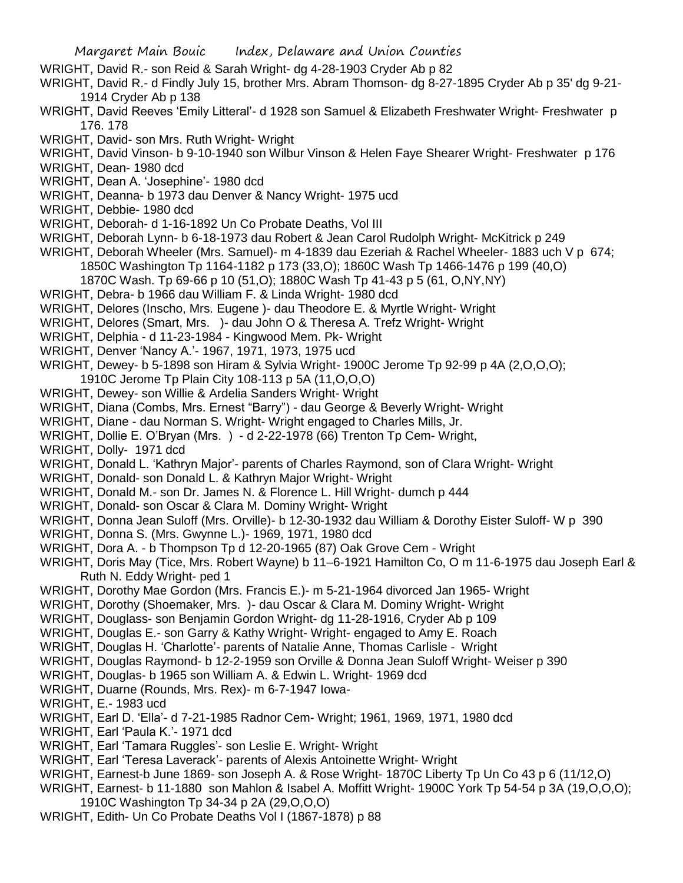- WRIGHT, David R.- son Reid & Sarah Wright- dg 4-28-1903 Cryder Ab p 82
- WRIGHT, David R.- d Findly July 15, brother Mrs. Abram Thomson- dg 8-27-1895 Cryder Ab p 35' dg 9-21- 1914 Cryder Ab p 138
- WRIGHT, David Reeves 'Emily Litteral'- d 1928 son Samuel & Elizabeth Freshwater Wright- Freshwater p 176. 178
- WRIGHT, David- son Mrs. Ruth Wright- Wright
- WRIGHT, David Vinson- b 9-10-1940 son Wilbur Vinson & Helen Faye Shearer Wright- Freshwater p 176
- WRIGHT, Dean- 1980 dcd
- WRIGHT, Dean A. 'Josephine'- 1980 dcd
- WRIGHT, Deanna- b 1973 dau Denver & Nancy Wright- 1975 ucd
- WRIGHT, Debbie- 1980 dcd
- WRIGHT, Deborah- d 1-16-1892 Un Co Probate Deaths, Vol III
- WRIGHT, Deborah Lynn- b 6-18-1973 dau Robert & Jean Carol Rudolph Wright- McKitrick p 249
- WRIGHT, Deborah Wheeler (Mrs. Samuel)- m 4-1839 dau Ezeriah & Rachel Wheeler- 1883 uch V p 674; 1850C Washington Tp 1164-1182 p 173 (33,O); 1860C Wash Tp 1466-1476 p 199 (40,O) 1870C Wash. Tp 69-66 p 10 (51,O); 1880C Wash Tp 41-43 p 5 (61, O,NY,NY)
- WRIGHT, Debra- b 1966 dau William F. & Linda Wright- 1980 dcd
- WRIGHT, Delores (Inscho, Mrs. Eugene )- dau Theodore E. & Myrtle Wright- Wright
- WRIGHT, Delores (Smart, Mrs. )- dau John O & Theresa A. Trefz Wright- Wright
- WRIGHT, Delphia d 11-23-1984 Kingwood Mem. Pk- Wright
- WRIGHT, Denver 'Nancy A.'- 1967, 1971, 1973, 1975 ucd
- WRIGHT, Dewey- b 5-1898 son Hiram & Sylvia Wright- 1900C Jerome Tp 92-99 p 4A (2,O,O,O);
- 1910C Jerome Tp Plain City 108-113 p 5A (11,O,O,O)
- WRIGHT, Dewey- son Willie & Ardelia Sanders Wright- Wright
- WRIGHT, Diana (Combs, Mrs. Ernest "Barry") dau George & Beverly Wright- Wright
- WRIGHT, Diane dau Norman S. Wright- Wright engaged to Charles Mills, Jr.
- WRIGHT, Dollie E. O'Bryan (Mrs. ) d 2-22-1978 (66) Trenton Tp Cem- Wright,
- WRIGHT, Dolly- 1971 dcd
- WRIGHT, Donald L. 'Kathryn Major'- parents of Charles Raymond, son of Clara Wright- Wright
- WRIGHT, Donald- son Donald L. & Kathryn Major Wright- Wright
- WRIGHT, Donald M.- son Dr. James N. & Florence L. Hill Wright- dumch p 444
- WRIGHT, Donald- son Oscar & Clara M. Dominy Wright- Wright
- WRIGHT, Donna Jean Suloff (Mrs. Orville)- b 12-30-1932 dau William & Dorothy Eister Suloff- W p 390
- WRIGHT, Donna S. (Mrs. Gwynne L.)- 1969, 1971, 1980 dcd
- WRIGHT, Dora A. b Thompson Tp d 12-20-1965 (87) Oak Grove Cem Wright
- WRIGHT, Doris May (Tice, Mrs. Robert Wayne) b 11–6-1921 Hamilton Co, O m 11-6-1975 dau Joseph Earl & Ruth N. Eddy Wright- ped 1
- WRIGHT, Dorothy Mae Gordon (Mrs. Francis E.)- m 5-21-1964 divorced Jan 1965- Wright
- WRIGHT, Dorothy (Shoemaker, Mrs. )- dau Oscar & Clara M. Dominy Wright- Wright
- WRIGHT, Douglass- son Benjamin Gordon Wright- dg 11-28-1916, Cryder Ab p 109
- WRIGHT, Douglas E.- son Garry & Kathy Wright- Wright- engaged to Amy E. Roach
- WRIGHT, Douglas H. 'Charlotte'- parents of Natalie Anne, Thomas Carlisle Wright
- WRIGHT, Douglas Raymond- b 12-2-1959 son Orville & Donna Jean Suloff Wright- Weiser p 390
- WRIGHT, Douglas- b 1965 son William A. & Edwin L. Wright- 1969 dcd
- WRIGHT, Duarne (Rounds, Mrs. Rex)- m 6-7-1947 Iowa-
- WRIGHT, E.- 1983 ucd
- WRIGHT, Earl D. 'Ella'- d 7-21-1985 Radnor Cem- Wright; 1961, 1969, 1971, 1980 dcd
- WRIGHT, Earl 'Paula K.'- 1971 dcd
- WRIGHT, Earl 'Tamara Ruggles'- son Leslie E. Wright- Wright
- WRIGHT, Earl 'Teresa Laverack'- parents of Alexis Antoinette Wright- Wright
- WRIGHT, Earnest-b June 1869- son Joseph A. & Rose Wright- 1870C Liberty Tp Un Co 43 p 6 (11/12,O)
- WRIGHT, Earnest- b 11-1880 son Mahlon & Isabel A. Moffitt Wright- 1900C York Tp 54-54 p 3A (19,O,O,O);
- 1910C Washington Tp 34-34 p 2A (29,O,O,O) WRIGHT, Edith- Un Co Probate Deaths Vol I (1867-1878) p 88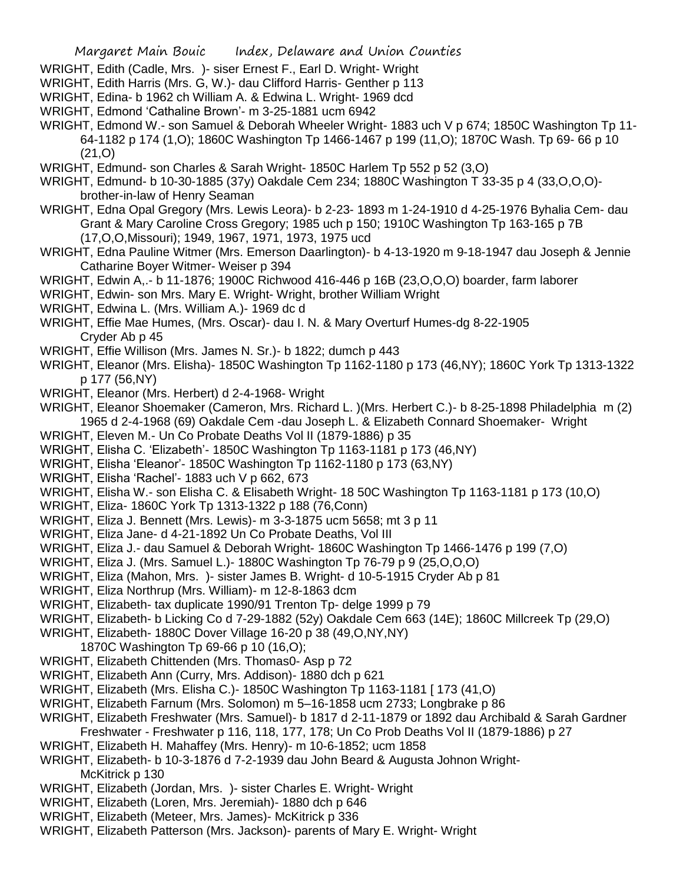- WRIGHT, Edith (Cadle, Mrs. )- siser Ernest F., Earl D. Wright- Wright
- WRIGHT, Edith Harris (Mrs. G, W.)- dau Clifford Harris- Genther p 113
- WRIGHT, Edina- b 1962 ch William A. & Edwina L. Wright- 1969 dcd
- WRIGHT, Edmond 'Cathaline Brown'- m 3-25-1881 ucm 6942
- WRIGHT, Edmond W.- son Samuel & Deborah Wheeler Wright- 1883 uch V p 674; 1850C Washington Tp 11- 64-1182 p 174 (1,O); 1860C Washington Tp 1466-1467 p 199 (11,O); 1870C Wash. Tp 69- 66 p 10 (21,O)
- WRIGHT, Edmund- son Charles & Sarah Wright- 1850C Harlem Tp 552 p 52 (3,0)
- WRIGHT, Edmund- b 10-30-1885 (37y) Oakdale Cem 234; 1880C Washington T 33-35 p 4 (33,O,O,O) brother-in-law of Henry Seaman
- WRIGHT, Edna Opal Gregory (Mrs. Lewis Leora)- b 2-23- 1893 m 1-24-1910 d 4-25-1976 Byhalia Cem- dau Grant & Mary Caroline Cross Gregory; 1985 uch p 150; 1910C Washington Tp 163-165 p 7B (17,O,O,Missouri); 1949, 1967, 1971, 1973, 1975 ucd
- WRIGHT, Edna Pauline Witmer (Mrs. Emerson Daarlington)- b 4-13-1920 m 9-18-1947 dau Joseph & Jennie Catharine Boyer Witmer- Weiser p 394
- WRIGHT, Edwin A,.- b 11-1876; 1900C Richwood 416-446 p 16B (23,O,O,O) boarder, farm laborer
- WRIGHT, Edwin- son Mrs. Mary E. Wright- Wright, brother William Wright
- WRIGHT, Edwina L. (Mrs. William A.)- 1969 dc d
- WRIGHT, Effie Mae Humes, (Mrs. Oscar)- dau I. N. & Mary Overturf Humes-dg 8-22-1905 Cryder Ab p 45
- WRIGHT, Effie Willison (Mrs. James N. Sr.)- b 1822; dumch p 443
- WRIGHT, Eleanor (Mrs. Elisha)- 1850C Washington Tp 1162-1180 p 173 (46,NY); 1860C York Tp 1313-1322 p 177 (56,NY)
- WRIGHT, Eleanor (Mrs. Herbert) d 2-4-1968- Wright
- WRIGHT, Eleanor Shoemaker (Cameron, Mrs. Richard L. )(Mrs. Herbert C.)- b 8-25-1898 Philadelphia m (2) 1965 d 2-4-1968 (69) Oakdale Cem -dau Joseph L. & Elizabeth Connard Shoemaker- Wright
- WRIGHT, Eleven M.- Un Co Probate Deaths Vol II (1879-1886) p 35
- WRIGHT, Elisha C. 'Elizabeth'- 1850C Washington Tp 1163-1181 p 173 (46,NY)
- WRIGHT, Elisha 'Eleanor'- 1850C Washington Tp 1162-1180 p 173 (63,NY)
- WRIGHT, Elisha 'Rachel'- 1883 uch V p 662, 673
- WRIGHT, Elisha W.- son Elisha C. & Elisabeth Wright- 18 50C Washington Tp 1163-1181 p 173 (10,O)
- WRIGHT, Eliza- 1860C York Tp 1313-1322 p 188 (76,Conn)
- WRIGHT, Eliza J. Bennett (Mrs. Lewis)- m 3-3-1875 ucm 5658; mt 3 p 11
- WRIGHT, Eliza Jane- d 4-21-1892 Un Co Probate Deaths, Vol III
- WRIGHT, Eliza J.- dau Samuel & Deborah Wright- 1860C Washington Tp 1466-1476 p 199 (7,O)
- WRIGHT, Eliza J. (Mrs. Samuel L.)- 1880C Washington Tp 76-79 p 9 (25,O,O,O)
- WRIGHT, Eliza (Mahon, Mrs. )- sister James B. Wright- d 10-5-1915 Cryder Ab p 81
- WRIGHT, Eliza Northrup (Mrs. William)- m 12-8-1863 dcm
- WRIGHT, Elizabeth- tax duplicate 1990/91 Trenton Tp- delge 1999 p 79
- WRIGHT, Elizabeth- b Licking Co d 7-29-1882 (52y) Oakdale Cem 663 (14E); 1860C Millcreek Tp (29,O)
- WRIGHT, Elizabeth- 1880C Dover Village 16-20 p 38 (49,O,NY,NY)
	- 1870C Washington Tp 69-66 p 10 (16,O);
- WRIGHT, Elizabeth Chittenden (Mrs. Thomas0- Asp p 72
- WRIGHT, Elizabeth Ann (Curry, Mrs. Addison)- 1880 dch p 621
- WRIGHT, Elizabeth (Mrs. Elisha C.)- 1850C Washington Tp 1163-1181 [ 173 (41,O)
- WRIGHT, Elizabeth Farnum (Mrs. Solomon) m 5–16-1858 ucm 2733; Longbrake p 86
- WRIGHT, Elizabeth Freshwater (Mrs. Samuel)- b 1817 d 2-11-1879 or 1892 dau Archibald & Sarah Gardner Freshwater - Freshwater p 116, 118, 177, 178; Un Co Prob Deaths Vol II (1879-1886) p 27
- WRIGHT, Elizabeth H. Mahaffey (Mrs. Henry)- m 10-6-1852; ucm 1858
- WRIGHT, Elizabeth- b 10-3-1876 d 7-2-1939 dau John Beard & Augusta Johnon Wright-McKitrick p 130
- WRIGHT, Elizabeth (Jordan, Mrs. )- sister Charles E. Wright- Wright
- WRIGHT, Elizabeth (Loren, Mrs. Jeremiah)- 1880 dch p 646
- WRIGHT, Elizabeth (Meteer, Mrs. James)- McKitrick p 336
- WRIGHT, Elizabeth Patterson (Mrs. Jackson)- parents of Mary E. Wright- Wright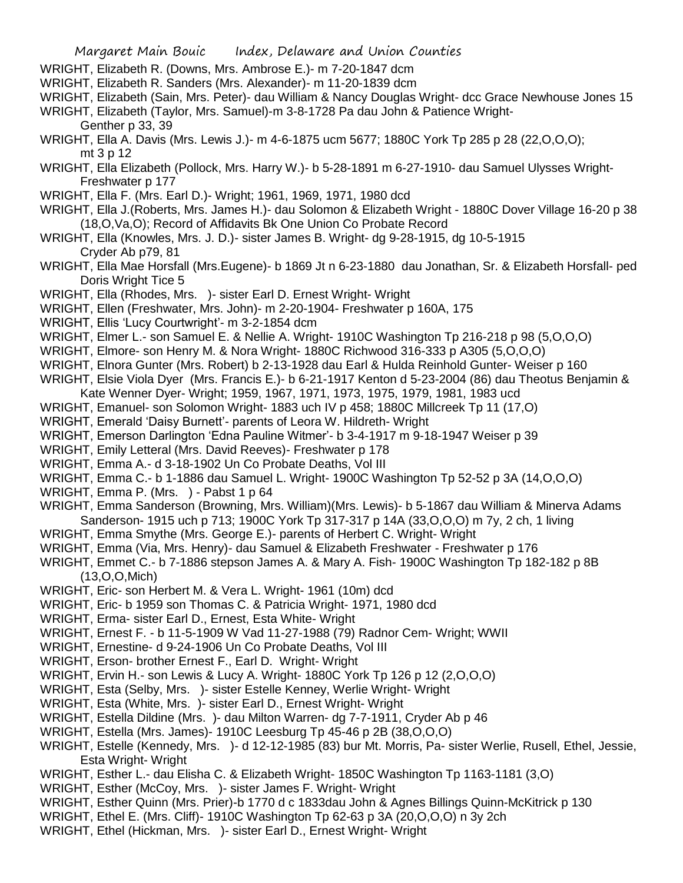- WRIGHT, Elizabeth R. (Downs, Mrs. Ambrose E.)- m 7-20-1847 dcm
- WRIGHT, Elizabeth R. Sanders (Mrs. Alexander)- m 11-20-1839 dcm
- WRIGHT, Elizabeth (Sain, Mrs. Peter)- dau William & Nancy Douglas Wright- dcc Grace Newhouse Jones 15
- WRIGHT, Elizabeth (Taylor, Mrs. Samuel)-m 3-8-1728 Pa dau John & Patience Wright-Genther p 33, 39
- WRIGHT, Ella A. Davis (Mrs. Lewis J.)- m 4-6-1875 ucm 5677; 1880C York Tp 285 p 28 (22,O,O,O); mt 3 p 12
- WRIGHT, Ella Elizabeth (Pollock, Mrs. Harry W.)- b 5-28-1891 m 6-27-1910- dau Samuel Ulysses Wright-Freshwater p 177
- WRIGHT, Ella F. (Mrs. Earl D.)- Wright; 1961, 1969, 1971, 1980 dcd
- WRIGHT, Ella J.(Roberts, Mrs. James H.)- dau Solomon & Elizabeth Wright 1880C Dover Village 16-20 p 38 (18,O,Va,O); Record of Affidavits Bk One Union Co Probate Record
- WRIGHT, Ella (Knowles, Mrs. J. D.)- sister James B. Wright- dg 9-28-1915, dg 10-5-1915 Cryder Ab p79, 81
- WRIGHT, Ella Mae Horsfall (Mrs.Eugene)- b 1869 Jt n 6-23-1880 dau Jonathan, Sr. & Elizabeth Horsfall- ped Doris Wright Tice 5
- WRIGHT, Ella (Rhodes, Mrs. )- sister Earl D. Ernest Wright- Wright
- WRIGHT, Ellen (Freshwater, Mrs. John)- m 2-20-1904- Freshwater p 160A, 175
- WRIGHT, Ellis 'Lucy Courtwright'- m 3-2-1854 dcm
- WRIGHT, Elmer L.- son Samuel E. & Nellie A. Wright- 1910C Washington Tp 216-218 p 98 (5,O,O,O)
- WRIGHT, Elmore- son Henry M. & Nora Wright- 1880C Richwood 316-333 p A305 (5,O,O,O)
- WRIGHT, Elnora Gunter (Mrs. Robert) b 2-13-1928 dau Earl & Hulda Reinhold Gunter- Weiser p 160
- WRIGHT, Elsie Viola Dyer (Mrs. Francis E.)- b 6-21-1917 Kenton d 5-23-2004 (86) dau Theotus Benjamin & Kate Wenner Dyer- Wright; 1959, 1967, 1971, 1973, 1975, 1979, 1981, 1983 ucd
- WRIGHT, Emanuel- son Solomon Wright- 1883 uch IV p 458; 1880C Millcreek Tp 11 (17,O)
- WRIGHT, Emerald 'Daisy Burnett'- parents of Leora W. Hildreth- Wright
- WRIGHT, Emerson Darlington 'Edna Pauline Witmer'- b 3-4-1917 m 9-18-1947 Weiser p 39
- WRIGHT, Emily Letteral (Mrs. David Reeves)- Freshwater p 178
- WRIGHT, Emma A.- d 3-18-1902 Un Co Probate Deaths, Vol III
- WRIGHT, Emma C.- b 1-1886 dau Samuel L. Wright- 1900C Washington Tp 52-52 p 3A (14,O,O,O)
- WRIGHT, Emma P. (Mrs. ) Pabst 1 p 64
- WRIGHT, Emma Sanderson (Browning, Mrs. William)(Mrs. Lewis)- b 5-1867 dau William & Minerva Adams Sanderson- 1915 uch p 713; 1900C York Tp 317-317 p 14A (33,O,O,O) m 7y, 2 ch, 1 living
- WRIGHT, Emma Smythe (Mrs. George E.)- parents of Herbert C. Wright- Wright
- WRIGHT, Emma (Via, Mrs. Henry)- dau Samuel & Elizabeth Freshwater Freshwater p 176
- WRIGHT, Emmet C.- b 7-1886 stepson James A. & Mary A. Fish- 1900C Washington Tp 182-182 p 8B (13,O,O,Mich)
- WRIGHT, Eric- son Herbert M. & Vera L. Wright- 1961 (10m) dcd
- WRIGHT, Eric- b 1959 son Thomas C. & Patricia Wright- 1971, 1980 dcd
- WRIGHT, Erma- sister Earl D., Ernest, Esta White- Wright
- WRIGHT, Ernest F. b 11-5-1909 W Vad 11-27-1988 (79) Radnor Cem- Wright; WWII
- WRIGHT, Ernestine- d 9-24-1906 Un Co Probate Deaths, Vol III
- WRIGHT, Erson- brother Ernest F., Earl D. Wright- Wright
- WRIGHT, Ervin H.- son Lewis & Lucy A. Wright- 1880C York Tp 126 p 12 (2,O,O,O)
- WRIGHT, Esta (Selby, Mrs. )- sister Estelle Kenney, Werlie Wright- Wright
- WRIGHT, Esta (White, Mrs. )- sister Earl D., Ernest Wright- Wright
- WRIGHT, Estella Dildine (Mrs. )- dau Milton Warren- dg 7-7-1911, Cryder Ab p 46
- WRIGHT, Estella (Mrs. James)- 1910C Leesburg Tp 45-46 p 2B (38,O,O,O)
- WRIGHT, Estelle (Kennedy, Mrs. )- d 12-12-1985 (83) bur Mt. Morris, Pa- sister Werlie, Rusell, Ethel, Jessie, Esta Wright- Wright
- WRIGHT, Esther L.- dau Elisha C. & Elizabeth Wright- 1850C Washington Tp 1163-1181 (3,O)
- WRIGHT, Esther (McCoy, Mrs. )- sister James F. Wright- Wright
- WRIGHT, Esther Quinn (Mrs. Prier)-b 1770 d c 1833dau John & Agnes Billings Quinn-McKitrick p 130
- WRIGHT, Ethel E. (Mrs. Cliff)- 1910C Washington Tp 62-63 p 3A (20,O,O,O) n 3y 2ch
- WRIGHT, Ethel (Hickman, Mrs. )- sister Earl D., Ernest Wright- Wright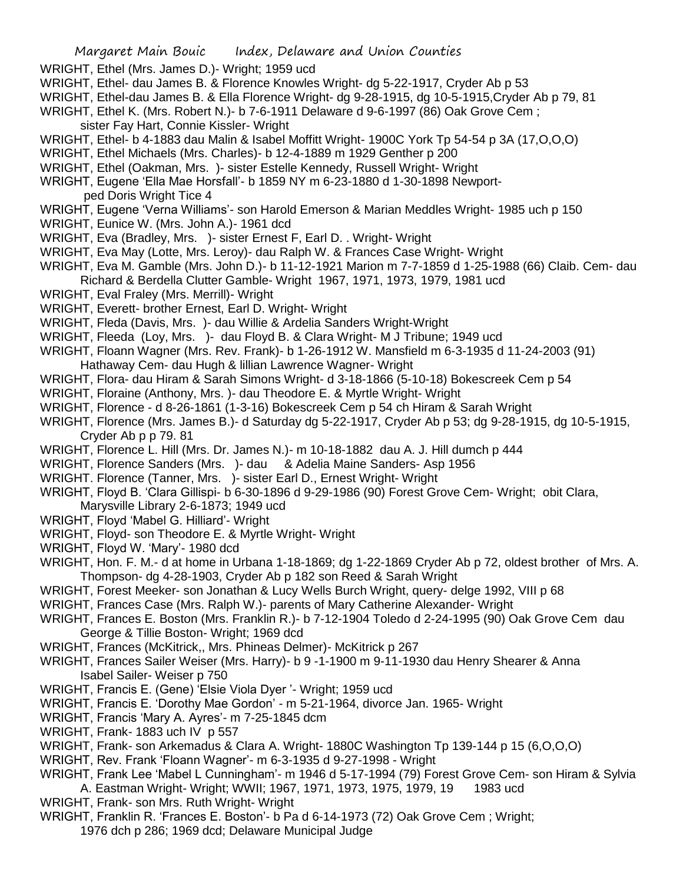- WRIGHT, Ethel (Mrs. James D.)- Wright; 1959 ucd
- WRIGHT, Ethel- dau James B. & Florence Knowles Wright- dg 5-22-1917, Cryder Ab p 53
- WRIGHT, Ethel-dau James B. & Ella Florence Wright- dg 9-28-1915, dg 10-5-1915,Cryder Ab p 79, 81
- WRIGHT, Ethel K. (Mrs. Robert N.)- b 7-6-1911 Delaware d 9-6-1997 (86) Oak Grove Cem ; sister Fay Hart, Connie Kissler- Wright
- WRIGHT, Ethel- b 4-1883 dau Malin & Isabel Moffitt Wright- 1900C York Tp 54-54 p 3A (17,O,O,O)
- WRIGHT, Ethel Michaels (Mrs. Charles)- b 12-4-1889 m 1929 Genther p 200
- WRIGHT, Ethel (Oakman, Mrs. )- sister Estelle Kennedy, Russell Wright- Wright
- WRIGHT, Eugene 'Ella Mae Horsfall'- b 1859 NY m 6-23-1880 d 1-30-1898 Newportped Doris Wright Tice 4
- WRIGHT, Eugene 'Verna Williams'- son Harold Emerson & Marian Meddles Wright- 1985 uch p 150
- WRIGHT, Eunice W. (Mrs. John A.)- 1961 dcd
- WRIGHT, Eva (Bradley, Mrs. )- sister Ernest F, Earl D. . Wright- Wright
- WRIGHT, Eva May (Lotte, Mrs. Leroy)- dau Ralph W. & Frances Case Wright- Wright
- WRIGHT, Eva M. Gamble (Mrs. John D.)- b 11-12-1921 Marion m 7-7-1859 d 1-25-1988 (66) Claib. Cem- dau Richard & Berdella Clutter Gamble- Wright 1967, 1971, 1973, 1979, 1981 ucd
- WRIGHT, Eval Fraley (Mrs. Merrill)- Wright
- WRIGHT, Everett- brother Ernest, Earl D. Wright- Wright
- WRIGHT, Fleda (Davis, Mrs. )- dau Willie & Ardelia Sanders Wright-Wright
- WRIGHT, Fleeda (Loy, Mrs. )- dau Floyd B. & Clara Wright- M J Tribune; 1949 ucd
- WRIGHT, Floann Wagner (Mrs. Rev. Frank)- b 1-26-1912 W. Mansfield m 6-3-1935 d 11-24-2003 (91) Hathaway Cem- dau Hugh & lillian Lawrence Wagner- Wright
- WRIGHT, Flora- dau Hiram & Sarah Simons Wright- d 3-18-1866 (5-10-18) Bokescreek Cem p 54
- WRIGHT, Floraine (Anthony, Mrs. )- dau Theodore E. & Myrtle Wright- Wright
- WRIGHT, Florence d 8-26-1861 (1-3-16) Bokescreek Cem p 54 ch Hiram & Sarah Wright
- WRIGHT, Florence (Mrs. James B.)- d Saturday dg 5-22-1917, Cryder Ab p 53; dg 9-28-1915, dg 10-5-1915, Cryder Ab p p 79. 81
- WRIGHT, Florence L. Hill (Mrs. Dr. James N.)- m 10-18-1882 dau A. J. Hill dumch p 444
- WRIGHT, Florence Sanders (Mrs. )- dau & Adelia Maine Sanders- Asp 1956
- WRIGHT. Florence (Tanner, Mrs. )- sister Earl D., Ernest Wright- Wright
- WRIGHT, Floyd B. 'Clara Gillispi- b 6-30-1896 d 9-29-1986 (90) Forest Grove Cem- Wright; obit Clara,
- Marysville Library 2-6-1873; 1949 ucd
- WRIGHT, Floyd 'Mabel G. Hilliard'- Wright
- WRIGHT, Floyd- son Theodore E. & Myrtle Wright- Wright
- WRIGHT, Floyd W. 'Mary'- 1980 dcd
- WRIGHT, Hon. F. M.- d at home in Urbana 1-18-1869; dg 1-22-1869 Cryder Ab p 72, oldest brother of Mrs. A. Thompson- dg 4-28-1903, Cryder Ab p 182 son Reed & Sarah Wright
- WRIGHT, Forest Meeker- son Jonathan & Lucy Wells Burch Wright, query- delge 1992, VIII p 68
- WRIGHT, Frances Case (Mrs. Ralph W.)- parents of Mary Catherine Alexander- Wright
- WRIGHT, Frances E. Boston (Mrs. Franklin R.)- b 7-12-1904 Toledo d 2-24-1995 (90) Oak Grove Cem dau George & Tillie Boston- Wright; 1969 dcd
- WRIGHT, Frances (McKitrick,, Mrs. Phineas Delmer)- McKitrick p 267
- WRIGHT, Frances Sailer Weiser (Mrs. Harry)- b 9 -1-1900 m 9-11-1930 dau Henry Shearer & Anna Isabel Sailer- Weiser p 750
- WRIGHT, Francis E. (Gene) 'Elsie Viola Dyer '- Wright; 1959 ucd
- WRIGHT, Francis E. 'Dorothy Mae Gordon' m 5-21-1964, divorce Jan. 1965- Wright
- WRIGHT, Francis 'Mary A. Ayres'- m 7-25-1845 dcm
- WRIGHT, Frank- 1883 uch IV p 557
- WRIGHT, Frank- son Arkemadus & Clara A. Wright- 1880C Washington Tp 139-144 p 15 (6,O,O,O)
- WRIGHT, Rev. Frank 'Floann Wagner'- m 6-3-1935 d 9-27-1998 Wright
- WRIGHT, Frank Lee 'Mabel L Cunningham'- m 1946 d 5-17-1994 (79) Forest Grove Cem- son Hiram & Sylvia A. Eastman Wright- Wright; WWII; 1967, 1971, 1973, 1975, 1979, 19 1983 ucd
- WRIGHT, Frank- son Mrs. Ruth Wright- Wright
- WRIGHT, Franklin R. 'Frances E. Boston'- b Pa d 6-14-1973 (72) Oak Grove Cem ; Wright;
	- 1976 dch p 286; 1969 dcd; Delaware Municipal Judge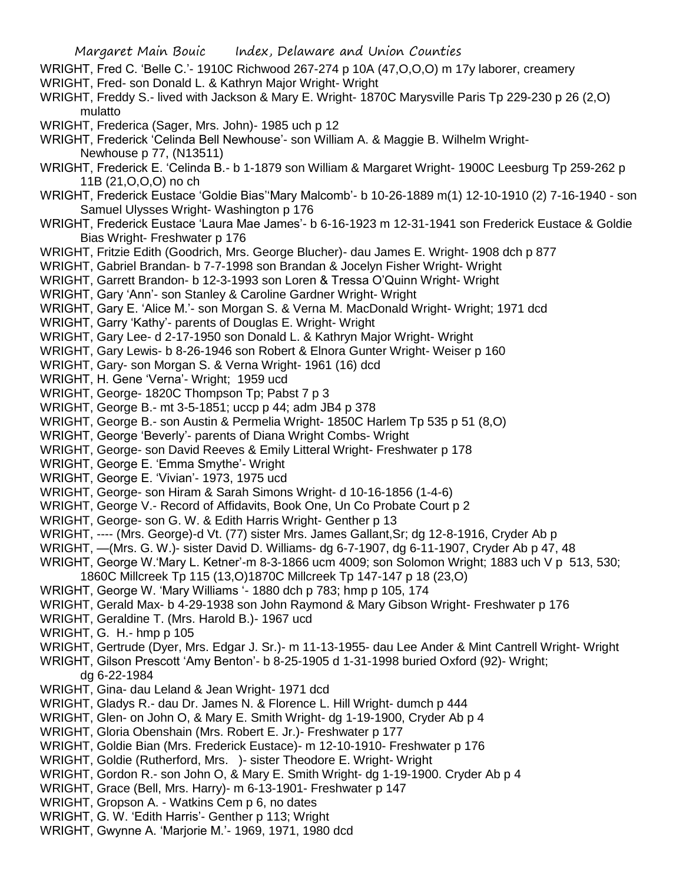- WRIGHT, Fred C. 'Belle C.'- 1910C Richwood 267-274 p 10A (47,O,O,O) m 17y laborer, creamery WRIGHT, Fred- son Donald L. & Kathryn Major Wright- Wright
- WRIGHT, Freddy S.- lived with Jackson & Mary E. Wright- 1870C Marysville Paris Tp 229-230 p 26 (2,O) mulatto
- WRIGHT, Frederica (Sager, Mrs. John)- 1985 uch p 12
- WRIGHT, Frederick 'Celinda Bell Newhouse'- son William A. & Maggie B. Wilhelm Wright-Newhouse p 77, (N13511)
- WRIGHT, Frederick E. 'Celinda B.- b 1-1879 son William & Margaret Wright- 1900C Leesburg Tp 259-262 p 11B (21,O,O,O) no ch
- WRIGHT, Frederick Eustace 'Goldie Bias''Mary Malcomb'- b 10-26-1889 m(1) 12-10-1910 (2) 7-16-1940 son Samuel Ulysses Wright- Washington p 176
- WRIGHT, Frederick Eustace 'Laura Mae James'- b 6-16-1923 m 12-31-1941 son Frederick Eustace & Goldie Bias Wright- Freshwater p 176
- WRIGHT, Fritzie Edith (Goodrich, Mrs. George Blucher)- dau James E. Wright- 1908 dch p 877
- WRIGHT, Gabriel Brandan- b 7-7-1998 son Brandan & Jocelyn Fisher Wright- Wright
- WRIGHT, Garrett Brandon- b 12-3-1993 son Loren & Tressa O'Quinn Wright- Wright
- WRIGHT, Gary 'Ann'- son Stanley & Caroline Gardner Wright- Wright
- WRIGHT, Gary E. 'Alice M.'- son Morgan S. & Verna M. MacDonald Wright- Wright; 1971 dcd
- WRIGHT, Garry 'Kathy'- parents of Douglas E. Wright- Wright
- WRIGHT, Gary Lee- d 2-17-1950 son Donald L. & Kathryn Major Wright- Wright
- WRIGHT, Gary Lewis- b 8-26-1946 son Robert & Elnora Gunter Wright- Weiser p 160
- WRIGHT, Gary- son Morgan S. & Verna Wright- 1961 (16) dcd
- WRIGHT, H. Gene 'Verna'- Wright; 1959 ucd
- WRIGHT, George- 1820C Thompson Tp; Pabst 7 p 3
- WRIGHT, George B.- mt 3-5-1851; uccp p 44; adm JB4 p 378
- WRIGHT, George B.- son Austin & Permelia Wright- 1850C Harlem Tp 535 p 51 (8,O)
- WRIGHT, George 'Beverly'- parents of Diana Wright Combs- Wright
- WRIGHT, George- son David Reeves & Emily Litteral Wright- Freshwater p 178
- WRIGHT, George E. 'Emma Smythe'- Wright
- WRIGHT, George E. 'Vivian'- 1973, 1975 ucd
- WRIGHT, George- son Hiram & Sarah Simons Wright- d 10-16-1856 (1-4-6)
- WRIGHT, George V.- Record of Affidavits, Book One, Un Co Probate Court p 2
- WRIGHT, George- son G. W. & Edith Harris Wright- Genther p 13
- WRIGHT, ---- (Mrs. George)-d Vt. (77) sister Mrs. James Gallant,Sr; dg 12-8-1916, Cryder Ab p
- WRIGHT, —(Mrs. G. W.)- sister David D. Williams- dg 6-7-1907, dg 6-11-1907, Cryder Ab p 47, 48
- WRIGHT, George W.'Mary L. Ketner'-m 8-3-1866 ucm 4009; son Solomon Wright; 1883 uch V p 513, 530; 1860C Millcreek Tp 115 (13,O)1870C Millcreek Tp 147-147 p 18 (23,O)
- WRIGHT, George W. 'Mary Williams '- 1880 dch p 783; hmp p 105, 174
- WRIGHT, Gerald Max- b 4-29-1938 son John Raymond & Mary Gibson Wright- Freshwater p 176
- WRIGHT, Geraldine T. (Mrs. Harold B.)- 1967 ucd
- WRIGHT, G. H.- hmp p 105
- WRIGHT, Gertrude (Dyer, Mrs. Edgar J. Sr.)- m 11-13-1955- dau Lee Ander & Mint Cantrell Wright- Wright
- WRIGHT, Gilson Prescott 'Amy Benton'- b 8-25-1905 d 1-31-1998 buried Oxford (92)- Wright; dg 6-22-1984
- WRIGHT, Gina- dau Leland & Jean Wright- 1971 dcd
- WRIGHT, Gladys R.- dau Dr. James N. & Florence L. Hill Wright- dumch p 444
- WRIGHT, Glen- on John O, & Mary E. Smith Wright- dg 1-19-1900, Cryder Ab p 4
- WRIGHT, Gloria Obenshain (Mrs. Robert E. Jr.)- Freshwater p 177
- WRIGHT, Goldie Bian (Mrs. Frederick Eustace)- m 12-10-1910- Freshwater p 176
- WRIGHT, Goldie (Rutherford, Mrs. )- sister Theodore E. Wright- Wright
- WRIGHT, Gordon R.- son John O, & Mary E. Smith Wright- dg 1-19-1900. Cryder Ab p 4
- WRIGHT, Grace (Bell, Mrs. Harry)- m 6-13-1901- Freshwater p 147
- WRIGHT, Gropson A. Watkins Cem p 6, no dates
- WRIGHT, G. W. 'Edith Harris'- Genther p 113; Wright
- WRIGHT, Gwynne A. 'Marjorie M.'- 1969, 1971, 1980 dcd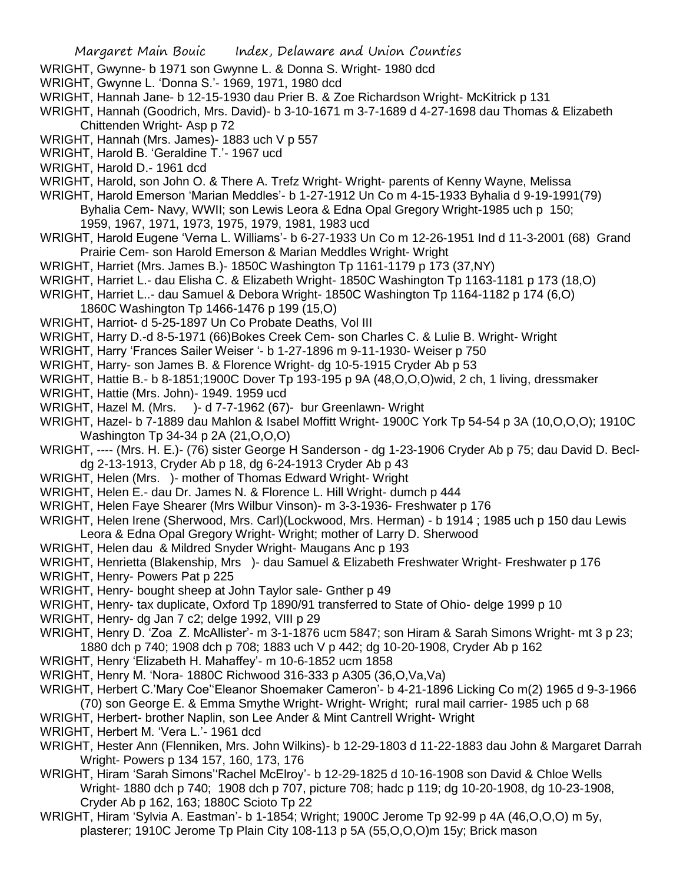- WRIGHT, Gwynne- b 1971 son Gwynne L. & Donna S. Wright- 1980 dcd
- WRIGHT, Gwynne L. 'Donna S.'- 1969, 1971, 1980 dcd
- WRIGHT, Hannah Jane- b 12-15-1930 dau Prier B. & Zoe Richardson Wright- McKitrick p 131

WRIGHT, Hannah (Goodrich, Mrs. David)- b 3-10-1671 m 3-7-1689 d 4-27-1698 dau Thomas & Elizabeth Chittenden Wright- Asp p 72

- WRIGHT, Hannah (Mrs. James)- 1883 uch V p 557
- WRIGHT, Harold B. 'Geraldine T.'- 1967 ucd
- WRIGHT, Harold D.- 1961 dcd
- WRIGHT, Harold, son John O. & There A. Trefz Wright- Wright- parents of Kenny Wayne, Melissa
- WRIGHT, Harold Emerson 'Marian Meddles'- b 1-27-1912 Un Co m 4-15-1933 Byhalia d 9-19-1991(79) Byhalia Cem- Navy, WWII; son Lewis Leora & Edna Opal Gregory Wright-1985 uch p 150; 1959, 1967, 1971, 1973, 1975, 1979, 1981, 1983 ucd
- WRIGHT, Harold Eugene 'Verna L. Williams'- b 6-27-1933 Un Co m 12-26-1951 Ind d 11-3-2001 (68) Grand Prairie Cem- son Harold Emerson & Marian Meddles Wright- Wright
- WRIGHT, Harriet (Mrs. James B.)- 1850C Washington Tp 1161-1179 p 173 (37,NY)
- WRIGHT, Harriet L.- dau Elisha C. & Elizabeth Wright- 1850C Washington Tp 1163-1181 p 173 (18,O)
- WRIGHT, Harriet L..- dau Samuel & Debora Wright- 1850C Washington Tp 1164-1182 p 174 (6,O)
	- 1860C Washington Tp 1466-1476 p 199 (15,O)
- WRIGHT, Harriot- d 5-25-1897 Un Co Probate Deaths, Vol III
- WRIGHT, Harry D.-d 8-5-1971 (66)Bokes Creek Cem- son Charles C. & Lulie B. Wright- Wright
- WRIGHT, Harry 'Frances Sailer Weiser '- b 1-27-1896 m 9-11-1930- Weiser p 750
- WRIGHT, Harry- son James B. & Florence Wright- dg 10-5-1915 Cryder Ab p 53
- WRIGHT, Hattie B.- b 8-1851;1900C Dover Tp 193-195 p 9A (48,O,O,O)wid, 2 ch, 1 living, dressmaker
- WRIGHT, Hattie (Mrs. John)- 1949. 1959 ucd
- WRIGHT, Hazel M. (Mrs. )- d 7-7-1962 (67)- bur Greenlawn- Wright
- WRIGHT, Hazel- b 7-1889 dau Mahlon & Isabel Moffitt Wright- 1900C York Tp 54-54 p 3A (10,O,O,O); 1910C Washington Tp 34-34 p 2A (21,O,O,O)
- WRIGHT, ---- (Mrs. H. E.)- (76) sister George H Sanderson dg 1-23-1906 Cryder Ab p 75; dau David D. Becldg 2-13-1913, Cryder Ab p 18, dg 6-24-1913 Cryder Ab p 43
- WRIGHT, Helen (Mrs. )- mother of Thomas Edward Wright- Wright
- WRIGHT, Helen E.- dau Dr. James N. & Florence L. Hill Wright- dumch p 444
- WRIGHT, Helen Faye Shearer (Mrs Wilbur Vinson)- m 3-3-1936- Freshwater p 176
- WRIGHT, Helen Irene (Sherwood, Mrs. Carl)(Lockwood, Mrs. Herman) b 1914 ; 1985 uch p 150 dau Lewis Leora & Edna Opal Gregory Wright- Wright; mother of Larry D. Sherwood
- WRIGHT, Helen dau & Mildred Snyder Wright- Maugans Anc p 193
- WRIGHT, Henrietta (Blakenship, Mrs )- dau Samuel & Elizabeth Freshwater Wright- Freshwater p 176
- WRIGHT, Henry- Powers Pat p 225
- WRIGHT, Henry- bought sheep at John Taylor sale- Gnther p 49
- WRIGHT, Henry- tax duplicate, Oxford Tp 1890/91 transferred to State of Ohio- delge 1999 p 10
- WRIGHT, Henry- dg Jan 7 c2; delge 1992, VIII p 29
- WRIGHT, Henry D. 'Zoa Z. McAllister'- m 3-1-1876 ucm 5847; son Hiram & Sarah Simons Wright- mt 3 p 23; 1880 dch p 740; 1908 dch p 708; 1883 uch V p 442; dg 10-20-1908, Cryder Ab p 162
- WRIGHT, Henry 'Elizabeth H. Mahaffey'- m 10-6-1852 ucm 1858
- WRIGHT, Henry M. 'Nora- 1880C Richwood 316-333 p A305 (36,O,Va,Va)
- WRIGHT, Herbert C.'Mary Coe''Eleanor Shoemaker Cameron'- b 4-21-1896 Licking Co m(2) 1965 d 9-3-1966 (70) son George E. & Emma Smythe Wright- Wright- Wright; rural mail carrier- 1985 uch p 68
- WRIGHT, Herbert- brother Naplin, son Lee Ander & Mint Cantrell Wright- Wright
- WRIGHT, Herbert M. 'Vera L.'- 1961 dcd
- WRIGHT, Hester Ann (Flenniken, Mrs. John Wilkins)- b 12-29-1803 d 11-22-1883 dau John & Margaret Darrah Wright- Powers p 134 157, 160, 173, 176
- WRIGHT, Hiram 'Sarah Simons''Rachel McElroy'- b 12-29-1825 d 10-16-1908 son David & Chloe Wells Wright- 1880 dch p 740; 1908 dch p 707, picture 708; hadc p 119; dg 10-20-1908, dg 10-23-1908, Cryder Ab p 162, 163; 1880C Scioto Tp 22
- WRIGHT, Hiram 'Sylvia A. Eastman'- b 1-1854; Wright; 1900C Jerome Tp 92-99 p 4A (46,O,O,O) m 5y, plasterer; 1910C Jerome Tp Plain City 108-113 p 5A (55,O,O,O)m 15y; Brick mason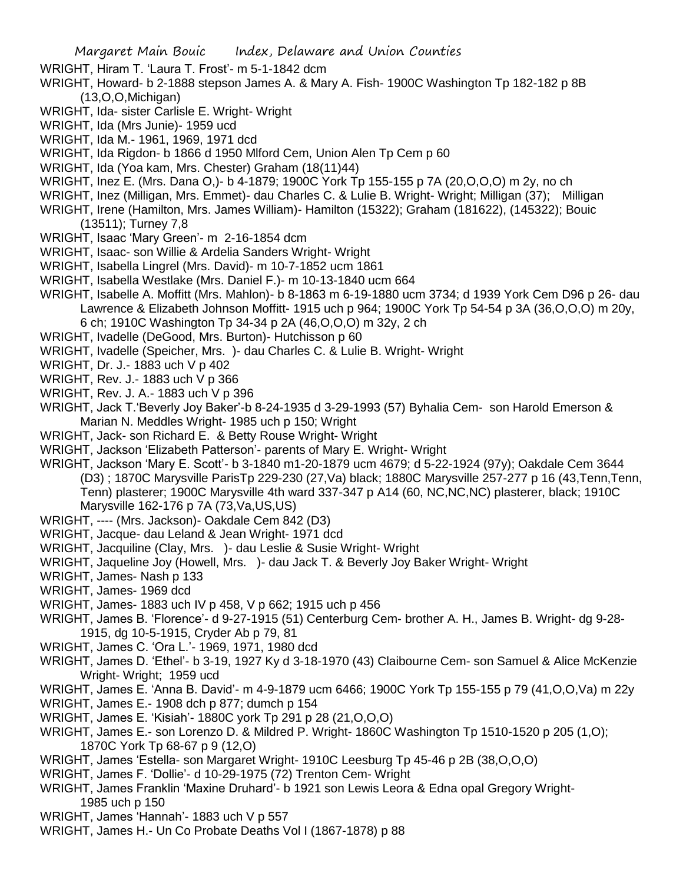WRIGHT, Hiram T. 'Laura T. Frost'- m 5-1-1842 dcm

- WRIGHT, Howard- b 2-1888 stepson James A. & Mary A. Fish- 1900C Washington Tp 182-182 p 8B (13,O,O,Michigan)
- WRIGHT, Ida- sister Carlisle E. Wright- Wright
- WRIGHT, Ida (Mrs Junie)- 1959 ucd
- WRIGHT, Ida M.- 1961, 1969, 1971 dcd
- WRIGHT, Ida Rigdon- b 1866 d 1950 Mlford Cem, Union Alen Tp Cem p 60
- WRIGHT, Ida (Yoa kam, Mrs. Chester) Graham (18(11)44)
- WRIGHT, Inez E. (Mrs. Dana O,)- b 4-1879; 1900C York Tp 155-155 p 7A (20,O,O,O) m 2y, no ch
- WRIGHT, Inez (Milligan, Mrs. Emmet)- dau Charles C. & Lulie B. Wright- Wright; Milligan (37); Milligan
- WRIGHT, Irene (Hamilton, Mrs. James William)- Hamilton (15322); Graham (181622), (145322); Bouic (13511); Turney 7,8
- WRIGHT, Isaac 'Mary Green'- m 2-16-1854 dcm
- WRIGHT, Isaac- son Willie & Ardelia Sanders Wright- Wright
- WRIGHT, Isabella Lingrel (Mrs. David)- m 10-7-1852 ucm 1861
- WRIGHT, Isabella Westlake (Mrs. Daniel F.)- m 10-13-1840 ucm 664
- WRIGHT, Isabelle A. Moffitt (Mrs. Mahlon)- b 8-1863 m 6-19-1880 ucm 3734; d 1939 York Cem D96 p 26- dau Lawrence & Elizabeth Johnson Moffitt- 1915 uch p 964; 1900C York Tp 54-54 p 3A (36,O,O,O) m 20y, 6 ch; 1910C Washington Tp 34-34 p 2A (46,O,O,O) m 32y, 2 ch
- WRIGHT, Ivadelle (DeGood, Mrs. Burton)- Hutchisson p 60
- WRIGHT, Ivadelle (Speicher, Mrs. )- dau Charles C. & Lulie B. Wright- Wright
- WRIGHT, Dr. J.- 1883 uch V p 402
- WRIGHT, Rev. J.- 1883 uch V p 366
- WRIGHT, Rev. J. A.- 1883 uch V p 396
- WRIGHT, Jack T.'Beverly Joy Baker'-b 8-24-1935 d 3-29-1993 (57) Byhalia Cem- son Harold Emerson & Marian N. Meddles Wright- 1985 uch p 150; Wright
- WRIGHT, Jack- son Richard E. & Betty Rouse Wright- Wright
- WRIGHT, Jackson 'Elizabeth Patterson'- parents of Mary E. Wright- Wright
- WRIGHT, Jackson 'Mary E. Scott'- b 3-1840 m1-20-1879 ucm 4679; d 5-22-1924 (97y); Oakdale Cem 3644 (D3) ; 1870C Marysville ParisTp 229-230 (27,Va) black; 1880C Marysville 257-277 p 16 (43,Tenn,Tenn, Tenn) plasterer; 1900C Marysville 4th ward 337-347 p A14 (60, NC,NC,NC) plasterer, black; 1910C Marysville 162-176 p 7A (73,Va,US,US)
- WRIGHT, ---- (Mrs. Jackson)- Oakdale Cem 842 (D3)
- WRIGHT, Jacque- dau Leland & Jean Wright- 1971 dcd
- WRIGHT, Jacquiline (Clay, Mrs. )- dau Leslie & Susie Wright- Wright
- WRIGHT, Jaqueline Joy (Howell, Mrs. )- dau Jack T. & Beverly Joy Baker Wright- Wright
- WRIGHT, James- Nash p 133
- WRIGHT, James- 1969 dcd
- WRIGHT, James- 1883 uch IV p 458, V p 662; 1915 uch p 456
- WRIGHT, James B. 'Florence'- d 9-27-1915 (51) Centerburg Cem- brother A. H., James B. Wright- dg 9-28- 1915, dg 10-5-1915, Cryder Ab p 79, 81
- WRIGHT, James C. 'Ora L.'- 1969, 1971, 1980 dcd
- WRIGHT, James D. 'Ethel'- b 3-19, 1927 Ky d 3-18-1970 (43) Claibourne Cem- son Samuel & Alice McKenzie Wright- Wright; 1959 ucd
- WRIGHT, James E. 'Anna B. David'- m 4-9-1879 ucm 6466; 1900C York Tp 155-155 p 79 (41,O,O,Va) m 22y
- WRIGHT, James E.- 1908 dch p 877; dumch p 154
- WRIGHT, James E. 'Kisiah'- 1880C york Tp 291 p 28 (21,O,O,O)
- WRIGHT, James E.- son Lorenzo D. & Mildred P. Wright- 1860C Washington Tp 1510-1520 p 205 (1,O); 1870C York Tp 68-67 p 9 (12,O)
- WRIGHT, James 'Estella- son Margaret Wright- 1910C Leesburg Tp 45-46 p 2B (38,O,O,O)
- WRIGHT, James F. 'Dollie'- d 10-29-1975 (72) Trenton Cem- Wright
- WRIGHT, James Franklin 'Maxine Druhard'- b 1921 son Lewis Leora & Edna opal Gregory Wright-1985 uch p 150
- WRIGHT, James 'Hannah'- 1883 uch V p 557
- WRIGHT, James H.- Un Co Probate Deaths Vol I (1867-1878) p 88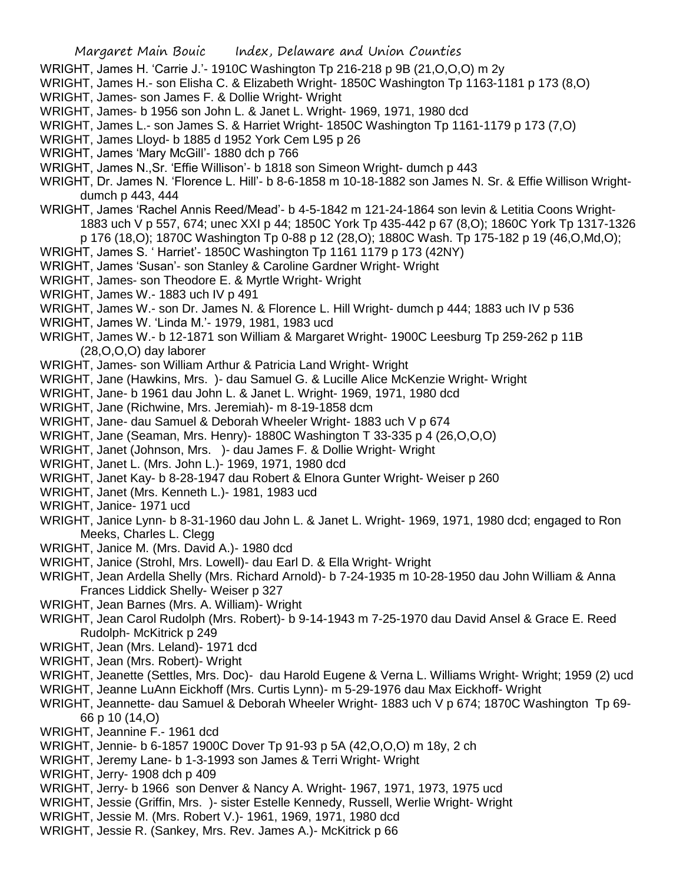- WRIGHT, James H. 'Carrie J.'- 1910C Washington Tp 216-218 p 9B (21,O,O,O) m 2y
- WRIGHT, James H.- son Elisha C. & Elizabeth Wright- 1850C Washington Tp 1163-1181 p 173 (8,O)
- WRIGHT, James- son James F. & Dollie Wright- Wright
- WRIGHT, James- b 1956 son John L. & Janet L. Wright- 1969, 1971, 1980 dcd
- WRIGHT, James L.- son James S. & Harriet Wright- 1850C Washington Tp 1161-1179 p 173 (7,O)
- WRIGHT, James Lloyd- b 1885 d 1952 York Cem L95 p 26
- WRIGHT, James 'Mary McGill'- 1880 dch p 766
- WRIGHT, James N.,Sr. 'Effie Willison'- b 1818 son Simeon Wright- dumch p 443
- WRIGHT, Dr. James N. 'Florence L. Hill'- b 8-6-1858 m 10-18-1882 son James N. Sr. & Effie Willison Wrightdumch p 443, 444
- WRIGHT, James 'Rachel Annis Reed/Mead'- b 4-5-1842 m 121-24-1864 son levin & Letitia Coons Wright-1883 uch V p 557, 674; unec XXI p 44; 1850C York Tp 435-442 p 67 (8,O); 1860C York Tp 1317-1326 p 176 (18,O); 1870C Washington Tp 0-88 p 12 (28,O); 1880C Wash. Tp 175-182 p 19 (46,O,Md,O);
- WRIGHT, James S. ' Harriet'- 1850C Washington Tp 1161 1179 p 173 (42NY)
- WRIGHT, James 'Susan'- son Stanley & Caroline Gardner Wright- Wright
- WRIGHT, James- son Theodore E. & Myrtle Wright- Wright
- WRIGHT, James W.- 1883 uch IV p 491
- WRIGHT, James W.- son Dr. James N. & Florence L. Hill Wright- dumch p 444; 1883 uch IV p 536
- WRIGHT, James W. 'Linda M.'- 1979, 1981, 1983 ucd
- WRIGHT, James W.- b 12-1871 son William & Margaret Wright- 1900C Leesburg Tp 259-262 p 11B (28,O,O,O) day laborer
- WRIGHT, James- son William Arthur & Patricia Land Wright- Wright
- WRIGHT, Jane (Hawkins, Mrs. )- dau Samuel G. & Lucille Alice McKenzie Wright- Wright
- WRIGHT, Jane- b 1961 dau John L. & Janet L. Wright- 1969, 1971, 1980 dcd
- WRIGHT, Jane (Richwine, Mrs. Jeremiah)- m 8-19-1858 dcm
- WRIGHT, Jane- dau Samuel & Deborah Wheeler Wright- 1883 uch V p 674
- WRIGHT, Jane (Seaman, Mrs. Henry)- 1880C Washington T 33-335 p 4 (26,O,O,O)
- WRIGHT, Janet (Johnson, Mrs. )- dau James F. & Dollie Wright- Wright
- WRIGHT, Janet L. (Mrs. John L.)- 1969, 1971, 1980 dcd
- WRIGHT, Janet Kay- b 8-28-1947 dau Robert & Elnora Gunter Wright- Weiser p 260
- WRIGHT, Janet (Mrs. Kenneth L.)- 1981, 1983 ucd
- WRIGHT, Janice- 1971 ucd
- WRIGHT, Janice Lynn- b 8-31-1960 dau John L. & Janet L. Wright- 1969, 1971, 1980 dcd; engaged to Ron Meeks, Charles L. Clegg
- WRIGHT, Janice M. (Mrs. David A.)- 1980 dcd
- WRIGHT, Janice (Strohl, Mrs. Lowell)- dau Earl D. & Ella Wright- Wright
- WRIGHT, Jean Ardella Shelly (Mrs. Richard Arnold)- b 7-24-1935 m 10-28-1950 dau John William & Anna Frances Liddick Shelly- Weiser p 327
- WRIGHT, Jean Barnes (Mrs. A. William)- Wright
- WRIGHT, Jean Carol Rudolph (Mrs. Robert)- b 9-14-1943 m 7-25-1970 dau David Ansel & Grace E. Reed Rudolph- McKitrick p 249
- WRIGHT, Jean (Mrs. Leland)- 1971 dcd
- WRIGHT, Jean (Mrs. Robert)- Wright
- WRIGHT, Jeanette (Settles, Mrs. Doc)- dau Harold Eugene & Verna L. Williams Wright- Wright; 1959 (2) ucd
- WRIGHT, Jeanne LuAnn Eickhoff (Mrs. Curtis Lynn)- m 5-29-1976 dau Max Eickhoff- Wright
- WRIGHT, Jeannette- dau Samuel & Deborah Wheeler Wright- 1883 uch V p 674; 1870C Washington Tp 69- 66 p 10 (14,O)
- WRIGHT, Jeannine F.- 1961 dcd
- WRIGHT, Jennie- b 6-1857 1900C Dover Tp 91-93 p 5A (42,O,O,O) m 18y, 2 ch
- WRIGHT, Jeremy Lane- b 1-3-1993 son James & Terri Wright- Wright
- WRIGHT, Jerry- 1908 dch p 409
- WRIGHT, Jerry- b 1966 son Denver & Nancy A. Wright- 1967, 1971, 1973, 1975 ucd
- WRIGHT, Jessie (Griffin, Mrs. )- sister Estelle Kennedy, Russell, Werlie Wright- Wright
- WRIGHT, Jessie M. (Mrs. Robert V.)- 1961, 1969, 1971, 1980 dcd
- WRIGHT, Jessie R. (Sankey, Mrs. Rev. James A.)- McKitrick p 66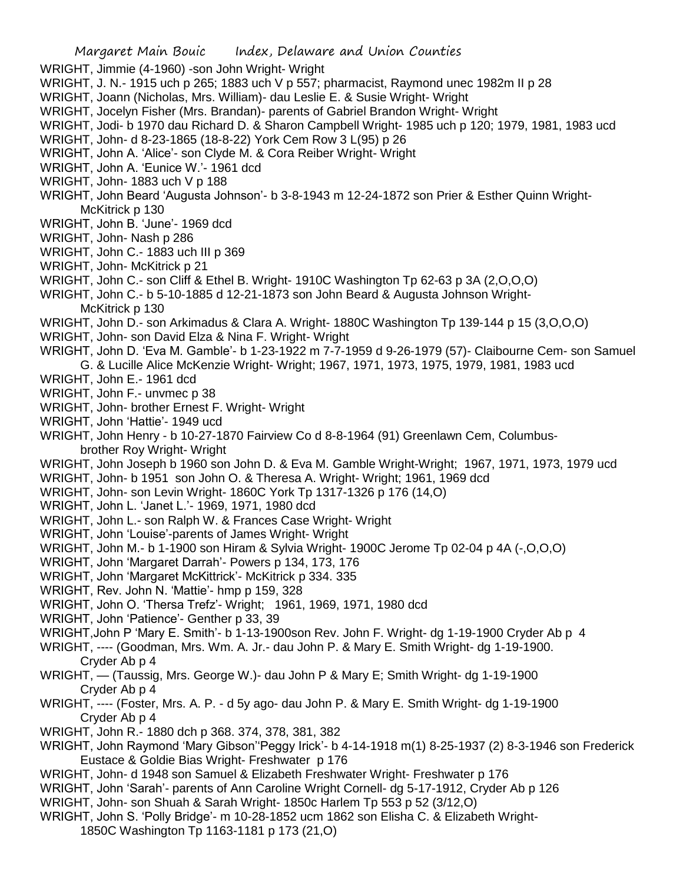WRIGHT, Jimmie (4-1960) -son John Wright- Wright

- WRIGHT, J. N.- 1915 uch p 265; 1883 uch V p 557; pharmacist, Raymond unec 1982m II p 28
- WRIGHT, Joann (Nicholas, Mrs. William)- dau Leslie E. & Susie Wright- Wright
- WRIGHT, Jocelyn Fisher (Mrs. Brandan)- parents of Gabriel Brandon Wright- Wright
- WRIGHT, Jodi- b 1970 dau Richard D. & Sharon Campbell Wright- 1985 uch p 120; 1979, 1981, 1983 ucd
- WRIGHT, John- d 8-23-1865 (18-8-22) York Cem Row 3 L(95) p 26
- WRIGHT, John A. 'Alice'- son Clyde M. & Cora Reiber Wright- Wright
- WRIGHT, John A. 'Eunice W.'- 1961 dcd
- WRIGHT, John- 1883 uch V p 188
- WRIGHT, John Beard 'Augusta Johnson'- b 3-8-1943 m 12-24-1872 son Prier & Esther Quinn Wright-McKitrick p 130
- WRIGHT, John B. 'June'- 1969 dcd
- WRIGHT, John- Nash p 286
- WRIGHT, John C.- 1883 uch III p 369
- WRIGHT, John- McKitrick p 21
- WRIGHT, John C.- son Cliff & Ethel B. Wright- 1910C Washington Tp 62-63 p 3A (2,O,O,O)
- WRIGHT, John C.- b 5-10-1885 d 12-21-1873 son John Beard & Augusta Johnson Wright-McKitrick p 130
- WRIGHT, John D.- son Arkimadus & Clara A. Wright- 1880C Washington Tp 139-144 p 15 (3,O,O,O)
- WRIGHT, John- son David Elza & Nina F. Wright- Wright
- WRIGHT, John D. 'Eva M. Gamble'- b 1-23-1922 m 7-7-1959 d 9-26-1979 (57)- Claibourne Cem- son Samuel G. & Lucille Alice McKenzie Wright- Wright; 1967, 1971, 1973, 1975, 1979, 1981, 1983 ucd
- WRIGHT, John E.- 1961 dcd
- WRIGHT, John F.- unvmec p 38
- WRIGHT, John- brother Ernest F. Wright- Wright
- WRIGHT, John 'Hattie'- 1949 ucd
- WRIGHT, John Henry b 10-27-1870 Fairview Co d 8-8-1964 (91) Greenlawn Cem, Columbusbrother Roy Wright- Wright
- WRIGHT, John Joseph b 1960 son John D. & Eva M. Gamble Wright-Wright; 1967, 1971, 1973, 1979 ucd
- WRIGHT, John- b 1951 son John O. & Theresa A. Wright- Wright; 1961, 1969 dcd
- WRIGHT, John- son Levin Wright- 1860C York Tp 1317-1326 p 176 (14,O)
- WRIGHT, John L. 'Janet L.'- 1969, 1971, 1980 dcd
- WRIGHT, John L.- son Ralph W. & Frances Case Wright- Wright
- WRIGHT, John 'Louise'-parents of James Wright- Wright
- WRIGHT, John M.- b 1-1900 son Hiram & Sylvia Wright- 1900C Jerome Tp 02-04 p 4A (-,O,O,O)
- WRIGHT, John 'Margaret Darrah'- Powers p 134, 173, 176
- WRIGHT, John 'Margaret McKittrick'- McKitrick p 334. 335
- WRIGHT, Rev. John N. 'Mattie'- hmp p 159, 328
- WRIGHT, John O. 'Thersa Trefz'- Wright; 1961, 1969, 1971, 1980 dcd
- WRIGHT, John 'Patience'- Genther p 33, 39
- WRIGHT,John P 'Mary E. Smith'- b 1-13-1900son Rev. John F. Wright- dg 1-19-1900 Cryder Ab p 4
- WRIGHT, ---- (Goodman, Mrs. Wm. A. Jr.- dau John P. & Mary E. Smith Wright- dg 1-19-1900. Cryder Ab p 4
- WRIGHT, (Taussig, Mrs. George W.)- dau John P & Mary E; Smith Wright- dg 1-19-1900 Cryder Ab p 4
- WRIGHT, ---- (Foster, Mrs. A. P. d 5y ago- dau John P. & Mary E. Smith Wright- dg 1-19-1900 Cryder Ab p 4
- WRIGHT, John R.- 1880 dch p 368. 374, 378, 381, 382
- WRIGHT, John Raymond 'Mary Gibson''Peggy Irick'- b 4-14-1918 m(1) 8-25-1937 (2) 8-3-1946 son Frederick Eustace & Goldie Bias Wright- Freshwater p 176
- WRIGHT, John- d 1948 son Samuel & Elizabeth Freshwater Wright- Freshwater p 176
- WRIGHT, John 'Sarah'- parents of Ann Caroline Wright Cornell- dg 5-17-1912, Cryder Ab p 126
- WRIGHT, John- son Shuah & Sarah Wright- 1850c Harlem Tp 553 p 52 (3/12,O)
- WRIGHT, John S. 'Polly Bridge'- m 10-28-1852 ucm 1862 son Elisha C. & Elizabeth Wright-1850C Washington Tp 1163-1181 p 173 (21,O)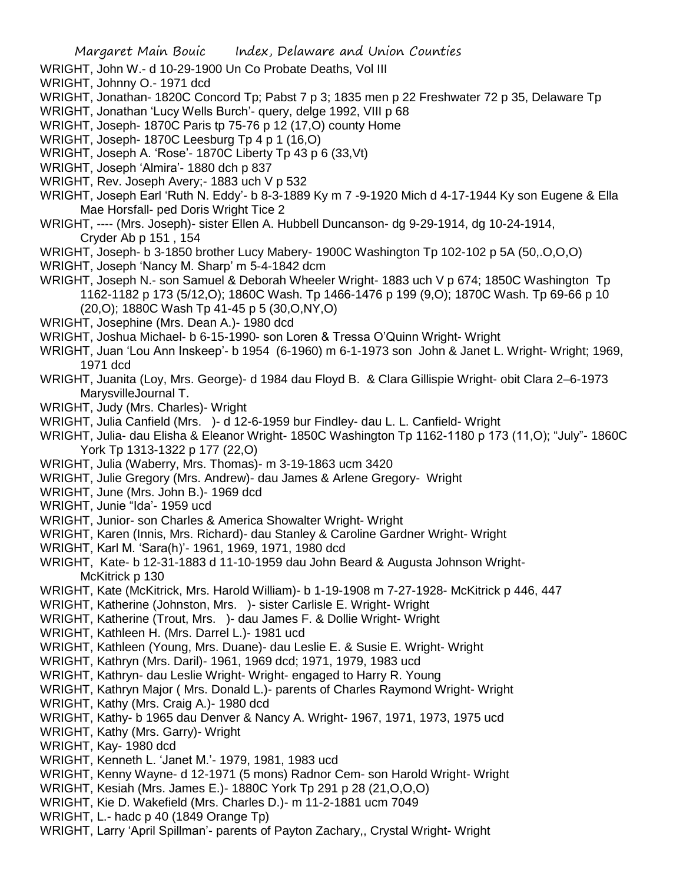- WRIGHT, John W.- d 10-29-1900 Un Co Probate Deaths, Vol III
- WRIGHT, Johnny O.- 1971 dcd
- WRIGHT, Jonathan- 1820C Concord Tp; Pabst 7 p 3; 1835 men p 22 Freshwater 72 p 35, Delaware Tp
- WRIGHT, Jonathan 'Lucy Wells Burch'- query, delge 1992, VIII p 68
- WRIGHT, Joseph- 1870C Paris tp 75-76 p 12 (17,O) county Home
- WRIGHT, Joseph- 1870C Leesburg Tp 4 p 1 (16,O)
- WRIGHT, Joseph A. 'Rose'- 1870C Liberty Tp 43 p 6 (33,Vt)
- WRIGHT, Joseph 'Almira'- 1880 dch p 837
- WRIGHT, Rev. Joseph Avery;- 1883 uch V p 532
- WRIGHT, Joseph Earl 'Ruth N. Eddy'- b 8-3-1889 Ky m 7 -9-1920 Mich d 4-17-1944 Ky son Eugene & Ella Mae Horsfall- ped Doris Wright Tice 2
- WRIGHT, ---- (Mrs. Joseph)- sister Ellen A. Hubbell Duncanson- dg 9-29-1914, dg 10-24-1914, Cryder Ab p 151 , 154
- WRIGHT, Joseph- b 3-1850 brother Lucy Mabery- 1900C Washington Tp 102-102 p 5A (50,.O,O,O)
- WRIGHT, Joseph 'Nancy M. Sharp' m 5-4-1842 dcm
- WRIGHT, Joseph N.- son Samuel & Deborah Wheeler Wright- 1883 uch V p 674; 1850C Washington Tp 1162-1182 p 173 (5/12,O); 1860C Wash. Tp 1466-1476 p 199 (9,O); 1870C Wash. Tp 69-66 p 10 (20,O); 1880C Wash Tp 41-45 p 5 (30,O,NY,O)
- WRIGHT, Josephine (Mrs. Dean A.)- 1980 dcd
- WRIGHT, Joshua Michael- b 6-15-1990- son Loren & Tressa O'Quinn Wright- Wright
- WRIGHT, Juan 'Lou Ann Inskeep'- b 1954 (6-1960) m 6-1-1973 son John & Janet L. Wright- Wright; 1969, 1971 dcd
- WRIGHT, Juanita (Loy, Mrs. George)- d 1984 dau Floyd B. & Clara Gillispie Wright- obit Clara 2–6-1973 MarysvilleJournal T.
- WRIGHT, Judy (Mrs. Charles)- Wright
- WRIGHT, Julia Canfield (Mrs. )- d 12-6-1959 bur Findley- dau L. L. Canfield- Wright
- WRIGHT, Julia- dau Elisha & Eleanor Wright- 1850C Washington Tp 1162-1180 p 173 (11,O); "July"- 1860C York Tp 1313-1322 p 177 (22,O)
- WRIGHT, Julia (Waberry, Mrs. Thomas)- m 3-19-1863 ucm 3420
- WRIGHT, Julie Gregory (Mrs. Andrew)- dau James & Arlene Gregory- Wright
- WRIGHT, June (Mrs. John B.)- 1969 dcd
- WRIGHT, Junie "Ida'- 1959 ucd
- WRIGHT, Junior- son Charles & America Showalter Wright- Wright
- WRIGHT, Karen (Innis, Mrs. Richard)- dau Stanley & Caroline Gardner Wright- Wright
- WRIGHT, Karl M. 'Sara(h)'- 1961, 1969, 1971, 1980 dcd
- WRIGHT, Kate- b 12-31-1883 d 11-10-1959 dau John Beard & Augusta Johnson Wright-McKitrick p 130
- WRIGHT, Kate (McKitrick, Mrs. Harold William)- b 1-19-1908 m 7-27-1928- McKitrick p 446, 447
- WRIGHT, Katherine (Johnston, Mrs. )- sister Carlisle E. Wright- Wright
- WRIGHT, Katherine (Trout, Mrs. )- dau James F. & Dollie Wright- Wright
- WRIGHT, Kathleen H. (Mrs. Darrel L.)- 1981 ucd
- WRIGHT, Kathleen (Young, Mrs. Duane)- dau Leslie E. & Susie E. Wright- Wright
- WRIGHT, Kathryn (Mrs. Daril)- 1961, 1969 dcd; 1971, 1979, 1983 ucd
- WRIGHT, Kathryn- dau Leslie Wright- Wright- engaged to Harry R. Young
- WRIGHT, Kathryn Major ( Mrs. Donald L.)- parents of Charles Raymond Wright- Wright
- WRIGHT, Kathy (Mrs. Craig A.)- 1980 dcd
- WRIGHT, Kathy- b 1965 dau Denver & Nancy A. Wright- 1967, 1971, 1973, 1975 ucd
- WRIGHT, Kathy (Mrs. Garry)- Wright
- WRIGHT, Kay- 1980 dcd
- WRIGHT, Kenneth L. 'Janet M.'- 1979, 1981, 1983 ucd
- WRIGHT, Kenny Wayne- d 12-1971 (5 mons) Radnor Cem- son Harold Wright- Wright
- WRIGHT, Kesiah (Mrs. James E.)- 1880C York Tp 291 p 28 (21,O,O,O)
- WRIGHT, Kie D. Wakefield (Mrs. Charles D.)- m 11-2-1881 ucm 7049
- WRIGHT, L.- hadc p 40 (1849 Orange Tp)
- WRIGHT, Larry 'April Spillman'- parents of Payton Zachary,, Crystal Wright- Wright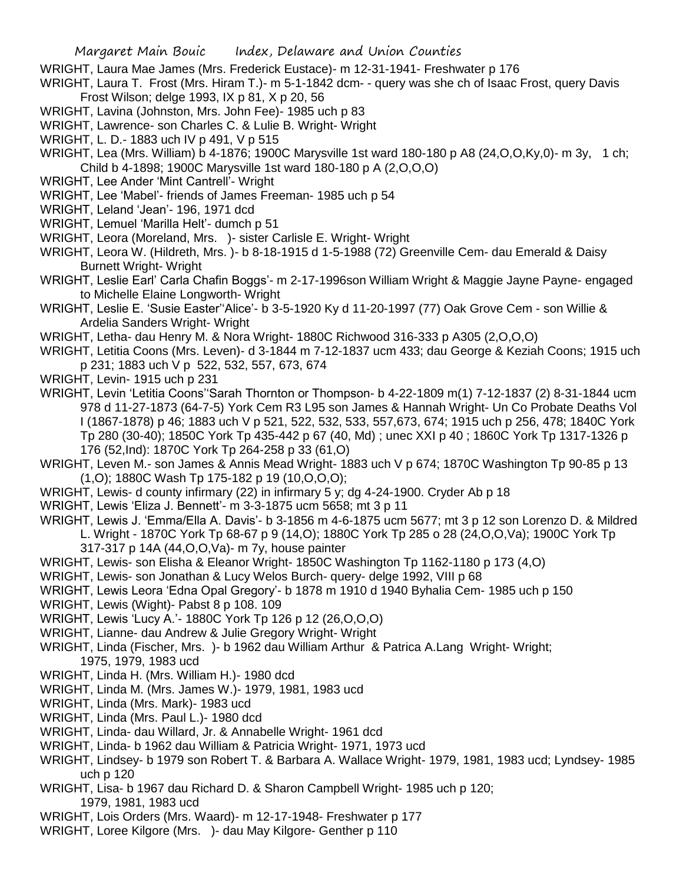- WRIGHT, Laura Mae James (Mrs. Frederick Eustace)- m 12-31-1941- Freshwater p 176
- WRIGHT, Laura T. Frost (Mrs. Hiram T.)- m 5-1-1842 dcm- query was she ch of Isaac Frost, query Davis Frost Wilson; delge 1993, IX p 81, X p 20, 56
- WRIGHT, Lavina (Johnston, Mrs. John Fee)- 1985 uch p 83
- WRIGHT, Lawrence- son Charles C. & Lulie B. Wright- Wright
- WRIGHT, L. D.- 1883 uch IV p 491, V p 515
- WRIGHT, Lea (Mrs. William) b 4-1876; 1900C Marysville 1st ward 180-180 p A8 (24,O,O,Ky,0)- m 3y, 1 ch; Child b 4-1898; 1900C Marysville 1st ward 180-180 p A (2,O,O,O)
- WRIGHT, Lee Ander 'Mint Cantrell'- Wright
- WRIGHT, Lee 'Mabel'- friends of James Freeman- 1985 uch p 54
- WRIGHT, Leland 'Jean'- 196, 1971 dcd
- WRIGHT, Lemuel 'Marilla Helt'- dumch p 51
- WRIGHT, Leora (Moreland, Mrs. )- sister Carlisle E. Wright- Wright
- WRIGHT, Leora W. (Hildreth, Mrs. )- b 8-18-1915 d 1-5-1988 (72) Greenville Cem- dau Emerald & Daisy Burnett Wright- Wright
- WRIGHT, Leslie Earl' Carla Chafin Boggs'- m 2-17-1996son William Wright & Maggie Jayne Payne- engaged to Michelle Elaine Longworth- Wright
- WRIGHT, Leslie E. 'Susie Easter''Alice'- b 3-5-1920 Ky d 11-20-1997 (77) Oak Grove Cem son Willie & Ardelia Sanders Wright- Wright
- WRIGHT, Letha- dau Henry M. & Nora Wright- 1880C Richwood 316-333 p A305 (2,O,O,O)
- WRIGHT, Letitia Coons (Mrs. Leven)- d 3-1844 m 7-12-1837 ucm 433; dau George & Keziah Coons; 1915 uch p 231; 1883 uch V p 522, 532, 557, 673, 674
- WRIGHT, Levin- 1915 uch p 231
- WRIGHT, Levin 'Letitia Coons''Sarah Thornton or Thompson- b 4-22-1809 m(1) 7-12-1837 (2) 8-31-1844 ucm 978 d 11-27-1873 (64-7-5) York Cem R3 L95 son James & Hannah Wright- Un Co Probate Deaths Vol I (1867-1878) p 46; 1883 uch V p 521, 522, 532, 533, 557,673, 674; 1915 uch p 256, 478; 1840C York Tp 280 (30-40); 1850C York Tp 435-442 p 67 (40, Md) ; unec XXI p 40 ; 1860C York Tp 1317-1326 p 176 (52,Ind): 1870C York Tp 264-258 p 33 (61,O)
- WRIGHT, Leven M.- son James & Annis Mead Wright- 1883 uch V p 674; 1870C Washington Tp 90-85 p 13 (1,O); 1880C Wash Tp 175-182 p 19 (10,O,O,O);
- WRIGHT, Lewis- d county infirmary (22) in infirmary 5 y; dg 4-24-1900. Cryder Ab p 18
- WRIGHT, Lewis 'Eliza J. Bennett'- m 3-3-1875 ucm 5658; mt 3 p 11
- WRIGHT, Lewis J. 'Emma/Ella A. Davis'- b 3-1856 m 4-6-1875 ucm 5677; mt 3 p 12 son Lorenzo D. & Mildred L. Wright - 1870C York Tp 68-67 p 9 (14,O); 1880C York Tp 285 o 28 (24,O,O,Va); 1900C York Tp 317-317 p 14A (44,O,O,Va)- m 7y, house painter
- WRIGHT, Lewis- son Elisha & Eleanor Wright- 1850C Washington Tp 1162-1180 p 173 (4,O)
- WRIGHT, Lewis- son Jonathan & Lucy Welos Burch- query- delge 1992, VIII p 68
- WRIGHT, Lewis Leora 'Edna Opal Gregory'- b 1878 m 1910 d 1940 Byhalia Cem- 1985 uch p 150
- WRIGHT, Lewis (Wight)- Pabst 8 p 108. 109
- WRIGHT, Lewis 'Lucy A.'- 1880C York Tp 126 p 12 (26,O,O,O)
- WRIGHT, Lianne- dau Andrew & Julie Gregory Wright- Wright
- WRIGHT, Linda (Fischer, Mrs. )- b 1962 dau William Arthur & Patrica A.Lang Wright- Wright; 1975, 1979, 1983 ucd
- WRIGHT, Linda H. (Mrs. William H.)- 1980 dcd
- WRIGHT, Linda M. (Mrs. James W.)- 1979, 1981, 1983 ucd
- WRIGHT, Linda (Mrs. Mark)- 1983 ucd
- WRIGHT, Linda (Mrs. Paul L.)- 1980 dcd
- WRIGHT, Linda- dau Willard, Jr. & Annabelle Wright- 1961 dcd
- WRIGHT, Linda- b 1962 dau William & Patricia Wright- 1971, 1973 ucd
- WRIGHT, Lindsey- b 1979 son Robert T. & Barbara A. Wallace Wright- 1979, 1981, 1983 ucd; Lyndsey- 1985 uch p 120
- WRIGHT, Lisa- b 1967 dau Richard D. & Sharon Campbell Wright- 1985 uch p 120; 1979, 1981, 1983 ucd
- WRIGHT, Lois Orders (Mrs. Waard)- m 12-17-1948- Freshwater p 177
- WRIGHT, Loree Kilgore (Mrs. )- dau May Kilgore- Genther p 110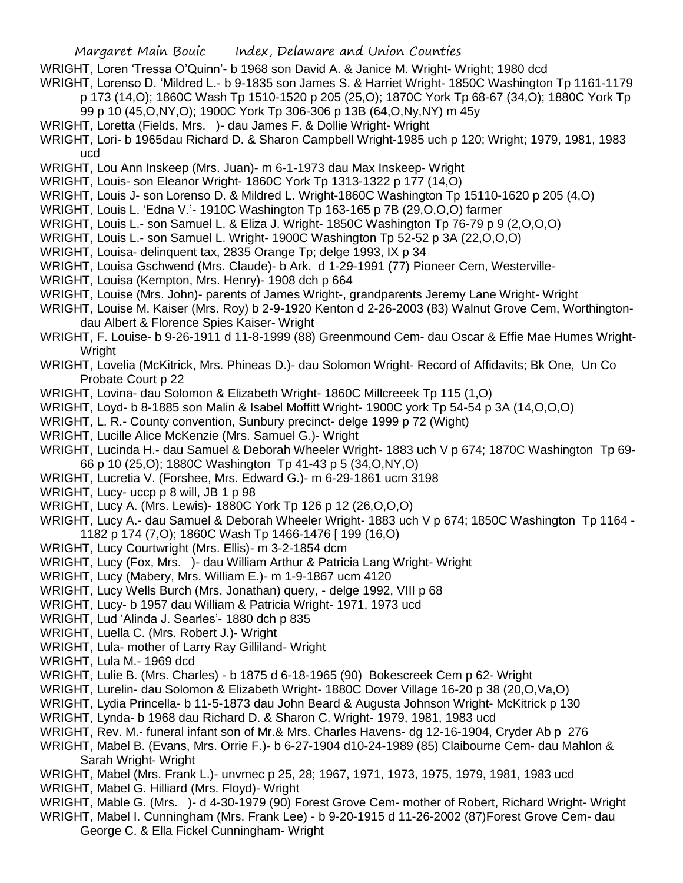- WRIGHT, Loren 'Tressa O'Quinn'- b 1968 son David A. & Janice M. Wright- Wright; 1980 dcd
- WRIGHT, Lorenso D. 'Mildred L.- b 9-1835 son James S. & Harriet Wright- 1850C Washington Tp 1161-1179 p 173 (14,O); 1860C Wash Tp 1510-1520 p 205 (25,O); 1870C York Tp 68-67 (34,O); 1880C York Tp
	- 99 p 10 (45,O,NY,O); 1900C York Tp 306-306 p 13B (64,O,Ny,NY) m 45y
- WRIGHT, Loretta (Fields, Mrs. )- dau James F. & Dollie Wright- Wright
- WRIGHT, Lori- b 1965dau Richard D. & Sharon Campbell Wright-1985 uch p 120; Wright; 1979, 1981, 1983 ucd
- WRIGHT, Lou Ann Inskeep (Mrs. Juan)- m 6-1-1973 dau Max Inskeep- Wright
- WRIGHT, Louis- son Eleanor Wright- 1860C York Tp 1313-1322 p 177 (14,O)
- WRIGHT, Louis J- son Lorenso D. & Mildred L. Wright-1860C Washington Tp 15110-1620 p 205 (4,O)
- WRIGHT, Louis L. 'Edna V.'- 1910C Washington Tp 163-165 p 7B (29,O,O,O) farmer
- WRIGHT, Louis L.- son Samuel L. & Eliza J. Wright- 1850C Washington Tp 76-79 p 9 (2,O,O,O)
- WRIGHT, Louis L.- son Samuel L. Wright- 1900C Washington Tp 52-52 p 3A (22,O,O,O)
- WRIGHT, Louisa- delinquent tax, 2835 Orange Tp; delge 1993, IX p 34
- WRIGHT, Louisa Gschwend (Mrs. Claude)- b Ark. d 1-29-1991 (77) Pioneer Cem, Westerville-
- WRIGHT, Louisa (Kempton, Mrs. Henry)- 1908 dch p 664
- WRIGHT, Louise (Mrs. John)- parents of James Wright-, grandparents Jeremy Lane Wright- Wright
- WRIGHT, Louise M. Kaiser (Mrs. Roy) b 2-9-1920 Kenton d 2-26-2003 (83) Walnut Grove Cem, Worthingtondau Albert & Florence Spies Kaiser- Wright
- WRIGHT, F. Louise- b 9-26-1911 d 11-8-1999 (88) Greenmound Cem- dau Oscar & Effie Mae Humes Wright-Wright
- WRIGHT, Lovelia (McKitrick, Mrs. Phineas D.)- dau Solomon Wright- Record of Affidavits; Bk One, Un Co Probate Court p 22
- WRIGHT, Lovina- dau Solomon & Elizabeth Wright- 1860C Millcreeek Tp 115 (1,O)
- WRIGHT, Loyd- b 8-1885 son Malin & Isabel Moffitt Wright- 1900C york Tp 54-54 p 3A (14, O, O, O)
- WRIGHT, L. R.- County convention, Sunbury precinct- delge 1999 p 72 (Wight)
- WRIGHT, Lucille Alice McKenzie (Mrs. Samuel G.)- Wright
- WRIGHT, Lucinda H.- dau Samuel & Deborah Wheeler Wright- 1883 uch V p 674; 1870C Washington Tp 69- 66 p 10 (25,O); 1880C Washington Tp 41-43 p 5 (34,O,NY,O)
- WRIGHT, Lucretia V. (Forshee, Mrs. Edward G.)- m 6-29-1861 ucm 3198
- WRIGHT, Lucy- uccp p 8 will, JB 1 p 98
- WRIGHT, Lucy A. (Mrs. Lewis)- 1880C York Tp 126 p 12 (26,O,O,O)
- WRIGHT, Lucy A.- dau Samuel & Deborah Wheeler Wright- 1883 uch V p 674; 1850C Washington Tp 1164 -1182 p 174 (7,O); 1860C Wash Tp 1466-1476 [ 199 (16,O)
- WRIGHT, Lucy Courtwright (Mrs. Ellis)- m 3-2-1854 dcm
- WRIGHT, Lucy (Fox, Mrs. )- dau William Arthur & Patricia Lang Wright- Wright
- WRIGHT, Lucy (Mabery, Mrs. William E.)- m 1-9-1867 ucm 4120
- WRIGHT, Lucy Wells Burch (Mrs. Jonathan) query, delge 1992, VIII p 68
- WRIGHT, Lucy- b 1957 dau William & Patricia Wright- 1971, 1973 ucd
- WRIGHT, Lud 'Alinda J. Searles'- 1880 dch p 835
- WRIGHT, Luella C. (Mrs. Robert J.)- Wright
- WRIGHT, Lula- mother of Larry Ray Gilliland- Wright
- WRIGHT, Lula M.- 1969 dcd
- WRIGHT, Lulie B. (Mrs. Charles) b 1875 d 6-18-1965 (90) Bokescreek Cem p 62- Wright
- WRIGHT, Lurelin- dau Solomon & Elizabeth Wright- 1880C Dover Village 16-20 p 38 (20,O,Va,O)
- WRIGHT, Lydia Princella- b 11-5-1873 dau John Beard & Augusta Johnson Wright- McKitrick p 130
- WRIGHT, Lynda- b 1968 dau Richard D. & Sharon C. Wright- 1979, 1981, 1983 ucd
- WRIGHT, Rev. M.- funeral infant son of Mr.& Mrs. Charles Havens- dg 12-16-1904, Cryder Ab p 276
- WRIGHT, Mabel B. (Evans, Mrs. Orrie F.)- b 6-27-1904 d10-24-1989 (85) Claibourne Cem- dau Mahlon & Sarah Wright- Wright
- WRIGHT, Mabel (Mrs. Frank L.)- unvmec p 25, 28; 1967, 1971, 1973, 1975, 1979, 1981, 1983 ucd WRIGHT, Mabel G. Hilliard (Mrs. Floyd)- Wright
- WRIGHT, Mable G. (Mrs. )- d 4-30-1979 (90) Forest Grove Cem- mother of Robert, Richard Wright- Wright
- WRIGHT, Mabel I. Cunningham (Mrs. Frank Lee) b 9-20-1915 d 11-26-2002 (87)Forest Grove Cem- dau George C. & Ella Fickel Cunningham- Wright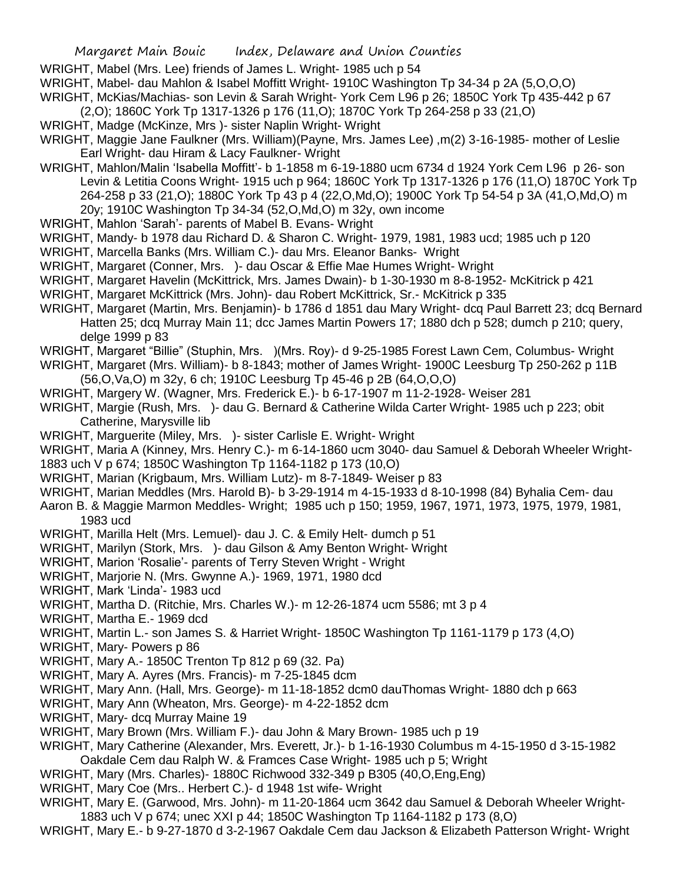WRIGHT, Mabel (Mrs. Lee) friends of James L. Wright- 1985 uch p 54

WRIGHT, Mabel- dau Mahlon & Isabel Moffitt Wright- 1910C Washington Tp 34-34 p 2A (5,O,O,O)

WRIGHT, McKias/Machias- son Levin & Sarah Wright- York Cem L96 p 26; 1850C York Tp 435-442 p 67 (2,O); 1860C York Tp 1317-1326 p 176 (11,O); 1870C York Tp 264-258 p 33 (21,O)

- WRIGHT, Madge (McKinze, Mrs )- sister Naplin Wright- Wright
- WRIGHT, Maggie Jane Faulkner (Mrs. William)(Payne, Mrs. James Lee) ,m(2) 3-16-1985- mother of Leslie Earl Wright- dau Hiram & Lacy Faulkner- Wright
- WRIGHT, Mahlon/Malin 'Isabella Moffitt'- b 1-1858 m 6-19-1880 ucm 6734 d 1924 York Cem L96 p 26- son Levin & Letitia Coons Wright- 1915 uch p 964; 1860C York Tp 1317-1326 p 176 (11,O) 1870C York Tp 264-258 p 33 (21,O); 1880C York Tp 43 p 4 (22,O,Md,O); 1900C York Tp 54-54 p 3A (41,O,Md,O) m 20y; 1910C Washington Tp 34-34 (52,O,Md,O) m 32y, own income
- WRIGHT, Mahlon 'Sarah'- parents of Mabel B. Evans- Wright
- WRIGHT, Mandy- b 1978 dau Richard D. & Sharon C. Wright- 1979, 1981, 1983 ucd; 1985 uch p 120
- WRIGHT, Marcella Banks (Mrs. William C.)- dau Mrs. Eleanor Banks- Wright
- WRIGHT, Margaret (Conner, Mrs. )- dau Oscar & Effie Mae Humes Wright- Wright
- WRIGHT, Margaret Havelin (McKittrick, Mrs. James Dwain)- b 1-30-1930 m 8-8-1952- McKitrick p 421
- WRIGHT, Margaret McKittrick (Mrs. John)- dau Robert McKittrick, Sr.- McKitrick p 335
- WRIGHT, Margaret (Martin, Mrs. Benjamin)- b 1786 d 1851 dau Mary Wright- dcq Paul Barrett 23; dcq Bernard Hatten 25; dcq Murray Main 11; dcc James Martin Powers 17; 1880 dch p 528; dumch p 210; query, delge 1999 p 83
- WRIGHT, Margaret "Billie" (Stuphin, Mrs. )(Mrs. Roy)- d 9-25-1985 Forest Lawn Cem, Columbus- Wright
- WRIGHT, Margaret (Mrs. William)- b 8-1843; mother of James Wright- 1900C Leesburg Tp 250-262 p 11B (56,O,Va,O) m 32y, 6 ch; 1910C Leesburg Tp 45-46 p 2B (64,O,O,O)
- WRIGHT, Margery W. (Wagner, Mrs. Frederick E.)- b 6-17-1907 m 11-2-1928- Weiser 281
- WRIGHT, Margie (Rush, Mrs. )- dau G. Bernard & Catherine Wilda Carter Wright- 1985 uch p 223; obit Catherine, Marysville lib
- WRIGHT, Marguerite (Miley, Mrs. )- sister Carlisle E. Wright- Wright
- WRIGHT, Maria A (Kinney, Mrs. Henry C.)- m 6-14-1860 ucm 3040- dau Samuel & Deborah Wheeler Wright-1883 uch V p 674; 1850C Washington Tp 1164-1182 p 173 (10,O)
- WRIGHT, Marian (Krigbaum, Mrs. William Lutz)- m 8-7-1849- Weiser p 83
- WRIGHT, Marian Meddles (Mrs. Harold B)- b 3-29-1914 m 4-15-1933 d 8-10-1998 (84) Byhalia Cem- dau Aaron B. & Maggie Marmon Meddles- Wright; 1985 uch p 150; 1959, 1967, 1971, 1973, 1975, 1979, 1981, 1983 ucd
- WRIGHT, Marilla Helt (Mrs. Lemuel)- dau J. C. & Emily Helt- dumch p 51
- WRIGHT, Marilyn (Stork, Mrs. )- dau Gilson & Amy Benton Wright- Wright
- WRIGHT, Marion 'Rosalie'- parents of Terry Steven Wright Wright
- WRIGHT, Marjorie N. (Mrs. Gwynne A.)- 1969, 1971, 1980 dcd
- WRIGHT, Mark 'Linda'- 1983 ucd
- WRIGHT, Martha D. (Ritchie, Mrs. Charles W.)- m 12-26-1874 ucm 5586; mt 3 p 4
- WRIGHT, Martha E.- 1969 dcd
- WRIGHT, Martin L.- son James S. & Harriet Wright- 1850C Washington Tp 1161-1179 p 173 (4,O)
- WRIGHT, Mary- Powers p 86
- WRIGHT, Mary A.- 1850C Trenton Tp 812 p 69 (32. Pa)
- WRIGHT, Mary A. Ayres (Mrs. Francis)- m 7-25-1845 dcm
- WRIGHT, Mary Ann. (Hall, Mrs. George)- m 11-18-1852 dcm0 dauThomas Wright- 1880 dch p 663
- WRIGHT, Mary Ann (Wheaton, Mrs. George)- m 4-22-1852 dcm
- WRIGHT, Mary- dcq Murray Maine 19
- WRIGHT, Mary Brown (Mrs. William F.)- dau John & Mary Brown- 1985 uch p 19
- WRIGHT, Mary Catherine (Alexander, Mrs. Everett, Jr.)- b 1-16-1930 Columbus m 4-15-1950 d 3-15-1982 Oakdale Cem dau Ralph W. & Framces Case Wright- 1985 uch p 5; Wright
- WRIGHT, Mary (Mrs. Charles)- 1880C Richwood 332-349 p B305 (40,O,Eng,Eng)
- WRIGHT, Mary Coe (Mrs.. Herbert C.)- d 1948 1st wife- Wright
- WRIGHT, Mary E. (Garwood, Mrs. John)- m 11-20-1864 ucm 3642 dau Samuel & Deborah Wheeler Wright-1883 uch V p 674; unec XXI p 44; 1850C Washington Tp 1164-1182 p 173 (8,O)
- WRIGHT, Mary E.- b 9-27-1870 d 3-2-1967 Oakdale Cem dau Jackson & Elizabeth Patterson Wright- Wright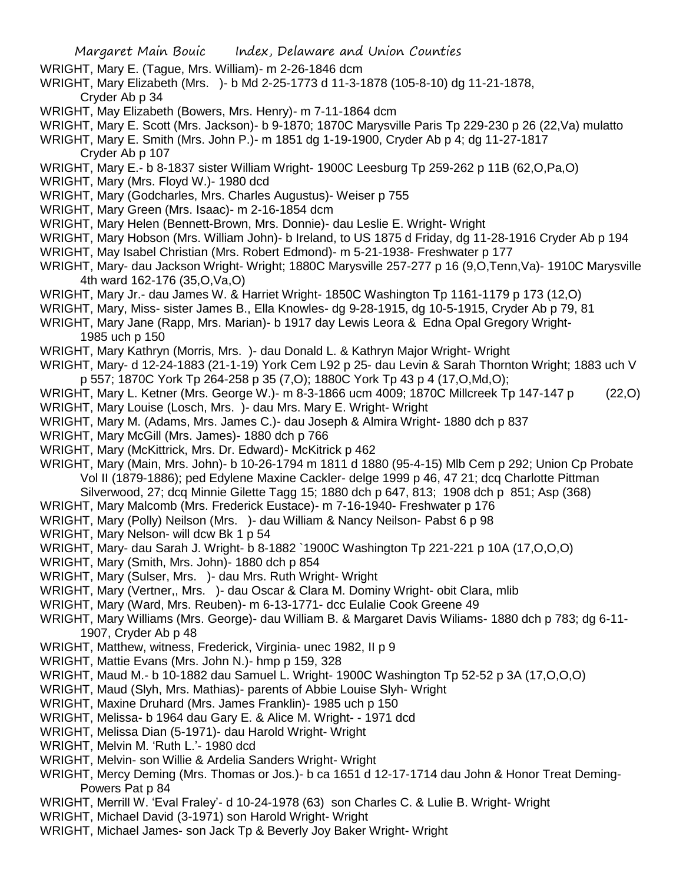- WRIGHT, Mary E. (Tague, Mrs. William)- m 2-26-1846 dcm
- WRIGHT, Mary Elizabeth (Mrs. )- b Md 2-25-1773 d 11-3-1878 (105-8-10) dg 11-21-1878, Cryder Ab p 34
- WRIGHT, May Elizabeth (Bowers, Mrs. Henry)- m 7-11-1864 dcm
- WRIGHT, Mary E. Scott (Mrs. Jackson)- b 9-1870; 1870C Marysville Paris Tp 229-230 p 26 (22,Va) mulatto
- WRIGHT, Mary E. Smith (Mrs. John P.)- m 1851 dg 1-19-1900, Cryder Ab p 4; dg 11-27-1817 Cryder Ab p 107
- WRIGHT, Mary E.- b 8-1837 sister William Wright- 1900C Leesburg Tp 259-262 p 11B (62,O,Pa,O)
- WRIGHT, Mary (Mrs. Floyd W.)- 1980 dcd
- WRIGHT, Mary (Godcharles, Mrs. Charles Augustus)- Weiser p 755
- WRIGHT, Mary Green (Mrs. Isaac)- m 2-16-1854 dcm
- WRIGHT, Mary Helen (Bennett-Brown, Mrs. Donnie)- dau Leslie E. Wright- Wright
- WRIGHT, Mary Hobson (Mrs. William John)- b Ireland, to US 1875 d Friday, dg 11-28-1916 Cryder Ab p 194
- WRIGHT, May Isabel Christian (Mrs. Robert Edmond)- m 5-21-1938- Freshwater p 177
- WRIGHT, Mary- dau Jackson Wright- Wright; 1880C Marysville 257-277 p 16 (9,O,Tenn,Va)- 1910C Marysville 4th ward 162-176 (35,O,Va,O)
- WRIGHT, Mary Jr.- dau James W. & Harriet Wright- 1850C Washington Tp 1161-1179 p 173 (12,O)
- WRIGHT, Mary, Miss- sister James B., Ella Knowles- dg 9-28-1915, dg 10-5-1915, Cryder Ab p 79, 81
- WRIGHT, Mary Jane (Rapp, Mrs. Marian)- b 1917 day Lewis Leora & Edna Opal Gregory Wright-1985 uch p 150
- WRIGHT, Mary Kathryn (Morris, Mrs. )- dau Donald L. & Kathryn Major Wright- Wright
- WRIGHT, Mary- d 12-24-1883 (21-1-19) York Cem L92 p 25- dau Levin & Sarah Thornton Wright; 1883 uch V p 557; 1870C York Tp 264-258 p 35 (7,O); 1880C York Tp 43 p 4 (17,O,Md,O);
- WRIGHT, Mary L. Ketner (Mrs. George W.)- m 8-3-1866 ucm 4009; 1870C Millcreek Tp 147-147 p (22,O)
- WRIGHT, Mary Louise (Losch, Mrs. )- dau Mrs. Mary E. Wright- Wright
- WRIGHT, Mary M. (Adams, Mrs. James C.)- dau Joseph & Almira Wright- 1880 dch p 837
- WRIGHT, Mary McGill (Mrs. James)- 1880 dch p 766
- WRIGHT, Mary (McKittrick, Mrs. Dr. Edward)- McKitrick p 462
- WRIGHT, Mary (Main, Mrs. John)- b 10-26-1794 m 1811 d 1880 (95-4-15) Mlb Cem p 292; Union Cp Probate Vol II (1879-1886); ped Edylene Maxine Cackler- delge 1999 p 46, 47 21; dcq Charlotte Pittman Silverwood, 27; dcq Minnie Gilette Tagg 15; 1880 dch p 647, 813; 1908 dch p 851; Asp (368)
- WRIGHT, Mary Malcomb (Mrs. Frederick Eustace)- m 7-16-1940- Freshwater p 176
- WRIGHT, Mary (Polly) Neilson (Mrs. )- dau William & Nancy Neilson- Pabst 6 p 98
- WRIGHT, Mary Nelson- will dcw Bk 1 p 54
- WRIGHT, Mary- dau Sarah J. Wright- b 8-1882 `1900C Washington Tp 221-221 p 10A (17,O,O,O)
- WRIGHT, Mary (Smith, Mrs. John)- 1880 dch p 854
- WRIGHT, Mary (Sulser, Mrs. )- dau Mrs. Ruth Wright- Wright
- WRIGHT, Mary (Vertner,, Mrs. )- dau Oscar & Clara M. Dominy Wright- obit Clara, mlib
- WRIGHT, Mary (Ward, Mrs. Reuben)- m 6-13-1771- dcc Eulalie Cook Greene 49
- WRIGHT, Mary Williams (Mrs. George)- dau William B. & Margaret Davis Wiliams- 1880 dch p 783; dg 6-11- 1907, Cryder Ab p 48
- WRIGHT, Matthew, witness, Frederick, Virginia- unec 1982, II p 9
- WRIGHT, Mattie Evans (Mrs. John N.)- hmp p 159, 328
- WRIGHT, Maud M.- b 10-1882 dau Samuel L. Wright- 1900C Washington Tp 52-52 p 3A (17,O,O,O)
- WRIGHT, Maud (Slyh, Mrs. Mathias)- parents of Abbie Louise Slyh- Wright
- WRIGHT, Maxine Druhard (Mrs. James Franklin)- 1985 uch p 150
- WRIGHT, Melissa- b 1964 dau Gary E. & Alice M. Wright- 1971 dcd
- WRIGHT, Melissa Dian (5-1971)- dau Harold Wright- Wright
- WRIGHT, Melvin M. 'Ruth L.'- 1980 dcd
- WRIGHT, Melvin- son Willie & Ardelia Sanders Wright- Wright
- WRIGHT, Mercy Deming (Mrs. Thomas or Jos.)- b ca 1651 d 12-17-1714 dau John & Honor Treat Deming-Powers Pat p 84
- WRIGHT, Merrill W. 'Eval Fraley'- d 10-24-1978 (63) son Charles C. & Lulie B. Wright- Wright
- WRIGHT, Michael David (3-1971) son Harold Wright- Wright
- WRIGHT, Michael James- son Jack Tp & Beverly Joy Baker Wright- Wright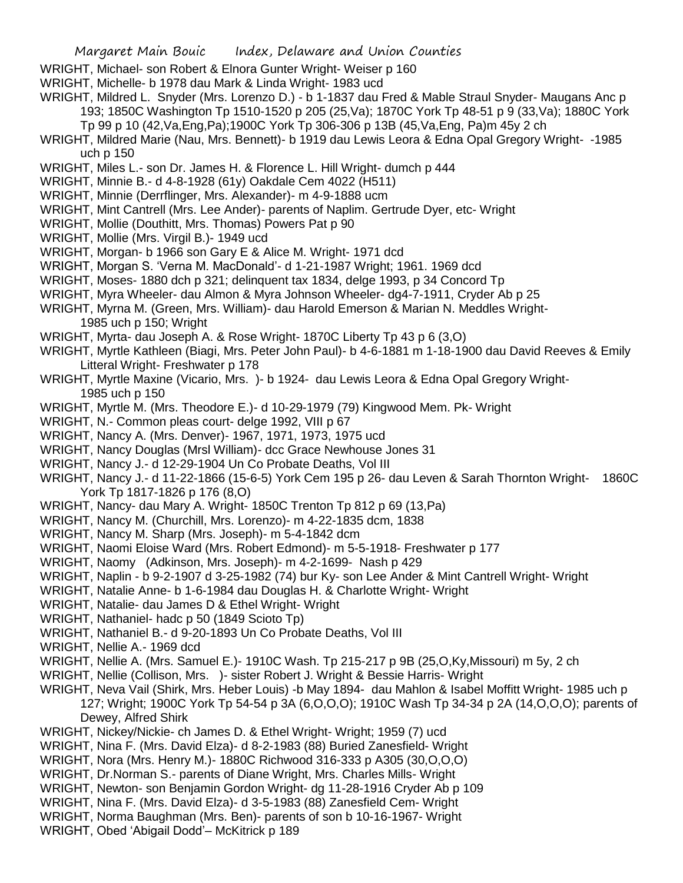- WRIGHT, Michael- son Robert & Elnora Gunter Wright- Weiser p 160
- WRIGHT, Michelle- b 1978 dau Mark & Linda Wright- 1983 ucd
- WRIGHT, Mildred L. Snyder (Mrs. Lorenzo D.) b 1-1837 dau Fred & Mable Straul Snyder- Maugans Anc p 193; 1850C Washington Tp 1510-1520 p 205 (25,Va); 1870C York Tp 48-51 p 9 (33,Va); 1880C York Tp 99 p 10 (42,Va,Eng,Pa);1900C York Tp 306-306 p 13B (45,Va,Eng, Pa)m 45y 2 ch
- WRIGHT, Mildred Marie (Nau, Mrs. Bennett)- b 1919 dau Lewis Leora & Edna Opal Gregory Wright- -1985 uch p 150
- WRIGHT, Miles L.- son Dr. James H. & Florence L. Hill Wright- dumch p 444
- WRIGHT, Minnie B.- d 4-8-1928 (61y) Oakdale Cem 4022 (H511)
- WRIGHT, Minnie (Derrflinger, Mrs. Alexander)- m 4-9-1888 ucm
- WRIGHT, Mint Cantrell (Mrs. Lee Ander)- parents of Naplim. Gertrude Dyer, etc- Wright
- WRIGHT, Mollie (Douthitt, Mrs. Thomas) Powers Pat p 90
- WRIGHT, Mollie (Mrs. Virgil B.)- 1949 ucd
- WRIGHT, Morgan- b 1966 son Gary E & Alice M. Wright- 1971 dcd
- WRIGHT, Morgan S. 'Verna M. MacDonald'- d 1-21-1987 Wright; 1961. 1969 dcd
- WRIGHT, Moses- 1880 dch p 321; delinquent tax 1834, delge 1993, p 34 Concord Tp
- WRIGHT, Myra Wheeler- dau Almon & Myra Johnson Wheeler- dg4-7-1911, Cryder Ab p 25
- WRIGHT, Myrna M. (Green, Mrs. William)- dau Harold Emerson & Marian N. Meddles Wright-1985 uch p 150; Wright
- WRIGHT, Myrta- dau Joseph A. & Rose Wright- 1870C Liberty Tp 43 p 6 (3,O)
- WRIGHT, Myrtle Kathleen (Biagi, Mrs. Peter John Paul)- b 4-6-1881 m 1-18-1900 dau David Reeves & Emily Litteral Wright- Freshwater p 178
- WRIGHT, Myrtle Maxine (Vicario, Mrs. )- b 1924- dau Lewis Leora & Edna Opal Gregory Wright-1985 uch p 150
- WRIGHT, Myrtle M. (Mrs. Theodore E.)- d 10-29-1979 (79) Kingwood Mem. Pk- Wright
- WRIGHT, N.- Common pleas court- delge 1992, VIII p 67
- WRIGHT, Nancy A. (Mrs. Denver)- 1967, 1971, 1973, 1975 ucd
- WRIGHT, Nancy Douglas (Mrsl William)- dcc Grace Newhouse Jones 31
- WRIGHT, Nancy J.- d 12-29-1904 Un Co Probate Deaths, Vol III
- WRIGHT, Nancy J.- d 11-22-1866 (15-6-5) York Cem 195 p 26- dau Leven & Sarah Thornton Wright- 1860C York Tp 1817-1826 p 176 (8,O)
- WRIGHT, Nancy- dau Mary A. Wright- 1850C Trenton Tp 812 p 69 (13,Pa)
- WRIGHT, Nancy M. (Churchill, Mrs. Lorenzo)- m 4-22-1835 dcm, 1838
- WRIGHT, Nancy M. Sharp (Mrs. Joseph)- m 5-4-1842 dcm
- WRIGHT, Naomi Eloise Ward (Mrs. Robert Edmond)- m 5-5-1918- Freshwater p 177
- WRIGHT, Naomy (Adkinson, Mrs. Joseph)- m 4-2-1699- Nash p 429
- WRIGHT, Naplin b 9-2-1907 d 3-25-1982 (74) bur Ky- son Lee Ander & Mint Cantrell Wright- Wright
- WRIGHT, Natalie Anne- b 1-6-1984 dau Douglas H. & Charlotte Wright- Wright
- WRIGHT, Natalie- dau James D & Ethel Wright- Wright
- WRIGHT, Nathaniel- hadc p 50 (1849 Scioto Tp)
- WRIGHT, Nathaniel B.- d 9-20-1893 Un Co Probate Deaths, Vol III
- WRIGHT, Nellie A.- 1969 dcd
- WRIGHT, Nellie A. (Mrs. Samuel E.)- 1910C Wash. Tp 215-217 p 9B (25,O,Ky,Missouri) m 5y, 2 ch
- WRIGHT, Nellie (Collison, Mrs. )- sister Robert J. Wright & Bessie Harris- Wright
- WRIGHT, Neva Vail (Shirk, Mrs. Heber Louis) -b May 1894- dau Mahlon & Isabel Moffitt Wright- 1985 uch p 127; Wright; 1900C York Tp 54-54 p 3A (6,O,O,O); 1910C Wash Tp 34-34 p 2A (14,O,O,O); parents of Dewey, Alfred Shirk
- WRIGHT, Nickey/Nickie- ch James D. & Ethel Wright- Wright; 1959 (7) ucd
- WRIGHT, Nina F. (Mrs. David Elza)- d 8-2-1983 (88) Buried Zanesfield- Wright
- WRIGHT, Nora (Mrs. Henry M.)- 1880C Richwood 316-333 p A305 (30,O,O,O)
- WRIGHT, Dr.Norman S.- parents of Diane Wright, Mrs. Charles Mills- Wright
- WRIGHT, Newton- son Benjamin Gordon Wright- dg 11-28-1916 Cryder Ab p 109
- WRIGHT, Nina F. (Mrs. David Elza)- d 3-5-1983 (88) Zanesfield Cem- Wright
- WRIGHT, Norma Baughman (Mrs. Ben)- parents of son b 10-16-1967- Wright
- WRIGHT, Obed 'Abigail Dodd'– McKitrick p 189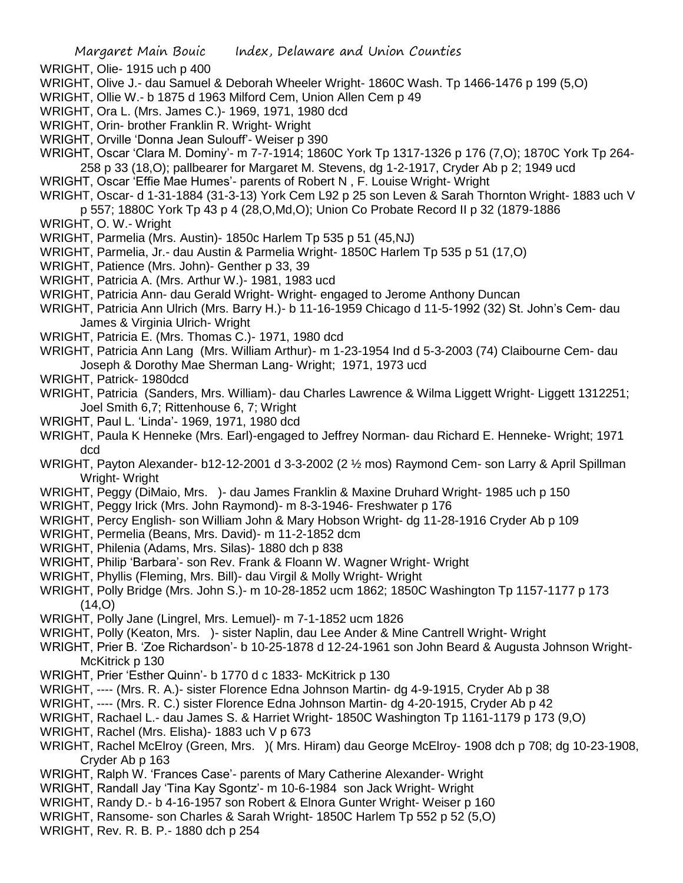WRIGHT, Olie- 1915 uch p 400

- WRIGHT, Olive J.- dau Samuel & Deborah Wheeler Wright- 1860C Wash. Tp 1466-1476 p 199 (5,O)
- WRIGHT, Ollie W.- b 1875 d 1963 Milford Cem, Union Allen Cem p 49
- WRIGHT, Ora L. (Mrs. James C.)- 1969, 1971, 1980 dcd
- WRIGHT, Orin- brother Franklin R. Wright- Wright
- WRIGHT, Orville 'Donna Jean Sulouff'- Weiser p 390
- WRIGHT, Oscar 'Clara M. Dominy'- m 7-7-1914; 1860C York Tp 1317-1326 p 176 (7,O); 1870C York Tp 264- 258 p 33 (18,O); pallbearer for Margaret M. Stevens, dg 1-2-1917, Cryder Ab p 2; 1949 ucd
- WRIGHT, Oscar 'Effie Mae Humes'- parents of Robert N , F. Louise Wright- Wright
- WRIGHT, Oscar- d 1-31-1884 (31-3-13) York Cem L92 p 25 son Leven & Sarah Thornton Wright- 1883 uch V
- p 557; 1880C York Tp 43 p 4 (28,O,Md,O); Union Co Probate Record II p 32 (1879-1886
- WRIGHT, O. W.- Wright
- WRIGHT, Parmelia (Mrs. Austin)- 1850c Harlem Tp 535 p 51 (45,NJ)
- WRIGHT, Parmelia, Jr.- dau Austin & Parmelia Wright- 1850C Harlem Tp 535 p 51 (17,O)
- WRIGHT, Patience (Mrs. John)- Genther p 33, 39
- WRIGHT, Patricia A. (Mrs. Arthur W.)- 1981, 1983 ucd
- WRIGHT, Patricia Ann- dau Gerald Wright- Wright- engaged to Jerome Anthony Duncan
- WRIGHT, Patricia Ann Ulrich (Mrs. Barry H.)- b 11-16-1959 Chicago d 11-5-1992 (32) St. John's Cem- dau James & Virginia Ulrich- Wright
- WRIGHT, Patricia E. (Mrs. Thomas C.)- 1971, 1980 dcd
- WRIGHT, Patricia Ann Lang (Mrs. William Arthur)- m 1-23-1954 Ind d 5-3-2003 (74) Claibourne Cem- dau Joseph & Dorothy Mae Sherman Lang- Wright; 1971, 1973 ucd
- WRIGHT, Patrick- 1980dcd
- WRIGHT, Patricia (Sanders, Mrs. William)- dau Charles Lawrence & Wilma Liggett Wright- Liggett 1312251; Joel Smith 6,7; Rittenhouse 6, 7; Wright
- WRIGHT, Paul L. 'Linda'- 1969, 1971, 1980 dcd
- WRIGHT, Paula K Henneke (Mrs. Earl)-engaged to Jeffrey Norman- dau Richard E. Henneke- Wright; 1971 dcd
- WRIGHT, Payton Alexander- b12-12-2001 d 3-3-2002 (2 ½ mos) Raymond Cem- son Larry & April Spillman Wright- Wright
- WRIGHT, Peggy (DiMaio, Mrs. )- dau James Franklin & Maxine Druhard Wright- 1985 uch p 150
- WRIGHT, Peggy Irick (Mrs. John Raymond)- m 8-3-1946- Freshwater p 176
- WRIGHT, Percy English- son William John & Mary Hobson Wright- dg 11-28-1916 Cryder Ab p 109
- WRIGHT, Permelia (Beans, Mrs. David)- m 11-2-1852 dcm
- WRIGHT, Philenia (Adams, Mrs. Silas)- 1880 dch p 838
- WRIGHT, Philip 'Barbara'- son Rev. Frank & Floann W. Wagner Wright- Wright
- WRIGHT, Phyllis (Fleming, Mrs. Bill)- dau Virgil & Molly Wright- Wright
- WRIGHT, Polly Bridge (Mrs. John S.)- m 10-28-1852 ucm 1862; 1850C Washington Tp 1157-1177 p 173  $(14, 0)$
- WRIGHT, Polly Jane (Lingrel, Mrs. Lemuel)- m 7-1-1852 ucm 1826
- WRIGHT, Polly (Keaton, Mrs. )- sister Naplin, dau Lee Ander & Mine Cantrell Wright- Wright
- WRIGHT, Prier B. 'Zoe Richardson'- b 10-25-1878 d 12-24-1961 son John Beard & Augusta Johnson Wright-McKitrick p 130
- WRIGHT, Prier 'Esther Quinn'- b 1770 d c 1833- McKitrick p 130
- WRIGHT, ---- (Mrs. R. A.)- sister Florence Edna Johnson Martin- dg 4-9-1915, Cryder Ab p 38
- WRIGHT, ---- (Mrs. R. C.) sister Florence Edna Johnson Martin- dg 4-20-1915, Cryder Ab p 42
- WRIGHT, Rachael L.- dau James S. & Harriet Wright- 1850C Washington Tp 1161-1179 p 173 (9,O)
- WRIGHT, Rachel (Mrs. Elisha)- 1883 uch V p 673
- WRIGHT, Rachel McElroy (Green, Mrs. )( Mrs. Hiram) dau George McElroy- 1908 dch p 708; dg 10-23-1908, Cryder Ab p 163
- WRIGHT, Ralph W. 'Frances Case'- parents of Mary Catherine Alexander- Wright
- WRIGHT, Randall Jay 'Tina Kay Sgontz'- m 10-6-1984 son Jack Wright- Wright
- WRIGHT, Randy D.- b 4-16-1957 son Robert & Elnora Gunter Wright- Weiser p 160
- WRIGHT, Ransome- son Charles & Sarah Wright- 1850C Harlem Tp 552 p 52 (5.O)
- WRIGHT, Rev. R. B. P.- 1880 dch p 254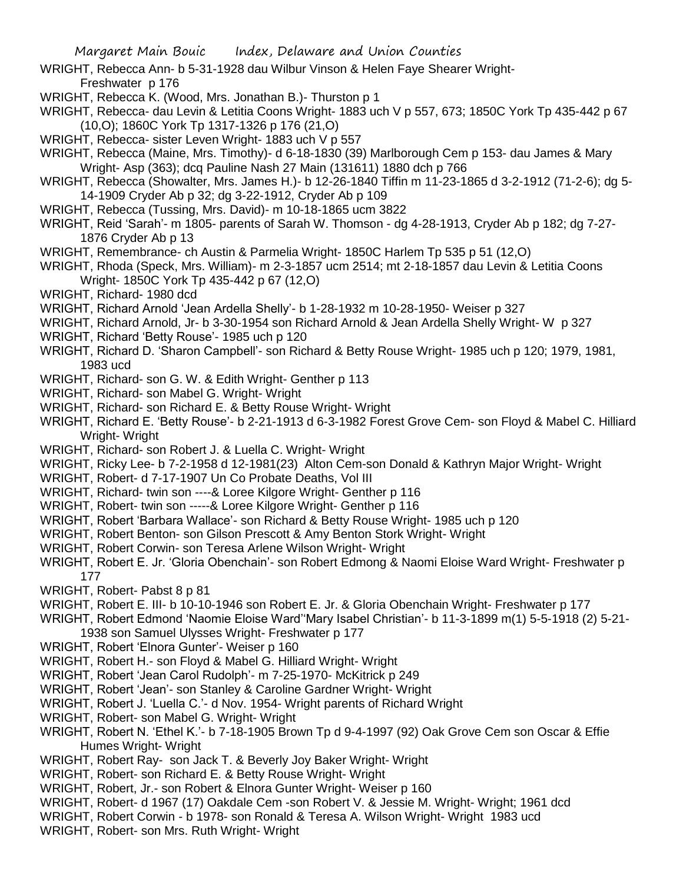WRIGHT, Rebecca Ann- b 5-31-1928 dau Wilbur Vinson & Helen Faye Shearer Wright-Freshwater p 176

- WRIGHT, Rebecca K. (Wood, Mrs. Jonathan B.)- Thurston p 1
- WRIGHT, Rebecca- dau Levin & Letitia Coons Wright- 1883 uch V p 557, 673; 1850C York Tp 435-442 p 67 (10,O); 1860C York Tp 1317-1326 p 176 (21,O)
- WRIGHT, Rebecca- sister Leven Wright- 1883 uch V p 557
- WRIGHT, Rebecca (Maine, Mrs. Timothy)- d 6-18-1830 (39) Marlborough Cem p 153- dau James & Mary Wright- Asp (363); dcq Pauline Nash 27 Main (131611) 1880 dch p 766
- WRIGHT, Rebecca (Showalter, Mrs. James H.)- b 12-26-1840 Tiffin m 11-23-1865 d 3-2-1912 (71-2-6); dg 5- 14-1909 Cryder Ab p 32; dg 3-22-1912, Cryder Ab p 109
- WRIGHT, Rebecca (Tussing, Mrs. David)- m 10-18-1865 ucm 3822
- WRIGHT, Reid 'Sarah'- m 1805- parents of Sarah W. Thomson dg 4-28-1913, Cryder Ab p 182; dg 7-27- 1876 Cryder Ab p 13
- WRIGHT, Remembrance- ch Austin & Parmelia Wright- 1850C Harlem Tp 535 p 51 (12,O)
- WRIGHT, Rhoda (Speck, Mrs. William)- m 2-3-1857 ucm 2514; mt 2-18-1857 dau Levin & Letitia Coons Wright- 1850C York Tp 435-442 p 67 (12,O)
- WRIGHT, Richard- 1980 dcd
- WRIGHT, Richard Arnold 'Jean Ardella Shelly'- b 1-28-1932 m 10-28-1950- Weiser p 327
- WRIGHT, Richard Arnold, Jr- b 3-30-1954 son Richard Arnold & Jean Ardella Shelly Wright- W p 327 WRIGHT, Richard 'Betty Rouse'- 1985 uch p 120
- WRIGHT, Richard D. 'Sharon Campbell'- son Richard & Betty Rouse Wright- 1985 uch p 120; 1979, 1981, 1983 ucd
- WRIGHT, Richard- son G. W. & Edith Wright- Genther p 113
- WRIGHT, Richard- son Mabel G. Wright- Wright
- WRIGHT, Richard- son Richard E. & Betty Rouse Wright- Wright
- WRIGHT, Richard E. 'Betty Rouse'- b 2-21-1913 d 6-3-1982 Forest Grove Cem- son Floyd & Mabel C. Hilliard Wright- Wright
- WRIGHT, Richard- son Robert J. & Luella C. Wright- Wright
- WRIGHT, Ricky Lee- b 7-2-1958 d 12-1981(23) Alton Cem-son Donald & Kathryn Major Wright- Wright
- WRIGHT, Robert- d 7-17-1907 Un Co Probate Deaths, Vol III
- WRIGHT, Richard- twin son ----& Loree Kilgore Wright- Genther p 116
- WRIGHT, Robert- twin son -----& Loree Kilgore Wright- Genther p 116
- WRIGHT, Robert 'Barbara Wallace'- son Richard & Betty Rouse Wright- 1985 uch p 120
- WRIGHT, Robert Benton- son Gilson Prescott & Amy Benton Stork Wright- Wright
- WRIGHT, Robert Corwin- son Teresa Arlene Wilson Wright- Wright
- WRIGHT, Robert E. Jr. 'Gloria Obenchain'- son Robert Edmong & Naomi Eloise Ward Wright- Freshwater p 177
- WRIGHT, Robert- Pabst 8 p 81
- WRIGHT, Robert E. III- b 10-10-1946 son Robert E. Jr. & Gloria Obenchain Wright- Freshwater p 177
- WRIGHT, Robert Edmond 'Naomie Eloise Ward''Mary Isabel Christian'- b 11-3-1899 m(1) 5-5-1918 (2) 5-21- 1938 son Samuel Ulysses Wright- Freshwater p 177
- WRIGHT, Robert 'Elnora Gunter'- Weiser p 160
- WRIGHT, Robert H.- son Floyd & Mabel G. Hilliard Wright- Wright
- WRIGHT, Robert 'Jean Carol Rudolph'- m 7-25-1970- McKitrick p 249
- WRIGHT, Robert 'Jean'- son Stanley & Caroline Gardner Wright- Wright
- WRIGHT, Robert J. 'Luella C.'- d Nov. 1954- Wright parents of Richard Wright
- WRIGHT, Robert- son Mabel G. Wright- Wright
- WRIGHT, Robert N. 'Ethel K.'- b 7-18-1905 Brown Tp d 9-4-1997 (92) Oak Grove Cem son Oscar & Effie Humes Wright- Wright
- WRIGHT, Robert Ray- son Jack T. & Beverly Joy Baker Wright- Wright
- WRIGHT, Robert- son Richard E. & Betty Rouse Wright- Wright
- WRIGHT, Robert, Jr.- son Robert & Elnora Gunter Wright- Weiser p 160
- WRIGHT, Robert- d 1967 (17) Oakdale Cem -son Robert V. & Jessie M. Wright- Wright; 1961 dcd
- WRIGHT, Robert Corwin b 1978- son Ronald & Teresa A. Wilson Wright- Wright 1983 ucd
- WRIGHT, Robert- son Mrs. Ruth Wright- Wright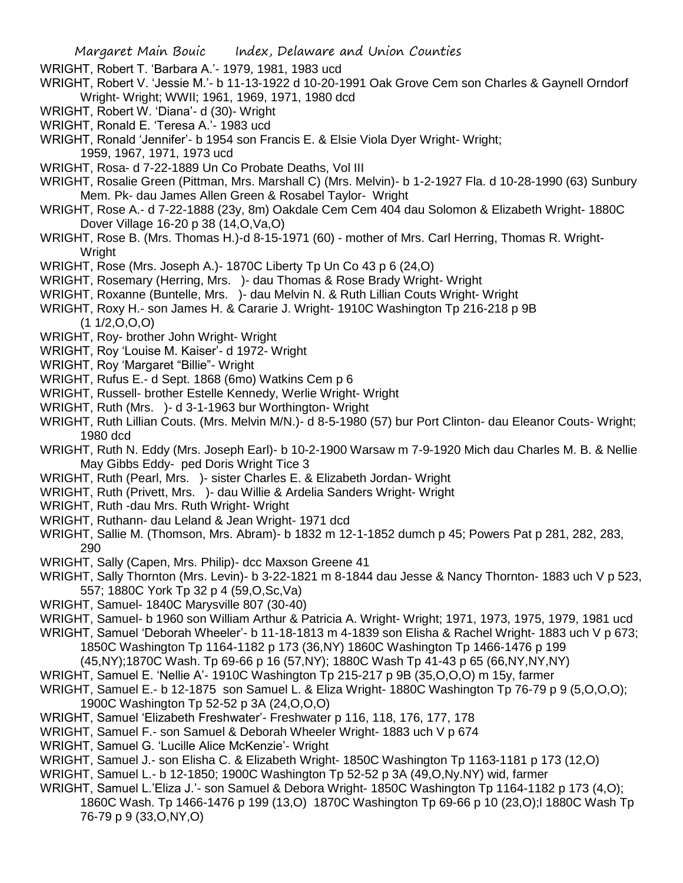WRIGHT, Robert T. 'Barbara A.'- 1979, 1981, 1983 ucd

- WRIGHT, Robert V. 'Jessie M.'- b 11-13-1922 d 10-20-1991 Oak Grove Cem son Charles & Gaynell Orndorf Wright- Wright; WWII; 1961, 1969, 1971, 1980 dcd
- WRIGHT, Robert W. 'Diana'- d (30)- Wright
- WRIGHT, Ronald E. 'Teresa A.'- 1983 ucd

WRIGHT, Ronald 'Jennifer'- b 1954 son Francis E. & Elsie Viola Dyer Wright- Wright; 1959, 1967, 1971, 1973 ucd

- WRIGHT, Rosa- d 7-22-1889 Un Co Probate Deaths, Vol III
- WRIGHT, Rosalie Green (Pittman, Mrs. Marshall C) (Mrs. Melvin)- b 1-2-1927 Fla. d 10-28-1990 (63) Sunbury Mem. Pk- dau James Allen Green & Rosabel Taylor- Wright
- WRIGHT, Rose A.- d 7-22-1888 (23y, 8m) Oakdale Cem Cem 404 dau Solomon & Elizabeth Wright- 1880C Dover Village 16-20 p 38 (14,O,Va,O)
- WRIGHT, Rose B. (Mrs. Thomas H.)-d 8-15-1971 (60) mother of Mrs. Carl Herring, Thomas R. Wright-Wright
- WRIGHT, Rose (Mrs. Joseph A.)- 1870C Liberty Tp Un Co 43 p 6 (24,O)
- WRIGHT, Rosemary (Herring, Mrs. )- dau Thomas & Rose Brady Wright- Wright
- WRIGHT, Roxanne (Buntelle, Mrs. )- dau Melvin N. & Ruth Lillian Couts Wright- Wright
- WRIGHT, Roxy H.- son James H. & Cararie J. Wright- 1910C Washington Tp 216-218 p 9B  $(1 1/2, 0, 0, 0)$
- WRIGHT, Roy- brother John Wright- Wright
- WRIGHT, Roy 'Louise M. Kaiser'- d 1972- Wright
- WRIGHT, Roy 'Margaret "Billie"- Wright
- WRIGHT, Rufus E.- d Sept. 1868 (6mo) Watkins Cem p 6
- WRIGHT, Russell- brother Estelle Kennedy, Werlie Wright- Wright
- WRIGHT, Ruth (Mrs. )- d 3-1-1963 bur Worthington- Wright
- WRIGHT, Ruth Lillian Couts. (Mrs. Melvin M/N.)- d 8-5-1980 (57) bur Port Clinton- dau Eleanor Couts- Wright; 1980 dcd
- WRIGHT, Ruth N. Eddy (Mrs. Joseph Earl)- b 10-2-1900 Warsaw m 7-9-1920 Mich dau Charles M. B. & Nellie May Gibbs Eddy- ped Doris Wright Tice 3
- WRIGHT, Ruth (Pearl, Mrs. )- sister Charles E. & Elizabeth Jordan- Wright
- WRIGHT, Ruth (Privett, Mrs. )- dau Willie & Ardelia Sanders Wright- Wright
- WRIGHT, Ruth -dau Mrs. Ruth Wright- Wright
- WRIGHT, Ruthann- dau Leland & Jean Wright- 1971 dcd
- WRIGHT, Sallie M. (Thomson, Mrs. Abram)- b 1832 m 12-1-1852 dumch p 45; Powers Pat p 281, 282, 283, 290
- WRIGHT, Sally (Capen, Mrs. Philip)- dcc Maxson Greene 41
- WRIGHT, Sally Thornton (Mrs. Levin)- b 3-22-1821 m 8-1844 dau Jesse & Nancy Thornton- 1883 uch V p 523, 557; 1880C York Tp 32 p 4 (59,O,Sc,Va)
- WRIGHT, Samuel- 1840C Marysville 807 (30-40)
- WRIGHT, Samuel- b 1960 son William Arthur & Patricia A. Wright- Wright; 1971, 1973, 1975, 1979, 1981 ucd WRIGHT, Samuel 'Deborah Wheeler'- b 11-18-1813 m 4-1839 son Elisha & Rachel Wright- 1883 uch V p 673;

1850C Washington Tp 1164-1182 p 173 (36,NY) 1860C Washington Tp 1466-1476 p 199 (45,NY);1870C Wash. Tp 69-66 p 16 (57,NY); 1880C Wash Tp 41-43 p 65 (66,NY,NY,NY)

- WRIGHT, Samuel E. 'Nellie A'- 1910C Washington Tp 215-217 p 9B (35,O,O,O) m 15y, farmer
- WRIGHT, Samuel E.- b 12-1875 son Samuel L. & Eliza Wright- 1880C Washington Tp 76-79 p 9 (5, O, O, O); 1900C Washington Tp 52-52 p 3A (24,O,O,O)
- WRIGHT, Samuel 'Elizabeth Freshwater'- Freshwater p 116, 118, 176, 177, 178
- WRIGHT, Samuel F.- son Samuel & Deborah Wheeler Wright- 1883 uch V p 674
- WRIGHT, Samuel G. 'Lucille Alice McKenzie'- Wright
- WRIGHT, Samuel J.- son Elisha C. & Elizabeth Wright- 1850C Washington Tp 1163-1181 p 173 (12,O)
- WRIGHT, Samuel L.- b 12-1850; 1900C Washington Tp 52-52 p 3A (49,O,Ny.NY) wid, farmer
- WRIGHT, Samuel L.'Eliza J.'- son Samuel & Debora Wright- 1850C Washington Tp 1164-1182 p 173 (4,O); 1860C Wash. Tp 1466-1476 p 199 (13,O) 1870C Washington Tp 69-66 p 10 (23,O);l 1880C Wash Tp 76-79 p 9 (33,O,NY,O)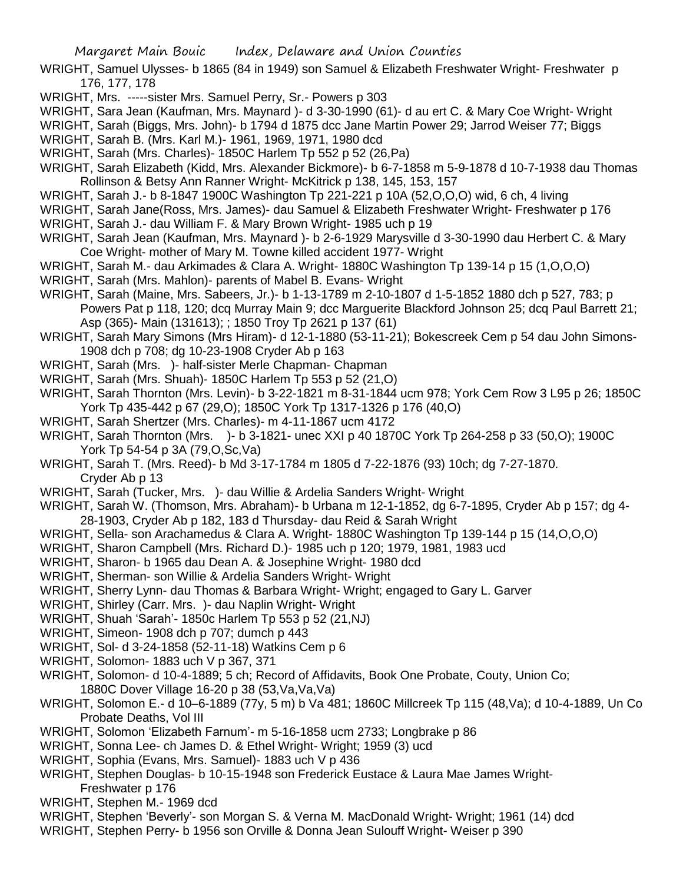- WRIGHT, Samuel Ulysses- b 1865 (84 in 1949) son Samuel & Elizabeth Freshwater Wright- Freshwater p 176, 177, 178
- WRIGHT, Mrs. -----sister Mrs. Samuel Perry, Sr.- Powers p 303
- WRIGHT, Sara Jean (Kaufman, Mrs. Maynard )- d 3-30-1990 (61)- d au ert C. & Mary Coe Wright- Wright
- WRIGHT, Sarah (Biggs, Mrs. John)- b 1794 d 1875 dcc Jane Martin Power 29; Jarrod Weiser 77; Biggs
- WRIGHT, Sarah B. (Mrs. Karl M.)- 1961, 1969, 1971, 1980 dcd
- WRIGHT, Sarah (Mrs. Charles)- 1850C Harlem Tp 552 p 52 (26,Pa)
- WRIGHT, Sarah Elizabeth (Kidd, Mrs. Alexander Bickmore)- b 6-7-1858 m 5-9-1878 d 10-7-1938 dau Thomas Rollinson & Betsy Ann Ranner Wright- McKitrick p 138, 145, 153, 157
- WRIGHT, Sarah J.- b 8-1847 1900C Washington Tp 221-221 p 10A (52,O,O,O) wid, 6 ch, 4 living
- WRIGHT, Sarah Jane(Ross, Mrs. James)- dau Samuel & Elizabeth Freshwater Wright- Freshwater p 176
- WRIGHT, Sarah J.- dau William F. & Mary Brown Wright- 1985 uch p 19
- WRIGHT, Sarah Jean (Kaufman, Mrs. Maynard )- b 2-6-1929 Marysville d 3-30-1990 dau Herbert C. & Mary Coe Wright- mother of Mary M. Towne killed accident 1977- Wright
- WRIGHT, Sarah M.- dau Arkimades & Clara A. Wright- 1880C Washington Tp 139-14 p 15 (1,O,O,O)
- WRIGHT, Sarah (Mrs. Mahlon)- parents of Mabel B. Evans- Wright
- WRIGHT, Sarah (Maine, Mrs. Sabeers, Jr.)- b 1-13-1789 m 2-10-1807 d 1-5-1852 1880 dch p 527, 783; p Powers Pat p 118, 120; dcq Murray Main 9; dcc Marguerite Blackford Johnson 25; dcq Paul Barrett 21; Asp (365)- Main (131613); ; 1850 Troy Tp 2621 p 137 (61)
- WRIGHT, Sarah Mary Simons (Mrs Hiram)- d 12-1-1880 (53-11-21); Bokescreek Cem p 54 dau John Simons-1908 dch p 708; dg 10-23-1908 Cryder Ab p 163
- WRIGHT, Sarah (Mrs. )- half-sister Merle Chapman- Chapman
- WRIGHT, Sarah (Mrs. Shuah)- 1850C Harlem Tp 553 p 52 (21,O)
- WRIGHT, Sarah Thornton (Mrs. Levin)- b 3-22-1821 m 8-31-1844 ucm 978; York Cem Row 3 L95 p 26; 1850C York Tp 435-442 p 67 (29,O); 1850C York Tp 1317-1326 p 176 (40,O)
- WRIGHT, Sarah Shertzer (Mrs. Charles)- m 4-11-1867 ucm 4172
- WRIGHT, Sarah Thornton (Mrs. )- b 3-1821- unec XXI p 40 1870C York Tp 264-258 p 33 (50,O); 1900C York Tp 54-54 p 3A (79,O,Sc,Va)
- WRIGHT, Sarah T. (Mrs. Reed)- b Md 3-17-1784 m 1805 d 7-22-1876 (93) 10ch; dg 7-27-1870. Cryder Ab p 13
- WRIGHT, Sarah (Tucker, Mrs. )- dau Willie & Ardelia Sanders Wright- Wright
- WRIGHT, Sarah W. (Thomson, Mrs. Abraham)- b Urbana m 12-1-1852, dg 6-7-1895, Cryder Ab p 157; dg 4- 28-1903, Cryder Ab p 182, 183 d Thursday- dau Reid & Sarah Wright
- WRIGHT, Sella- son Arachamedus & Clara A. Wright- 1880C Washington Tp 139-144 p 15 (14,O,O,O)
- WRIGHT, Sharon Campbell (Mrs. Richard D.)- 1985 uch p 120; 1979, 1981, 1983 ucd
- WRIGHT, Sharon- b 1965 dau Dean A. & Josephine Wright- 1980 dcd
- WRIGHT, Sherman- son Willie & Ardelia Sanders Wright- Wright
- WRIGHT, Sherry Lynn- dau Thomas & Barbara Wright- Wright; engaged to Gary L. Garver
- WRIGHT, Shirley (Carr. Mrs. )- dau Naplin Wright- Wright
- WRIGHT, Shuah 'Sarah'- 1850c Harlem Tp 553 p 52 (21,NJ)
- WRIGHT, Simeon- 1908 dch p 707; dumch p 443
- WRIGHT, Sol- d 3-24-1858 (52-11-18) Watkins Cem p 6
- WRIGHT, Solomon- 1883 uch V p 367, 371
- WRIGHT, Solomon- d 10-4-1889; 5 ch; Record of Affidavits, Book One Probate, Couty, Union Co; 1880C Dover Village 16-20 p 38 (53,Va,Va,Va)
- WRIGHT, Solomon E.- d 10–6-1889 (77y, 5 m) b Va 481; 1860C Millcreek Tp 115 (48,Va); d 10-4-1889, Un Co Probate Deaths, Vol III
- WRIGHT, Solomon 'Elizabeth Farnum'- m 5-16-1858 ucm 2733; Longbrake p 86
- WRIGHT, Sonna Lee- ch James D. & Ethel Wright- Wright; 1959 (3) ucd
- WRIGHT, Sophia (Evans, Mrs. Samuel)- 1883 uch V p 436
- WRIGHT, Stephen Douglas- b 10-15-1948 son Frederick Eustace & Laura Mae James Wright-Freshwater p 176
- WRIGHT, Stephen M.- 1969 dcd
- WRIGHT, Stephen 'Beverly'- son Morgan S. & Verna M. MacDonald Wright- Wright; 1961 (14) dcd
- WRIGHT, Stephen Perry- b 1956 son Orville & Donna Jean Sulouff Wright- Weiser p 390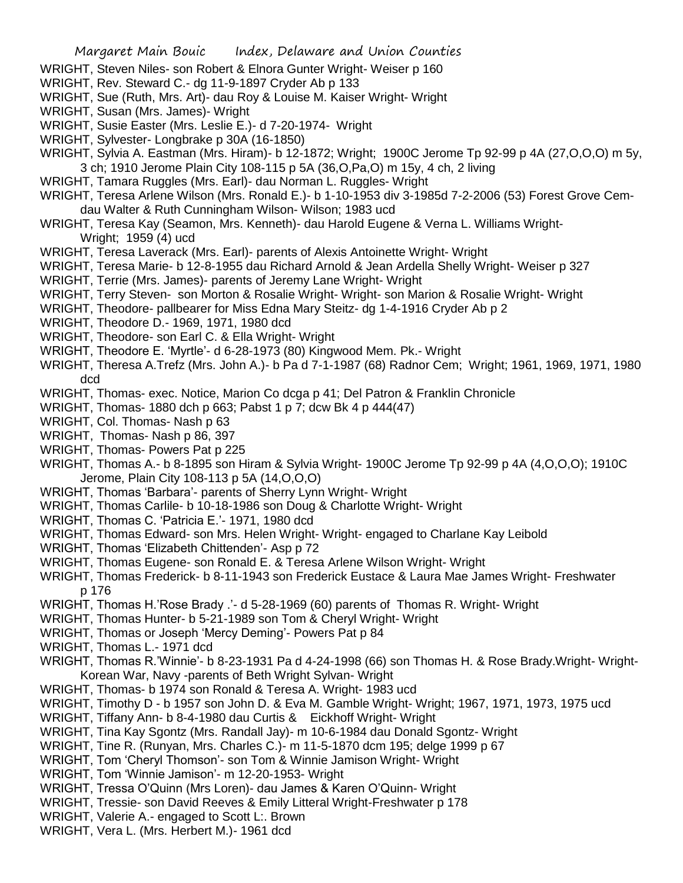- WRIGHT, Steven Niles- son Robert & Elnora Gunter Wright- Weiser p 160
- WRIGHT, Rev. Steward C.- dg 11-9-1897 Cryder Ab p 133
- WRIGHT, Sue (Ruth, Mrs. Art)- dau Roy & Louise M. Kaiser Wright- Wright
- WRIGHT, Susan (Mrs. James)- Wright
- WRIGHT, Susie Easter (Mrs. Leslie E.)- d 7-20-1974- Wright
- WRIGHT, Sylvester- Longbrake p 30A (16-1850)
- WRIGHT, Sylvia A. Eastman (Mrs. Hiram)- b 12-1872; Wright; 1900C Jerome Tp 92-99 p 4A (27,O,O,O) m 5y, 3 ch; 1910 Jerome Plain City 108-115 p 5A (36,O,Pa,O) m 15y, 4 ch, 2 living
- WRIGHT, Tamara Ruggles (Mrs. Earl)- dau Norman L. Ruggles- Wright
- WRIGHT, Teresa Arlene Wilson (Mrs. Ronald E.)- b 1-10-1953 div 3-1985d 7-2-2006 (53) Forest Grove Cemdau Walter & Ruth Cunningham Wilson- Wilson; 1983 ucd
- WRIGHT, Teresa Kay (Seamon, Mrs. Kenneth)- dau Harold Eugene & Verna L. Williams Wright-Wright; 1959 (4) ucd
- WRIGHT, Teresa Laverack (Mrs. Earl)- parents of Alexis Antoinette Wright- Wright
- WRIGHT, Teresa Marie- b 12-8-1955 dau Richard Arnold & Jean Ardella Shelly Wright- Weiser p 327
- WRIGHT, Terrie (Mrs. James)- parents of Jeremy Lane Wright- Wright
- WRIGHT, Terry Steven- son Morton & Rosalie Wright- Wright- son Marion & Rosalie Wright- Wright
- WRIGHT, Theodore- pallbearer for Miss Edna Mary Steitz- dg 1-4-1916 Cryder Ab p 2
- WRIGHT, Theodore D.- 1969, 1971, 1980 dcd
- WRIGHT, Theodore- son Earl C. & Ella Wright- Wright
- WRIGHT, Theodore E. 'Myrtle'- d 6-28-1973 (80) Kingwood Mem. Pk.- Wright
- WRIGHT, Theresa A.Trefz (Mrs. John A.)- b Pa d 7-1-1987 (68) Radnor Cem; Wright; 1961, 1969, 1971, 1980 dcd
- WRIGHT, Thomas- exec. Notice, Marion Co dcga p 41; Del Patron & Franklin Chronicle
- WRIGHT, Thomas- 1880 dch p 663; Pabst 1 p 7; dcw Bk 4 p 444(47)
- WRIGHT, Col. Thomas- Nash p 63
- WRIGHT, Thomas- Nash p 86, 397
- WRIGHT, Thomas- Powers Pat p 225
- WRIGHT, Thomas A.- b 8-1895 son Hiram & Sylvia Wright- 1900C Jerome Tp 92-99 p 4A (4,O,O,O); 1910C Jerome, Plain City 108-113 p 5A (14,O,O,O)
- WRIGHT, Thomas 'Barbara'- parents of Sherry Lynn Wright- Wright
- WRIGHT, Thomas Carlile- b 10-18-1986 son Doug & Charlotte Wright- Wright
- WRIGHT, Thomas C. 'Patricia E.'- 1971, 1980 dcd
- WRIGHT, Thomas Edward- son Mrs. Helen Wright- Wright- engaged to Charlane Kay Leibold
- WRIGHT, Thomas 'Elizabeth Chittenden'- Asp p 72
- WRIGHT, Thomas Eugene- son Ronald E. & Teresa Arlene Wilson Wright- Wright
- WRIGHT, Thomas Frederick- b 8-11-1943 son Frederick Eustace & Laura Mae James Wright- Freshwater p 176
- WRIGHT, Thomas H.'Rose Brady .'- d 5-28-1969 (60) parents of Thomas R. Wright- Wright
- WRIGHT, Thomas Hunter- b 5-21-1989 son Tom & Cheryl Wright- Wright
- WRIGHT, Thomas or Joseph 'Mercy Deming'- Powers Pat p 84
- WRIGHT, Thomas L.- 1971 dcd
- WRIGHT, Thomas R.'Winnie'- b 8-23-1931 Pa d 4-24-1998 (66) son Thomas H. & Rose Brady.Wright- Wright-Korean War, Navy -parents of Beth Wright Sylvan- Wright
- WRIGHT, Thomas- b 1974 son Ronald & Teresa A. Wright- 1983 ucd
- WRIGHT, Timothy D b 1957 son John D. & Eva M. Gamble Wright- Wright; 1967, 1971, 1973, 1975 ucd
- WRIGHT, Tiffany Ann- b 8-4-1980 dau Curtis & Eickhoff Wright- Wright
- WRIGHT, Tina Kay Sgontz (Mrs. Randall Jay)- m 10-6-1984 dau Donald Sgontz- Wright
- WRIGHT, Tine R. (Runyan, Mrs. Charles C.)- m 11-5-1870 dcm 195; delge 1999 p 67
- WRIGHT, Tom 'Cheryl Thomson'- son Tom & Winnie Jamison Wright- Wright
- WRIGHT, Tom 'Winnie Jamison'- m 12-20-1953- Wright
- WRIGHT, Tressa O'Quinn (Mrs Loren)- dau James & Karen O'Quinn- Wright
- WRIGHT, Tressie- son David Reeves & Emily Litteral Wright-Freshwater p 178
- WRIGHT, Valerie A.- engaged to Scott L:. Brown
- WRIGHT, Vera L. (Mrs. Herbert M.)- 1961 dcd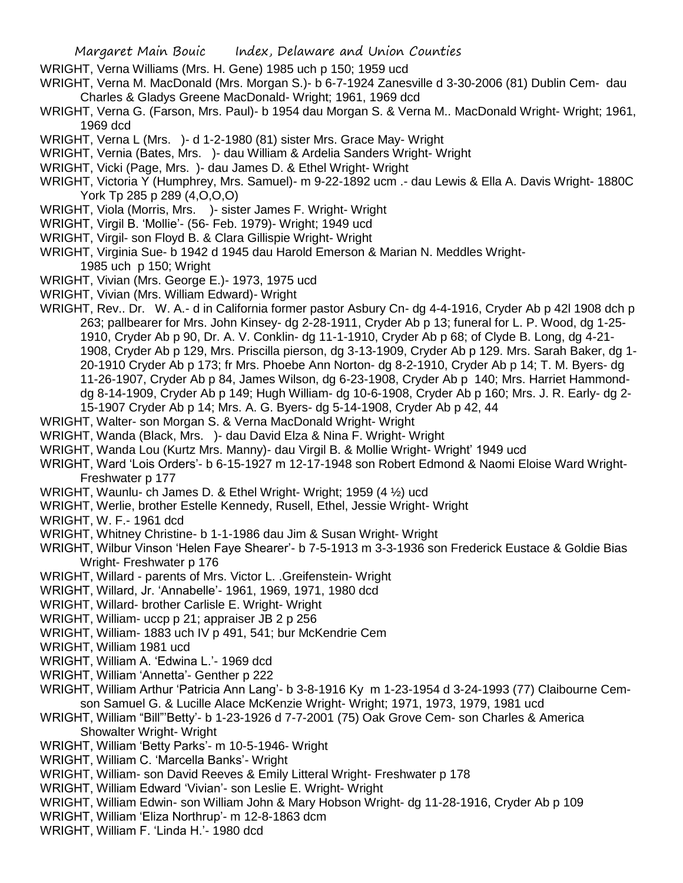- WRIGHT, Verna Williams (Mrs. H. Gene) 1985 uch p 150; 1959 ucd
- WRIGHT, Verna M. MacDonald (Mrs. Morgan S.)- b 6-7-1924 Zanesville d 3-30-2006 (81) Dublin Cem- dau Charles & Gladys Greene MacDonald- Wright; 1961, 1969 dcd
- WRIGHT, Verna G. (Farson, Mrs. Paul)- b 1954 dau Morgan S. & Verna M.. MacDonald Wright- Wright; 1961, 1969 dcd
- WRIGHT, Verna L (Mrs. )- d 1-2-1980 (81) sister Mrs. Grace May- Wright
- WRIGHT, Vernia (Bates, Mrs. )- dau William & Ardelia Sanders Wright- Wright
- WRIGHT, Vicki (Page, Mrs. )- dau James D. & Ethel Wright- Wright
- WRIGHT, Victoria Y (Humphrey, Mrs. Samuel)- m 9-22-1892 ucm .- dau Lewis & Ella A. Davis Wright- 1880C York Tp 285 p 289 (4,O,O,O)
- WRIGHT, Viola (Morris, Mrs. )- sister James F. Wright- Wright
- WRIGHT, Virgil B. 'Mollie'- (56- Feb. 1979)- Wright; 1949 ucd
- WRIGHT, Virgil- son Floyd B. & Clara Gillispie Wright- Wright
- WRIGHT, Virginia Sue- b 1942 d 1945 dau Harold Emerson & Marian N. Meddles Wright-1985 uch p 150; Wright
- WRIGHT, Vivian (Mrs. George E.)- 1973, 1975 ucd
- WRIGHT, Vivian (Mrs. William Edward)- Wright
- WRIGHT, Rev.. Dr. W. A.- d in California former pastor Asbury Cn- dg 4-4-1916, Cryder Ab p 42l 1908 dch p 263; pallbearer for Mrs. John Kinsey- dg 2-28-1911, Cryder Ab p 13; funeral for L. P. Wood, dg 1-25- 1910, Cryder Ab p 90, Dr. A. V. Conklin- dg 11-1-1910, Cryder Ab p 68; of Clyde B. Long, dg 4-21- 1908, Cryder Ab p 129, Mrs. Priscilla pierson, dg 3-13-1909, Cryder Ab p 129. Mrs. Sarah Baker, dg 1- 20-1910 Cryder Ab p 173; fr Mrs. Phoebe Ann Norton- dg 8-2-1910, Cryder Ab p 14; T. M. Byers- dg 11-26-1907, Cryder Ab p 84, James Wilson, dg 6-23-1908, Cryder Ab p 140; Mrs. Harriet Hammonddg 8-14-1909, Cryder Ab p 149; Hugh William- dg 10-6-1908, Cryder Ab p 160; Mrs. J. R. Early- dg 2- 15-1907 Cryder Ab p 14; Mrs. A. G. Byers- dg 5-14-1908, Cryder Ab p 42, 44
- WRIGHT, Walter- son Morgan S. & Verna MacDonald Wright- Wright
- WRIGHT, Wanda (Black, Mrs. )- dau David Elza & Nina F. Wright- Wright
- WRIGHT, Wanda Lou (Kurtz Mrs. Manny)- dau Virgil B. & Mollie Wright- Wright' 1949 ucd
- WRIGHT, Ward 'Lois Orders'- b 6-15-1927 m 12-17-1948 son Robert Edmond & Naomi Eloise Ward Wright-Freshwater p 177
- WRIGHT, Waunlu- ch James D. & Ethel Wright- Wright; 1959 (4  $\frac{1}{2}$ ) ucd
- WRIGHT, Werlie, brother Estelle Kennedy, Rusell, Ethel, Jessie Wright- Wright
- WRIGHT, W. F.- 1961 dcd
- WRIGHT, Whitney Christine- b 1-1-1986 dau Jim & Susan Wright- Wright
- WRIGHT, Wilbur Vinson 'Helen Faye Shearer'- b 7-5-1913 m 3-3-1936 son Frederick Eustace & Goldie Bias Wright- Freshwater p 176
- WRIGHT, Willard parents of Mrs. Victor L. .Greifenstein- Wright
- WRIGHT, Willard, Jr. 'Annabelle'- 1961, 1969, 1971, 1980 dcd
- WRIGHT, Willard- brother Carlisle E. Wright- Wright
- WRIGHT, William- uccp p 21; appraiser JB 2 p 256
- WRIGHT, William- 1883 uch IV p 491, 541; bur McKendrie Cem
- WRIGHT, William 1981 ucd
- WRIGHT, William A. 'Edwina L.'- 1969 dcd
- WRIGHT, William 'Annetta'- Genther p 222
- WRIGHT, William Arthur 'Patricia Ann Lang'- b 3-8-1916 Ky m 1-23-1954 d 3-24-1993 (77) Claibourne Cemson Samuel G. & Lucille Alace McKenzie Wright- Wright; 1971, 1973, 1979, 1981 ucd
- WRIGHT, William "Bill"'Betty'- b 1-23-1926 d 7-7-2001 (75) Oak Grove Cem- son Charles & America Showalter Wright- Wright
- WRIGHT, William 'Betty Parks'- m 10-5-1946- Wright
- WRIGHT, William C. 'Marcella Banks'- Wright
- WRIGHT, William- son David Reeves & Emily Litteral Wright- Freshwater p 178
- WRIGHT, William Edward 'Vivian'- son Leslie E. Wright- Wright
- WRIGHT, William Edwin- son William John & Mary Hobson Wright- dg 11-28-1916, Cryder Ab p 109
- WRIGHT, William 'Eliza Northrup'- m 12-8-1863 dcm
- WRIGHT, William F. 'Linda H.'- 1980 dcd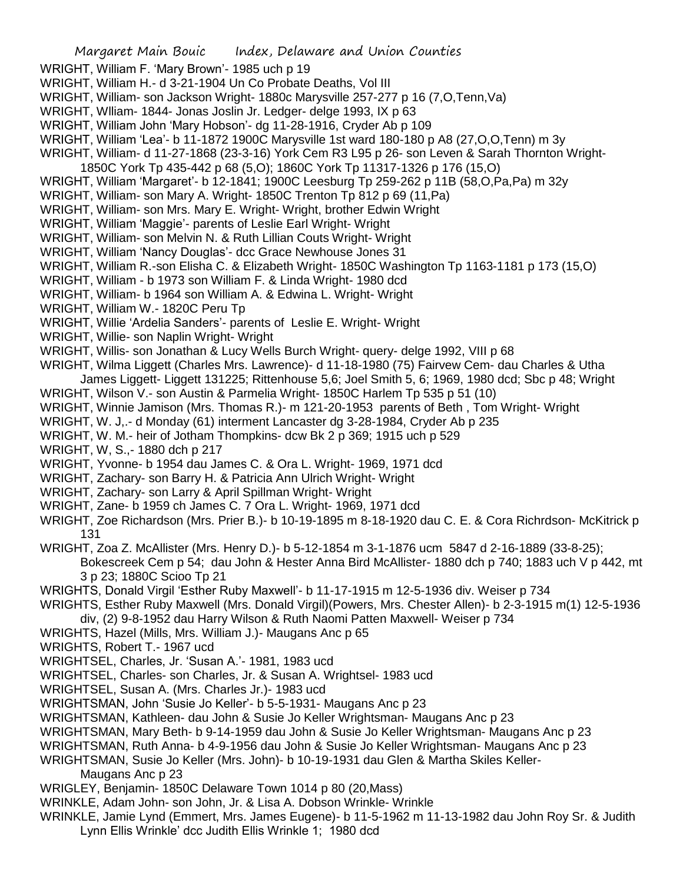- WRIGHT, William F. 'Mary Brown'- 1985 uch p 19
- WRIGHT, William H.- d 3-21-1904 Un Co Probate Deaths, Vol III
- WRIGHT, William- son Jackson Wright- 1880c Marysville 257-277 p 16 (7,O,Tenn,Va)
- WRIGHT, Wlliam- 1844- Jonas Joslin Jr. Ledger- delge 1993, IX p 63
- WRIGHT, William John 'Mary Hobson'- dg 11-28-1916, Cryder Ab p 109
- WRIGHT, William 'Lea'- b 11-1872 1900C Marysville 1st ward 180-180 p A8 (27,O,O,Tenn) m 3y
- WRIGHT, William- d 11-27-1868 (23-3-16) York Cem R3 L95 p 26- son Leven & Sarah Thornton Wright-1850C York Tp 435-442 p 68 (5,O); 1860C York Tp 11317-1326 p 176 (15,O)
- WRIGHT, William 'Margaret'- b 12-1841; 1900C Leesburg Tp 259-262 p 11B (58,O,Pa,Pa) m 32y
- WRIGHT, William- son Mary A. Wright- 1850C Trenton Tp 812 p 69 (11,Pa)
- WRIGHT, William- son Mrs. Mary E. Wright- Wright, brother Edwin Wright
- WRIGHT, William 'Maggie'- parents of Leslie Earl Wright- Wright
- WRIGHT, William- son Melvin N. & Ruth Lillian Couts Wright- Wright
- WRIGHT, William 'Nancy Douglas'- dcc Grace Newhouse Jones 31
- WRIGHT, William R.-son Elisha C. & Elizabeth Wright- 1850C Washington Tp 1163-1181 p 173 (15,O)
- WRIGHT, William b 1973 son William F. & Linda Wright- 1980 dcd
- WRIGHT, William- b 1964 son William A. & Edwina L. Wright- Wright
- WRIGHT, William W.- 1820C Peru Tp
- WRIGHT, Willie 'Ardelia Sanders'- parents of Leslie E. Wright- Wright
- WRIGHT, Willie- son Naplin Wright- Wright
- WRIGHT, Willis- son Jonathan & Lucy Wells Burch Wright- query- delge 1992, VIII p 68
- WRIGHT, Wilma Liggett (Charles Mrs. Lawrence)- d 11-18-1980 (75) Fairvew Cem- dau Charles & Utha
- James Liggett- Liggett 131225; Rittenhouse 5,6; Joel Smith 5, 6; 1969, 1980 dcd; Sbc p 48; Wright WRIGHT, Wilson V.- son Austin & Parmelia Wright- 1850C Harlem Tp 535 p 51 (10)
- WRIGHT, Winnie Jamison (Mrs. Thomas R.)- m 121-20-1953 parents of Beth , Tom Wright- Wright
- WRIGHT, W. J,.- d Monday (61) interment Lancaster dg 3-28-1984, Cryder Ab p 235
- WRIGHT, W. M.- heir of Jotham Thompkins- dcw Bk 2 p 369; 1915 uch p 529
- WRIGHT, W, S.,- 1880 dch p 217
- WRIGHT, Yvonne- b 1954 dau James C. & Ora L. Wright- 1969, 1971 dcd
- WRIGHT, Zachary- son Barry H. & Patricia Ann Ulrich Wright- Wright
- WRIGHT, Zachary- son Larry & April Spillman Wright- Wright
- WRIGHT, Zane- b 1959 ch James C. 7 Ora L. Wright- 1969, 1971 dcd
- WRIGHT, Zoe Richardson (Mrs. Prier B.)- b 10-19-1895 m 8-18-1920 dau C. E. & Cora Richrdson- McKitrick p 131
- WRIGHT, Zoa Z. McAllister (Mrs. Henry D.)- b 5-12-1854 m 3-1-1876 ucm 5847 d 2-16-1889 (33-8-25); Bokescreek Cem p 54; dau John & Hester Anna Bird McAllister- 1880 dch p 740; 1883 uch V p 442, mt 3 p 23; 1880C Scioo Tp 21
- WRIGHTS, Donald Virgil 'Esther Ruby Maxwell'- b 11-17-1915 m 12-5-1936 div. Weiser p 734
- WRIGHTS, Esther Ruby Maxwell (Mrs. Donald Virgil)(Powers, Mrs. Chester Allen)- b 2-3-1915 m(1) 12-5-1936
- div, (2) 9-8-1952 dau Harry Wilson & Ruth Naomi Patten Maxwell- Weiser p 734
- WRIGHTS, Hazel (Mills, Mrs. William J.)- Maugans Anc p 65
- WRIGHTS, Robert T.- 1967 ucd
- WRIGHTSEL, Charles, Jr. 'Susan A.'- 1981, 1983 ucd
- WRIGHTSEL, Charles- son Charles, Jr. & Susan A. Wrightsel- 1983 ucd
- WRIGHTSEL, Susan A. (Mrs. Charles Jr.)- 1983 ucd
- WRIGHTSMAN, John 'Susie Jo Keller'- b 5-5-1931- Maugans Anc p 23
- WRIGHTSMAN, Kathleen- dau John & Susie Jo Keller Wrightsman- Maugans Anc p 23
- WRIGHTSMAN, Mary Beth- b 9-14-1959 dau John & Susie Jo Keller Wrightsman- Maugans Anc p 23
- WRIGHTSMAN, Ruth Anna- b 4-9-1956 dau John & Susie Jo Keller Wrightsman- Maugans Anc p 23
- WRIGHTSMAN, Susie Jo Keller (Mrs. John)- b 10-19-1931 dau Glen & Martha Skiles Keller-
	- Maugans Anc p 23
- WRIGLEY, Benjamin- 1850C Delaware Town 1014 p 80 (20,Mass)
- WRINKLE, Adam John- son John, Jr. & Lisa A. Dobson Wrinkle- Wrinkle
- WRINKLE, Jamie Lynd (Emmert, Mrs. James Eugene)- b 11-5-1962 m 11-13-1982 dau John Roy Sr. & Judith
	- Lynn Ellis Wrinkle' dcc Judith Ellis Wrinkle 1; 1980 dcd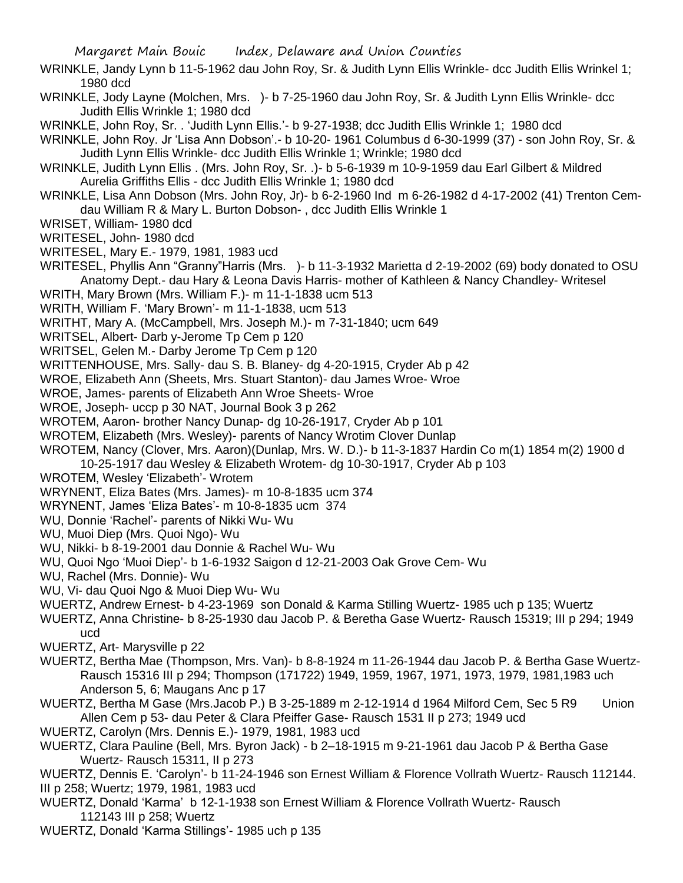- WRINKLE, Jandy Lynn b 11-5-1962 dau John Roy, Sr. & Judith Lynn Ellis Wrinkle- dcc Judith Ellis Wrinkel 1; 1980 dcd
- WRINKLE, Jody Layne (Molchen, Mrs. )- b 7-25-1960 dau John Roy, Sr. & Judith Lynn Ellis Wrinkle- dcc Judith Ellis Wrinkle 1; 1980 dcd
- WRINKLE, John Roy, Sr. . 'Judith Lynn Ellis.'- b 9-27-1938; dcc Judith Ellis Wrinkle 1; 1980 dcd
- WRINKLE, John Roy. Jr 'Lisa Ann Dobson'.- b 10-20- 1961 Columbus d 6-30-1999 (37) son John Roy, Sr. & Judith Lynn Ellis Wrinkle- dcc Judith Ellis Wrinkle 1; Wrinkle; 1980 dcd
- WRINKLE, Judith Lynn Ellis . (Mrs. John Roy, Sr. .)- b 5-6-1939 m 10-9-1959 dau Earl Gilbert & Mildred Aurelia Griffiths Ellis - dcc Judith Ellis Wrinkle 1; 1980 dcd
- WRINKLE, Lisa Ann Dobson (Mrs. John Roy, Jr)- b 6-2-1960 Ind m 6-26-1982 d 4-17-2002 (41) Trenton Cemdau William R & Mary L. Burton Dobson- , dcc Judith Ellis Wrinkle 1
- WRISET, William- 1980 dcd
- WRITESEL, John- 1980 dcd
- WRITESEL, Mary E.- 1979, 1981, 1983 ucd
- WRITESEL, Phyllis Ann "Granny"Harris (Mrs. )- b 11-3-1932 Marietta d 2-19-2002 (69) body donated to OSU Anatomy Dept.- dau Hary & Leona Davis Harris- mother of Kathleen & Nancy Chandley- Writesel
- WRITH, Mary Brown (Mrs. William F.)- m 11-1-1838 ucm 513
- WRITH, William F. 'Mary Brown'- m 11-1-1838, ucm 513
- WRITHT, Mary A. (McCampbell, Mrs. Joseph M.)- m 7-31-1840; ucm 649
- WRITSEL, Albert- Darb y-Jerome Tp Cem p 120
- WRITSEL, Gelen M.- Darby Jerome Tp Cem p 120
- WRITTENHOUSE, Mrs. Sally- dau S. B. Blaney- dg 4-20-1915, Cryder Ab p 42
- WROE, Elizabeth Ann (Sheets, Mrs. Stuart Stanton)- dau James Wroe- Wroe
- WROE, James- parents of Elizabeth Ann Wroe Sheets- Wroe
- WROE, Joseph- uccp p 30 NAT, Journal Book 3 p 262
- WROTEM, Aaron- brother Nancy Dunap- dg 10-26-1917, Cryder Ab p 101
- WROTEM, Elizabeth (Mrs. Wesley)- parents of Nancy Wrotim Clover Dunlap
- WROTEM, Nancy (Clover, Mrs. Aaron)(Dunlap, Mrs. W. D.)- b 11-3-1837 Hardin Co m(1) 1854 m(2) 1900 d
	- 10-25-1917 dau Wesley & Elizabeth Wrotem- dg 10-30-1917, Cryder Ab p 103
- WROTEM, Wesley 'Elizabeth'- Wrotem
- WRYNENT, Eliza Bates (Mrs. James)- m 10-8-1835 ucm 374
- WRYNENT, James 'Eliza Bates'- m 10-8-1835 ucm 374
- WU, Donnie 'Rachel'- parents of Nikki Wu- Wu
- WU, Muoi Diep (Mrs. Quoi Ngo)- Wu
- WU, Nikki- b 8-19-2001 dau Donnie & Rachel Wu- Wu
- WU, Quoi Ngo 'Muoi Diep'- b 1-6-1932 Saigon d 12-21-2003 Oak Grove Cem- Wu
- WU, Rachel (Mrs. Donnie)- Wu
- WU, Vi- dau Quoi Ngo & Muoi Diep Wu- Wu
- WUERTZ, Andrew Ernest- b 4-23-1969 son Donald & Karma Stilling Wuertz- 1985 uch p 135; Wuertz
- WUERTZ, Anna Christine- b 8-25-1930 dau Jacob P. & Beretha Gase Wuertz- Rausch 15319; III p 294; 1949 ucd
- WUERTZ, Art- Marysville p 22
- WUERTZ, Bertha Mae (Thompson, Mrs. Van)- b 8-8-1924 m 11-26-1944 dau Jacob P. & Bertha Gase Wuertz-Rausch 15316 III p 294; Thompson (171722) 1949, 1959, 1967, 1971, 1973, 1979, 1981,1983 uch Anderson 5, 6; Maugans Anc p 17
- WUERTZ, Bertha M Gase (Mrs.Jacob P.) B 3-25-1889 m 2-12-1914 d 1964 Milford Cem, Sec 5 R9 Union Allen Cem p 53- dau Peter & Clara Pfeiffer Gase- Rausch 1531 II p 273; 1949 ucd
- WUERTZ, Carolyn (Mrs. Dennis E.)- 1979, 1981, 1983 ucd
- WUERTZ, Clara Pauline (Bell, Mrs. Byron Jack) b 2–18-1915 m 9-21-1961 dau Jacob P & Bertha Gase Wuertz- Rausch 15311, II p 273
- WUERTZ, Dennis E. 'Carolyn'- b 11-24-1946 son Ernest William & Florence Vollrath Wuertz- Rausch 112144. III p 258; Wuertz; 1979, 1981, 1983 ucd
- WUERTZ, Donald 'Karma' b 12-1-1938 son Ernest William & Florence Vollrath Wuertz- Rausch 112143 III p 258; Wuertz
- WUERTZ, Donald 'Karma Stillings'- 1985 uch p 135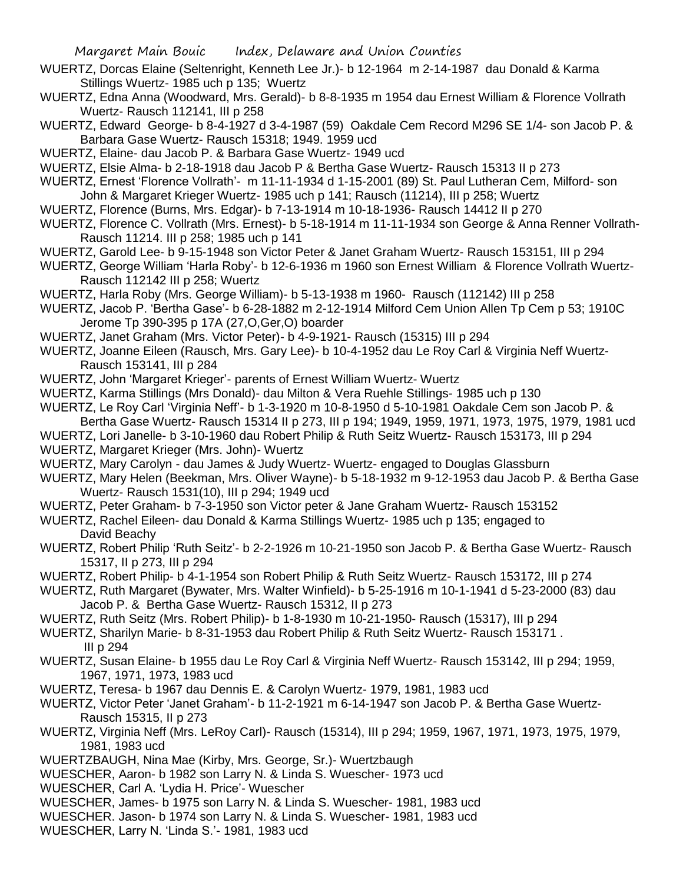- WUERTZ, Dorcas Elaine (Seltenright, Kenneth Lee Jr.)- b 12-1964 m 2-14-1987 dau Donald & Karma Stillings Wuertz- 1985 uch p 135; Wuertz
- WUERTZ, Edna Anna (Woodward, Mrs. Gerald)- b 8-8-1935 m 1954 dau Ernest William & Florence Vollrath Wuertz- Rausch 112141, III p 258
- WUERTZ, Edward George- b 8-4-1927 d 3-4-1987 (59) Oakdale Cem Record M296 SE 1/4- son Jacob P. & Barbara Gase Wuertz- Rausch 15318; 1949. 1959 ucd
- WUERTZ, Elaine- dau Jacob P. & Barbara Gase Wuertz- 1949 ucd
- WUERTZ, Elsie Alma- b 2-18-1918 dau Jacob P & Bertha Gase Wuertz- Rausch 15313 II p 273
- WUERTZ, Ernest 'Florence Vollrath'- m 11-11-1934 d 1-15-2001 (89) St. Paul Lutheran Cem, Milford- son John & Margaret Krieger Wuertz- 1985 uch p 141; Rausch (11214), III p 258; Wuertz
- WUERTZ, Florence (Burns, Mrs. Edgar)- b 7-13-1914 m 10-18-1936- Rausch 14412 II p 270
- WUERTZ, Florence C. Vollrath (Mrs. Ernest)- b 5-18-1914 m 11-11-1934 son George & Anna Renner Vollrath-Rausch 11214. III p 258; 1985 uch p 141
- WUERTZ, Garold Lee- b 9-15-1948 son Victor Peter & Janet Graham Wuertz- Rausch 153151, III p 294
- WUERTZ, George William 'Harla Roby'- b 12-6-1936 m 1960 son Ernest William & Florence Vollrath Wuertz-Rausch 112142 III p 258; Wuertz
- WUERTZ, Harla Roby (Mrs. George William)- b 5-13-1938 m 1960- Rausch (112142) III p 258
- WUERTZ, Jacob P. 'Bertha Gase'- b 6-28-1882 m 2-12-1914 Milford Cem Union Allen Tp Cem p 53; 1910C Jerome Tp 390-395 p 17A (27,O,Ger,O) boarder
- WUERTZ, Janet Graham (Mrs. Victor Peter)- b 4-9-1921- Rausch (15315) III p 294
- WUERTZ, Joanne Eileen (Rausch, Mrs. Gary Lee)- b 10-4-1952 dau Le Roy Carl & Virginia Neff Wuertz-Rausch 153141, III p 284
- WUERTZ, John 'Margaret Krieger'- parents of Ernest William Wuertz- Wuertz
- WUERTZ, Karma Stillings (Mrs Donald)- dau Milton & Vera Ruehle Stillings- 1985 uch p 130
- WUERTZ, Le Roy Carl 'Virginia Neff'- b 1-3-1920 m 10-8-1950 d 5-10-1981 Oakdale Cem son Jacob P. & Bertha Gase Wuertz- Rausch 15314 II p 273, III p 194; 1949, 1959, 1971, 1973, 1975, 1979, 1981 ucd
- WUERTZ, Lori Janelle- b 3-10-1960 dau Robert Philip & Ruth Seitz Wuertz- Rausch 153173, III p 294
- WUERTZ, Margaret Krieger (Mrs. John)- Wuertz
- WUERTZ, Mary Carolyn dau James & Judy Wuertz- Wuertz- engaged to Douglas Glassburn
- WUERTZ, Mary Helen (Beekman, Mrs. Oliver Wayne)- b 5-18-1932 m 9-12-1953 dau Jacob P. & Bertha Gase Wuertz- Rausch 1531(10), III p 294; 1949 ucd
- WUERTZ, Peter Graham- b 7-3-1950 son Victor peter & Jane Graham Wuertz- Rausch 153152
- WUERTZ, Rachel Eileen- dau Donald & Karma Stillings Wuertz- 1985 uch p 135; engaged to David Beachy
- WUERTZ, Robert Philip 'Ruth Seitz'- b 2-2-1926 m 10-21-1950 son Jacob P. & Bertha Gase Wuertz- Rausch 15317, II p 273, III p 294
- WUERTZ, Robert Philip- b 4-1-1954 son Robert Philip & Ruth Seitz Wuertz- Rausch 153172, III p 274
- WUERTZ, Ruth Margaret (Bywater, Mrs. Walter Winfield)- b 5-25-1916 m 10-1-1941 d 5-23-2000 (83) dau Jacob P. & Bertha Gase Wuertz- Rausch 15312, II p 273
- WUERTZ, Ruth Seitz (Mrs. Robert Philip)- b 1-8-1930 m 10-21-1950- Rausch (15317), III p 294
- WUERTZ, Sharilyn Marie- b 8-31-1953 dau Robert Philip & Ruth Seitz Wuertz- Rausch 153171 . III p 294
- WUERTZ, Susan Elaine- b 1955 dau Le Roy Carl & Virginia Neff Wuertz- Rausch 153142, III p 294; 1959, 1967, 1971, 1973, 1983 ucd
- WUERTZ, Teresa- b 1967 dau Dennis E. & Carolyn Wuertz- 1979, 1981, 1983 ucd
- WUERTZ, Victor Peter 'Janet Graham'- b 11-2-1921 m 6-14-1947 son Jacob P. & Bertha Gase Wuertz-Rausch 15315, II p 273
- WUERTZ, Virginia Neff (Mrs. LeRoy Carl)- Rausch (15314), III p 294; 1959, 1967, 1971, 1973, 1975, 1979, 1981, 1983 ucd
- WUERTZBAUGH, Nina Mae (Kirby, Mrs. George, Sr.)- Wuertzbaugh
- WUESCHER, Aaron- b 1982 son Larry N. & Linda S. Wuescher- 1973 ucd
- WUESCHER, Carl A. 'Lydia H. Price'- Wuescher
- WUESCHER, James- b 1975 son Larry N. & Linda S. Wuescher- 1981, 1983 ucd
- WUESCHER. Jason- b 1974 son Larry N. & Linda S. Wuescher- 1981, 1983 ucd
- WUESCHER, Larry N. 'Linda S.'- 1981, 1983 ucd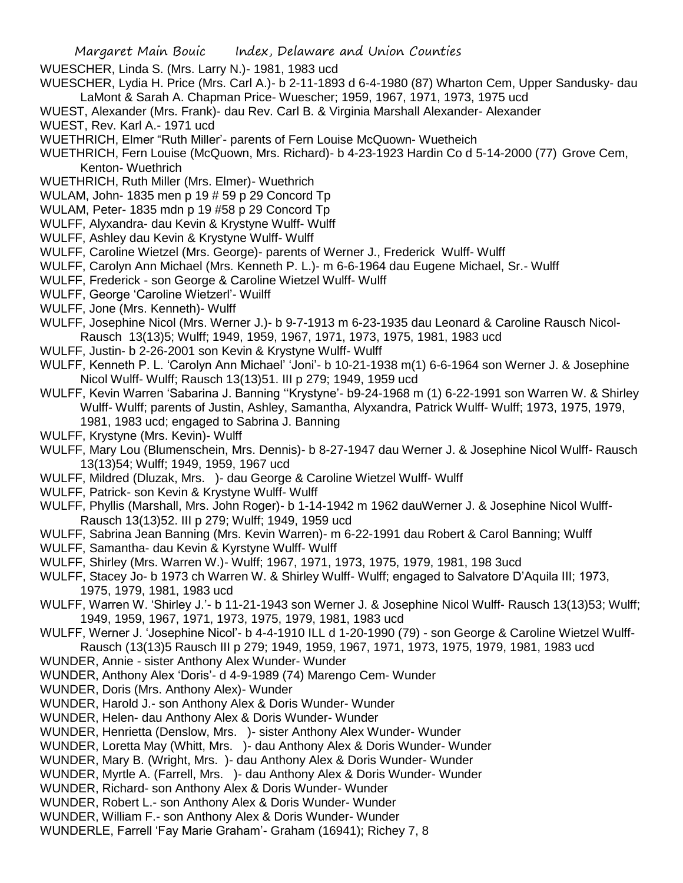WUESCHER, Linda S. (Mrs. Larry N.)- 1981, 1983 ucd

- WUESCHER, Lydia H. Price (Mrs. Carl A.)- b 2-11-1893 d 6-4-1980 (87) Wharton Cem, Upper Sandusky- dau LaMont & Sarah A. Chapman Price- Wuescher; 1959, 1967, 1971, 1973, 1975 ucd
- WUEST, Alexander (Mrs. Frank)- dau Rev. Carl B. & Virginia Marshall Alexander- Alexander
- WUEST, Rev. Karl A.- 1971 ucd
- WUETHRICH, Elmer "Ruth Miller'- parents of Fern Louise McQuown- Wuetheich

WUETHRICH, Fern Louise (McQuown, Mrs. Richard)- b 4-23-1923 Hardin Co d 5-14-2000 (77) Grove Cem, Kenton- Wuethrich

- WUETHRICH, Ruth Miller (Mrs. Elmer)- Wuethrich
- WULAM, John- 1835 men p 19 # 59 p 29 Concord Tp
- WULAM, Peter- 1835 mdn p 19 #58 p 29 Concord Tp
- WULFF, Alyxandra- dau Kevin & Krystyne Wulff- Wulff
- WULFF, Ashley dau Kevin & Krystyne Wulff- Wulff
- WULFF, Caroline Wietzel (Mrs. George)- parents of Werner J., Frederick Wulff- Wulff
- WULFF, Carolyn Ann Michael (Mrs. Kenneth P. L.)- m 6-6-1964 dau Eugene Michael, Sr.- Wulff
- WULFF, Frederick son George & Caroline Wietzel Wulff- Wulff
- WULFF, George 'Caroline Wietzerl'- Wuilff
- WULFF, Jone (Mrs. Kenneth)- Wulff

WULFF, Josephine Nicol (Mrs. Werner J.)- b 9-7-1913 m 6-23-1935 dau Leonard & Caroline Rausch Nicol-Rausch 13(13)5; Wulff; 1949, 1959, 1967, 1971, 1973, 1975, 1981, 1983 ucd

- WULFF, Justin- b 2-26-2001 son Kevin & Krystyne Wulff- Wulff
- WULFF, Kenneth P. L. 'Carolyn Ann Michael' 'Joni'- b 10-21-1938 m(1) 6-6-1964 son Werner J. & Josephine Nicol Wulff- Wulff; Rausch 13(13)51. III p 279; 1949, 1959 ucd
- WULFF, Kevin Warren 'Sabarina J. Banning ''Krystyne'- b9-24-1968 m (1) 6-22-1991 son Warren W. & Shirley Wulff- Wulff; parents of Justin, Ashley, Samantha, Alyxandra, Patrick Wulff- Wulff; 1973, 1975, 1979, 1981, 1983 ucd; engaged to Sabrina J. Banning
- WULFF, Krystyne (Mrs. Kevin)- Wulff
- WULFF, Mary Lou (Blumenschein, Mrs. Dennis)- b 8-27-1947 dau Werner J. & Josephine Nicol Wulff- Rausch 13(13)54; Wulff; 1949, 1959, 1967 ucd
- WULFF, Mildred (Dluzak, Mrs. )- dau George & Caroline Wietzel Wulff- Wulff
- WULFF, Patrick- son Kevin & Krystyne Wulff- Wulff
- WULFF, Phyllis (Marshall, Mrs. John Roger)- b 1-14-1942 m 1962 dauWerner J. & Josephine Nicol Wulff-Rausch 13(13)52. III p 279; Wulff; 1949, 1959 ucd
- WULFF, Sabrina Jean Banning (Mrs. Kevin Warren)- m 6-22-1991 dau Robert & Carol Banning; Wulff
- WULFF, Samantha- dau Kevin & Kyrstyne Wulff- Wulff
- WULFF, Shirley (Mrs. Warren W.)- Wulff; 1967, 1971, 1973, 1975, 1979, 1981, 198 3ucd
- WULFF, Stacey Jo- b 1973 ch Warren W. & Shirley Wulff- Wulff; engaged to Salvatore D'Aquila III; 1973, 1975, 1979, 1981, 1983 ucd
- WULFF, Warren W. 'Shirley J.'- b 11-21-1943 son Werner J. & Josephine Nicol Wulff- Rausch 13(13)53; Wulff; 1949, 1959, 1967, 1971, 1973, 1975, 1979, 1981, 1983 ucd
- WULFF, Werner J. 'Josephine Nicol'- b 4-4-1910 ILL d 1-20-1990 (79) son George & Caroline Wietzel Wulff-Rausch (13(13)5 Rausch III p 279; 1949, 1959, 1967, 1971, 1973, 1975, 1979, 1981, 1983 ucd
- WUNDER, Annie sister Anthony Alex Wunder- Wunder
- WUNDER, Anthony Alex 'Doris'- d 4-9-1989 (74) Marengo Cem- Wunder
- WUNDER, Doris (Mrs. Anthony Alex)- Wunder
- WUNDER, Harold J.- son Anthony Alex & Doris Wunder- Wunder
- WUNDER, Helen- dau Anthony Alex & Doris Wunder- Wunder
- WUNDER, Henrietta (Denslow, Mrs. )- sister Anthony Alex Wunder- Wunder
- WUNDER, Loretta May (Whitt, Mrs. )- dau Anthony Alex & Doris Wunder- Wunder
- WUNDER, Mary B. (Wright, Mrs. )- dau Anthony Alex & Doris Wunder- Wunder
- WUNDER, Myrtle A. (Farrell, Mrs. )- dau Anthony Alex & Doris Wunder- Wunder
- WUNDER, Richard- son Anthony Alex & Doris Wunder- Wunder
- WUNDER, Robert L.- son Anthony Alex & Doris Wunder- Wunder
- WUNDER, William F.- son Anthony Alex & Doris Wunder- Wunder
- WUNDERLE, Farrell 'Fay Marie Graham'- Graham (16941); Richey 7, 8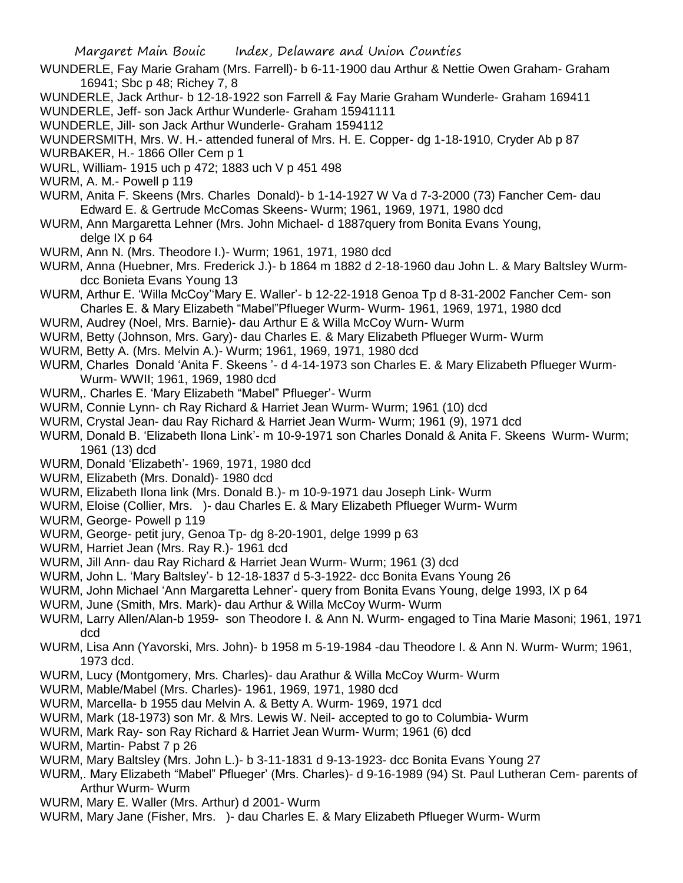- WUNDERLE, Fay Marie Graham (Mrs. Farrell)- b 6-11-1900 dau Arthur & Nettie Owen Graham- Graham 16941; Sbc p 48; Richey 7, 8
- WUNDERLE, Jack Arthur- b 12-18-1922 son Farrell & Fay Marie Graham Wunderle- Graham 169411
- WUNDERLE, Jeff- son Jack Arthur Wunderle- Graham 15941111
- WUNDERLE, Jill- son Jack Arthur Wunderle- Graham 1594112
- WUNDERSMITH, Mrs. W. H.- attended funeral of Mrs. H. E. Copper- dg 1-18-1910, Cryder Ab p 87 WURBAKER, H.- 1866 Oller Cem p 1
- 
- WURL, William- 1915 uch p 472; 1883 uch V p 451 498
- WURM, A. M.- Powell p 119
- WURM, Anita F. Skeens (Mrs. Charles Donald)- b 1-14-1927 W Va d 7-3-2000 (73) Fancher Cem- dau Edward E. & Gertrude McComas Skeens- Wurm; 1961, 1969, 1971, 1980 dcd
- WURM, Ann Margaretta Lehner (Mrs. John Michael- d 1887query from Bonita Evans Young, delge IX p 64
- WURM, Ann N. (Mrs. Theodore I.)- Wurm; 1961, 1971, 1980 dcd
- WURM, Anna (Huebner, Mrs. Frederick J.)- b 1864 m 1882 d 2-18-1960 dau John L. & Mary Baltsley Wurmdcc Bonieta Evans Young 13
- WURM, Arthur E. 'Willa McCoy''Mary E. Waller'- b 12-22-1918 Genoa Tp d 8-31-2002 Fancher Cem- son Charles E. & Mary Elizabeth "Mabel"Pflueger Wurm- Wurm- 1961, 1969, 1971, 1980 dcd
- WURM, Audrey (Noel, Mrs. Barnie)- dau Arthur E & Willa McCoy Wurn- Wurm
- WURM, Betty (Johnson, Mrs. Gary)- dau Charles E. & Mary Elizabeth Pflueger Wurm- Wurm
- WURM, Betty A. (Mrs. Melvin A.)- Wurm; 1961, 1969, 1971, 1980 dcd
- WURM, Charles Donald 'Anita F. Skeens '- d 4-14-1973 son Charles E. & Mary Elizabeth Pflueger Wurm-Wurm- WWII; 1961, 1969, 1980 dcd
- WURM,. Charles E. 'Mary Elizabeth "Mabel" Pflueger'- Wurm
- WURM, Connie Lynn- ch Ray Richard & Harriet Jean Wurm- Wurm; 1961 (10) dcd
- WURM, Crystal Jean- dau Ray Richard & Harriet Jean Wurm- Wurm; 1961 (9), 1971 dcd
- WURM, Donald B. 'Elizabeth Ilona Link'- m 10-9-1971 son Charles Donald & Anita F. Skeens Wurm- Wurm; 1961 (13) dcd
- WURM, Donald 'Elizabeth'- 1969, 1971, 1980 dcd
- WURM, Elizabeth (Mrs. Donald)- 1980 dcd
- WURM, Elizabeth Ilona link (Mrs. Donald B.)- m 10-9-1971 dau Joseph Link- Wurm
- WURM, Eloise (Collier, Mrs. )- dau Charles E. & Mary Elizabeth Pflueger Wurm- Wurm
- WURM, George- Powell p 119
- WURM, George- petit jury, Genoa Tp- dg 8-20-1901, delge 1999 p 63
- WURM, Harriet Jean (Mrs. Ray R.)- 1961 dcd
- WURM, Jill Ann- dau Ray Richard & Harriet Jean Wurm- Wurm; 1961 (3) dcd
- WURM, John L. 'Mary Baltsley'- b 12-18-1837 d 5-3-1922- dcc Bonita Evans Young 26
- WURM, John Michael 'Ann Margaretta Lehner'- query from Bonita Evans Young, delge 1993, IX p 64
- WURM, June (Smith, Mrs. Mark)- dau Arthur & Willa McCoy Wurm- Wurm
- WURM, Larry Allen/Alan-b 1959- son Theodore I. & Ann N. Wurm- engaged to Tina Marie Masoni; 1961, 1971 dcd
- WURM, Lisa Ann (Yavorski, Mrs. John)- b 1958 m 5-19-1984 -dau Theodore I. & Ann N. Wurm- Wurm; 1961, 1973 dcd.
- WURM, Lucy (Montgomery, Mrs. Charles)- dau Arathur & Willa McCoy Wurm- Wurm
- WURM, Mable/Mabel (Mrs. Charles)- 1961, 1969, 1971, 1980 dcd
- WURM, Marcella- b 1955 dau Melvin A. & Betty A. Wurm- 1969, 1971 dcd
- WURM, Mark (18-1973) son Mr. & Mrs. Lewis W. Neil- accepted to go to Columbia- Wurm
- WURM, Mark Ray- son Ray Richard & Harriet Jean Wurm- Wurm; 1961 (6) dcd
- WURM, Martin- Pabst 7 p 26
- WURM, Mary Baltsley (Mrs. John L.)- b 3-11-1831 d 9-13-1923- dcc Bonita Evans Young 27
- WURM,. Mary Elizabeth "Mabel" Pflueger' (Mrs. Charles)- d 9-16-1989 (94) St. Paul Lutheran Cem- parents of Arthur Wurm- Wurm
- WURM, Mary E. Waller (Mrs. Arthur) d 2001- Wurm
- WURM, Mary Jane (Fisher, Mrs. )- dau Charles E. & Mary Elizabeth Pflueger Wurm- Wurm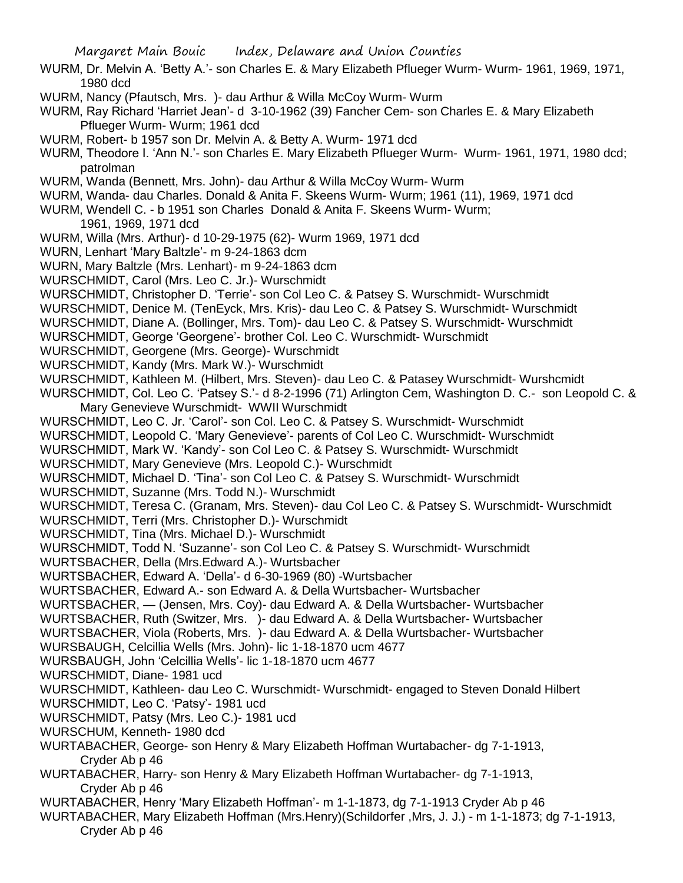WURM, Dr. Melvin A. 'Betty A.'- son Charles E. & Mary Elizabeth Pflueger Wurm- Wurm- 1961, 1969, 1971, 1980 dcd

WURM, Nancy (Pfautsch, Mrs. )- dau Arthur & Willa McCoy Wurm- Wurm

WURM, Ray Richard 'Harriet Jean'- d 3-10-1962 (39) Fancher Cem- son Charles E. & Mary Elizabeth Pflueger Wurm- Wurm; 1961 dcd

WURM, Robert- b 1957 son Dr. Melvin A. & Betty A. Wurm- 1971 dcd

WURM, Theodore I. 'Ann N.'- son Charles E. Mary Elizabeth Pflueger Wurm- Wurm- 1961, 1971, 1980 dcd; patrolman

- WURM, Wanda (Bennett, Mrs. John)- dau Arthur & Willa McCoy Wurm- Wurm
- WURM, Wanda- dau Charles. Donald & Anita F. Skeens Wurm- Wurm; 1961 (11), 1969, 1971 dcd
- WURM, Wendell C. b 1951 son Charles Donald & Anita F. Skeens Wurm- Wurm;

1961, 1969, 1971 dcd

- WURM, Willa (Mrs. Arthur)- d 10-29-1975 (62)- Wurm 1969, 1971 dcd
- WURN, Lenhart 'Mary Baltzle'- m 9-24-1863 dcm
- WURN, Mary Baltzle (Mrs. Lenhart)- m 9-24-1863 dcm
- WURSCHMIDT, Carol (Mrs. Leo C. Jr.)- Wurschmidt
- WURSCHMIDT, Christopher D. 'Terrie'- son Col Leo C. & Patsey S. Wurschmidt- Wurschmidt
- WURSCHMIDT, Denice M. (TenEyck, Mrs. Kris)- dau Leo C. & Patsey S. Wurschmidt- Wurschmidt
- WURSCHMIDT, Diane A. (Bollinger, Mrs. Tom)- dau Leo C. & Patsey S. Wurschmidt- Wurschmidt
- WURSCHMIDT, George 'Georgene'- brother Col. Leo C. Wurschmidt- Wurschmidt
- WURSCHMIDT, Georgene (Mrs. George)- Wurschmidt
- WURSCHMIDT, Kandy (Mrs. Mark W.)- Wurschmidt
- WURSCHMIDT, Kathleen M. (Hilbert, Mrs. Steven)- dau Leo C. & Patasey Wurschmidt- Wurshcmidt
- WURSCHMIDT, Col. Leo C. 'Patsey S.'- d 8-2-1996 (71) Arlington Cem, Washington D. C.- son Leopold C. & Mary Genevieve Wurschmidt- WWII Wurschmidt
- WURSCHMIDT, Leo C. Jr. 'Carol'- son Col. Leo C. & Patsey S. Wurschmidt- Wurschmidt
- WURSCHMIDT, Leopold C. 'Mary Genevieve'- parents of Col Leo C. Wurschmidt- Wurschmidt
- WURSCHMIDT, Mark W. 'Kandy'- son Col Leo C. & Patsey S. Wurschmidt- Wurschmidt
- WURSCHMIDT, Mary Genevieve (Mrs. Leopold C.)- Wurschmidt
- WURSCHMIDT, Michael D. 'Tina'- son Col Leo C. & Patsey S. Wurschmidt- Wurschmidt
- WURSCHMIDT, Suzanne (Mrs. Todd N.)- Wurschmidt
- WURSCHMIDT, Teresa C. (Granam, Mrs. Steven)- dau Col Leo C. & Patsey S. Wurschmidt- Wurschmidt
- WURSCHMIDT, Terri (Mrs. Christopher D.)- Wurschmidt
- WURSCHMIDT, Tina (Mrs. Michael D.)- Wurschmidt
- WURSCHMIDT, Todd N. 'Suzanne'- son Col Leo C. & Patsey S. Wurschmidt- Wurschmidt
- WURTSBACHER, Della (Mrs.Edward A.)- Wurtsbacher
- WURTSBACHER, Edward A. 'Della'- d 6-30-1969 (80) -Wurtsbacher
- WURTSBACHER, Edward A.- son Edward A. & Della Wurtsbacher- Wurtsbacher
- WURTSBACHER, (Jensen, Mrs. Coy)- dau Edward A. & Della Wurtsbacher- Wurtsbacher
- WURTSBACHER, Ruth (Switzer, Mrs. )- dau Edward A. & Della Wurtsbacher- Wurtsbacher
- WURTSBACHER, Viola (Roberts, Mrs. )- dau Edward A. & Della Wurtsbacher- Wurtsbacher
- WURSBAUGH, Celcillia Wells (Mrs. John)- lic 1-18-1870 ucm 4677
- WURSBAUGH, John 'Celcillia Wells'- lic 1-18-1870 ucm 4677
- WURSCHMIDT, Diane- 1981 ucd
- WURSCHMIDT, Kathleen- dau Leo C. Wurschmidt- Wurschmidt- engaged to Steven Donald Hilbert WURSCHMIDT, Leo C. 'Patsy'- 1981 ucd
- WURSCHMIDT, Patsy (Mrs. Leo C.)- 1981 ucd
- WURSCHUM, Kenneth- 1980 dcd
- WURTABACHER, George- son Henry & Mary Elizabeth Hoffman Wurtabacher- dg 7-1-1913, Cryder Ab p 46
- WURTABACHER, Harry- son Henry & Mary Elizabeth Hoffman Wurtabacher- dg 7-1-1913, Cryder Ab p 46
- WURTABACHER, Henry 'Mary Elizabeth Hoffman'- m 1-1-1873, dg 7-1-1913 Cryder Ab p 46
- WURTABACHER, Mary Elizabeth Hoffman (Mrs.Henry)(Schildorfer ,Mrs, J. J.) m 1-1-1873; dg 7-1-1913, Cryder Ab p 46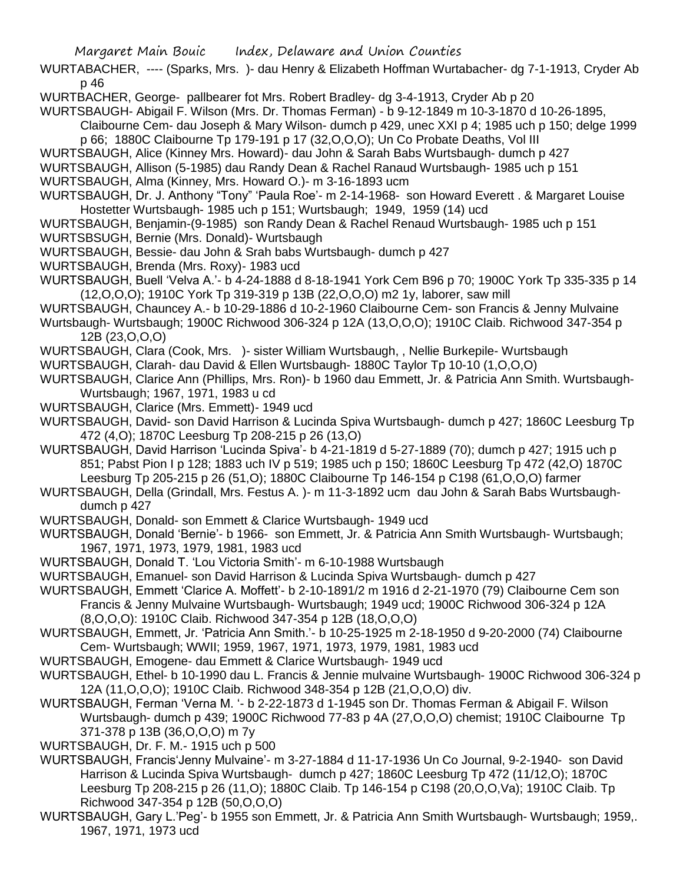WURTABACHER, ---- (Sparks, Mrs. )- dau Henry & Elizabeth Hoffman Wurtabacher- dg 7-1-1913, Cryder Ab p 46

WURTBACHER, George- pallbearer fot Mrs. Robert Bradley- dg 3-4-1913, Cryder Ab p 20

WURTSBAUGH- Abigail F. Wilson (Mrs. Dr. Thomas Ferman) - b 9-12-1849 m 10-3-1870 d 10-26-1895,

Claibourne Cem- dau Joseph & Mary Wilson- dumch p 429, unec XXI p 4; 1985 uch p 150; delge 1999 p 66; 1880C Claibourne Tp 179-191 p 17 (32,O,O,O); Un Co Probate Deaths, Vol III

WURTSBAUGH, Alice (Kinney Mrs. Howard)- dau John & Sarah Babs Wurtsbaugh- dumch p 427

WURTSBAUGH, Allison (5-1985) dau Randy Dean & Rachel Ranaud Wurtsbaugh- 1985 uch p 151

WURTSBAUGH, Alma (Kinney, Mrs. Howard O.)- m 3-16-1893 ucm

- WURTSBAUGH, Dr. J. Anthony "Tony" 'Paula Roe'- m 2-14-1968- son Howard Everett . & Margaret Louise Hostetter Wurtsbaugh- 1985 uch p 151; Wurtsbaugh; 1949, 1959 (14) ucd
- WURTSBAUGH, Benjamin-(9-1985) son Randy Dean & Rachel Renaud Wurtsbaugh- 1985 uch p 151 WURTSBSUGH, Bernie (Mrs. Donald)- Wurtsbaugh
- WURTSBAUGH, Bessie- dau John & Srah babs Wurtsbaugh- dumch p 427
- WURTSBAUGH, Brenda (Mrs. Roxy)- 1983 ucd

WURTSBAUGH, Buell 'Velva A.'- b 4-24-1888 d 8-18-1941 York Cem B96 p 70; 1900C York Tp 335-335 p 14 (12,O,O,O); 1910C York Tp 319-319 p 13B (22,O,O,O) m2 1y, laborer, saw mill

WURTSBAUGH, Chauncey A.- b 10-29-1886 d 10-2-1960 Claibourne Cem- son Francis & Jenny Mulvaine

Wurtsbaugh- Wurtsbaugh; 1900C Richwood 306-324 p 12A (13,O,O,O); 1910C Claib. Richwood 347-354 p 12B (23,O,O,O)

- WURTSBAUGH, Clara (Cook, Mrs. )- sister William Wurtsbaugh, , Nellie Burkepile- Wurtsbaugh
- WURTSBAUGH, Clarah- dau David & Ellen Wurtsbaugh- 1880C Taylor Tp 10-10 (1,O,O,O)

WURTSBAUGH, Clarice Ann (Phillips, Mrs. Ron)- b 1960 dau Emmett, Jr. & Patricia Ann Smith. Wurtsbaugh-Wurtsbaugh; 1967, 1971, 1983 u cd

- WURTSBAUGH, Clarice (Mrs. Emmett)- 1949 ucd
- WURTSBAUGH, David- son David Harrison & Lucinda Spiva Wurtsbaugh- dumch p 427; 1860C Leesburg Tp 472 (4,O); 1870C Leesburg Tp 208-215 p 26 (13,O)
- WURTSBAUGH, David Harrison 'Lucinda Spiva'- b 4-21-1819 d 5-27-1889 (70); dumch p 427; 1915 uch p 851; Pabst Pion I p 128; 1883 uch IV p 519; 1985 uch p 150; 1860C Leesburg Tp 472 (42,O) 1870C Leesburg Tp 205-215 p 26 (51,O); 1880C Claibourne Tp 146-154 p C198 (61,O,O,O) farmer
- WURTSBAUGH, Della (Grindall, Mrs. Festus A. )- m 11-3-1892 ucm dau John & Sarah Babs Wurtsbaughdumch p 427
- WURTSBAUGH, Donald- son Emmett & Clarice Wurtsbaugh- 1949 ucd

WURTSBAUGH, Donald 'Bernie'- b 1966- son Emmett, Jr. & Patricia Ann Smith Wurtsbaugh- Wurtsbaugh; 1967, 1971, 1973, 1979, 1981, 1983 ucd

- WURTSBAUGH, Donald T. 'Lou Victoria Smith'- m 6-10-1988 Wurtsbaugh
- WURTSBAUGH, Emanuel- son David Harrison & Lucinda Spiva Wurtsbaugh- dumch p 427
- WURTSBAUGH, Emmett 'Clarice A. Moffett'- b 2-10-1891/2 m 1916 d 2-21-1970 (79) Claibourne Cem son Francis & Jenny Mulvaine Wurtsbaugh- Wurtsbaugh; 1949 ucd; 1900C Richwood 306-324 p 12A (8,O,O,O): 1910C Claib. Richwood 347-354 p 12B (18,O,O,O)

WURTSBAUGH, Emmett, Jr. 'Patricia Ann Smith.'- b 10-25-1925 m 2-18-1950 d 9-20-2000 (74) Claibourne Cem- Wurtsbaugh; WWII; 1959, 1967, 1971, 1973, 1979, 1981, 1983 ucd

- WURTSBAUGH, Emogene- dau Emmett & Clarice Wurtsbaugh- 1949 ucd
- WURTSBAUGH, Ethel- b 10-1990 dau L. Francis & Jennie mulvaine Wurtsbaugh- 1900C Richwood 306-324 p 12A (11,O,O,O); 1910C Claib. Richwood 348-354 p 12B (21,O,O,O) div.
- WURTSBAUGH, Ferman 'Verna M. '- b 2-22-1873 d 1-1945 son Dr. Thomas Ferman & Abigail F. Wilson Wurtsbaugh- dumch p 439; 1900C Richwood 77-83 p 4A (27,O,O,O) chemist; 1910C Claibourne Tp 371-378 p 13B (36,O,O,O) m 7y
- WURTSBAUGH, Dr. F. M.- 1915 uch p 500
- WURTSBAUGH, Francis'Jenny Mulvaine'- m 3-27-1884 d 11-17-1936 Un Co Journal, 9-2-1940- son David Harrison & Lucinda Spiva Wurtsbaugh- dumch p 427; 1860C Leesburg Tp 472 (11/12,O); 1870C Leesburg Tp 208-215 p 26 (11,O); 1880C Claib. Tp 146-154 p C198 (20,O,O,Va); 1910C Claib. Tp Richwood 347-354 p 12B (50,O,O,O)
- WURTSBAUGH, Gary L.'Peg'- b 1955 son Emmett, Jr. & Patricia Ann Smith Wurtsbaugh- Wurtsbaugh; 1959,. 1967, 1971, 1973 ucd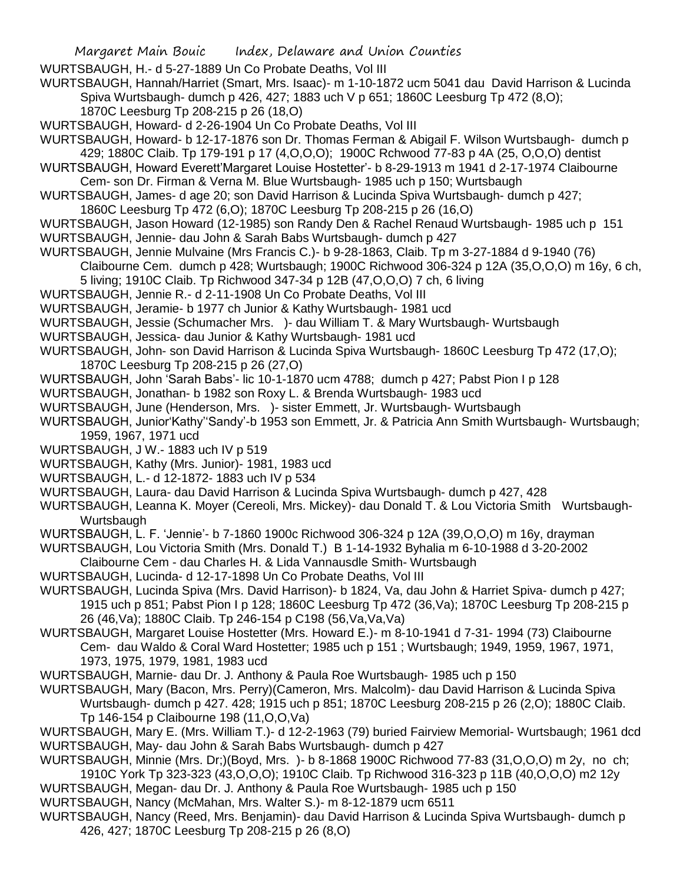WURTSBAUGH, H.- d 5-27-1889 Un Co Probate Deaths, Vol III

WURTSBAUGH, Hannah/Harriet (Smart, Mrs. Isaac)- m 1-10-1872 ucm 5041 dau David Harrison & Lucinda Spiva Wurtsbaugh- dumch p 426, 427; 1883 uch V p 651; 1860C Leesburg Tp 472 (8,O); 1870C Leesburg Tp 208-215 p 26 (18,O)

WURTSBAUGH, Howard- d 2-26-1904 Un Co Probate Deaths, Vol III

WURTSBAUGH, Howard- b 12-17-1876 son Dr. Thomas Ferman & Abigail F. Wilson Wurtsbaugh- dumch p 429; 1880C Claib. Tp 179-191 p 17 (4,O,O,O); 1900C Rchwood 77-83 p 4A (25, O,O,O) dentist

- WURTSBAUGH, Howard Everett'Margaret Louise Hostetter'- b 8-29-1913 m 1941 d 2-17-1974 Claibourne Cem- son Dr. Firman & Verna M. Blue Wurtsbaugh- 1985 uch p 150; Wurtsbaugh
- WURTSBAUGH, James- d age 20; son David Harrison & Lucinda Spiva Wurtsbaugh- dumch p 427; 1860C Leesburg Tp 472 (6,O); 1870C Leesburg Tp 208-215 p 26 (16,O)
- WURTSBAUGH, Jason Howard (12-1985) son Randy Den & Rachel Renaud Wurtsbaugh- 1985 uch p 151 WURTSBAUGH, Jennie- dau John & Sarah Babs Wurtsbaugh- dumch p 427
- WURTSBAUGH, Jennie Mulvaine (Mrs Francis C.)- b 9-28-1863, Claib. Tp m 3-27-1884 d 9-1940 (76) Claibourne Cem. dumch p 428; Wurtsbaugh; 1900C Richwood 306-324 p 12A (35,O,O,O) m 16y, 6 ch, 5 living; 1910C Claib. Tp Richwood 347-34 p 12B (47,O,O,O) 7 ch, 6 living
- WURTSBAUGH, Jennie R.- d 2-11-1908 Un Co Probate Deaths, Vol III
- WURTSBAUGH, Jeramie- b 1977 ch Junior & Kathy Wurtsbaugh- 1981 ucd
- WURTSBAUGH, Jessie (Schumacher Mrs. )- dau William T. & Mary Wurtsbaugh- Wurtsbaugh
- WURTSBAUGH, Jessica- dau Junior & Kathy Wurtsbaugh- 1981 ucd
- WURTSBAUGH, John- son David Harrison & Lucinda Spiva Wurtsbaugh- 1860C Leesburg Tp 472 (17,O); 1870C Leesburg Tp 208-215 p 26 (27,O)
- WURTSBAUGH, John 'Sarah Babs'- lic 10-1-1870 ucm 4788; dumch p 427; Pabst Pion I p 128
- WURTSBAUGH, Jonathan- b 1982 son Roxy L. & Brenda Wurtsbaugh- 1983 ucd
- WURTSBAUGH, June (Henderson, Mrs. )- sister Emmett, Jr. Wurtsbaugh- Wurtsbaugh
- WURTSBAUGH, Junior'Kathy''Sandy'-b 1953 son Emmett, Jr. & Patricia Ann Smith Wurtsbaugh- Wurtsbaugh; 1959, 1967, 1971 ucd
- WURTSBAUGH, J W.- 1883 uch IV p 519
- WURTSBAUGH, Kathy (Mrs. Junior)- 1981, 1983 ucd
- WURTSBAUGH, L.- d 12-1872- 1883 uch IV p 534
- WURTSBAUGH, Laura- dau David Harrison & Lucinda Spiva Wurtsbaugh- dumch p 427, 428

WURTSBAUGH, Leanna K. Moyer (Cereoli, Mrs. Mickey)- dau Donald T. & Lou Victoria Smith Wurtsbaugh-Wurtsbaugh

- WURTSBAUGH, L. F. 'Jennie'- b 7-1860 1900c Richwood 306-324 p 12A (39,O,O,O) m 16y, drayman
- WURTSBAUGH, Lou Victoria Smith (Mrs. Donald T.) B 1-14-1932 Byhalia m 6-10-1988 d 3-20-2002
- Claibourne Cem dau Charles H. & Lida Vannausdle Smith- Wurtsbaugh
- WURTSBAUGH, Lucinda- d 12-17-1898 Un Co Probate Deaths, Vol III
- WURTSBAUGH, Lucinda Spiva (Mrs. David Harrison)- b 1824, Va, dau John & Harriet Spiva- dumch p 427; 1915 uch p 851; Pabst Pion I p 128; 1860C Leesburg Tp 472 (36,Va); 1870C Leesburg Tp 208-215 p 26 (46,Va); 1880C Claib. Tp 246-154 p C198 (56,Va,Va,Va)
- WURTSBAUGH, Margaret Louise Hostetter (Mrs. Howard E.)- m 8-10-1941 d 7-31- 1994 (73) Claibourne Cem- dau Waldo & Coral Ward Hostetter; 1985 uch p 151 ; Wurtsbaugh; 1949, 1959, 1967, 1971, 1973, 1975, 1979, 1981, 1983 ucd
- WURTSBAUGH, Marnie- dau Dr. J. Anthony & Paula Roe Wurtsbaugh- 1985 uch p 150
- WURTSBAUGH, Mary (Bacon, Mrs. Perry)(Cameron, Mrs. Malcolm)- dau David Harrison & Lucinda Spiva Wurtsbaugh- dumch p 427. 428; 1915 uch p 851; 1870C Leesburg 208-215 p 26 (2,O); 1880C Claib. Tp 146-154 p Claibourne 198 (11,O,O,Va)
- WURTSBAUGH, Mary E. (Mrs. William T.)- d 12-2-1963 (79) buried Fairview Memorial- Wurtsbaugh; 1961 dcd WURTSBAUGH, May- dau John & Sarah Babs Wurtsbaugh- dumch p 427
- WURTSBAUGH, Minnie (Mrs. Dr;)(Boyd, Mrs. )- b 8-1868 1900C Richwood 77-83 (31,O,O,O) m 2y, no ch; 1910C York Tp 323-323 (43,O,O,O); 1910C Claib. Tp Richwood 316-323 p 11B (40,O,O,O) m2 12y
- WURTSBAUGH, Megan- dau Dr. J. Anthony & Paula Roe Wurtsbaugh- 1985 uch p 150
- WURTSBAUGH, Nancy (McMahan, Mrs. Walter S.)- m 8-12-1879 ucm 6511
- WURTSBAUGH, Nancy (Reed, Mrs. Benjamin)- dau David Harrison & Lucinda Spiva Wurtsbaugh- dumch p 426, 427; 1870C Leesburg Tp 208-215 p 26 (8,O)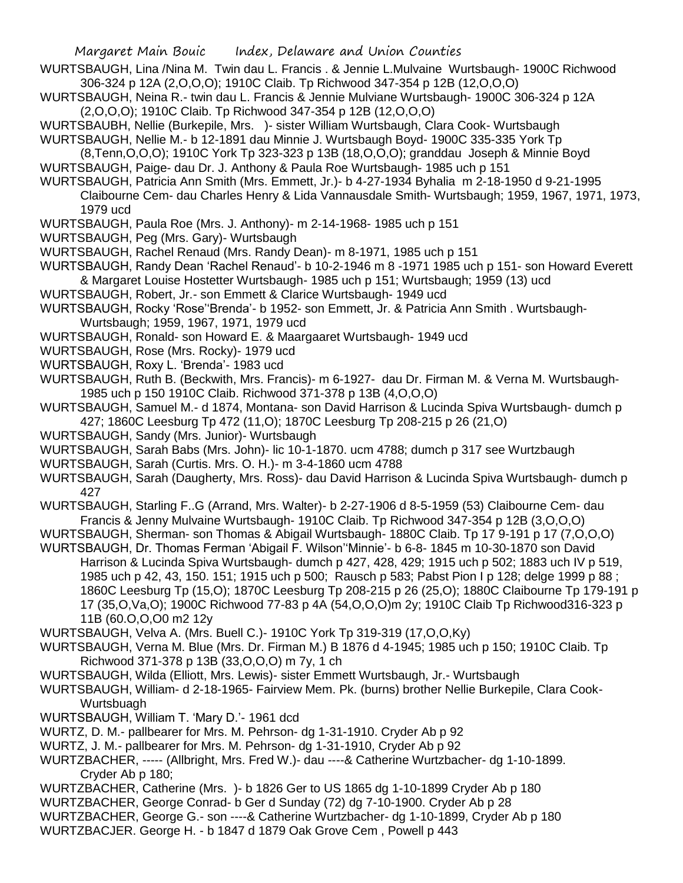- WURTSBAUGH, Lina /Nina M. Twin dau L. Francis . & Jennie L.Mulvaine Wurtsbaugh- 1900C Richwood 306-324 p 12A (2,O,O,O); 1910C Claib. Tp Richwood 347-354 p 12B (12,O,O,O)
- WURTSBAUGH, Neina R.- twin dau L. Francis & Jennie Mulviane Wurtsbaugh- 1900C 306-324 p 12A (2,O,O,O); 1910C Claib. Tp Richwood 347-354 p 12B (12,O,O,O)
- WURTSBAUBH, Nellie (Burkepile, Mrs. )- sister William Wurtsbaugh, Clara Cook- Wurtsbaugh
- WURTSBAUGH, Nellie M.- b 12-1891 dau Minnie J. Wurtsbaugh Boyd- 1900C 335-335 York Tp
- (8,Tenn,O,O,O); 1910C York Tp 323-323 p 13B (18,O,O,O); granddau Joseph & Minnie Boyd WURTSBAUGH, Paige- dau Dr. J. Anthony & Paula Roe Wurtsbaugh- 1985 uch p 151
- WURTSBAUGH, Patricia Ann Smith (Mrs. Emmett, Jr.)- b 4-27-1934 Byhalia m 2-18-1950 d 9-21-1995 Claibourne Cem- dau Charles Henry & Lida Vannausdale Smith- Wurtsbaugh; 1959, 1967, 1971, 1973, 1979 ucd
- WURTSBAUGH, Paula Roe (Mrs. J. Anthony)- m 2-14-1968- 1985 uch p 151
- WURTSBAUGH, Peg (Mrs. Gary)- Wurtsbaugh
- WURTSBAUGH, Rachel Renaud (Mrs. Randy Dean)- m 8-1971, 1985 uch p 151
- WURTSBAUGH, Randy Dean 'Rachel Renaud'- b 10-2-1946 m 8 -1971 1985 uch p 151- son Howard Everett & Margaret Louise Hostetter Wurtsbaugh- 1985 uch p 151; Wurtsbaugh; 1959 (13) ucd
- WURTSBAUGH, Robert, Jr.- son Emmett & Clarice Wurtsbaugh- 1949 ucd
- WURTSBAUGH, Rocky 'Rose''Brenda'- b 1952- son Emmett, Jr. & Patricia Ann Smith . Wurtsbaugh-Wurtsbaugh; 1959, 1967, 1971, 1979 ucd
- WURTSBAUGH, Ronald- son Howard E. & Maargaaret Wurtsbaugh- 1949 ucd
- WURTSBAUGH, Rose (Mrs. Rocky)- 1979 ucd
- WURTSBAUGH, Roxy L. 'Brenda'- 1983 ucd
- WURTSBAUGH, Ruth B. (Beckwith, Mrs. Francis)- m 6-1927- dau Dr. Firman M. & Verna M. Wurtsbaugh-1985 uch p 150 1910C Claib. Richwood 371-378 p 13B (4,O,O,O)
- WURTSBAUGH, Samuel M.- d 1874, Montana- son David Harrison & Lucinda Spiva Wurtsbaugh- dumch p 427; 1860C Leesburg Tp 472 (11,O); 1870C Leesburg Tp 208-215 p 26 (21,O)
- WURTSBAUGH, Sandy (Mrs. Junior)- Wurtsbaugh
- WURTSBAUGH, Sarah Babs (Mrs. John)- lic 10-1-1870. ucm 4788; dumch p 317 see Wurtzbaugh
- WURTSBAUGH, Sarah (Curtis. Mrs. O. H.)- m 3-4-1860 ucm 4788
- WURTSBAUGH, Sarah (Daugherty, Mrs. Ross)- dau David Harrison & Lucinda Spiva Wurtsbaugh- dumch p 427
- WURTSBAUGH, Starling F..G (Arrand, Mrs. Walter)- b 2-27-1906 d 8-5-1959 (53) Claibourne Cem- dau Francis & Jenny Mulvaine Wurtsbaugh- 1910C Claib. Tp Richwood 347-354 p 12B (3,O,O,O)
- WURTSBAUGH, Sherman- son Thomas & Abigail Wurtsbaugh- 1880C Claib. Tp 17 9-191 p 17 (7,O,O,O)
- WURTSBAUGH, Dr. Thomas Ferman 'Abigail F. Wilson''Minnie'- b 6-8- 1845 m 10-30-1870 son David Harrison & Lucinda Spiva Wurtsbaugh- dumch p 427, 428, 429; 1915 uch p 502; 1883 uch IV p 519, 1985 uch p 42, 43, 150. 151; 1915 uch p 500; Rausch p 583; Pabst Pion I p 128; delge 1999 p 88 ; 1860C Leesburg Tp (15,O); 1870C Leesburg Tp 208-215 p 26 (25,O); 1880C Claibourne Tp 179-191 p 17 (35,O,Va,O); 1900C Richwood 77-83 p 4A (54,O,O,O)m 2y; 1910C Claib Tp Richwood316-323 p 11B (60.O,O,O0 m2 12y
- WURTSBAUGH, Velva A. (Mrs. Buell C.)- 1910C York Tp 319-319 (17,O,O,Ky)
- WURTSBAUGH, Verna M. Blue (Mrs. Dr. Firman M.) B 1876 d 4-1945; 1985 uch p 150; 1910C Claib. Tp Richwood 371-378 p 13B (33,O,O,O) m 7y, 1 ch
- WURTSBAUGH, Wilda (Elliott, Mrs. Lewis)- sister Emmett Wurtsbaugh, Jr.- Wurtsbaugh
- WURTSBAUGH, William- d 2-18-1965- Fairview Mem. Pk. (burns) brother Nellie Burkepile, Clara Cook-Wurtsbuagh
- WURTSBAUGH, William T. 'Mary D.'- 1961 dcd
- WURTZ, D. M.- pallbearer for Mrs. M. Pehrson- dg 1-31-1910. Cryder Ab p 92
- WURTZ, J. M.- pallbearer for Mrs. M. Pehrson- dg 1-31-1910, Cryder Ab p 92
- WURTZBACHER, ----- (Allbright, Mrs. Fred W.)- dau ----& Catherine Wurtzbacher- dg 1-10-1899. Cryder Ab p 180;
- WURTZBACHER, Catherine (Mrs. )- b 1826 Ger to US 1865 dg 1-10-1899 Cryder Ab p 180
- WURTZBACHER, George Conrad- b Ger d Sunday (72) dg 7-10-1900. Cryder Ab p 28
- WURTZBACHER, George G.- son ----& Catherine Wurtzbacher- dg 1-10-1899, Cryder Ab p 180
- WURTZBACJER. George H. b 1847 d 1879 Oak Grove Cem , Powell p 443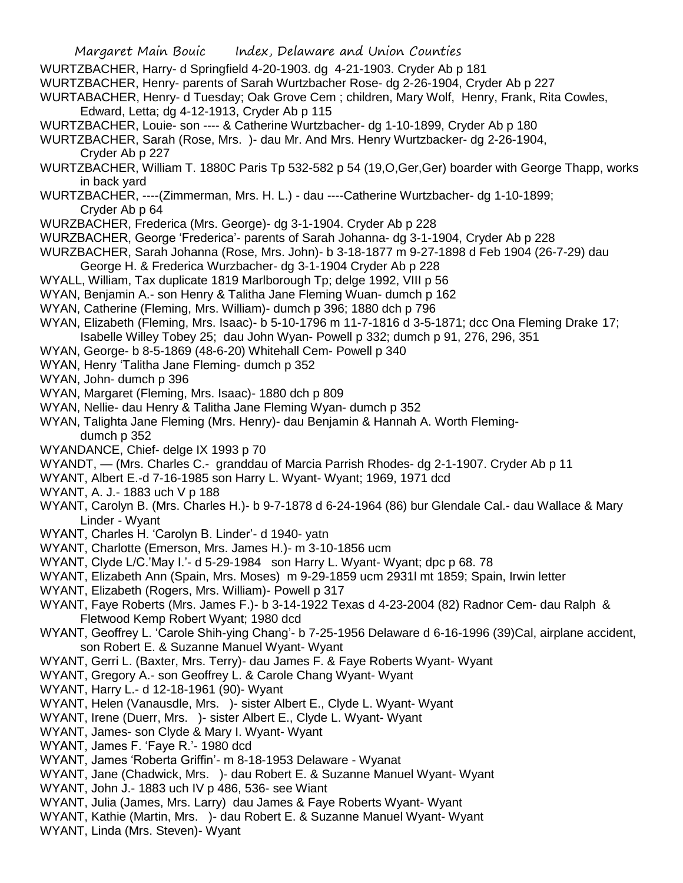- WURTZBACHER, Harry- d Springfield 4-20-1903. dg 4-21-1903. Cryder Ab p 181
- WURTZBACHER, Henry- parents of Sarah Wurtzbacher Rose- dg 2-26-1904, Cryder Ab p 227

WURTABACHER, Henry- d Tuesday; Oak Grove Cem ; children, Mary Wolf, Henry, Frank, Rita Cowles, Edward, Letta; dg 4-12-1913, Cryder Ab p 115

WURTZBACHER, Louie- son ---- & Catherine Wurtzbacher- dg 1-10-1899, Cryder Ab p 180

WURTZBACHER, Sarah (Rose, Mrs. )- dau Mr. And Mrs. Henry Wurtzbacker- dg 2-26-1904, Cryder Ab p 227

- WURTZBACHER, William T. 1880C Paris Tp 532-582 p 54 (19,O,Ger,Ger) boarder with George Thapp, works in back yard
- WURTZBACHER, ----(Zimmerman, Mrs. H. L.) dau ----Catherine Wurtzbacher- dg 1-10-1899; Cryder Ab p 64
- WURZBACHER, Frederica (Mrs. George)- dg 3-1-1904. Cryder Ab p 228
- WURZBACHER, George 'Frederica'- parents of Sarah Johanna- dg 3-1-1904, Cryder Ab p 228
- WURZBACHER, Sarah Johanna (Rose, Mrs. John)- b 3-18-1877 m 9-27-1898 d Feb 1904 (26-7-29) dau
	- George H. & Frederica Wurzbacher- dg 3-1-1904 Cryder Ab p 228
- WYALL, William, Tax duplicate 1819 Marlborough Tp; delge 1992, VIII p 56
- WYAN, Benjamin A.- son Henry & Talitha Jane Fleming Wuan- dumch p 162
- WYAN, Catherine (Fleming, Mrs. William)- dumch p 396; 1880 dch p 796
- WYAN, Elizabeth (Fleming, Mrs. Isaac)- b 5-10-1796 m 11-7-1816 d 3-5-1871; dcc Ona Fleming Drake 17; Isabelle Willey Tobey 25; dau John Wyan- Powell p 332; dumch p 91, 276, 296, 351
- WYAN, George- b 8-5-1869 (48-6-20) Whitehall Cem- Powell p 340
- WYAN, Henry 'Talitha Jane Fleming- dumch p 352
- WYAN, John- dumch p 396
- WYAN, Margaret (Fleming, Mrs. Isaac)- 1880 dch p 809
- WYAN, Nellie- dau Henry & Talitha Jane Fleming Wyan- dumch p 352
- WYAN, Talighta Jane Fleming (Mrs. Henry)- dau Benjamin & Hannah A. Worth Flemingdumch p 352
- WYANDANCE, Chief- delge IX 1993 p 70
- WYANDT, (Mrs. Charles C.- granddau of Marcia Parrish Rhodes- dg 2-1-1907. Cryder Ab p 11
- WYANT, Albert E.-d 7-16-1985 son Harry L. Wyant- Wyant; 1969, 1971 dcd
- WYANT, A. J.- 1883 uch V p 188
- WYANT, Carolyn B. (Mrs. Charles H.)- b 9-7-1878 d 6-24-1964 (86) bur Glendale Cal.- dau Wallace & Mary Linder - Wyant
- WYANT, Charles H. 'Carolyn B. Linder'- d 1940- yatn
- WYANT, Charlotte (Emerson, Mrs. James H.)- m 3-10-1856 ucm
- WYANT, Clyde L/C.'May I.'- d 5-29-1984 son Harry L. Wyant- Wyant; dpc p 68. 78
- WYANT, Elizabeth Ann (Spain, Mrs. Moses) m 9-29-1859 ucm 2931l mt 1859; Spain, Irwin letter
- WYANT, Elizabeth (Rogers, Mrs. William)- Powell p 317
- WYANT, Faye Roberts (Mrs. James F.)- b 3-14-1922 Texas d 4-23-2004 (82) Radnor Cem- dau Ralph & Fletwood Kemp Robert Wyant; 1980 dcd
- WYANT, Geoffrey L. 'Carole Shih-ying Chang'- b 7-25-1956 Delaware d 6-16-1996 (39)Cal, airplane accident, son Robert E. & Suzanne Manuel Wyant- Wyant
- WYANT, Gerri L. (Baxter, Mrs. Terry)- dau James F. & Faye Roberts Wyant- Wyant
- WYANT, Gregory A.- son Geoffrey L. & Carole Chang Wyant- Wyant
- WYANT, Harry L.- d 12-18-1961 (90)- Wyant
- WYANT, Helen (Vanausdle, Mrs. )- sister Albert E., Clyde L. Wyant- Wyant
- WYANT, Irene (Duerr, Mrs. )- sister Albert E., Clyde L. Wyant- Wyant
- WYANT, James- son Clyde & Mary I. Wyant- Wyant
- WYANT, James F. 'Faye R.'- 1980 dcd
- WYANT, James 'Roberta Griffin'- m 8-18-1953 Delaware Wyanat
- WYANT, Jane (Chadwick, Mrs. )- dau Robert E. & Suzanne Manuel Wyant- Wyant
- WYANT, John J.- 1883 uch IV p 486, 536- see Wiant
- WYANT, Julia (James, Mrs. Larry) dau James & Faye Roberts Wyant- Wyant
- WYANT, Kathie (Martin, Mrs. )- dau Robert E. & Suzanne Manuel Wyant- Wyant
- WYANT, Linda (Mrs. Steven)- Wyant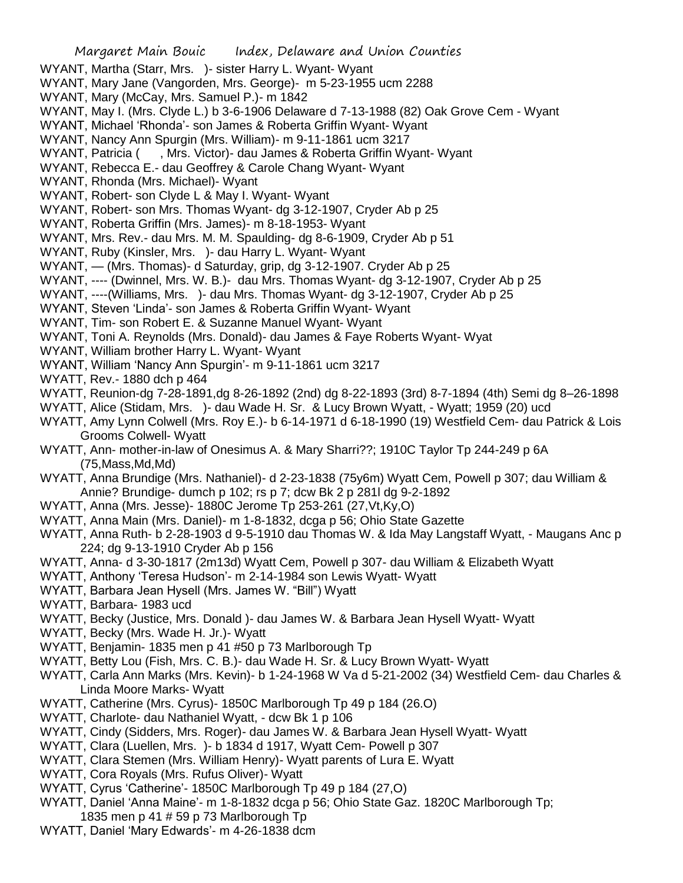- WYANT, Martha (Starr, Mrs. )- sister Harry L. Wyant- Wyant
- WYANT, Mary Jane (Vangorden, Mrs. George)- m 5-23-1955 ucm 2288
- WYANT, Mary (McCay, Mrs. Samuel P.)- m 1842
- WYANT, May I. (Mrs. Clyde L.) b 3-6-1906 Delaware d 7-13-1988 (82) Oak Grove Cem Wyant
- WYANT, Michael 'Rhonda'- son James & Roberta Griffin Wyant- Wyant
- WYANT, Nancy Ann Spurgin (Mrs. William)- m 9-11-1861 ucm 3217
- WYANT, Patricia ( , Mrs. Victor)- dau James & Roberta Griffin Wyant- Wyant
- WYANT, Rebecca E.- dau Geoffrey & Carole Chang Wyant- Wyant
- WYANT, Rhonda (Mrs. Michael)- Wyant
- WYANT, Robert- son Clyde L & May I. Wyant- Wyant
- WYANT, Robert- son Mrs. Thomas Wyant- dg 3-12-1907, Cryder Ab p 25
- WYANT, Roberta Griffin (Mrs. James)- m 8-18-1953- Wyant
- WYANT, Mrs. Rev.- dau Mrs. M. M. Spaulding- dg 8-6-1909, Cryder Ab p 51
- WYANT, Ruby (Kinsler, Mrs. )- dau Harry L. Wyant- Wyant
- WYANT, (Mrs. Thomas)- d Saturday, grip, dg 3-12-1907. Cryder Ab p 25
- WYANT, ---- (Dwinnel, Mrs. W. B.)- dau Mrs. Thomas Wyant- dg 3-12-1907, Cryder Ab p 25
- WYANT, ----(Williams, Mrs. )- dau Mrs. Thomas Wyant- dg 3-12-1907, Cryder Ab p 25
- WYANT, Steven 'Linda'- son James & Roberta Griffin Wyant- Wyant
- WYANT, Tim- son Robert E. & Suzanne Manuel Wyant- Wyant
- WYANT, Toni A. Reynolds (Mrs. Donald)- dau James & Faye Roberts Wyant- Wyat
- WYANT, William brother Harry L. Wyant- Wyant
- WYANT, William 'Nancy Ann Spurgin'- m 9-11-1861 ucm 3217
- WYATT, Rev.- 1880 dch p 464
- WYATT, Reunion-dg 7-28-1891,dg 8-26-1892 (2nd) dg 8-22-1893 (3rd) 8-7-1894 (4th) Semi dg 8–26-1898
- WYATT, Alice (Stidam, Mrs. )- dau Wade H. Sr. & Lucy Brown Wyatt, Wyatt; 1959 (20) ucd
- WYATT, Amy Lynn Colwell (Mrs. Roy E.)- b 6-14-1971 d 6-18-1990 (19) Westfield Cem- dau Patrick & Lois Grooms Colwell- Wyatt
- WYATT, Ann- mother-in-law of Onesimus A. & Mary Sharri??; 1910C Taylor Tp 244-249 p 6A (75,Mass,Md,Md)
- WYATT, Anna Brundige (Mrs. Nathaniel)- d 2-23-1838 (75y6m) Wyatt Cem, Powell p 307; dau William & Annie? Brundige- dumch p 102; rs p 7; dcw Bk 2 p 281l dg 9-2-1892
- WYATT, Anna (Mrs. Jesse)- 1880C Jerome Tp 253-261 (27,Vt,Ky,O)
- WYATT, Anna Main (Mrs. Daniel)- m 1-8-1832, dcga p 56; Ohio State Gazette
- WYATT, Anna Ruth- b 2-28-1903 d 9-5-1910 dau Thomas W. & Ida May Langstaff Wyatt, Maugans Anc p 224; dg 9-13-1910 Cryder Ab p 156
- WYATT, Anna- d 3-30-1817 (2m13d) Wyatt Cem, Powell p 307- dau William & Elizabeth Wyatt
- WYATT, Anthony 'Teresa Hudson'- m 2-14-1984 son Lewis Wyatt- Wyatt
- WYATT, Barbara Jean Hysell (Mrs. James W. "Bill") Wyatt
- WYATT, Barbara- 1983 ucd
- WYATT, Becky (Justice, Mrs. Donald )- dau James W. & Barbara Jean Hysell Wyatt- Wyatt
- WYATT, Becky (Mrs. Wade H. Jr.)- Wyatt
- WYATT, Benjamin- 1835 men p 41 #50 p 73 Marlborough Tp
- WYATT, Betty Lou (Fish, Mrs. C. B.)- dau Wade H. Sr. & Lucy Brown Wyatt- Wyatt
- WYATT, Carla Ann Marks (Mrs. Kevin)- b 1-24-1968 W Va d 5-21-2002 (34) Westfield Cem- dau Charles & Linda Moore Marks- Wyatt
- WYATT, Catherine (Mrs. Cyrus)- 1850C Marlborough Tp 49 p 184 (26.O)
- WYATT, Charlote- dau Nathaniel Wyatt, dcw Bk 1 p 106
- WYATT, Cindy (Sidders, Mrs. Roger)- dau James W. & Barbara Jean Hysell Wyatt- Wyatt
- WYATT, Clara (Luellen, Mrs. )- b 1834 d 1917, Wyatt Cem- Powell p 307
- WYATT, Clara Stemen (Mrs. William Henry)- Wyatt parents of Lura E. Wyatt
- WYATT, Cora Royals (Mrs. Rufus Oliver)- Wyatt
- WYATT, Cyrus 'Catherine'- 1850C Marlborough Tp 49 p 184 (27,O)
- WYATT, Daniel 'Anna Maine'- m 1-8-1832 dcga p 56; Ohio State Gaz. 1820C Marlborough Tp; 1835 men p 41 # 59 p 73 Marlborough Tp
- WYATT, Daniel 'Mary Edwards'- m 4-26-1838 dcm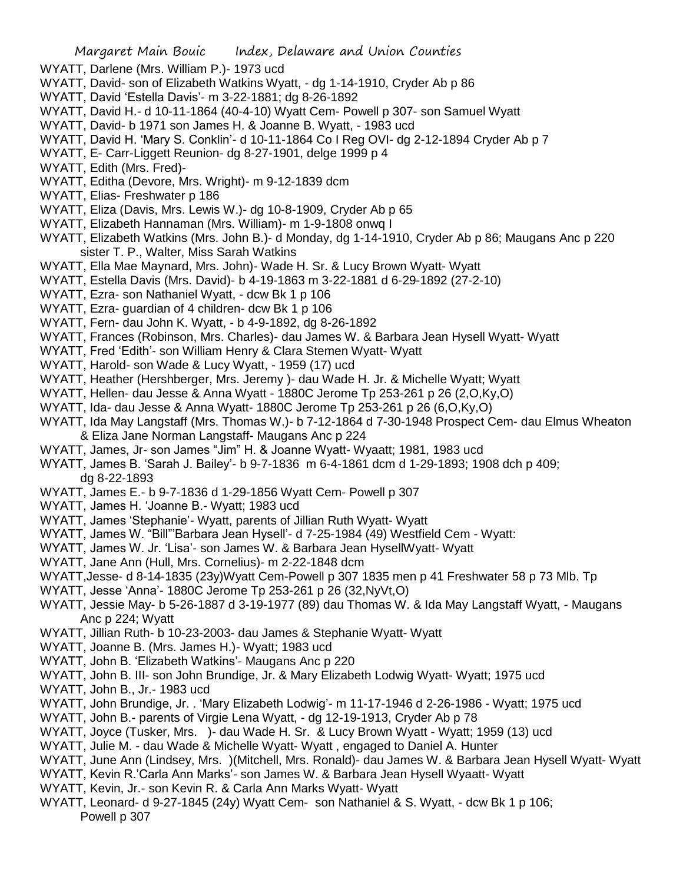- WYATT, Darlene (Mrs. William P.)- 1973 ucd
- WYATT, David- son of Elizabeth Watkins Wyatt, dg 1-14-1910, Cryder Ab p 86
- WYATT, David 'Estella Davis'- m 3-22-1881; dg 8-26-1892
- WYATT, David H.- d 10-11-1864 (40-4-10) Wyatt Cem- Powell p 307- son Samuel Wyatt
- WYATT, David- b 1971 son James H. & Joanne B. Wyatt, 1983 ucd
- WYATT, David H. 'Mary S. Conklin'- d 10-11-1864 Co I Reg OVI- dg 2-12-1894 Cryder Ab p 7
- WYATT, E- Carr-Liggett Reunion- dg 8-27-1901, delge 1999 p 4
- WYATT, Edith (Mrs. Fred)-
- WYATT, Editha (Devore, Mrs. Wright)- m 9-12-1839 dcm
- WYATT, Elias- Freshwater p 186
- WYATT, Eliza (Davis, Mrs. Lewis W.)- dg 10-8-1909, Cryder Ab p 65
- WYATT, Elizabeth Hannaman (Mrs. William)- m 1-9-1808 onwq I
- WYATT, Elizabeth Watkins (Mrs. John B.)- d Monday, dg 1-14-1910, Cryder Ab p 86; Maugans Anc p 220 sister T. P., Walter, Miss Sarah Watkins
- WYATT, Ella Mae Maynard, Mrs. John)- Wade H. Sr. & Lucy Brown Wyatt- Wyatt
- WYATT, Estella Davis (Mrs. David)- b 4-19-1863 m 3-22-1881 d 6-29-1892 (27-2-10)
- WYATT, Ezra- son Nathaniel Wyatt, dcw Bk 1 p 106
- WYATT, Ezra- guardian of 4 children- dcw Bk 1 p 106
- WYATT, Fern- dau John K. Wyatt, b 4-9-1892, dg 8-26-1892
- WYATT, Frances (Robinson, Mrs. Charles)- dau James W. & Barbara Jean Hysell Wyatt- Wyatt
- WYATT, Fred 'Edith'- son William Henry & Clara Stemen Wyatt- Wyatt
- WYATT, Harold- son Wade & Lucy Wyatt, 1959 (17) ucd
- WYATT, Heather (Hershberger, Mrs. Jeremy )- dau Wade H. Jr. & Michelle Wyatt; Wyatt
- WYATT, Hellen- dau Jesse & Anna Wyatt 1880C Jerome Tp 253-261 p 26 (2,O,Ky,O)
- WYATT, Ida- dau Jesse & Anna Wyatt- 1880C Jerome Tp 253-261 p 26 (6,O,Ky,O)
- WYATT, Ida May Langstaff (Mrs. Thomas W.)- b 7-12-1864 d 7-30-1948 Prospect Cem- dau Elmus Wheaton & Eliza Jane Norman Langstaff- Maugans Anc p 224
- WYATT, James, Jr- son James "Jim" H. & Joanne Wyatt- Wyaatt; 1981, 1983 ucd
- WYATT, James B. 'Sarah J. Bailey'- b 9-7-1836 m 6-4-1861 dcm d 1-29-1893; 1908 dch p 409; dg 8-22-1893
- WYATT, James E.- b 9-7-1836 d 1-29-1856 Wyatt Cem- Powell p 307
- WYATT, James H. 'Joanne B.- Wyatt; 1983 ucd
- WYATT, James 'Stephanie'- Wyatt, parents of Jillian Ruth Wyatt- Wyatt
- WYATT, James W. "Bill"'Barbara Jean Hysell'- d 7-25-1984 (49) Westfield Cem Wyatt:
- WYATT, James W. Jr. 'Lisa'- son James W. & Barbara Jean HysellWyatt- Wyatt
- WYATT, Jane Ann (Hull, Mrs. Cornelius)- m 2-22-1848 dcm
- WYATT,Jesse- d 8-14-1835 (23y)Wyatt Cem-Powell p 307 1835 men p 41 Freshwater 58 p 73 Mlb. Tp
- WYATT, Jesse 'Anna'- 1880C Jerome Tp 253-261 p 26 (32,NyVt,O)
- WYATT, Jessie May- b 5-26-1887 d 3-19-1977 (89) dau Thomas W. & Ida May Langstaff Wyatt, Maugans Anc p 224; Wyatt
- WYATT, Jillian Ruth- b 10-23-2003- dau James & Stephanie Wyatt- Wyatt
- WYATT, Joanne B. (Mrs. James H.)- Wyatt; 1983 ucd
- WYATT, John B. 'Elizabeth Watkins'- Maugans Anc p 220
- WYATT, John B. III- son John Brundige, Jr. & Mary Elizabeth Lodwig Wyatt- Wyatt; 1975 ucd
- WYATT, John B., Jr.- 1983 ucd
- WYATT, John Brundige, Jr. . 'Mary Elizabeth Lodwig'- m 11-17-1946 d 2-26-1986 Wyatt; 1975 ucd
- WYATT, John B.- parents of Virgie Lena Wyatt, dg 12-19-1913, Cryder Ab p 78
- WYATT, Joyce (Tusker, Mrs. )- dau Wade H. Sr. & Lucy Brown Wyatt Wyatt; 1959 (13) ucd
- WYATT, Julie M. dau Wade & Michelle Wyatt- Wyatt , engaged to Daniel A. Hunter
- WYATT, June Ann (Lindsey, Mrs. )(Mitchell, Mrs. Ronald)- dau James W. & Barbara Jean Hysell Wyatt- Wyatt
- WYATT, Kevin R.'Carla Ann Marks'- son James W. & Barbara Jean Hysell Wyaatt- Wyatt
- WYATT, Kevin, Jr.- son Kevin R. & Carla Ann Marks Wyatt- Wyatt
- WYATT, Leonard- d 9-27-1845 (24y) Wyatt Cem- son Nathaniel & S. Wyatt, dcw Bk 1 p 106; Powell p 307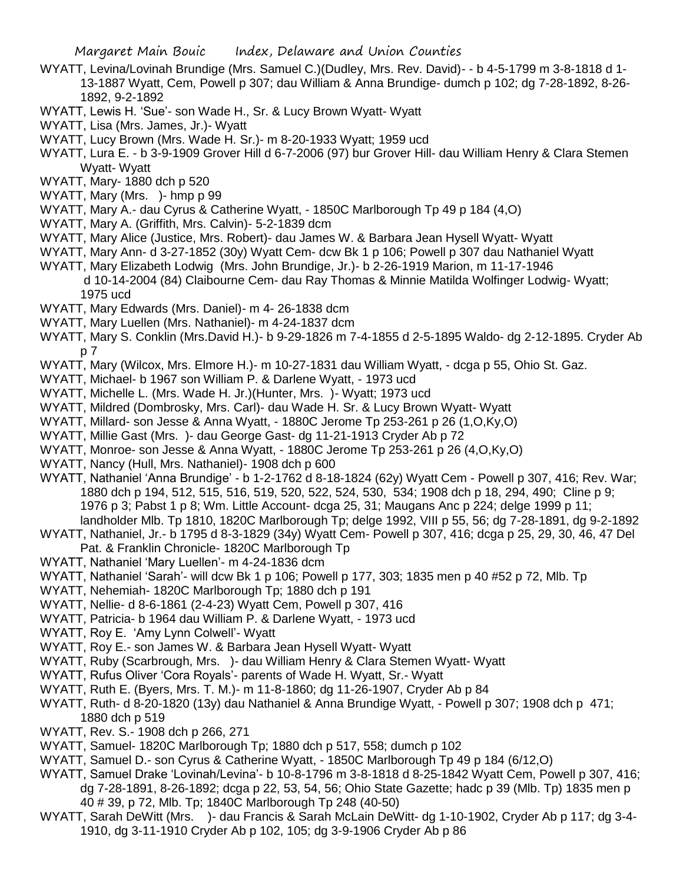- WYATT, Levina/Lovinah Brundige (Mrs. Samuel C.)(Dudley, Mrs. Rev. David)- b 4-5-1799 m 3-8-1818 d 1- 13-1887 Wyatt, Cem, Powell p 307; dau William & Anna Brundige- dumch p 102; dg 7-28-1892, 8-26- 1892, 9-2-1892
- WYATT, Lewis H. 'Sue'- son Wade H., Sr. & Lucy Brown Wyatt- Wyatt
- WYATT, Lisa (Mrs. James, Jr.)- Wyatt
- WYATT, Lucy Brown (Mrs. Wade H. Sr.)- m 8-20-1933 Wyatt; 1959 ucd
- WYATT, Lura E. b 3-9-1909 Grover Hill d 6-7-2006 (97) bur Grover Hill- dau William Henry & Clara Stemen Wyatt- Wyatt
- WYATT, Mary- 1880 dch p 520
- WYATT, Mary (Mrs. )- hmp p 99
- WYATT, Mary A.- dau Cyrus & Catherine Wyatt, 1850C Marlborough Tp 49 p 184 (4,O)
- WYATT, Mary A. (Griffith, Mrs. Calvin)- 5-2-1839 dcm
- WYATT, Mary Alice (Justice, Mrs. Robert)- dau James W. & Barbara Jean Hysell Wyatt- Wyatt
- WYATT, Mary Ann- d 3-27-1852 (30y) Wyatt Cem- dcw Bk 1 p 106; Powell p 307 dau Nathaniel Wyatt
- WYATT, Mary Elizabeth Lodwig (Mrs. John Brundige, Jr.)- b 2-26-1919 Marion, m 11-17-1946 d 10-14-2004 (84) Claibourne Cem- dau Ray Thomas & Minnie Matilda Wolfinger Lodwig- Wyatt; 1975 ucd
- WYATT, Mary Edwards (Mrs. Daniel)- m 4- 26-1838 dcm
- WYATT, Mary Luellen (Mrs. Nathaniel)- m 4-24-1837 dcm
- WYATT, Mary S. Conklin (Mrs.David H.)- b 9-29-1826 m 7-4-1855 d 2-5-1895 Waldo- dg 2-12-1895. Cryder Ab p 7
- WYATT, Mary (Wilcox, Mrs. Elmore H.)- m 10-27-1831 dau William Wyatt, dcga p 55, Ohio St. Gaz.
- WYATT, Michael- b 1967 son William P. & Darlene Wyatt, 1973 ucd
- WYATT, Michelle L. (Mrs. Wade H. Jr.)(Hunter, Mrs. )- Wyatt; 1973 ucd
- WYATT, Mildred (Dombrosky, Mrs. Carl)- dau Wade H. Sr. & Lucy Brown Wyatt- Wyatt
- WYATT, Millard- son Jesse & Anna Wyatt, 1880C Jerome Tp 253-261 p 26 (1,O,Ky,O)
- WYATT, Millie Gast (Mrs. )- dau George Gast- dg 11-21-1913 Cryder Ab p 72
- WYATT, Monroe- son Jesse & Anna Wyatt, 1880C Jerome Tp 253-261 p 26 (4,O,Ky,O)
- WYATT, Nancy (Hull, Mrs. Nathaniel)- 1908 dch p 600
- WYATT, Nathaniel 'Anna Brundige' b 1-2-1762 d 8-18-1824 (62y) Wyatt Cem Powell p 307, 416; Rev. War; 1880 dch p 194, 512, 515, 516, 519, 520, 522, 524, 530, 534; 1908 dch p 18, 294, 490; Cline p 9; 1976 p 3; Pabst 1 p 8; Wm. Little Account- dcga 25, 31; Maugans Anc p 224; delge 1999 p 11;
- landholder Mlb. Tp 1810, 1820C Marlborough Tp; delge 1992, VIII p 55, 56; dg 7-28-1891, dg 9-2-1892
- WYATT, Nathaniel, Jr.- b 1795 d 8-3-1829 (34y) Wyatt Cem- Powell p 307, 416; dcga p 25, 29, 30, 46, 47 Del Pat. & Franklin Chronicle- 1820C Marlborough Tp
- WYATT, Nathaniel 'Mary Luellen'- m 4-24-1836 dcm
- WYATT, Nathaniel 'Sarah'- will dcw Bk 1 p 106; Powell p 177, 303; 1835 men p 40 #52 p 72, Mlb. Tp
- WYATT, Nehemiah- 1820C Marlborough Tp; 1880 dch p 191
- WYATT, Nellie- d 8-6-1861 (2-4-23) Wyatt Cem, Powell p 307, 416
- WYATT, Patricia- b 1964 dau William P. & Darlene Wyatt, 1973 ucd
- WYATT, Roy E. 'Amy Lynn Colwell'- Wyatt
- WYATT, Roy E.- son James W. & Barbara Jean Hysell Wyatt- Wyatt
- WYATT, Ruby (Scarbrough, Mrs. )- dau William Henry & Clara Stemen Wyatt- Wyatt
- WYATT, Rufus Oliver 'Cora Royals'- parents of Wade H. Wyatt, Sr.- Wyatt
- WYATT, Ruth E. (Byers, Mrs. T. M.)- m 11-8-1860; dg 11-26-1907, Cryder Ab p 84
- WYATT, Ruth- d 8-20-1820 (13y) dau Nathaniel & Anna Brundige Wyatt, Powell p 307; 1908 dch p 471; 1880 dch p 519
- WYATT, Rev. S.- 1908 dch p 266, 271
- WYATT, Samuel- 1820C Marlborough Tp; 1880 dch p 517, 558; dumch p 102
- WYATT, Samuel D.- son Cyrus & Catherine Wyatt, 1850C Marlborough Tp 49 p 184 (6/12,O)
- WYATT, Samuel Drake 'Lovinah/Levina'- b 10-8-1796 m 3-8-1818 d 8-25-1842 Wyatt Cem, Powell p 307, 416; dg 7-28-1891, 8-26-1892; dcga p 22, 53, 54, 56; Ohio State Gazette; hadc p 39 (Mlb. Tp) 1835 men p 40 # 39, p 72, Mlb. Tp; 1840C Marlborough Tp 248 (40-50)
- WYATT, Sarah DeWitt (Mrs. )- dau Francis & Sarah McLain DeWitt- dg 1-10-1902, Cryder Ab p 117; dg 3-4- 1910, dg 3-11-1910 Cryder Ab p 102, 105; dg 3-9-1906 Cryder Ab p 86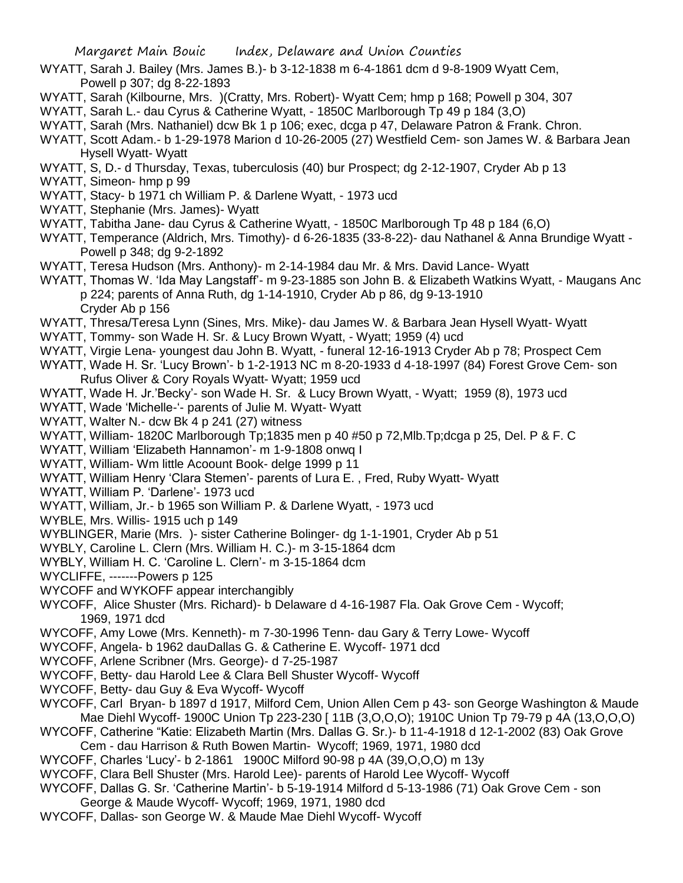- WYATT, Sarah J. Bailey (Mrs. James B.)- b 3-12-1838 m 6-4-1861 dcm d 9-8-1909 Wyatt Cem, Powell p 307; dg 8-22-1893
- WYATT, Sarah (Kilbourne, Mrs. )(Cratty, Mrs. Robert)- Wyatt Cem; hmp p 168; Powell p 304, 307
- WYATT, Sarah L.- dau Cyrus & Catherine Wyatt, 1850C Marlborough Tp 49 p 184 (3,O)
- WYATT, Sarah (Mrs. Nathaniel) dcw Bk 1 p 106; exec, dcga p 47, Delaware Patron & Frank. Chron.
- WYATT, Scott Adam.- b 1-29-1978 Marion d 10-26-2005 (27) Westfield Cem- son James W. & Barbara Jean Hysell Wyatt- Wyatt
- WYATT, S, D.- d Thursday, Texas, tuberculosis (40) bur Prospect; dg 2-12-1907, Cryder Ab p 13
- WYATT, Simeon- hmp p 99
- WYATT, Stacy- b 1971 ch William P. & Darlene Wyatt, 1973 ucd
- WYATT, Stephanie (Mrs. James)- Wyatt
- WYATT, Tabitha Jane- dau Cyrus & Catherine Wyatt, 1850C Marlborough Tp 48 p 184 (6,O)
- WYATT, Temperance (Aldrich, Mrs. Timothy)- d 6-26-1835 (33-8-22)- dau Nathanel & Anna Brundige Wyatt Powell p 348; dg 9-2-1892
- WYATT, Teresa Hudson (Mrs. Anthony)- m 2-14-1984 dau Mr. & Mrs. David Lance- Wyatt
- WYATT, Thomas W. 'Ida May Langstaff'- m 9-23-1885 son John B. & Elizabeth Watkins Wyatt, Maugans Anc p 224; parents of Anna Ruth, dg 1-14-1910, Cryder Ab p 86, dg 9-13-1910 Cryder Ab p 156
- WYATT, Thresa/Teresa Lynn (Sines, Mrs. Mike)- dau James W. & Barbara Jean Hysell Wyatt- Wyatt
- WYATT, Tommy- son Wade H. Sr. & Lucy Brown Wyatt, Wyatt; 1959 (4) ucd
- WYATT, Virgie Lena- youngest dau John B. Wyatt, funeral 12-16-1913 Cryder Ab p 78; Prospect Cem
- WYATT, Wade H. Sr. 'Lucy Brown'- b 1-2-1913 NC m 8-20-1933 d 4-18-1997 (84) Forest Grove Cem- son Rufus Oliver & Cory Royals Wyatt- Wyatt; 1959 ucd
- WYATT, Wade H. Jr.'Becky'- son Wade H. Sr. & Lucy Brown Wyatt, Wyatt; 1959 (8), 1973 ucd
- WYATT, Wade 'Michelle-'- parents of Julie M. Wyatt- Wyatt
- WYATT, Walter N.- dcw Bk 4 p 241 (27) witness
- WYATT, William- 1820C Marlborough Tp;1835 men p 40 #50 p 72,Mlb.Tp;dcga p 25, Del. P & F. C
- WYATT, William 'Elizabeth Hannamon'- m 1-9-1808 onwq I
- WYATT, William- Wm little Acoount Book- delge 1999 p 11
- WYATT, William Henry 'Clara Stemen'- parents of Lura E. , Fred, Ruby Wyatt- Wyatt
- WYATT, William P. 'Darlene'- 1973 ucd
- WYATT, William, Jr.- b 1965 son William P. & Darlene Wyatt, 1973 ucd
- WYBLE, Mrs. Willis- 1915 uch p 149
- WYBLINGER, Marie (Mrs. )- sister Catherine Bolinger- dg 1-1-1901, Cryder Ab p 51
- WYBLY, Caroline L. Clern (Mrs. William H. C.)- m 3-15-1864 dcm
- WYBLY, William H. C. 'Caroline L. Clern'- m 3-15-1864 dcm
- WYCLIFFE, -------Powers p 125
- WYCOFF and WYKOFF appear interchangibly
- WYCOFF, Alice Shuster (Mrs. Richard)- b Delaware d 4-16-1987 Fla. Oak Grove Cem Wycoff; 1969, 1971 dcd
- WYCOFF, Amy Lowe (Mrs. Kenneth)- m 7-30-1996 Tenn- dau Gary & Terry Lowe- Wycoff
- WYCOFF, Angela- b 1962 dauDallas G. & Catherine E. Wycoff- 1971 dcd
- WYCOFF, Arlene Scribner (Mrs. George)- d 7-25-1987
- WYCOFF, Betty- dau Harold Lee & Clara Bell Shuster Wycoff- Wycoff
- WYCOFF, Betty- dau Guy & Eva Wycoff- Wycoff
- WYCOFF, Carl Bryan- b 1897 d 1917, Milford Cem, Union Allen Cem p 43- son George Washington & Maude Mae Diehl Wycoff- 1900C Union Tp 223-230 [ 11B (3,O,O,O); 1910C Union Tp 79-79 p 4A (13,O,O,O)
- WYCOFF, Catherine "Katie: Elizabeth Martin (Mrs. Dallas G. Sr.)- b 11-4-1918 d 12-1-2002 (83) Oak Grove
- Cem dau Harrison & Ruth Bowen Martin- Wycoff; 1969, 1971, 1980 dcd
- WYCOFF, Charles 'Lucy'- b 2-1861 1900C Milford 90-98 p 4A (39,O,O,O) m 13y
- WYCOFF, Clara Bell Shuster (Mrs. Harold Lee)- parents of Harold Lee Wycoff- Wycoff
- WYCOFF, Dallas G. Sr. 'Catherine Martin'- b 5-19-1914 Milford d 5-13-1986 (71) Oak Grove Cem son
- George & Maude Wycoff- Wycoff; 1969, 1971, 1980 dcd
- WYCOFF, Dallas- son George W. & Maude Mae Diehl Wycoff- Wycoff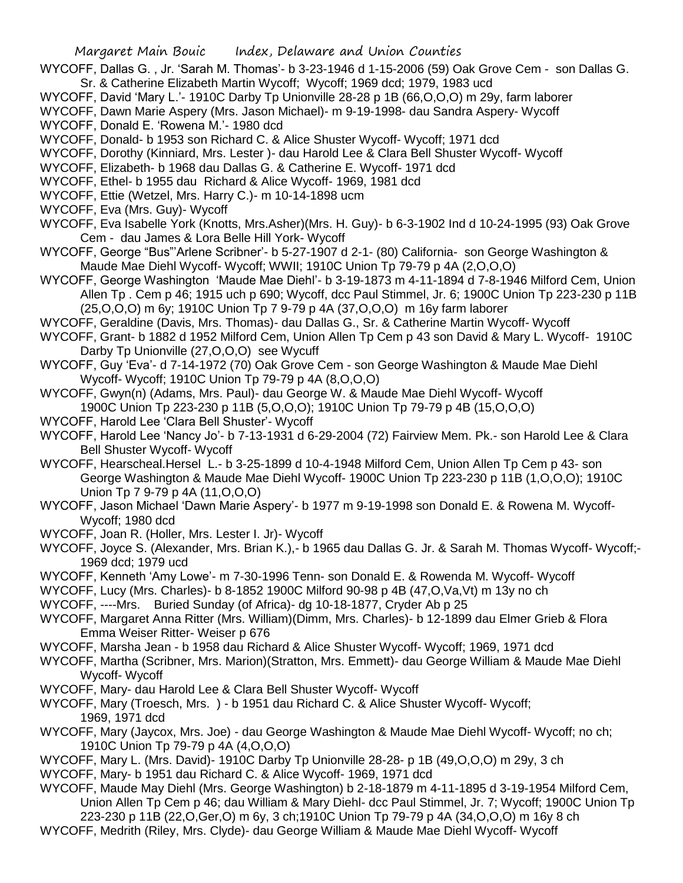- WYCOFF, Dallas G. , Jr. 'Sarah M. Thomas'- b 3-23-1946 d 1-15-2006 (59) Oak Grove Cem son Dallas G. Sr. & Catherine Elizabeth Martin Wycoff; Wycoff; 1969 dcd; 1979, 1983 ucd
- WYCOFF, David 'Mary L.'- 1910C Darby Tp Unionville 28-28 p 1B (66, O, O, O) m 29y, farm laborer
- WYCOFF, Dawn Marie Aspery (Mrs. Jason Michael)- m 9-19-1998- dau Sandra Aspery- Wycoff
- WYCOFF, Donald E. 'Rowena M.'- 1980 dcd
- WYCOFF, Donald- b 1953 son Richard C. & Alice Shuster Wycoff- Wycoff; 1971 dcd
- WYCOFF, Dorothy (Kinniard, Mrs. Lester )- dau Harold Lee & Clara Bell Shuster Wycoff- Wycoff
- WYCOFF, Elizabeth- b 1968 dau Dallas G. & Catherine E. Wycoff- 1971 dcd
- WYCOFF, Ethel- b 1955 dau Richard & Alice Wycoff- 1969, 1981 dcd
- WYCOFF, Ettie (Wetzel, Mrs. Harry C.)- m 10-14-1898 ucm
- WYCOFF, Eva (Mrs. Guy)- Wycoff
- WYCOFF, Eva Isabelle York (Knotts, Mrs.Asher)(Mrs. H. Guy)- b 6-3-1902 Ind d 10-24-1995 (93) Oak Grove Cem - dau James & Lora Belle Hill York- Wycoff
- WYCOFF, George "Bus"'Arlene Scribner'- b 5-27-1907 d 2-1- (80) California- son George Washington & Maude Mae Diehl Wycoff- Wycoff; WWII; 1910C Union Tp 79-79 p 4A (2,O,O,O)
- WYCOFF, George Washington 'Maude Mae Diehl'- b 3-19-1873 m 4-11-1894 d 7-8-1946 Milford Cem, Union Allen Tp . Cem p 46; 1915 uch p 690; Wycoff, dcc Paul Stimmel, Jr. 6; 1900C Union Tp 223-230 p 11B (25,O,O,O) m 6y; 1910C Union Tp 7 9-79 p 4A (37,O,O,O) m 16y farm laborer
- WYCOFF, Geraldine (Davis, Mrs. Thomas)- dau Dallas G., Sr. & Catherine Martin Wycoff- Wycoff
- WYCOFF, Grant- b 1882 d 1952 Milford Cem, Union Allen Tp Cem p 43 son David & Mary L. Wycoff- 1910C Darby Tp Unionville (27,O,O,O) see Wycuff
- WYCOFF, Guy 'Eva'- d 7-14-1972 (70) Oak Grove Cem son George Washington & Maude Mae Diehl Wycoff- Wycoff; 1910C Union Tp 79-79 p 4A (8,O,O,O)
- WYCOFF, Gwyn(n) (Adams, Mrs. Paul)- dau George W. & Maude Mae Diehl Wycoff- Wycoff 1900C Union Tp 223-230 p 11B (5,O,O,O); 1910C Union Tp 79-79 p 4B (15,O,O,O)
- WYCOFF, Harold Lee 'Clara Bell Shuster'- Wycoff
- WYCOFF, Harold Lee 'Nancy Jo'- b 7-13-1931 d 6-29-2004 (72) Fairview Mem. Pk.- son Harold Lee & Clara Bell Shuster Wycoff- Wycoff
- WYCOFF, Hearscheal.Hersel L.- b 3-25-1899 d 10-4-1948 Milford Cem, Union Allen Tp Cem p 43- son George Washington & Maude Mae Diehl Wycoff- 1900C Union Tp 223-230 p 11B (1,O,O,O); 1910C Union Tp 7 9-79 p 4A (11,O,O,O)
- WYCOFF, Jason Michael 'Dawn Marie Aspery'- b 1977 m 9-19-1998 son Donald E. & Rowena M. Wycoff-Wycoff; 1980 dcd
- WYCOFF, Joan R. (Holler, Mrs. Lester I. Jr)- Wycoff
- WYCOFF, Joyce S. (Alexander, Mrs. Brian K.),- b 1965 dau Dallas G. Jr. & Sarah M. Thomas Wycoff- Wycoff;-1969 dcd; 1979 ucd
- WYCOFF, Kenneth 'Amy Lowe'- m 7-30-1996 Tenn- son Donald E. & Rowenda M. Wycoff- Wycoff
- WYCOFF, Lucy (Mrs. Charles)- b 8-1852 1900C Milford 90-98 p 4B (47,O,Va,Vt) m 13y no ch
- WYCOFF, ----Mrs. Buried Sunday (of Africa)- dg 10-18-1877, Cryder Ab p 25
- WYCOFF, Margaret Anna Ritter (Mrs. William)(Dimm, Mrs. Charles)- b 12-1899 dau Elmer Grieb & Flora Emma Weiser Ritter- Weiser p 676
- WYCOFF, Marsha Jean b 1958 dau Richard & Alice Shuster Wycoff- Wycoff; 1969, 1971 dcd
- WYCOFF, Martha (Scribner, Mrs. Marion)(Stratton, Mrs. Emmett)- dau George William & Maude Mae Diehl Wycoff- Wycoff
- WYCOFF, Mary- dau Harold Lee & Clara Bell Shuster Wycoff- Wycoff
- WYCOFF, Mary (Troesch, Mrs. ) b 1951 dau Richard C. & Alice Shuster Wycoff- Wycoff; 1969, 1971 dcd
- WYCOFF, Mary (Jaycox, Mrs. Joe) dau George Washington & Maude Mae Diehl Wycoff- Wycoff; no ch; 1910C Union Tp 79-79 p 4A (4,O,O,O)
- WYCOFF, Mary L. (Mrs. David)- 1910C Darby Tp Unionville 28-28- p 1B (49,O,O,O) m 29y, 3 ch
- WYCOFF, Mary- b 1951 dau Richard C. & Alice Wycoff- 1969, 1971 dcd
- WYCOFF, Maude May Diehl (Mrs. George Washington) b 2-18-1879 m 4-11-1895 d 3-19-1954 Milford Cem, Union Allen Tp Cem p 46; dau William & Mary Diehl- dcc Paul Stimmel, Jr. 7; Wycoff; 1900C Union Tp 223-230 p 11B (22,O,Ger,O) m 6y, 3 ch;1910C Union Tp 79-79 p 4A (34,O,O,O) m 16y 8 ch
- WYCOFF, Medrith (Riley, Mrs. Clyde)- dau George William & Maude Mae Diehl Wycoff- Wycoff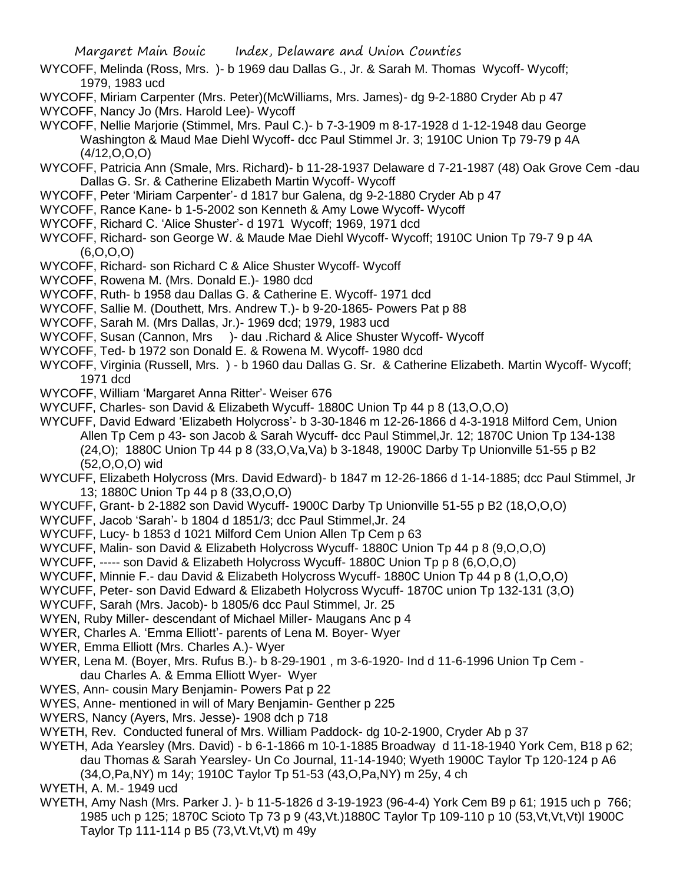- WYCOFF, Melinda (Ross, Mrs. )- b 1969 dau Dallas G., Jr. & Sarah M. Thomas Wycoff- Wycoff; 1979, 1983 ucd
- WYCOFF, Miriam Carpenter (Mrs. Peter)(McWilliams, Mrs. James)- dg 9-2-1880 Cryder Ab p 47
- WYCOFF, Nancy Jo (Mrs. Harold Lee)- Wycoff
- WYCOFF, Nellie Marjorie (Stimmel, Mrs. Paul C.)- b 7-3-1909 m 8-17-1928 d 1-12-1948 dau George Washington & Maud Mae Diehl Wycoff- dcc Paul Stimmel Jr. 3; 1910C Union Tp 79-79 p 4A (4/12,O,O,O)
- WYCOFF, Patricia Ann (Smale, Mrs. Richard)- b 11-28-1937 Delaware d 7-21-1987 (48) Oak Grove Cem -dau Dallas G. Sr. & Catherine Elizabeth Martin Wycoff- Wycoff
- WYCOFF, Peter 'Miriam Carpenter'- d 1817 bur Galena, dg 9-2-1880 Cryder Ab p 47
- WYCOFF, Rance Kane- b 1-5-2002 son Kenneth & Amy Lowe Wycoff- Wycoff
- WYCOFF, Richard C. 'Alice Shuster'- d 1971 Wycoff; 1969, 1971 dcd
- WYCOFF, Richard- son George W. & Maude Mae Diehl Wycoff- Wycoff; 1910C Union Tp 79-7 9 p 4A (6,O,O,O)
- WYCOFF, Richard- son Richard C & Alice Shuster Wycoff- Wycoff
- WYCOFF, Rowena M. (Mrs. Donald E.)- 1980 dcd
- WYCOFF, Ruth- b 1958 dau Dallas G. & Catherine E. Wycoff- 1971 dcd
- WYCOFF, Sallie M. (Douthett, Mrs. Andrew T.)- b 9-20-1865- Powers Pat p 88
- WYCOFF, Sarah M. (Mrs Dallas, Jr.)- 1969 dcd; 1979, 1983 ucd
- WYCOFF, Susan (Cannon, Mrs )- dau .Richard & Alice Shuster Wycoff- Wycoff
- WYCOFF, Ted- b 1972 son Donald E. & Rowena M. Wycoff- 1980 dcd
- WYCOFF, Virginia (Russell, Mrs. ) b 1960 dau Dallas G. Sr. & Catherine Elizabeth. Martin Wycoff- Wycoff; 1971 dcd
- WYCOFF, William 'Margaret Anna Ritter'- Weiser 676
- WYCUFF, Charles- son David & Elizabeth Wycuff- 1880C Union Tp 44 p 8 (13,O,O,O)
- WYCUFF, David Edward 'Elizabeth Holycross'- b 3-30-1846 m 12-26-1866 d 4-3-1918 Milford Cem, Union
	- Allen Tp Cem p 43- son Jacob & Sarah Wycuff- dcc Paul Stimmel,Jr. 12; 1870C Union Tp 134-138 (24,O); 1880C Union Tp 44 p 8 (33,O,Va,Va) b 3-1848, 1900C Darby Tp Unionville 51-55 p B2 (52,O,O,O) wid
- WYCUFF, Elizabeth Holycross (Mrs. David Edward)- b 1847 m 12-26-1866 d 1-14-1885; dcc Paul Stimmel, Jr 13; 1880C Union Tp 44 p 8 (33,O,O,O)
- WYCUFF, Grant- b 2-1882 son David Wycuff- 1900C Darby Tp Unionville 51-55 p B2 (18,O,O,O)
- WYCUFF, Jacob 'Sarah'- b 1804 d 1851/3; dcc Paul Stimmel,Jr. 24
- WYCUFF, Lucy- b 1853 d 1021 Milford Cem Union Allen Tp Cem p 63
- WYCUFF, Malin- son David & Elizabeth Holycross Wycuff- 1880C Union Tp 44 p 8 (9, O, O, O)
- WYCUFF, ----- son David & Elizabeth Holycross Wycuff- 1880C Union Tp p 8 (6, O, O, O)
- WYCUFF, Minnie F.- dau David & Elizabeth Holycross Wycuff- 1880C Union Tp 44 p 8 (1,O,O,O)
- WYCUFF, Peter- son David Edward & Elizabeth Holycross Wycuff- 1870C union Tp 132-131 (3,O)
- WYCUFF, Sarah (Mrs. Jacob)- b 1805/6 dcc Paul Stimmel, Jr. 25
- WYEN, Ruby Miller- descendant of Michael Miller- Maugans Anc p 4
- WYER, Charles A. 'Emma Elliott'- parents of Lena M. Boyer- Wyer
- WYER, Emma Elliott (Mrs. Charles A.)- Wyer
- WYER, Lena M. (Boyer, Mrs. Rufus B.)- b 8-29-1901 , m 3-6-1920- Ind d 11-6-1996 Union Tp Cem dau Charles A. & Emma Elliott Wyer- Wyer
- WYES, Ann- cousin Mary Benjamin- Powers Pat p 22
- WYES, Anne- mentioned in will of Mary Benjamin- Genther p 225
- WYERS, Nancy (Ayers, Mrs. Jesse)- 1908 dch p 718
- WYETH, Rev. Conducted funeral of Mrs. William Paddock- dg 10-2-1900, Cryder Ab p 37
- WYETH, Ada Yearsley (Mrs. David) b 6-1-1866 m 10-1-1885 Broadway d 11-18-1940 York Cem, B18 p 62; dau Thomas & Sarah Yearsley- Un Co Journal, 11-14-1940; Wyeth 1900C Taylor Tp 120-124 p A6 (34,O,Pa,NY) m 14y; 1910C Taylor Tp 51-53 (43,O,Pa,NY) m 25y, 4 ch
- WYETH, A. M.- 1949 ucd
- WYETH, Amy Nash (Mrs. Parker J. )- b 11-5-1826 d 3-19-1923 (96-4-4) York Cem B9 p 61; 1915 uch p 766; 1985 uch p 125; 1870C Scioto Tp 73 p 9 (43,Vt.)1880C Taylor Tp 109-110 p 10 (53,Vt,Vt,Vt)l 1900C Taylor Tp 111-114 p B5 (73,Vt.Vt,Vt) m 49y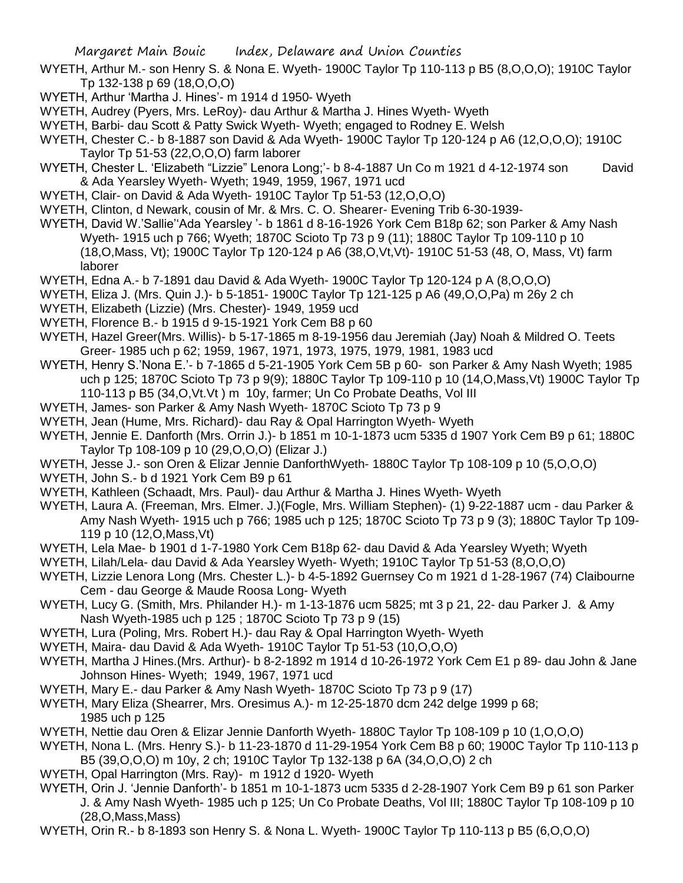- WYETH, Arthur M.- son Henry S. & Nona E. Wyeth- 1900C Taylor Tp 110-113 p B5 (8,O,O,O); 1910C Taylor Tp 132-138 p 69 (18,O,O,O)
- WYETH, Arthur 'Martha J. Hines'- m 1914 d 1950- Wyeth
- WYETH, Audrey (Pyers, Mrs. LeRoy)- dau Arthur & Martha J. Hines Wyeth- Wyeth
- WYETH, Barbi- dau Scott & Patty Swick Wyeth- Wyeth; engaged to Rodney E. Welsh
- WYETH, Chester C.- b 8-1887 son David & Ada Wyeth- 1900C Taylor Tp 120-124 p A6 (12,O,O,O); 1910C Taylor Tp 51-53 (22,O,O,O) farm laborer
- WYETH, Chester L. 'Elizabeth "Lizzie" Lenora Long;'- b 8-4-1887 Un Co m 1921 d 4-12-1974 son David & Ada Yearsley Wyeth- Wyeth; 1949, 1959, 1967, 1971 ucd
- WYETH, Clair- on David & Ada Wyeth- 1910C Taylor Tp 51-53 (12,O,O,O)
- WYETH, Clinton, d Newark, cousin of Mr. & Mrs. C. O. Shearer- Evening Trib 6-30-1939-
- WYETH, David W.'Sallie''Ada Yearsley '- b 1861 d 8-16-1926 York Cem B18p 62; son Parker & Amy Nash Wyeth- 1915 uch p 766; Wyeth; 1870C Scioto Tp 73 p 9 (11); 1880C Taylor Tp 109-110 p 10 (18,O,Mass, Vt); 1900C Taylor Tp 120-124 p A6 (38,O,Vt,Vt)- 1910C 51-53 (48, O, Mass, Vt) farm laborer
- WYETH, Edna A.- b 7-1891 dau David & Ada Wyeth- 1900C Taylor Tp 120-124 p A (8,O,O,O)
- WYETH, Eliza J. (Mrs. Quin J.)- b 5-1851- 1900C Taylor Tp 121-125 p A6 (49,O,O,Pa) m 26y 2 ch
- WYETH, Elizabeth (Lizzie) (Mrs. Chester)- 1949, 1959 ucd
- WYETH, Florence B.- b 1915 d 9-15-1921 York Cem B8 p 60
- WYETH, Hazel Greer(Mrs. Willis)- b 5-17-1865 m 8-19-1956 dau Jeremiah (Jay) Noah & Mildred O. Teets Greer- 1985 uch p 62; 1959, 1967, 1971, 1973, 1975, 1979, 1981, 1983 ucd
- WYETH, Henry S.'Nona E.'- b 7-1865 d 5-21-1905 York Cem 5B p 60- son Parker & Amy Nash Wyeth; 1985 uch p 125; 1870C Scioto Tp 73 p 9(9); 1880C Taylor Tp 109-110 p 10 (14,O,Mass,Vt) 1900C Taylor Tp 110-113 p B5 (34,O,Vt.Vt ) m 10y, farmer; Un Co Probate Deaths, Vol III
- WYETH, James- son Parker & Amy Nash Wyeth- 1870C Scioto Tp 73 p 9
- WYETH, Jean (Hume, Mrs. Richard)- dau Ray & Opal Harrington Wyeth- Wyeth
- WYETH, Jennie E. Danforth (Mrs. Orrin J.)- b 1851 m 10-1-1873 ucm 5335 d 1907 York Cem B9 p 61; 1880C Taylor Tp 108-109 p 10 (29,O,O,O) (Elizar J.)
- WYETH, Jesse J.- son Oren & Elizar Jennie DanforthWyeth- 1880C Taylor Tp 108-109 p 10 (5,O,O,O)
- WYETH, John S.- b d 1921 York Cem B9 p 61
- WYETH, Kathleen (Schaadt, Mrs. Paul)- dau Arthur & Martha J. Hines Wyeth- Wyeth
- WYETH, Laura A. (Freeman, Mrs. Elmer. J.)(Fogle, Mrs. William Stephen)- (1) 9-22-1887 ucm dau Parker & Amy Nash Wyeth- 1915 uch p 766; 1985 uch p 125; 1870C Scioto Tp 73 p 9 (3); 1880C Taylor Tp 109- 119 p 10 (12,O,Mass,Vt)
- WYETH, Lela Mae- b 1901 d 1-7-1980 York Cem B18p 62- dau David & Ada Yearsley Wyeth; Wyeth
- WYETH, Lilah/Lela- dau David & Ada Yearsley Wyeth- Wyeth; 1910C Taylor Tp 51-53 (8,O,O,O)
- WYETH, Lizzie Lenora Long (Mrs. Chester L.)- b 4-5-1892 Guernsey Co m 1921 d 1-28-1967 (74) Claibourne Cem - dau George & Maude Roosa Long- Wyeth
- WYETH, Lucy G. (Smith, Mrs. Philander H.)- m 1-13-1876 ucm 5825; mt 3 p 21, 22- dau Parker J. & Amy Nash Wyeth-1985 uch p 125 ; 1870C Scioto Tp 73 p 9 (15)
- WYETH, Lura (Poling, Mrs. Robert H.)- dau Ray & Opal Harrington Wyeth- Wyeth
- WYETH, Maira- dau David & Ada Wyeth- 1910C Taylor Tp 51-53 (10,O,O,O)
- WYETH, Martha J Hines.(Mrs. Arthur)- b 8-2-1892 m 1914 d 10-26-1972 York Cem E1 p 89- dau John & Jane Johnson Hines- Wyeth; 1949, 1967, 1971 ucd
- WYETH, Mary E.- dau Parker & Amy Nash Wyeth- 1870C Scioto Tp 73 p 9 (17)
- WYETH, Mary Eliza (Shearrer, Mrs. Oresimus A.)- m 12-25-1870 dcm 242 delge 1999 p 68; 1985 uch p 125
- WYETH, Nettie dau Oren & Elizar Jennie Danforth Wyeth- 1880C Taylor Tp 108-109 p 10 (1,O,O,O)
- WYETH, Nona L. (Mrs. Henry S.)- b 11-23-1870 d 11-29-1954 York Cem B8 p 60; 1900C Taylor Tp 110-113 p B5 (39,O,O,O) m 10y, 2 ch; 1910C Taylor Tp 132-138 p 6A (34,O,O,O) 2 ch
- WYETH, Opal Harrington (Mrs. Ray)- m 1912 d 1920- Wyeth
- WYETH, Orin J. 'Jennie Danforth'- b 1851 m 10-1-1873 ucm 5335 d 2-28-1907 York Cem B9 p 61 son Parker J. & Amy Nash Wyeth- 1985 uch p 125; Un Co Probate Deaths, Vol III; 1880C Taylor Tp 108-109 p 10 (28,O,Mass,Mass)
- WYETH, Orin R.- b 8-1893 son Henry S. & Nona L. Wyeth- 1900C Taylor Tp 110-113 p B5 (6,O,O,O)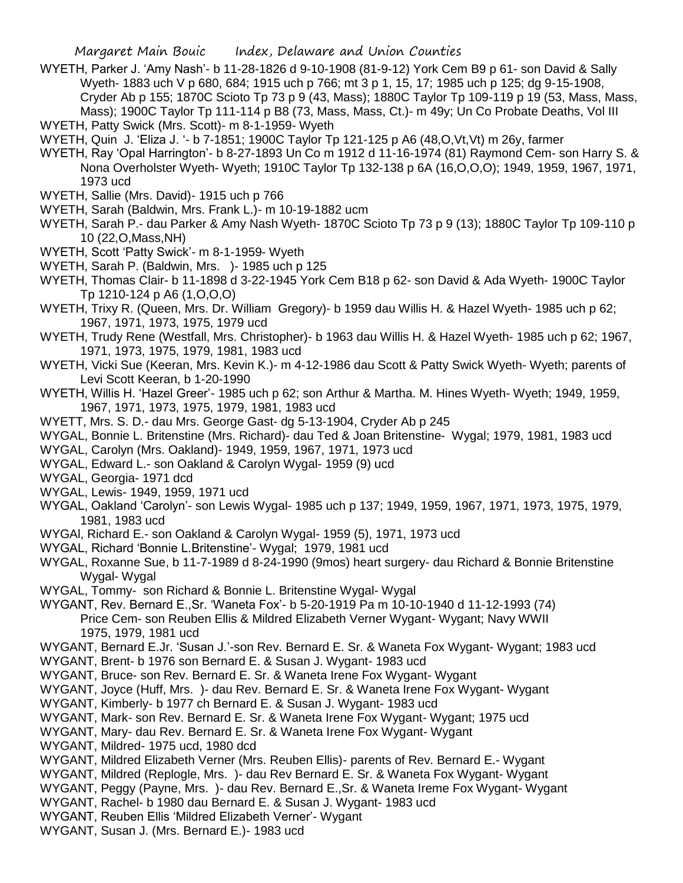WYETH, Parker J. 'Amy Nash'- b 11-28-1826 d 9-10-1908 (81-9-12) York Cem B9 p 61- son David & Sally Wyeth- 1883 uch V p 680, 684; 1915 uch p 766; mt 3 p 1, 15, 17; 1985 uch p 125; dg 9-15-1908, Cryder Ab p 155; 1870C Scioto Tp 73 p 9 (43, Mass); 1880C Taylor Tp 109-119 p 19 (53, Mass, Mass, Mass); 1900C Taylor Tp 111-114 p B8 (73, Mass, Mass, Ct.)- m 49y; Un Co Probate Deaths, Vol III WYETH, Patty Swick (Mrs. Scott)- m 8-1-1959- Wyeth

WYETH, Quin J. 'Eliza J. '- b 7-1851; 1900C Taylor Tp 121-125 p A6 (48,O,Vt,Vt) m 26y, farmer

- WYETH, Ray 'Opal Harrington'- b 8-27-1893 Un Co m 1912 d 11-16-1974 (81) Raymond Cem- son Harry S. & Nona Overholster Wyeth- Wyeth; 1910C Taylor Tp 132-138 p 6A (16,O,O,O); 1949, 1959, 1967, 1971, 1973 ucd
- WYETH, Sallie (Mrs. David)- 1915 uch p 766
- WYETH, Sarah (Baldwin, Mrs. Frank L.)- m 10-19-1882 ucm
- WYETH, Sarah P.- dau Parker & Amy Nash Wyeth- 1870C Scioto Tp 73 p 9 (13); 1880C Taylor Tp 109-110 p 10 (22,O,Mass,NH)
- WYETH, Scott 'Patty Swick'- m 8-1-1959- Wyeth
- WYETH, Sarah P. (Baldwin, Mrs. )- 1985 uch p 125
- WYETH, Thomas Clair- b 11-1898 d 3-22-1945 York Cem B18 p 62- son David & Ada Wyeth- 1900C Taylor Tp 1210-124 p A6 (1,O,O,O)
- WYETH, Trixy R. (Queen, Mrs. Dr. William Gregory)- b 1959 dau Willis H. & Hazel Wyeth- 1985 uch p 62; 1967, 1971, 1973, 1975, 1979 ucd
- WYETH, Trudy Rene (Westfall, Mrs. Christopher)- b 1963 dau Willis H. & Hazel Wyeth- 1985 uch p 62; 1967, 1971, 1973, 1975, 1979, 1981, 1983 ucd
- WYETH, Vicki Sue (Keeran, Mrs. Kevin K.)- m 4-12-1986 dau Scott & Patty Swick Wyeth- Wyeth; parents of Levi Scott Keeran, b 1-20-1990
- WYETH, Willis H. 'Hazel Greer'- 1985 uch p 62; son Arthur & Martha. M. Hines Wyeth- Wyeth; 1949, 1959, 1967, 1971, 1973, 1975, 1979, 1981, 1983 ucd
- WYETT, Mrs. S. D.- dau Mrs. George Gast- dg 5-13-1904, Cryder Ab p 245
- WYGAL, Bonnie L. Britenstine (Mrs. Richard)- dau Ted & Joan Britenstine- Wygal; 1979, 1981, 1983 ucd
- WYGAL, Carolyn (Mrs. Oakland)- 1949, 1959, 1967, 1971, 1973 ucd
- WYGAL, Edward L.- son Oakland & Carolyn Wygal- 1959 (9) ucd
- WYGAL, Georgia- 1971 dcd
- WYGAL, Lewis- 1949, 1959, 1971 ucd
- WYGAL, Oakland 'Carolyn'- son Lewis Wygal- 1985 uch p 137; 1949, 1959, 1967, 1971, 1973, 1975, 1979, 1981, 1983 ucd
- WYGAl, Richard E.- son Oakland & Carolyn Wygal- 1959 (5), 1971, 1973 ucd
- WYGAL, Richard 'Bonnie L.Britenstine'- Wygal; 1979, 1981 ucd
- WYGAL, Roxanne Sue, b 11-7-1989 d 8-24-1990 (9mos) heart surgery- dau Richard & Bonnie Britenstine Wygal- Wygal
- WYGAL, Tommy- son Richard & Bonnie L. Britenstine Wygal- Wygal
- WYGANT, Rev. Bernard E.,Sr. 'Waneta Fox'- b 5-20-1919 Pa m 10-10-1940 d 11-12-1993 (74) Price Cem- son Reuben Ellis & Mildred Elizabeth Verner Wygant- Wygant; Navy WWII
	- 1975, 1979, 1981 ucd
- WYGANT, Bernard E.Jr. 'Susan J.'-son Rev. Bernard E. Sr. & Waneta Fox Wygant- Wygant; 1983 ucd
- WYGANT, Brent- b 1976 son Bernard E. & Susan J. Wygant- 1983 ucd
- WYGANT, Bruce- son Rev. Bernard E. Sr. & Waneta Irene Fox Wygant- Wygant
- WYGANT, Joyce (Huff, Mrs. )- dau Rev. Bernard E. Sr. & Waneta Irene Fox Wygant- Wygant
- WYGANT, Kimberly- b 1977 ch Bernard E. & Susan J. Wygant- 1983 ucd
- WYGANT, Mark- son Rev. Bernard E. Sr. & Waneta Irene Fox Wygant- Wygant; 1975 ucd
- WYGANT, Mary- dau Rev. Bernard E. Sr. & Waneta Irene Fox Wygant- Wygant
- WYGANT, Mildred- 1975 ucd, 1980 dcd
- WYGANT, Mildred Elizabeth Verner (Mrs. Reuben Ellis)- parents of Rev. Bernard E.- Wygant
- WYGANT, Mildred (Replogle, Mrs. )- dau Rev Bernard E. Sr. & Waneta Fox Wygant- Wygant
- WYGANT, Peggy (Payne, Mrs. )- dau Rev. Bernard E.,Sr. & Waneta Ireme Fox Wygant- Wygant
- WYGANT, Rachel- b 1980 dau Bernard E. & Susan J. Wygant- 1983 ucd
- WYGANT, Reuben Ellis 'Mildred Elizabeth Verner'- Wygant
- WYGANT, Susan J. (Mrs. Bernard E.)- 1983 ucd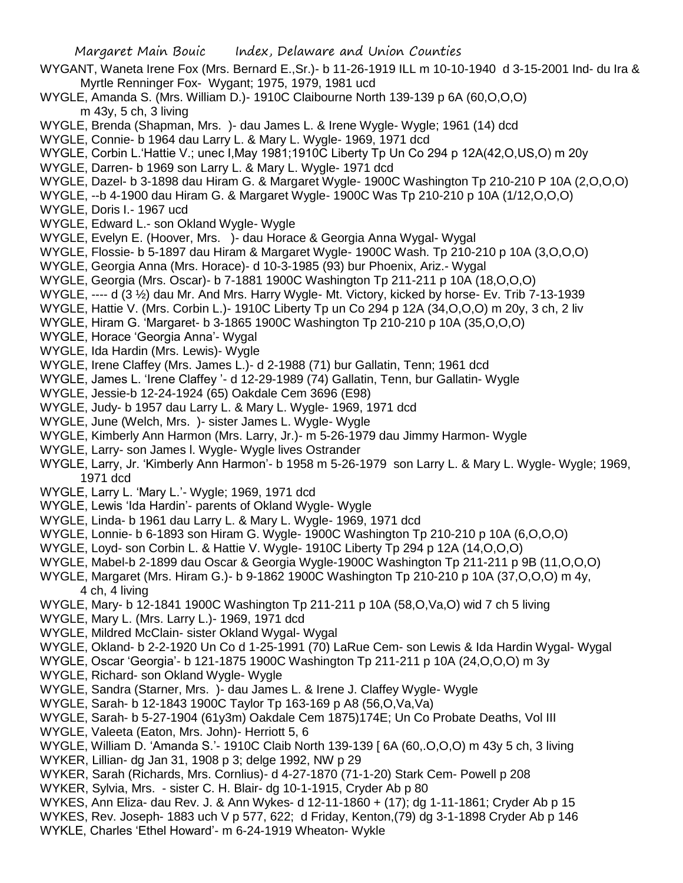- Margaret Main Bouic Index, Delaware and Union Counties WYGANT, Waneta Irene Fox (Mrs. Bernard E.,Sr.)- b 11-26-1919 ILL m 10-10-1940 d 3-15-2001 Ind- du Ira & Myrtle Renninger Fox- Wygant; 1975, 1979, 1981 ucd WYGLE, Amanda S. (Mrs. William D.)- 1910C Claibourne North 139-139 p 6A (60,O,O,O) m 43y, 5 ch, 3 living WYGLE, Brenda (Shapman, Mrs. )- dau James L. & Irene Wygle- Wygle; 1961 (14) dcd WYGLE, Connie- b 1964 dau Larry L. & Mary L. Wygle- 1969, 1971 dcd WYGLE, Corbin L.'Hattie V.; unec I,May 1981;1910C Liberty Tp Un Co 294 p 12A(42,O,US,O) m 20y WYGLE, Darren- b 1969 son Larry L. & Mary L. Wygle- 1971 dcd WYGLE, Dazel- b 3-1898 dau Hiram G. & Margaret Wygle- 1900C Washington Tp 210-210 P 10A (2,O,O,O) WYGLE, --b 4-1900 dau Hiram G. & Margaret Wygle- 1900C Was Tp 210-210 p 10A (1/12,O,O,O) WYGLE, Doris I.- 1967 ucd WYGLE, Edward L.- son Okland Wygle- Wygle
- WYGLE, Evelyn E. (Hoover, Mrs. )- dau Horace & Georgia Anna Wygal- Wygal
- WYGLE, Flossie- b 5-1897 dau Hiram & Margaret Wygle- 1900C Wash. Tp 210-210 p 10A (3,O,O,O)
- WYGLE, Georgia Anna (Mrs. Horace)- d 10-3-1985 (93) bur Phoenix, Ariz.- Wygal
- WYGLE, Georgia (Mrs. Oscar)- b 7-1881 1900C Washington Tp 211-211 p 10A (18,O,O,O)
- WYGLE, ---- d (3 1/2) dau Mr. And Mrs. Harry Wygle- Mt. Victory, kicked by horse- Ev. Trib 7-13-1939
- WYGLE, Hattie V. (Mrs. Corbin L.)- 1910C Liberty Tp un Co 294 p 12A (34,O,O,O) m 20y, 3 ch, 2 liv
- WYGLE, Hiram G. 'Margaret- b 3-1865 1900C Washington Tp 210-210 p 10A (35,O,O,O)
- WYGLE, Horace 'Georgia Anna'- Wygal
- WYGLE, Ida Hardin (Mrs. Lewis)- Wygle
- WYGLE, Irene Claffey (Mrs. James L.)- d 2-1988 (71) bur Gallatin, Tenn; 1961 dcd
- WYGLE, James L. 'Irene Claffey '- d 12-29-1989 (74) Gallatin, Tenn, bur Gallatin- Wygle
- WYGLE, Jessie-b 12-24-1924 (65) Oakdale Cem 3696 (E98)
- WYGLE, Judy- b 1957 dau Larry L. & Mary L. Wygle- 1969, 1971 dcd
- WYGLE, June (Welch, Mrs. )- sister James L. Wygle- Wygle
- WYGLE, Kimberly Ann Harmon (Mrs. Larry, Jr.)- m 5-26-1979 dau Jimmy Harmon- Wygle
- WYGLE, Larry- son James I. Wygle- Wygle lives Ostrander
- WYGLE, Larry, Jr. 'Kimberly Ann Harmon'- b 1958 m 5-26-1979 son Larry L. & Mary L. Wygle- Wygle; 1969, 1971 dcd
- WYGLE, Larry L. 'Mary L.'- Wygle; 1969, 1971 dcd
- WYGLE, Lewis 'Ida Hardin'- parents of Okland Wygle- Wygle
- WYGLE, Linda- b 1961 dau Larry L. & Mary L. Wygle- 1969, 1971 dcd
- WYGLE, Lonnie- b 6-1893 son Hiram G. Wygle- 1900C Washington Tp 210-210 p 10A (6,O,O,O)
- WYGLE, Loyd- son Corbin L. & Hattie V. Wygle- 1910C Liberty Tp 294 p 12A (14,O,O,O)
- WYGLE, Mabel-b 2-1899 dau Oscar & Georgia Wygle-1900C Washington Tp 211-211 p 9B (11,O,O,O)
- WYGLE, Margaret (Mrs. Hiram G.)- b 9-1862 1900C Washington Tp 210-210 p 10A (37,O,O,O) m 4y, 4 ch, 4 living
- WYGLE, Mary- b 12-1841 1900C Washington Tp 211-211 p 10A (58,O,Va,O) wid 7 ch 5 living
- WYGLE, Mary L. (Mrs. Larry L.)- 1969, 1971 dcd
- WYGLE, Mildred McClain- sister Okland Wygal- Wygal
- WYGLE, Okland- b 2-2-1920 Un Co d 1-25-1991 (70) LaRue Cem- son Lewis & Ida Hardin Wygal- Wygal
- WYGLE, Oscar 'Georgia'- b 121-1875 1900C Washington Tp 211-211 p 10A (24,O,O,O) m 3y
- WYGLE, Richard- son Okland Wygle- Wygle
- WYGLE, Sandra (Starner, Mrs. )- dau James L. & Irene J. Claffey Wygle- Wygle
- WYGLE, Sarah- b 12-1843 1900C Taylor Tp 163-169 p A8 (56,O,Va,Va)
- WYGLE, Sarah- b 5-27-1904 (61y3m) Oakdale Cem 1875)174E; Un Co Probate Deaths, Vol III
- WYGLE, Valeeta (Eaton, Mrs. John)- Herriott 5, 6
- WYGLE, William D. 'Amanda S.'- 1910C Claib North 139-139 [ 6A (60,.O,O,O) m 43y 5 ch, 3 living
- WYKER, Lillian- dg Jan 31, 1908 p 3; delge 1992, NW p 29
- WYKER, Sarah (Richards, Mrs. Cornlius)- d 4-27-1870 (71-1-20) Stark Cem- Powell p 208
- WYKER, Sylvia, Mrs. sister C. H. Blair- dg 10-1-1915, Cryder Ab p 80
- WYKES, Ann Eliza- dau Rev. J. & Ann Wykes- d 12-11-1860 + (17); dg 1-11-1861; Cryder Ab p 15
- WYKES, Rev. Joseph- 1883 uch V p 577, 622; d Friday, Kenton,(79) dg 3-1-1898 Cryder Ab p 146 WYKLE, Charles 'Ethel Howard'- m 6-24-1919 Wheaton- Wykle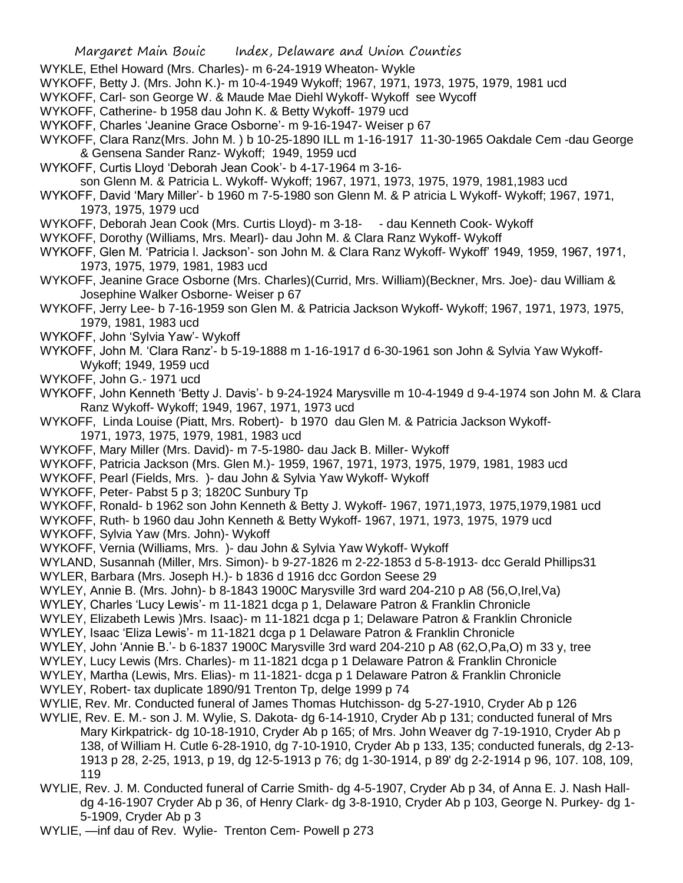- WYKLE, Ethel Howard (Mrs. Charles)- m 6-24-1919 Wheaton- Wykle
- WYKOFF, Betty J. (Mrs. John K.)- m 10-4-1949 Wykoff; 1967, 1971, 1973, 1975, 1979, 1981 ucd
- WYKOFF, Carl- son George W. & Maude Mae Diehl Wykoff- Wykoff see Wycoff
- WYKOFF, Catherine- b 1958 dau John K. & Betty Wykoff- 1979 ucd
- WYKOFF, Charles 'Jeanine Grace Osborne'- m 9-16-1947- Weiser p 67
- WYKOFF, Clara Ranz(Mrs. John M. ) b 10-25-1890 ILL m 1-16-1917 11-30-1965 Oakdale Cem -dau George & Gensena Sander Ranz- Wykoff; 1949, 1959 ucd
- WYKOFF, Curtis Lloyd 'Deborah Jean Cook'- b 4-17-1964 m 3-16-
- son Glenn M. & Patricia L. Wykoff- Wykoff; 1967, 1971, 1973, 1975, 1979, 1981,1983 ucd
- WYKOFF, David 'Mary Miller'- b 1960 m 7-5-1980 son Glenn M. & P atricia L Wykoff- Wykoff; 1967, 1971, 1973, 1975, 1979 ucd
- WYKOFF, Deborah Jean Cook (Mrs. Curtis Lloyd)- m 3-18- dau Kenneth Cook- Wykoff
- WYKOFF, Dorothy (Williams, Mrs. Mearl)- dau John M. & Clara Ranz Wykoff- Wykoff
- WYKOFF, Glen M. 'Patricia l. Jackson'- son John M. & Clara Ranz Wykoff- Wykoff' 1949, 1959, 1967, 1971, 1973, 1975, 1979, 1981, 1983 ucd
- WYKOFF, Jeanine Grace Osborne (Mrs. Charles)(Currid, Mrs. William)(Beckner, Mrs. Joe)- dau William & Josephine Walker Osborne- Weiser p 67
- WYKOFF, Jerry Lee- b 7-16-1959 son Glen M. & Patricia Jackson Wykoff- Wykoff; 1967, 1971, 1973, 1975, 1979, 1981, 1983 ucd
- WYKOFF, John 'Sylvia Yaw'- Wykoff
- WYKOFF, John M. 'Clara Ranz'- b 5-19-1888 m 1-16-1917 d 6-30-1961 son John & Sylvia Yaw Wykoff-Wykoff; 1949, 1959 ucd
- WYKOFF, John G.- 1971 ucd
- WYKOFF, John Kenneth 'Betty J. Davis'- b 9-24-1924 Marysville m 10-4-1949 d 9-4-1974 son John M. & Clara Ranz Wykoff- Wykoff; 1949, 1967, 1971, 1973 ucd
- WYKOFF, Linda Louise (Piatt, Mrs. Robert)- b 1970 dau Glen M. & Patricia Jackson Wykoff-1971, 1973, 1975, 1979, 1981, 1983 ucd
- WYKOFF, Mary Miller (Mrs. David)- m 7-5-1980- dau Jack B. Miller- Wykoff
- WYKOFF, Patricia Jackson (Mrs. Glen M.)- 1959, 1967, 1971, 1973, 1975, 1979, 1981, 1983 ucd
- WYKOFF, Pearl (Fields, Mrs. )- dau John & Sylvia Yaw Wykoff- Wykoff
- WYKOFF, Peter- Pabst 5 p 3; 1820C Sunbury Tp
- WYKOFF, Ronald- b 1962 son John Kenneth & Betty J. Wykoff- 1967, 1971,1973, 1975,1979,1981 ucd
- WYKOFF, Ruth- b 1960 dau John Kenneth & Betty Wykoff- 1967, 1971, 1973, 1975, 1979 ucd
- WYKOFF, Sylvia Yaw (Mrs. John)- Wykoff
- WYKOFF, Vernia (Williams, Mrs. )- dau John & Sylvia Yaw Wykoff- Wykoff
- WYLAND, Susannah (Miller, Mrs. Simon)- b 9-27-1826 m 2-22-1853 d 5-8-1913- dcc Gerald Phillips31
- WYLER, Barbara (Mrs. Joseph H.)- b 1836 d 1916 dcc Gordon Seese 29
- WYLEY, Annie B. (Mrs. John)- b 8-1843 1900C Marysville 3rd ward 204-210 p A8 (56,O,Irel,Va)
- WYLEY, Charles 'Lucy Lewis'- m 11-1821 dcga p 1, Delaware Patron & Franklin Chronicle
- WYLEY, Elizabeth Lewis )Mrs. Isaac)- m 11-1821 dcga p 1; Delaware Patron & Franklin Chronicle
- WYLEY, Isaac 'Eliza Lewis'- m 11-1821 dcga p 1 Delaware Patron & Franklin Chronicle
- WYLEY, John 'Annie B.'- b 6-1837 1900C Marysville 3rd ward 204-210 p A8 (62,O,Pa,O) m 33 y, tree
- WYLEY, Lucy Lewis (Mrs. Charles)- m 11-1821 dcga p 1 Delaware Patron & Franklin Chronicle
- WYLEY, Martha (Lewis, Mrs. Elias)- m 11-1821- dcga p 1 Delaware Patron & Franklin Chronicle
- WYLEY, Robert- tax duplicate 1890/91 Trenton Tp, delge 1999 p 74
- WYLIE, Rev. Mr. Conducted funeral of James Thomas Hutchisson- dg 5-27-1910, Cryder Ab p 126
- WYLIE, Rev. E. M.- son J. M. Wylie, S. Dakota- dg 6-14-1910, Cryder Ab p 131; conducted funeral of Mrs Mary Kirkpatrick- dg 10-18-1910, Cryder Ab p 165; of Mrs. John Weaver dg 7-19-1910, Cryder Ab p 138, of William H. Cutle 6-28-1910, dg 7-10-1910, Cryder Ab p 133, 135; conducted funerals, dg 2-13- 1913 p 28, 2-25, 1913, p 19, dg 12-5-1913 p 76; dg 1-30-1914, p 89' dg 2-2-1914 p 96, 107. 108, 109, 119
- WYLIE, Rev. J. M. Conducted funeral of Carrie Smith- dg 4-5-1907, Cryder Ab p 34, of Anna E. J. Nash Halldg 4-16-1907 Cryder Ab p 36, of Henry Clark- dg 3-8-1910, Cryder Ab p 103, George N. Purkey- dg 1- 5-1909, Cryder Ab p 3
- WYLIE, —inf dau of Rev. Wylie- Trenton Cem- Powell p 273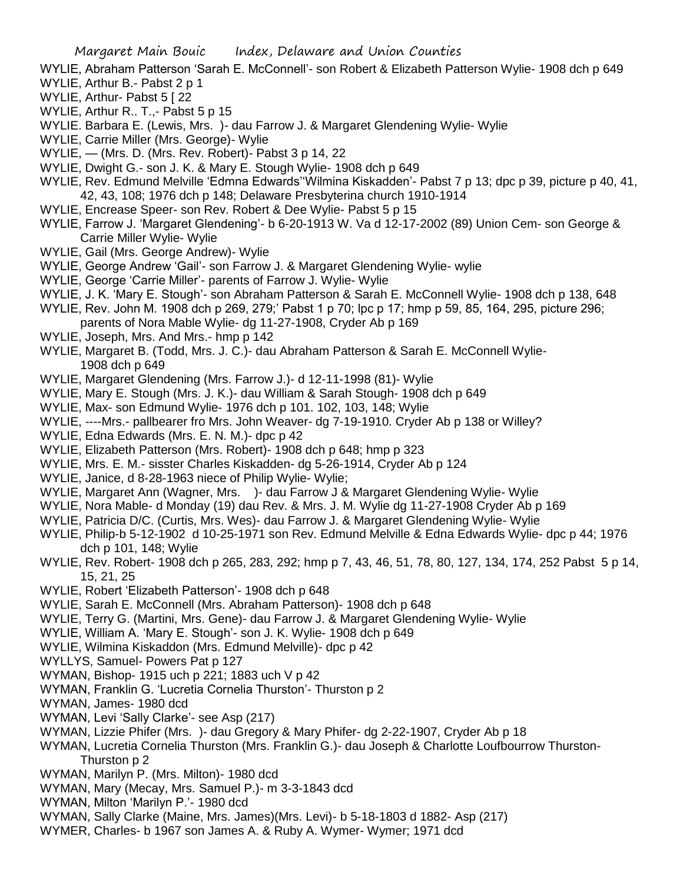- WYLIE, Abraham Patterson 'Sarah E. McConnell'- son Robert & Elizabeth Patterson Wylie- 1908 dch p 649
- WYLIE, Arthur B.- Pabst 2 p 1
- WYLIE, Arthur- Pabst 5 [22]
- WYLIE, Arthur R., T., Pabst 5 p 15
- WYLIE. Barbara E. (Lewis, Mrs. )- dau Farrow J. & Margaret Glendening Wylie- Wylie
- WYLIE, Carrie Miller (Mrs. George)- Wylie
- WYLIE, (Mrs. D. (Mrs. Rev. Robert)- Pabst 3 p 14, 22
- WYLIE, Dwight G.- son J. K. & Mary E. Stough Wylie- 1908 dch p 649
- WYLIE, Rev. Edmund Melville 'Edmna Edwards''Wilmina Kiskadden'- Pabst 7 p 13; dpc p 39, picture p 40, 41, 42, 43, 108; 1976 dch p 148; Delaware Presbyterina church 1910-1914
- WYLIE, Encrease Speer- son Rev. Robert & Dee Wylie- Pabst 5 p 15
- WYLIE, Farrow J. 'Margaret Glendening'- b 6-20-1913 W. Va d 12-17-2002 (89) Union Cem- son George & Carrie Miller Wylie- Wylie
- WYLIE, Gail (Mrs. George Andrew)- Wylie
- WYLIE, George Andrew 'Gail'- son Farrow J. & Margaret Glendening Wylie- wylie
- WYLIE, George 'Carrie Miller'- parents of Farrow J. Wylie- Wylie
- WYLIE, J. K. 'Mary E. Stough'- son Abraham Patterson & Sarah E. McConnell Wylie- 1908 dch p 138, 648
- WYLIE, Rev. John M. 1908 dch p 269, 279;' Pabst 1 p 70; lpc p 17; hmp p 59, 85, 164, 295, picture 296;
- parents of Nora Mable Wylie- dg 11-27-1908, Cryder Ab p 169 WYLIE, Joseph, Mrs. And Mrs.- hmp p 142
- WYLIE, Margaret B. (Todd, Mrs. J. C.)- dau Abraham Patterson & Sarah E. McConnell Wylie-1908 dch p 649
- WYLIE, Margaret Glendening (Mrs. Farrow J.)- d 12-11-1998 (81)- Wylie
- WYLIE, Mary E. Stough (Mrs. J. K.)- dau William & Sarah Stough- 1908 dch p 649
- WYLIE, Max- son Edmund Wylie- 1976 dch p 101. 102, 103, 148; Wylie
- WYLIE, ----Mrs.- pallbearer fro Mrs. John Weaver- dg 7-19-1910. Cryder Ab p 138 or Willey?
- WYLIE, Edna Edwards (Mrs. E. N. M.)- dpc p 42
- WYLIE, Elizabeth Patterson (Mrs. Robert)- 1908 dch p 648; hmp p 323
- WYLIE, Mrs. E. M.- sisster Charles Kiskadden- dg 5-26-1914, Cryder Ab p 124
- WYLIE, Janice, d 8-28-1963 niece of Philip Wylie- Wylie;
- WYLIE, Margaret Ann (Wagner, Mrs. )- dau Farrow J & Margaret Glendening Wylie- Wylie
- WYLIE, Nora Mable- d Monday (19) dau Rev. & Mrs. J. M. Wylie dg 11-27-1908 Cryder Ab p 169
- WYLIE, Patricia D/C. (Curtis, Mrs. Wes)- dau Farrow J. & Margaret Glendening Wylie- Wylie
- WYLIE, Philip-b 5-12-1902 d 10-25-1971 son Rev. Edmund Melville & Edna Edwards Wylie- dpc p 44; 1976 dch p 101, 148; Wylie
- WYLIE, Rev. Robert- 1908 dch p 265, 283, 292; hmp p 7, 43, 46, 51, 78, 80, 127, 134, 174, 252 Pabst 5 p 14, 15, 21, 25
- WYLIE, Robert 'Elizabeth Patterson'- 1908 dch p 648
- WYLIE, Sarah E. McConnell (Mrs. Abraham Patterson)- 1908 dch p 648
- WYLIE, Terry G. (Martini, Mrs. Gene)- dau Farrow J. & Margaret Glendening Wylie- Wylie
- WYLIE, William A. 'Mary E. Stough'- son J. K. Wylie- 1908 dch p 649
- WYLIE, Wilmina Kiskaddon (Mrs. Edmund Melville)- dpc p 42
- WYLLYS, Samuel- Powers Pat p 127
- WYMAN, Bishop- 1915 uch p 221; 1883 uch V p 42
- WYMAN, Franklin G. 'Lucretia Cornelia Thurston'- Thurston p 2
- WYMAN, James- 1980 dcd
- WYMAN, Levi 'Sally Clarke'- see Asp (217)
- WYMAN, Lizzie Phifer (Mrs. )- dau Gregory & Mary Phifer- dg 2-22-1907, Cryder Ab p 18
- WYMAN, Lucretia Cornelia Thurston (Mrs. Franklin G.)- dau Joseph & Charlotte Loufbourrow Thurston-Thurston p 2
- WYMAN, Marilyn P. (Mrs. Milton)- 1980 dcd
- WYMAN, Mary (Mecay, Mrs. Samuel P.)- m 3-3-1843 dcd
- WYMAN, Milton 'Marilyn P.'- 1980 dcd
- WYMAN, Sally Clarke (Maine, Mrs. James)(Mrs. Levi)- b 5-18-1803 d 1882- Asp (217)
- WYMER, Charles- b 1967 son James A. & Ruby A. Wymer- Wymer; 1971 dcd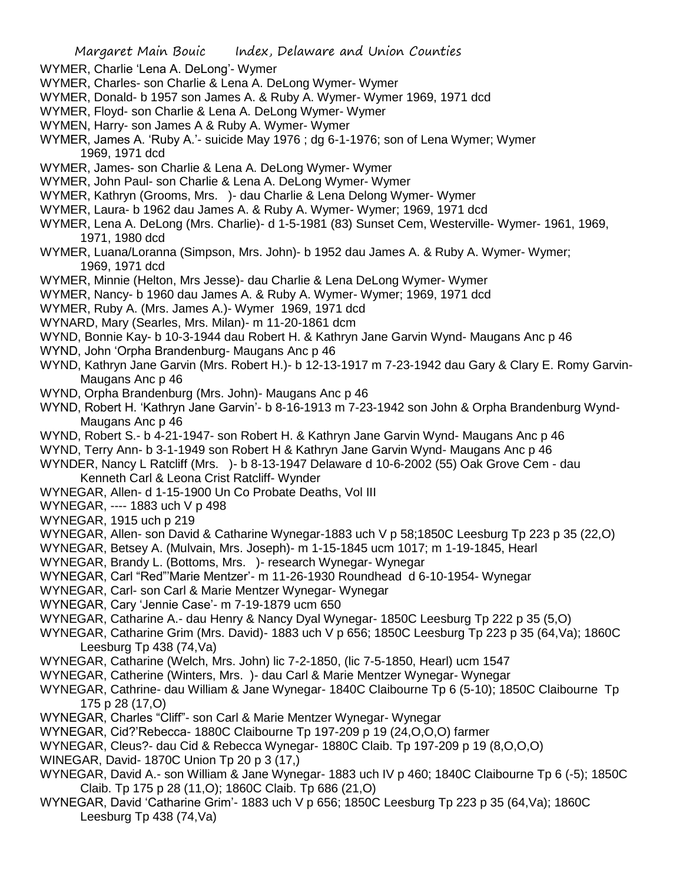WYMER, Charlie 'Lena A. DeLong'- Wymer

- WYMER, Charles- son Charlie & Lena A. DeLong Wymer- Wymer
- WYMER, Donald- b 1957 son James A. & Ruby A. Wymer- Wymer 1969, 1971 dcd
- WYMER, Floyd- son Charlie & Lena A. DeLong Wymer- Wymer
- WYMEN, Harry- son James A & Ruby A. Wymer- Wymer
- WYMER, James A. 'Ruby A.'- suicide May 1976 ; dg 6-1-1976; son of Lena Wymer; Wymer 1969, 1971 dcd
- WYMER, James- son Charlie & Lena A. DeLong Wymer- Wymer
- WYMER, John Paul- son Charlie & Lena A. DeLong Wymer- Wymer
- WYMER, Kathryn (Grooms, Mrs. )- dau Charlie & Lena Delong Wymer- Wymer
- WYMER, Laura- b 1962 dau James A. & Ruby A. Wymer- Wymer; 1969, 1971 dcd
- WYMER, Lena A. DeLong (Mrs. Charlie)- d 1-5-1981 (83) Sunset Cem, Westerville- Wymer- 1961, 1969, 1971, 1980 dcd
- WYMER, Luana/Loranna (Simpson, Mrs. John)- b 1952 dau James A. & Ruby A. Wymer- Wymer; 1969, 1971 dcd
- WYMER, Minnie (Helton, Mrs Jesse)- dau Charlie & Lena DeLong Wymer- Wymer
- WYMER, Nancy- b 1960 dau James A. & Ruby A. Wymer- Wymer; 1969, 1971 dcd
- WYMER, Ruby A. (Mrs. James A.)- Wymer 1969, 1971 dcd
- WYNARD, Mary (Searles, Mrs. Milan)- m 11-20-1861 dcm
- WYND, Bonnie Kay- b 10-3-1944 dau Robert H. & Kathryn Jane Garvin Wynd- Maugans Anc p 46
- WYND, John 'Orpha Brandenburg- Maugans Anc p 46
- WYND, Kathryn Jane Garvin (Mrs. Robert H.)- b 12-13-1917 m 7-23-1942 dau Gary & Clary E. Romy Garvin-Maugans Anc p 46
- WYND, Orpha Brandenburg (Mrs. John)- Maugans Anc p 46
- WYND, Robert H. 'Kathryn Jane Garvin'- b 8-16-1913 m 7-23-1942 son John & Orpha Brandenburg Wynd-Maugans Anc p 46
- WYND, Robert S.- b 4-21-1947- son Robert H. & Kathryn Jane Garvin Wynd- Maugans Anc p 46
- WYND, Terry Ann- b 3-1-1949 son Robert H & Kathryn Jane Garvin Wynd- Maugans Anc p 46
- WYNDER, Nancy L Ratcliff (Mrs. )- b 8-13-1947 Delaware d 10-6-2002 (55) Oak Grove Cem dau Kenneth Carl & Leona Crist Ratcliff- Wynder
- WYNEGAR, Allen- d 1-15-1900 Un Co Probate Deaths, Vol III
- WYNEGAR, ---- 1883 uch V p 498
- WYNEGAR, 1915 uch p 219
- WYNEGAR, Allen- son David & Catharine Wynegar-1883 uch V p 58;1850C Leesburg Tp 223 p 35 (22,O)
- WYNEGAR, Betsey A. (Mulvain, Mrs. Joseph)- m 1-15-1845 ucm 1017; m 1-19-1845, Hearl
- WYNEGAR, Brandy L. (Bottoms, Mrs. )- research Wynegar- Wynegar
- WYNEGAR, Carl "Red"'Marie Mentzer'- m 11-26-1930 Roundhead d 6-10-1954- Wynegar
- WYNEGAR, Carl- son Carl & Marie Mentzer Wynegar- Wynegar
- WYNEGAR, Cary 'Jennie Case'- m 7-19-1879 ucm 650
- WYNEGAR, Catharine A.- dau Henry & Nancy Dyal Wynegar- 1850C Leesburg Tp 222 p 35 (5,O)
- WYNEGAR, Catharine Grim (Mrs. David)- 1883 uch V p 656; 1850C Leesburg Tp 223 p 35 (64,Va); 1860C Leesburg Tp 438 (74,Va)
- WYNEGAR, Catharine (Welch, Mrs. John) lic 7-2-1850, (lic 7-5-1850, Hearl) ucm 1547
- WYNEGAR, Catherine (Winters, Mrs. )- dau Carl & Marie Mentzer Wynegar- Wynegar
- WYNEGAR, Cathrine- dau William & Jane Wynegar- 1840C Claibourne Tp 6 (5-10); 1850C Claibourne Tp 175 p 28 (17,O)
- WYNEGAR, Charles "Cliff"- son Carl & Marie Mentzer Wynegar- Wynegar
- WYNEGAR, Cid?'Rebecca- 1880C Claibourne Tp 197-209 p 19 (24,O,O,O) farmer
- WYNEGAR, Cleus?- dau Cid & Rebecca Wynegar- 1880C Claib. Tp 197-209 p 19 (8,O,O,O)
- WINEGAR, David- 1870C Union Tp 20 p 3 (17,)
- WYNEGAR, David A.- son William & Jane Wynegar- 1883 uch IV p 460; 1840C Claibourne Tp 6 (-5); 1850C Claib. Tp 175 p 28 (11,O); 1860C Claib. Tp 686 (21,O)
- WYNEGAR, David 'Catharine Grim'- 1883 uch V p 656; 1850C Leesburg Tp 223 p 35 (64,Va); 1860C Leesburg Tp 438 (74,Va)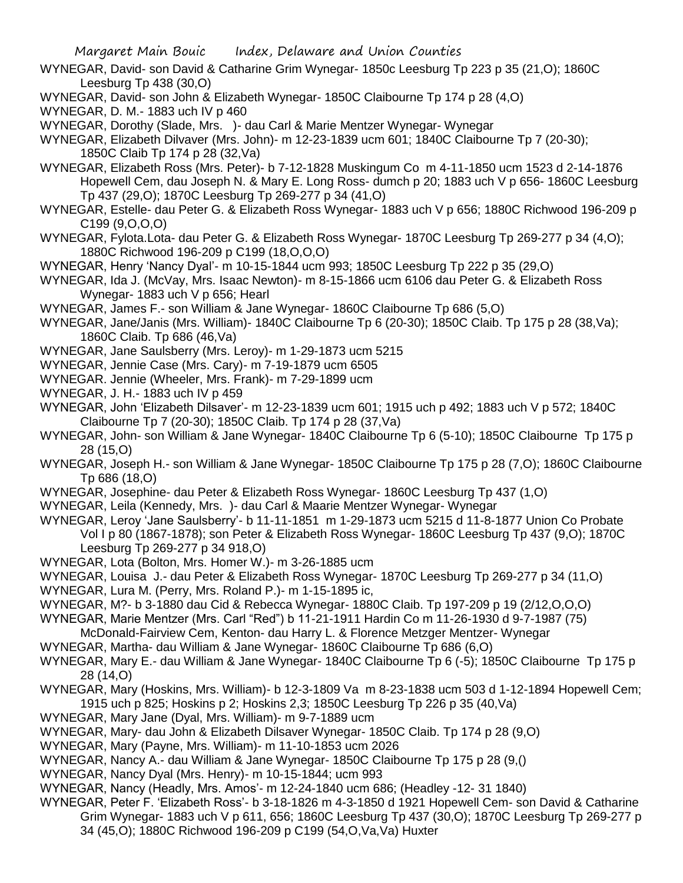- WYNEGAR, David- son David & Catharine Grim Wynegar- 1850c Leesburg Tp 223 p 35 (21,O); 1860C Leesburg Tp 438 (30,O)
- WYNEGAR, David- son John & Elizabeth Wynegar- 1850C Claibourne Tp 174 p 28 (4,O)
- WYNEGAR, D. M.- 1883 uch IV p 460
- WYNEGAR, Dorothy (Slade, Mrs. )- dau Carl & Marie Mentzer Wynegar- Wynegar
- WYNEGAR, Elizabeth Dilvaver (Mrs. John)- m 12-23-1839 ucm 601; 1840C Claibourne Tp 7 (20-30); 1850C Claib Tp 174 p 28 (32,Va)
- WYNEGAR, Elizabeth Ross (Mrs. Peter)- b 7-12-1828 Muskingum Co m 4-11-1850 ucm 1523 d 2-14-1876 Hopewell Cem, dau Joseph N. & Mary E. Long Ross- dumch p 20; 1883 uch V p 656- 1860C Leesburg Tp 437 (29,O); 1870C Leesburg Tp 269-277 p 34 (41,O)
- WYNEGAR, Estelle- dau Peter G. & Elizabeth Ross Wynegar- 1883 uch V p 656; 1880C Richwood 196-209 p C199 (9,O,O,O)
- WYNEGAR, Fylota.Lota- dau Peter G. & Elizabeth Ross Wynegar- 1870C Leesburg Tp 269-277 p 34 (4,O); 1880C Richwood 196-209 p C199 (18,O,O,O)
- WYNEGAR, Henry 'Nancy Dyal'- m 10-15-1844 ucm 993; 1850C Leesburg Tp 222 p 35 (29,O)
- WYNEGAR, Ida J. (McVay, Mrs. Isaac Newton)- m 8-15-1866 ucm 6106 dau Peter G. & Elizabeth Ross Wynegar- 1883 uch V p 656; Hearl
- WYNEGAR, James F.- son William & Jane Wynegar- 1860C Claibourne Tp 686 (5,O)
- WYNEGAR, Jane/Janis (Mrs. William)- 1840C Claibourne Tp 6 (20-30); 1850C Claib. Tp 175 p 28 (38,Va); 1860C Claib. Tp 686 (46,Va)
- WYNEGAR, Jane Saulsberry (Mrs. Leroy)- m 1-29-1873 ucm 5215
- WYNEGAR, Jennie Case (Mrs. Cary)- m 7-19-1879 ucm 6505
- WYNEGAR. Jennie (Wheeler, Mrs. Frank)- m 7-29-1899 ucm
- WYNEGAR, J. H.- 1883 uch IV p 459
- WYNEGAR, John 'Elizabeth Dilsaver'- m 12-23-1839 ucm 601; 1915 uch p 492; 1883 uch V p 572; 1840C Claibourne Tp 7 (20-30); 1850C Claib. Tp 174 p 28 (37,Va)
- WYNEGAR, John- son William & Jane Wynegar- 1840C Claibourne Tp 6 (5-10); 1850C Claibourne Tp 175 p 28 (15,O)
- WYNEGAR, Joseph H.- son William & Jane Wynegar- 1850C Claibourne Tp 175 p 28 (7,O); 1860C Claibourne Tp 686 (18,O)
- WYNEGAR, Josephine- dau Peter & Elizabeth Ross Wynegar- 1860C Leesburg Tp 437 (1,O)
- WYNEGAR, Leila (Kennedy, Mrs. )- dau Carl & Maarie Mentzer Wynegar- Wynegar
- WYNEGAR, Leroy 'Jane Saulsberry'- b 11-11-1851 m 1-29-1873 ucm 5215 d 11-8-1877 Union Co Probate Vol I p 80 (1867-1878); son Peter & Elizabeth Ross Wynegar- 1860C Leesburg Tp 437 (9,O); 1870C Leesburg Tp 269-277 p 34 918,O)
- WYNEGAR, Lota (Bolton, Mrs. Homer W.)- m 3-26-1885 ucm
- WYNEGAR, Louisa J.- dau Peter & Elizabeth Ross Wynegar- 1870C Leesburg Tp 269-277 p 34 (11,O)
- WYNEGAR, Lura M. (Perry, Mrs. Roland P.)- m 1-15-1895 ic,
- WYNEGAR, M?- b 3-1880 dau Cid & Rebecca Wynegar- 1880C Claib. Tp 197-209 p 19 (2/12,O,O,O)
- WYNEGAR, Marie Mentzer (Mrs. Carl "Red") b 11-21-1911 Hardin Co m 11-26-1930 d 9-7-1987 (75)
- McDonald-Fairview Cem, Kenton- dau Harry L. & Florence Metzger Mentzer- Wynegar
- WYNEGAR, Martha- dau William & Jane Wynegar- 1860C Claibourne Tp 686 (6,O)
- WYNEGAR, Mary E.- dau William & Jane Wynegar- 1840C Claibourne Tp 6 (-5); 1850C Claibourne Tp 175 p 28 (14,O)
- WYNEGAR, Mary (Hoskins, Mrs. William)- b 12-3-1809 Va m 8-23-1838 ucm 503 d 1-12-1894 Hopewell Cem; 1915 uch p 825; Hoskins p 2; Hoskins 2,3; 1850C Leesburg Tp 226 p 35 (40,Va)
- WYNEGAR, Mary Jane (Dyal, Mrs. William)- m 9-7-1889 ucm
- WYNEGAR, Mary- dau John & Elizabeth Dilsaver Wynegar- 1850C Claib. Tp 174 p 28 (9,O)
- WYNEGAR, Mary (Payne, Mrs. William)- m 11-10-1853 ucm 2026
- WYNEGAR, Nancy A.- dau William & Jane Wynegar- 1850C Claibourne Tp 175 p 28 (9,()
- WYNEGAR, Nancy Dyal (Mrs. Henry)- m 10-15-1844; ucm 993
- WYNEGAR, Nancy (Headly, Mrs. Amos'- m 12-24-1840 ucm 686; (Headley -12- 31 1840)
- WYNEGAR, Peter F. 'Elizabeth Ross'- b 3-18-1826 m 4-3-1850 d 1921 Hopewell Cem- son David & Catharine Grim Wynegar- 1883 uch V p 611, 656; 1860C Leesburg Tp 437 (30,O); 1870C Leesburg Tp 269-277 p 34 (45,O); 1880C Richwood 196-209 p C199 (54,O,Va,Va) Huxter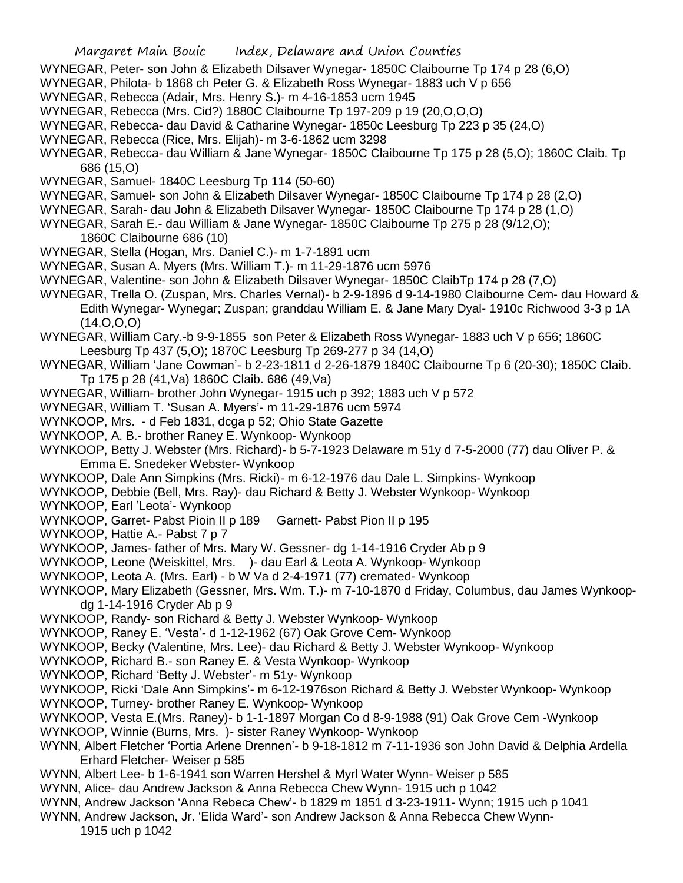- WYNEGAR, Peter- son John & Elizabeth Dilsaver Wynegar- 1850C Claibourne Tp 174 p 28 (6,O)
- WYNEGAR, Philota- b 1868 ch Peter G. & Elizabeth Ross Wynegar- 1883 uch V p 656
- WYNEGAR, Rebecca (Adair, Mrs. Henry S.)- m 4-16-1853 ucm 1945
- WYNEGAR, Rebecca (Mrs. Cid?) 1880C Claibourne Tp 197-209 p 19 (20,O,O,O)
- WYNEGAR, Rebecca- dau David & Catharine Wynegar- 1850c Leesburg Tp 223 p 35 (24,O)
- WYNEGAR, Rebecca (Rice, Mrs. Elijah)- m 3-6-1862 ucm 3298
- WYNEGAR, Rebecca- dau William & Jane Wynegar- 1850C Claibourne Tp 175 p 28 (5,O); 1860C Claib. Tp 686 (15,O)
- WYNEGAR, Samuel- 1840C Leesburg Tp 114 (50-60)
- WYNEGAR, Samuel- son John & Elizabeth Dilsaver Wynegar- 1850C Claibourne Tp 174 p 28 (2,O)
- WYNEGAR, Sarah- dau John & Elizabeth Dilsaver Wynegar- 1850C Claibourne Tp 174 p 28 (1,O)
- WYNEGAR, Sarah E.- dau William & Jane Wynegar- 1850C Claibourne Tp 275 p 28 (9/12,O); 1860C Claibourne 686 (10)
- WYNEGAR, Stella (Hogan, Mrs. Daniel C.)- m 1-7-1891 ucm
- WYNEGAR, Susan A. Myers (Mrs. William T.)- m 11-29-1876 ucm 5976
- WYNEGAR, Valentine- son John & Elizabeth Dilsaver Wynegar- 1850C ClaibTp 174 p 28 (7,O)
- WYNEGAR, Trella O. (Zuspan, Mrs. Charles Vernal)- b 2-9-1896 d 9-14-1980 Claibourne Cem- dau Howard & Edith Wynegar- Wynegar; Zuspan; granddau William E. & Jane Mary Dyal- 1910c Richwood 3-3 p 1A (14,O,O,O)
- WYNEGAR, William Cary.-b 9-9-1855 son Peter & Elizabeth Ross Wynegar- 1883 uch V p 656; 1860C Leesburg Tp 437 (5,O); 1870C Leesburg Tp 269-277 p 34 (14,O)
- WYNEGAR, William 'Jane Cowman'- b 2-23-1811 d 2-26-1879 1840C Claibourne Tp 6 (20-30); 1850C Claib. Tp 175 p 28 (41,Va) 1860C Claib. 686 (49,Va)
- WYNEGAR, William- brother John Wynegar- 1915 uch p 392; 1883 uch V p 572
- WYNEGAR, William T. 'Susan A. Myers'- m 11-29-1876 ucm 5974
- WYNKOOP, Mrs. d Feb 1831, dcga p 52; Ohio State Gazette
- WYNKOOP, A. B.- brother Raney E. Wynkoop- Wynkoop
- WYNKOOP, Betty J. Webster (Mrs. Richard)- b 5-7-1923 Delaware m 51y d 7-5-2000 (77) dau Oliver P. & Emma E. Snedeker Webster- Wynkoop
- WYNKOOP, Dale Ann Simpkins (Mrs. Ricki)- m 6-12-1976 dau Dale L. Simpkins- Wynkoop
- WYNKOOP, Debbie (Bell, Mrs. Ray)- dau Richard & Betty J. Webster Wynkoop- Wynkoop
- WYNKOOP, Earl 'Leota'- Wynkoop
- WYNKOOP, Garret- Pabst Pioin II p 189 Garnett- Pabst Pion II p 195
- WYNKOOP, Hattie A.- Pabst 7 p 7
- WYNKOOP, James- father of Mrs. Mary W. Gessner- dg 1-14-1916 Cryder Ab p 9
- WYNKOOP, Leone (Weiskittel, Mrs. )- dau Earl & Leota A. Wynkoop- Wynkoop
- WYNKOOP, Leota A. (Mrs. Earl) b W Va d 2-4-1971 (77) cremated- Wynkoop
- WYNKOOP, Mary Elizabeth (Gessner, Mrs. Wm. T.)- m 7-10-1870 d Friday, Columbus, dau James Wynkoopdg 1-14-1916 Cryder Ab p 9
- WYNKOOP, Randy- son Richard & Betty J. Webster Wynkoop- Wynkoop
- WYNKOOP, Raney E. 'Vesta'- d 1-12-1962 (67) Oak Grove Cem- Wynkoop
- WYNKOOP, Becky (Valentine, Mrs. Lee)- dau Richard & Betty J. Webster Wynkoop- Wynkoop
- WYNKOOP, Richard B.- son Raney E. & Vesta Wynkoop- Wynkoop
- WYNKOOP, Richard 'Betty J. Webster'- m 51y- Wynkoop
- WYNKOOP, Ricki 'Dale Ann Simpkins'- m 6-12-1976son Richard & Betty J. Webster Wynkoop- Wynkoop
- WYNKOOP, Turney- brother Raney E. Wynkoop- Wynkoop
- WYNKOOP, Vesta E.(Mrs. Raney)- b 1-1-1897 Morgan Co d 8-9-1988 (91) Oak Grove Cem -Wynkoop
- WYNKOOP, Winnie (Burns, Mrs. )- sister Raney Wynkoop- Wynkoop
- WYNN, Albert Fletcher 'Portia Arlene Drennen'- b 9-18-1812 m 7-11-1936 son John David & Delphia Ardella Erhard Fletcher- Weiser p 585
- WYNN, Albert Lee- b 1-6-1941 son Warren Hershel & Myrl Water Wynn- Weiser p 585
- WYNN, Alice- dau Andrew Jackson & Anna Rebecca Chew Wynn- 1915 uch p 1042
- WYNN, Andrew Jackson 'Anna Rebeca Chew'- b 1829 m 1851 d 3-23-1911- Wynn; 1915 uch p 1041
- WYNN, Andrew Jackson, Jr. 'Elida Ward'- son Andrew Jackson & Anna Rebecca Chew Wynn-1915 uch p 1042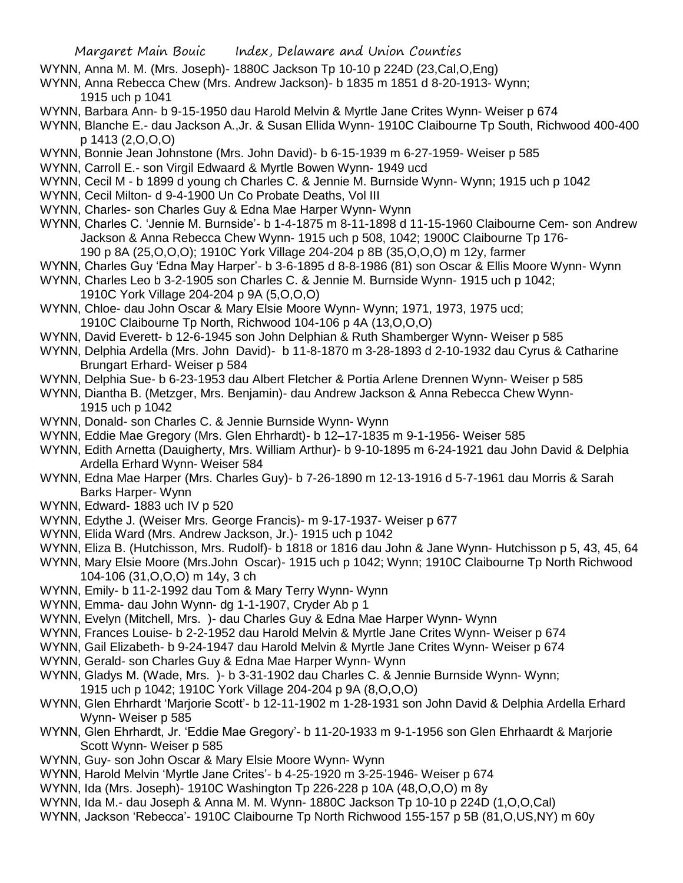- WYNN, Anna M. M. (Mrs. Joseph)- 1880C Jackson Tp 10-10 p 224D (23,Cal,O,Eng)
- WYNN, Anna Rebecca Chew (Mrs. Andrew Jackson)- b 1835 m 1851 d 8-20-1913- Wynn; 1915 uch p 1041
- WYNN, Barbara Ann- b 9-15-1950 dau Harold Melvin & Myrtle Jane Crites Wynn- Weiser p 674
- WYNN, Blanche E.- dau Jackson A.,Jr. & Susan Ellida Wynn- 1910C Claibourne Tp South, Richwood 400-400 p 1413 (2,O,O,O)
- WYNN, Bonnie Jean Johnstone (Mrs. John David)- b 6-15-1939 m 6-27-1959- Weiser p 585
- WYNN, Carroll E.- son Virgil Edwaard & Myrtle Bowen Wynn- 1949 ucd
- WYNN, Cecil M b 1899 d young ch Charles C. & Jennie M. Burnside Wynn- Wynn; 1915 uch p 1042
- WYNN, Cecil Milton- d 9-4-1900 Un Co Probate Deaths, Vol III
- WYNN, Charles- son Charles Guy & Edna Mae Harper Wynn- Wynn
- WYNN, Charles C. 'Jennie M. Burnside'- b 1-4-1875 m 8-11-1898 d 11-15-1960 Claibourne Cem- son Andrew Jackson & Anna Rebecca Chew Wynn- 1915 uch p 508, 1042; 1900C Claibourne Tp 176- 190 p 8A (25,O,O,O); 1910C York Village 204-204 p 8B (35,O,O,O) m 12y, farmer
- WYNN, Charles Guy 'Edna May Harper'- b 3-6-1895 d 8-8-1986 (81) son Oscar & Ellis Moore Wynn- Wynn
- WYNN, Charles Leo b 3-2-1905 son Charles C. & Jennie M. Burnside Wynn- 1915 uch p 1042;
- 1910C York Village 204-204 p 9A (5,O,O,O)
- WYNN, Chloe- dau John Oscar & Mary Elsie Moore Wynn- Wynn; 1971, 1973, 1975 ucd; 1910C Claibourne Tp North, Richwood 104-106 p 4A (13,O,O,O)
- WYNN, David Everett- b 12-6-1945 son John Delphian & Ruth Shamberger Wynn- Weiser p 585
- WYNN, Delphia Ardella (Mrs. John David)- b 11-8-1870 m 3-28-1893 d 2-10-1932 dau Cyrus & Catharine Brungart Erhard- Weiser p 584
- WYNN, Delphia Sue- b 6-23-1953 dau Albert Fletcher & Portia Arlene Drennen Wynn- Weiser p 585
- WYNN, Diantha B. (Metzger, Mrs. Benjamin)- dau Andrew Jackson & Anna Rebecca Chew Wynn-1915 uch p 1042
- WYNN, Donald- son Charles C. & Jennie Burnside Wynn- Wynn
- WYNN, Eddie Mae Gregory (Mrs. Glen Ehrhardt)- b 12–17-1835 m 9-1-1956- Weiser 585
- WYNN, Edith Arnetta (Dauigherty, Mrs. William Arthur)- b 9-10-1895 m 6-24-1921 dau John David & Delphia Ardella Erhard Wynn- Weiser 584
- WYNN, Edna Mae Harper (Mrs. Charles Guy)- b 7-26-1890 m 12-13-1916 d 5-7-1961 dau Morris & Sarah Barks Harper- Wynn
- WYNN, Edward- 1883 uch IV p 520
- WYNN, Edythe J. (Weiser Mrs. George Francis)- m 9-17-1937- Weiser p 677
- WYNN, Elida Ward (Mrs. Andrew Jackson, Jr.)- 1915 uch p 1042
- WYNN, Eliza B. (Hutchisson, Mrs. Rudolf)- b 1818 or 1816 dau John & Jane Wynn- Hutchisson p 5, 43, 45, 64
- WYNN, Mary Elsie Moore (Mrs.John Oscar)- 1915 uch p 1042; Wynn; 1910C Claibourne Tp North Richwood 104-106 (31,O,O,O) m 14y, 3 ch
- WYNN, Emily- b 11-2-1992 dau Tom & Mary Terry Wynn- Wynn
- WYNN, Emma- dau John Wynn- dg 1-1-1907, Cryder Ab p 1
- WYNN, Evelyn (Mitchell, Mrs. )- dau Charles Guy & Edna Mae Harper Wynn- Wynn
- WYNN, Frances Louise- b 2-2-1952 dau Harold Melvin & Myrtle Jane Crites Wynn- Weiser p 674
- WYNN, Gail Elizabeth- b 9-24-1947 dau Harold Melvin & Myrtle Jane Crites Wynn- Weiser p 674
- WYNN, Gerald- son Charles Guy & Edna Mae Harper Wynn- Wynn
- WYNN, Gladys M. (Wade, Mrs. )- b 3-31-1902 dau Charles C. & Jennie Burnside Wynn- Wynn;
- 1915 uch p 1042; 1910C York Village 204-204 p 9A (8,O,O,O)
- WYNN, Glen Ehrhardt 'Marjorie Scott'- b 12-11-1902 m 1-28-1931 son John David & Delphia Ardella Erhard Wynn- Weiser p 585
- WYNN, Glen Ehrhardt, Jr. 'Eddie Mae Gregory'- b 11-20-1933 m 9-1-1956 son Glen Ehrhaardt & Marjorie Scott Wynn- Weiser p 585
- WYNN, Guy- son John Oscar & Mary Elsie Moore Wynn- Wynn
- WYNN, Harold Melvin 'Myrtle Jane Crites'- b 4-25-1920 m 3-25-1946- Weiser p 674
- WYNN, Ida (Mrs. Joseph)- 1910C Washington Tp 226-228 p 10A (48,O,O,O) m 8y
- WYNN, Ida M.- dau Joseph & Anna M. M. Wynn- 1880C Jackson Tp 10-10 p 224D (1,O,O,Cal)
- WYNN, Jackson 'Rebecca'- 1910C Claibourne Tp North Richwood 155-157 p 5B (81,O,US,NY) m 60y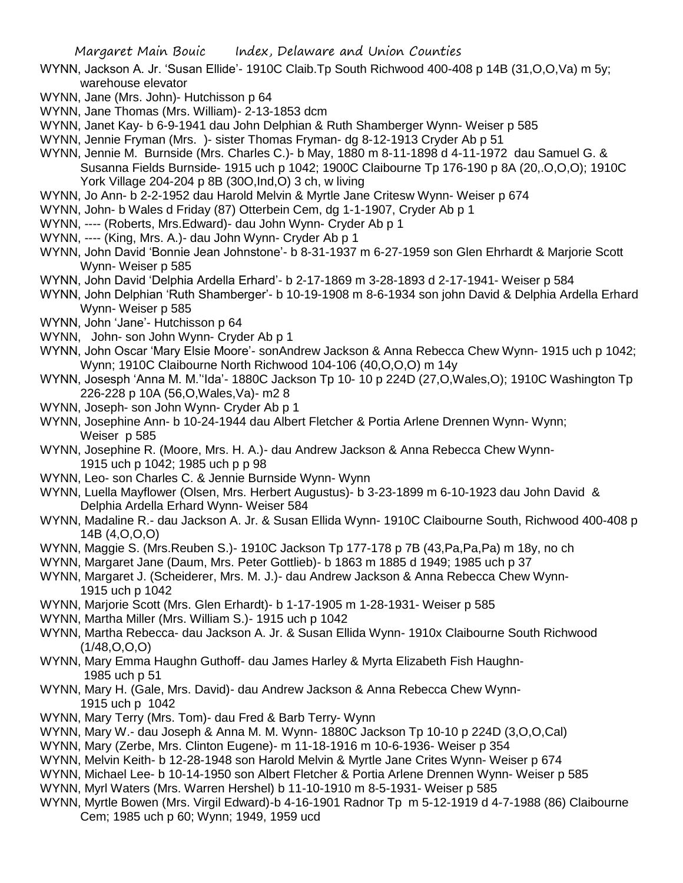- WYNN, Jackson A. Jr. 'Susan Ellide'- 1910C Claib.Tp South Richwood 400-408 p 14B (31,O,O,Va) m 5y; warehouse elevator
- WYNN, Jane (Mrs. John)- Hutchisson p 64
- WYNN, Jane Thomas (Mrs. William)- 2-13-1853 dcm
- WYNN, Janet Kay- b 6-9-1941 dau John Delphian & Ruth Shamberger Wynn- Weiser p 585
- WYNN, Jennie Fryman (Mrs. )- sister Thomas Fryman- dg 8-12-1913 Cryder Ab p 51
- WYNN, Jennie M. Burnside (Mrs. Charles C.)- b May, 1880 m 8-11-1898 d 4-11-1972 dau Samuel G. & Susanna Fields Burnside- 1915 uch p 1042; 1900C Claibourne Tp 176-190 p 8A (20,.O,O,O); 1910C York Village 204-204 p 8B (30O,Ind,O) 3 ch, w living
- WYNN, Jo Ann- b 2-2-1952 dau Harold Melvin & Myrtle Jane Critesw Wynn- Weiser p 674
- WYNN, John- b Wales d Friday (87) Otterbein Cem, dg 1-1-1907, Cryder Ab p 1
- WYNN, ---- (Roberts, Mrs.Edward)- dau John Wynn- Cryder Ab p 1
- WYNN, ---- (King, Mrs. A.)- dau John Wynn- Cryder Ab p 1
- WYNN, John David 'Bonnie Jean Johnstone'- b 8-31-1937 m 6-27-1959 son Glen Ehrhardt & Marjorie Scott Wynn- Weiser p 585
- WYNN, John David 'Delphia Ardella Erhard'- b 2-17-1869 m 3-28-1893 d 2-17-1941- Weiser p 584
- WYNN, John Delphian 'Ruth Shamberger'- b 10-19-1908 m 8-6-1934 son john David & Delphia Ardella Erhard Wynn- Weiser p 585
- WYNN, John 'Jane'- Hutchisson p 64
- WYNN, John- son John Wynn- Cryder Ab p 1
- WYNN, John Oscar 'Mary Elsie Moore'- sonAndrew Jackson & Anna Rebecca Chew Wynn- 1915 uch p 1042; Wynn; 1910C Claibourne North Richwood 104-106 (40,O,O,O) m 14y
- WYNN, Josesph 'Anna M. M.''Ida'- 1880C Jackson Tp 10- 10 p 224D (27,O,Wales,O); 1910C Washington Tp 226-228 p 10A (56,O,Wales,Va)- m2 8
- WYNN, Joseph- son John Wynn- Cryder Ab p 1
- WYNN, Josephine Ann- b 10-24-1944 dau Albert Fletcher & Portia Arlene Drennen Wynn- Wynn; Weiser p 585
- WYNN, Josephine R. (Moore, Mrs. H. A.)- dau Andrew Jackson & Anna Rebecca Chew Wynn-1915 uch p 1042; 1985 uch p p 98
- WYNN, Leo- son Charles C. & Jennie Burnside Wynn- Wynn
- WYNN, Luella Mayflower (Olsen, Mrs. Herbert Augustus)- b 3-23-1899 m 6-10-1923 dau John David & Delphia Ardella Erhard Wynn- Weiser 584
- WYNN, Madaline R.- dau Jackson A. Jr. & Susan Ellida Wynn- 1910C Claibourne South, Richwood 400-408 p 14B (4,O,O,O)
- WYNN, Maggie S. (Mrs.Reuben S.)- 1910C Jackson Tp 177-178 p 7B (43,Pa,Pa,Pa) m 18y, no ch
- WYNN, Margaret Jane (Daum, Mrs. Peter Gottlieb)- b 1863 m 1885 d 1949; 1985 uch p 37
- WYNN, Margaret J. (Scheiderer, Mrs. M. J.)- dau Andrew Jackson & Anna Rebecca Chew Wynn-1915 uch p 1042
- WYNN, Marjorie Scott (Mrs. Glen Erhardt)- b 1-17-1905 m 1-28-1931- Weiser p 585
- WYNN, Martha Miller (Mrs. William S.)- 1915 uch p 1042
- WYNN, Martha Rebecca- dau Jackson A. Jr. & Susan Ellida Wynn- 1910x Claibourne South Richwood  $(1/48, O, O, O)$
- WYNN, Mary Emma Haughn Guthoff- dau James Harley & Myrta Elizabeth Fish Haughn-1985 uch p 51
- WYNN, Mary H. (Gale, Mrs. David)- dau Andrew Jackson & Anna Rebecca Chew Wynn-1915 uch p 1042
- WYNN, Mary Terry (Mrs. Tom)- dau Fred & Barb Terry- Wynn
- WYNN, Mary W.- dau Joseph & Anna M. M. Wynn- 1880C Jackson Tp 10-10 p 224D (3,O,O,Cal)
- WYNN, Mary (Zerbe, Mrs. Clinton Eugene)- m 11-18-1916 m 10-6-1936- Weiser p 354
- WYNN, Melvin Keith- b 12-28-1948 son Harold Melvin & Myrtle Jane Crites Wynn- Weiser p 674
- WYNN, Michael Lee- b 10-14-1950 son Albert Fletcher & Portia Arlene Drennen Wynn- Weiser p 585
- WYNN, Myrl Waters (Mrs. Warren Hershel) b 11-10-1910 m 8-5-1931- Weiser p 585
- WYNN, Myrtle Bowen (Mrs. Virgil Edward)-b 4-16-1901 Radnor Tp m 5-12-1919 d 4-7-1988 (86) Claibourne Cem; 1985 uch p 60; Wynn; 1949, 1959 ucd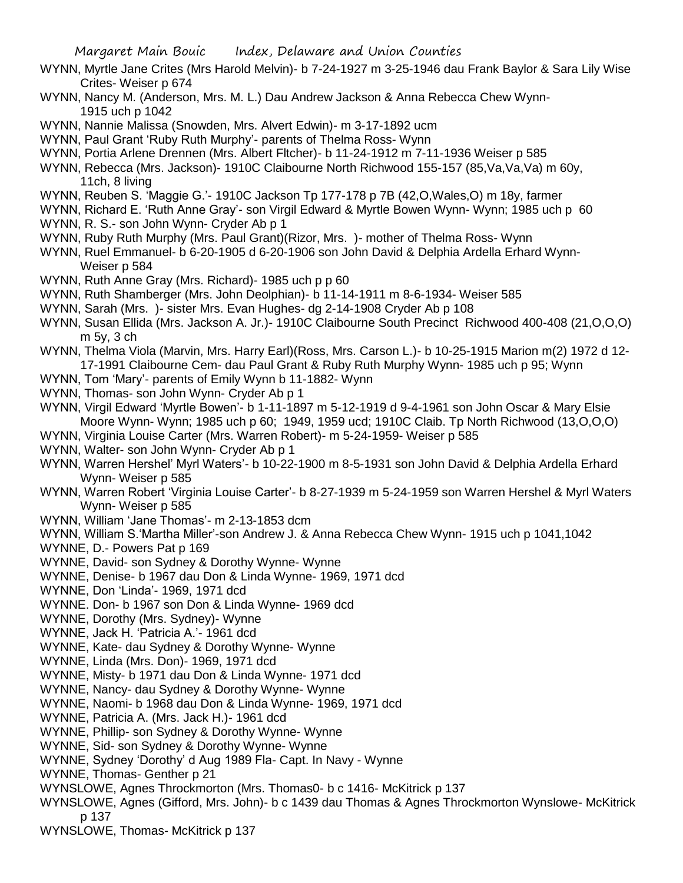- WYNN, Myrtle Jane Crites (Mrs Harold Melvin)- b 7-24-1927 m 3-25-1946 dau Frank Baylor & Sara Lily Wise Crites- Weiser p 674
- WYNN, Nancy M. (Anderson, Mrs. M. L.) Dau Andrew Jackson & Anna Rebecca Chew Wynn-1915 uch p 1042
- WYNN, Nannie Malissa (Snowden, Mrs. Alvert Edwin)- m 3-17-1892 ucm
- WYNN, Paul Grant 'Ruby Ruth Murphy'- parents of Thelma Ross- Wynn
- WYNN, Portia Arlene Drennen (Mrs. Albert Fltcher)- b 11-24-1912 m 7-11-1936 Weiser p 585
- WYNN, Rebecca (Mrs. Jackson)- 1910C Claibourne North Richwood 155-157 (85,Va,Va,Va) m 60y, 11ch, 8 living
- WYNN, Reuben S. 'Maggie G.'- 1910C Jackson Tp 177-178 p 7B (42,O,Wales,O) m 18y, farmer
- WYNN, Richard E. 'Ruth Anne Gray'- son Virgil Edward & Myrtle Bowen Wynn- Wynn; 1985 uch p 60 WYNN, R. S.- son John Wynn- Cryder Ab p 1
- WYNN, Ruby Ruth Murphy (Mrs. Paul Grant)(Rizor, Mrs. )- mother of Thelma Ross- Wynn
- WYNN, Ruel Emmanuel- b 6-20-1905 d 6-20-1906 son John David & Delphia Ardella Erhard Wynn-Weiser p 584
- WYNN, Ruth Anne Gray (Mrs. Richard)- 1985 uch p p 60
- WYNN, Ruth Shamberger (Mrs. John Deolphian)- b 11-14-1911 m 8-6-1934- Weiser 585
- WYNN, Sarah (Mrs. )- sister Mrs. Evan Hughes- dg 2-14-1908 Cryder Ab p 108
- WYNN, Susan Ellida (Mrs. Jackson A. Jr.)- 1910C Claibourne South Precinct Richwood 400-408 (21,O,O,O) m 5y, 3 ch
- WYNN, Thelma Viola (Marvin, Mrs. Harry Earl)(Ross, Mrs. Carson L.)- b 10-25-1915 Marion m(2) 1972 d 12- 17-1991 Claibourne Cem- dau Paul Grant & Ruby Ruth Murphy Wynn- 1985 uch p 95; Wynn
- WYNN, Tom 'Mary'- parents of Emily Wynn b 11-1882- Wynn
- WYNN, Thomas- son John Wynn- Cryder Ab p 1
- WYNN, Virgil Edward 'Myrtle Bowen'- b 1-11-1897 m 5-12-1919 d 9-4-1961 son John Oscar & Mary Elsie Moore Wynn- Wynn; 1985 uch p 60; 1949, 1959 ucd; 1910C Claib. Tp North Richwood (13,O,O,O)
- WYNN, Virginia Louise Carter (Mrs. Warren Robert)- m 5-24-1959- Weiser p 585
- WYNN, Walter- son John Wynn- Cryder Ab p 1
- WYNN, Warren Hershel' Myrl Waters'- b 10-22-1900 m 8-5-1931 son John David & Delphia Ardella Erhard Wynn- Weiser p 585
- WYNN, Warren Robert 'Virginia Louise Carter'- b 8-27-1939 m 5-24-1959 son Warren Hershel & Myrl Waters Wynn- Weiser p 585
- WYNN, William 'Jane Thomas'- m 2-13-1853 dcm
- WYNN, William S.'Martha Miller'-son Andrew J. & Anna Rebecca Chew Wynn- 1915 uch p 1041,1042
- WYNNE, D.- Powers Pat p 169
- WYNNE, David- son Sydney & Dorothy Wynne- Wynne
- WYNNE, Denise- b 1967 dau Don & Linda Wynne- 1969, 1971 dcd
- WYNNE, Don 'Linda'- 1969, 1971 dcd
- WYNNE. Don- b 1967 son Don & Linda Wynne- 1969 dcd
- WYNNE, Dorothy (Mrs. Sydney)- Wynne
- WYNNE, Jack H. 'Patricia A.'- 1961 dcd
- WYNNE, Kate- dau Sydney & Dorothy Wynne- Wynne
- WYNNE, Linda (Mrs. Don)- 1969, 1971 dcd
- WYNNE, Misty- b 1971 dau Don & Linda Wynne- 1971 dcd
- WYNNE, Nancy- dau Sydney & Dorothy Wynne- Wynne
- WYNNE, Naomi- b 1968 dau Don & Linda Wynne- 1969, 1971 dcd
- WYNNE, Patricia A. (Mrs. Jack H.)- 1961 dcd
- WYNNE, Phillip- son Sydney & Dorothy Wynne- Wynne
- WYNNE, Sid- son Sydney & Dorothy Wynne- Wynne
- WYNNE, Sydney 'Dorothy' d Aug 1989 Fla- Capt. In Navy Wynne
- WYNNE, Thomas- Genther p 21
- WYNSLOWE, Agnes Throckmorton (Mrs. Thomas0- b c 1416- McKitrick p 137
- WYNSLOWE, Agnes (Gifford, Mrs. John)- b c 1439 dau Thomas & Agnes Throckmorton Wynslowe- McKitrick p 137
- WYNSLOWE, Thomas- McKitrick p 137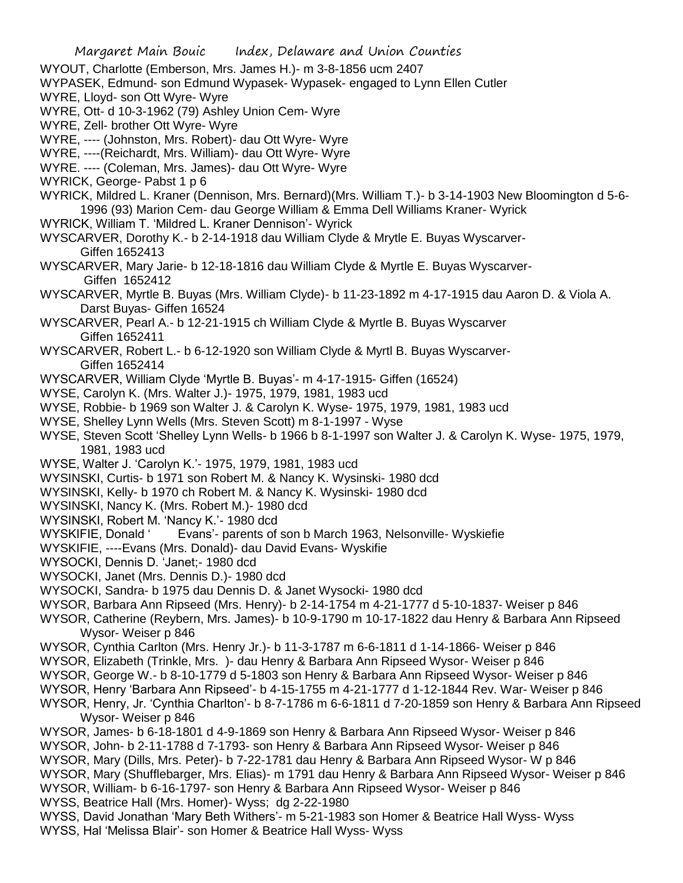- WYOUT, Charlotte (Emberson, Mrs. James H.)- m 3-8-1856 ucm 2407
- WYPASEK, Edmund- son Edmund Wypasek- Wypasek- engaged to Lynn Ellen Cutler
- WYRE, Lloyd- son Ott Wyre- Wyre
- WYRE, Ott- d 10-3-1962 (79) Ashley Union Cem- Wyre
- WYRE, Zell- brother Ott Wyre- Wyre
- WYRE, ---- (Johnston, Mrs. Robert)- dau Ott Wyre- Wyre
- WYRE, ----(Reichardt, Mrs. William)- dau Ott Wyre- Wyre
- WYRE. ---- (Coleman, Mrs. James)- dau Ott Wyre- Wyre
- WYRICK, George- Pabst 1 p 6
- WYRICK, Mildred L. Kraner (Dennison, Mrs. Bernard)(Mrs. William T.)- b 3-14-1903 New Bloomington d 5-6- 1996 (93) Marion Cem- dau George William & Emma Dell Williams Kraner- Wyrick
- WYRICK, William T. 'Mildred L. Kraner Dennison'- Wyrick
- WYSCARVER, Dorothy K.- b 2-14-1918 dau William Clyde & Mrytle E. Buyas Wyscarver-Giffen 1652413
- WYSCARVER, Mary Jarie- b 12-18-1816 dau William Clyde & Myrtle E. Buyas Wyscarver-Giffen 1652412
- WYSCARVER, Myrtle B. Buyas (Mrs. William Clyde)- b 11-23-1892 m 4-17-1915 dau Aaron D. & Viola A. Darst Buyas- Giffen 16524
- WYSCARVER, Pearl A.- b 12-21-1915 ch William Clyde & Myrtle B. Buyas Wyscarver Giffen 1652411
- WYSCARVER, Robert L.- b 6-12-1920 son William Clyde & Myrtl B. Buyas Wyscarver-Giffen 1652414
- WYSCARVER, William Clyde 'Myrtle B. Buyas'- m 4-17-1915- Giffen (16524)
- WYSE, Carolyn K. (Mrs. Walter J.)- 1975, 1979, 1981, 1983 ucd
- WYSE, Robbie- b 1969 son Walter J. & Carolyn K. Wyse- 1975, 1979, 1981, 1983 ucd
- WYSE, Shelley Lynn Wells (Mrs. Steven Scott) m 8-1-1997 Wyse
- WYSE, Steven Scott 'Shelley Lynn Wells- b 1966 b 8-1-1997 son Walter J. & Carolyn K. Wyse- 1975, 1979, 1981, 1983 ucd
- WYSE, Walter J. 'Carolyn K.'- 1975, 1979, 1981, 1983 ucd
- WYSINSKI, Curtis- b 1971 son Robert M. & Nancy K. Wysinski- 1980 dcd
- WYSINSKI, Kelly- b 1970 ch Robert M. & Nancy K. Wysinski- 1980 dcd
- WYSINSKI, Nancy K. (Mrs. Robert M.)- 1980 dcd
- WYSINSKI, Robert M. 'Nancy K.'- 1980 dcd
- WYSKIFIE, Donald ' Evans'- parents of son b March 1963, Nelsonville- Wyskiefie
- WYSKIFIE, ----Evans (Mrs. Donald)- dau David Evans- Wyskifie
- WYSOCKI, Dennis D. 'Janet;- 1980 dcd
- WYSOCKI, Janet (Mrs. Dennis D.)- 1980 dcd
- WYSOCKI, Sandra- b 1975 dau Dennis D. & Janet Wysocki- 1980 dcd
- WYSOR, Barbara Ann Ripseed (Mrs. Henry)- b 2-14-1754 m 4-21-1777 d 5-10-1837- Weiser p 846
- WYSOR, Catherine (Reybern, Mrs. James)- b 10-9-1790 m 10-17-1822 dau Henry & Barbara Ann Ripseed Wysor- Weiser p 846
- WYSOR, Cynthia Carlton (Mrs. Henry Jr.)- b 11-3-1787 m 6-6-1811 d 1-14-1866- Weiser p 846
- WYSOR, Elizabeth (Trinkle, Mrs. )- dau Henry & Barbara Ann Ripseed Wysor- Weiser p 846
- WYSOR, George W.- b 8-10-1779 d 5-1803 son Henry & Barbara Ann Ripseed Wysor- Weiser p 846
- WYSOR, Henry 'Barbara Ann Ripseed'- b 4-15-1755 m 4-21-1777 d 1-12-1844 Rev. War- Weiser p 846
- WYSOR, Henry, Jr. 'Cynthia Charlton'- b 8-7-1786 m 6-6-1811 d 7-20-1859 son Henry & Barbara Ann Ripseed Wysor- Weiser p 846
- WYSOR, James- b 6-18-1801 d 4-9-1869 son Henry & Barbara Ann Ripseed Wysor- Weiser p 846
- WYSOR, John- b 2-11-1788 d 7-1793- son Henry & Barbara Ann Ripseed Wysor- Weiser p 846 WYSOR, Mary (Dills, Mrs. Peter)- b 7-22-1781 dau Henry & Barbara Ann Ripseed Wysor- W p 846
- WYSOR, Mary (Shufflebarger, Mrs. Elias)- m 1791 dau Henry & Barbara Ann Ripseed Wysor- Weiser p 846 WYSOR, William- b 6-16-1797- son Henry & Barbara Ann Ripseed Wysor- Weiser p 846
- WYSS, Beatrice Hall (Mrs. Homer)- Wyss; dg 2-22-1980
- WYSS, David Jonathan 'Mary Beth Withers'- m 5-21-1983 son Homer & Beatrice Hall Wyss- Wyss WYSS, Hal 'Melissa Blair'- son Homer & Beatrice Hall Wyss- Wyss